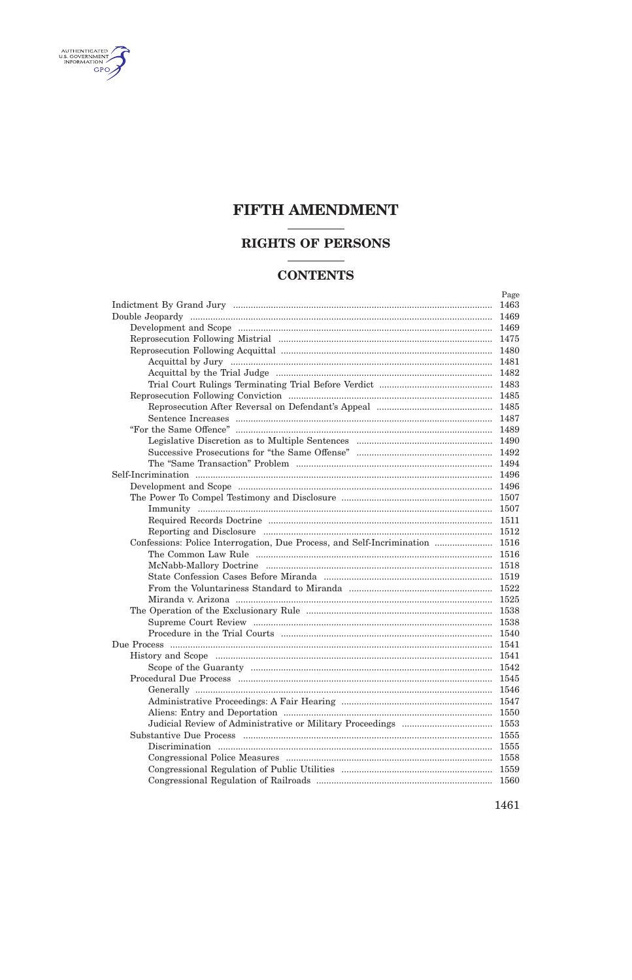# **FIFTH AMENDMENT**

AUTHENTICATED

## **RIGHTS OF PERSONS**

## **CONTENTS**

|                                                                              | Page |
|------------------------------------------------------------------------------|------|
|                                                                              | 1463 |
|                                                                              |      |
|                                                                              |      |
|                                                                              |      |
|                                                                              |      |
|                                                                              |      |
|                                                                              |      |
|                                                                              |      |
|                                                                              |      |
|                                                                              |      |
|                                                                              |      |
|                                                                              |      |
|                                                                              |      |
|                                                                              |      |
|                                                                              |      |
|                                                                              |      |
|                                                                              |      |
|                                                                              |      |
|                                                                              |      |
|                                                                              |      |
|                                                                              |      |
| Confessions: Police Interrogation, Due Process, and Self-Incrimination  1516 |      |
|                                                                              |      |
|                                                                              |      |
|                                                                              |      |
|                                                                              |      |
|                                                                              |      |
|                                                                              |      |
|                                                                              |      |
|                                                                              |      |
|                                                                              |      |
|                                                                              |      |
|                                                                              |      |
|                                                                              |      |
|                                                                              |      |
|                                                                              |      |
|                                                                              |      |
|                                                                              |      |
|                                                                              |      |
|                                                                              |      |
|                                                                              |      |
|                                                                              |      |
|                                                                              |      |
|                                                                              |      |
|                                                                              |      |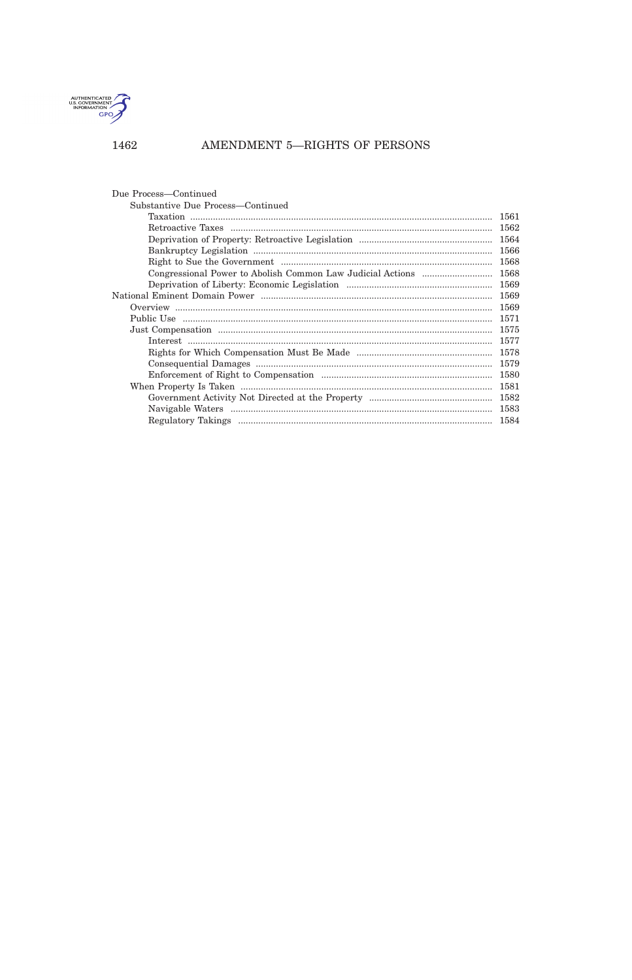

1462

## AMENDMENT 5-RIGHTS OF PERSONS

| Due Process—Continued             |      |
|-----------------------------------|------|
| Substantive Due Process—Continued |      |
|                                   | 1561 |
|                                   |      |
|                                   | 1564 |
|                                   | 1566 |
|                                   |      |
|                                   | 1568 |
|                                   | 1569 |
|                                   | 1569 |
|                                   | 1569 |
|                                   |      |
|                                   | 1575 |
|                                   | 1577 |
|                                   | 1578 |
|                                   | 1579 |
|                                   | 1580 |
|                                   | 1581 |
|                                   | 1582 |
|                                   | 1583 |
|                                   | 1584 |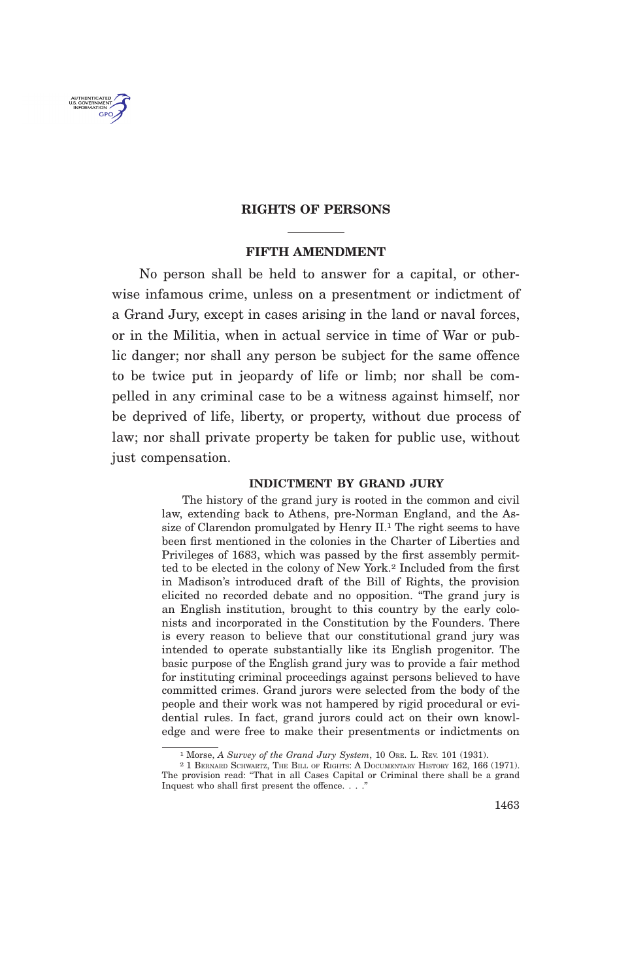<span id="page-2-0"></span>

### **RIGHTS OF PERSONS**

## **FIFTH AMENDMENT**

No person shall be held to answer for a capital, or otherwise infamous crime, unless on a presentment or indictment of a Grand Jury, except in cases arising in the land or naval forces, or in the Militia, when in actual service in time of War or public danger; nor shall any person be subject for the same offence to be twice put in jeopardy of life or limb; nor shall be compelled in any criminal case to be a witness against himself, nor be deprived of life, liberty, or property, without due process of law; nor shall private property be taken for public use, without just compensation.

### **INDICTMENT BY GRAND JURY**

The history of the grand jury is rooted in the common and civil law, extending back to Athens, pre-Norman England, and the Assize of Clarendon promulgated by Henry II.<sup>1</sup> The right seems to have been first mentioned in the colonies in the Charter of Liberties and Privileges of 1683, which was passed by the first assembly permitted to be elected in the colony of New York.<sup>2</sup> Included from the first in Madison's introduced draft of the Bill of Rights, the provision elicited no recorded debate and no opposition. "The grand jury is an English institution, brought to this country by the early colonists and incorporated in the Constitution by the Founders. There is every reason to believe that our constitutional grand jury was intended to operate substantially like its English progenitor. The basic purpose of the English grand jury was to provide a fair method for instituting criminal proceedings against persons believed to have committed crimes. Grand jurors were selected from the body of the people and their work was not hampered by rigid procedural or evidential rules. In fact, grand jurors could act on their own knowledge and were free to make their presentments or indictments on

<sup>&</sup>lt;sup>1</sup> Morse, *A Survey of the Grand Jury System*, 10 Ore. L. Rev. 101 (1931).

<sup>&</sup>lt;sup>2</sup> 1 BERNARD SCHWARTZ, THE BILL OF RIGHTS: A DOCUMENTARY HISTORY 162, 166 (1971). The provision read: "That in all Cases Capital or Criminal there shall be a grand Inquest who shall first present the offence. . . ."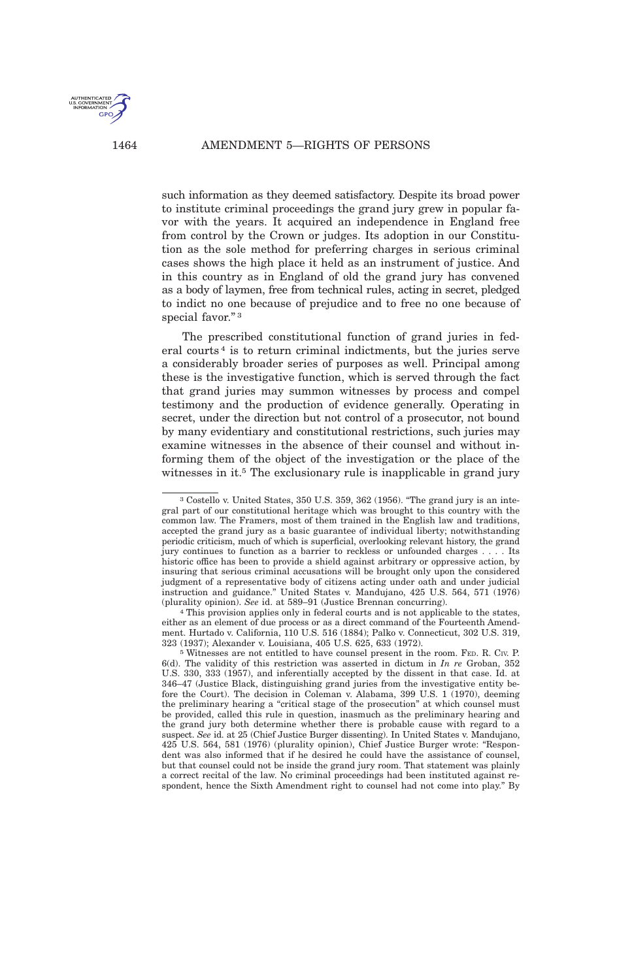

such information as they deemed satisfactory. Despite its broad power to institute criminal proceedings the grand jury grew in popular favor with the years. It acquired an independence in England free from control by the Crown or judges. Its adoption in our Constitution as the sole method for preferring charges in serious criminal cases shows the high place it held as an instrument of justice. And in this country as in England of old the grand jury has convened as a body of laymen, free from technical rules, acting in secret, pledged to indict no one because of prejudice and to free no one because of special favor."<sup>3</sup>

The prescribed constitutional function of grand juries in federal courts <sup>4</sup> is to return criminal indictments, but the juries serve a considerably broader series of purposes as well. Principal among these is the investigative function, which is served through the fact that grand juries may summon witnesses by process and compel testimony and the production of evidence generally. Operating in secret, under the direction but not control of a prosecutor, not bound by many evidentiary and constitutional restrictions, such juries may examine witnesses in the absence of their counsel and without informing them of the object of the investigation or the place of the witnesses in it.<sup>5</sup> The exclusionary rule is inapplicable in grand jury

4 This provision applies only in federal courts and is not applicable to the states, either as an element of due process or as a direct command of the Fourteenth Amendment. Hurtado v. California, 110 U.S. 516 (1884); Palko v. Connecticut, 302 U.S. 319, 323 (1937); Alexander v. Louisiana, 405 U.S. 625, 633 (1972).

<sup>3</sup> Costello v. United States, 350 U.S. 359, 362 (1956). "The grand jury is an integral part of our constitutional heritage which was brought to this country with the common law. The Framers, most of them trained in the English law and traditions, accepted the grand jury as a basic guarantee of individual liberty; notwithstanding periodic criticism, much of which is superficial, overlooking relevant history, the grand jury continues to function as a barrier to reckless or unfounded charges . . . . Its historic office has been to provide a shield against arbitrary or oppressive action, by insuring that serious criminal accusations will be brought only upon the considered judgment of a representative body of citizens acting under oath and under judicial instruction and guidance." United States v. Mandujano, 425 U.S. 564, 571 (1976) (plurality opinion). *See* id. at 589–91 (Justice Brennan concurring).

<sup>5</sup> Witnesses are not entitled to have counsel present in the room. FED. R. CIV. P. 6(d). The validity of this restriction was asserted in dictum in *In re* Groban, 352 U.S. 330, 333 (1957), and inferentially accepted by the dissent in that case. Id. at 346–47 (Justice Black, distinguishing grand juries from the investigative entity before the Court). The decision in Coleman v. Alabama, 399 U.S. 1 (1970), deeming the preliminary hearing a "critical stage of the prosecution" at which counsel must be provided, called this rule in question, inasmuch as the preliminary hearing and the grand jury both determine whether there is probable cause with regard to a suspect. *See* id. at 25 (Chief Justice Burger dissenting). In United States v. Mandujano, 425 U.S. 564, 581 (1976) (plurality opinion), Chief Justice Burger wrote: "Respondent was also informed that if he desired he could have the assistance of counsel, but that counsel could not be inside the grand jury room. That statement was plainly a correct recital of the law. No criminal proceedings had been instituted against respondent, hence the Sixth Amendment right to counsel had not come into play." By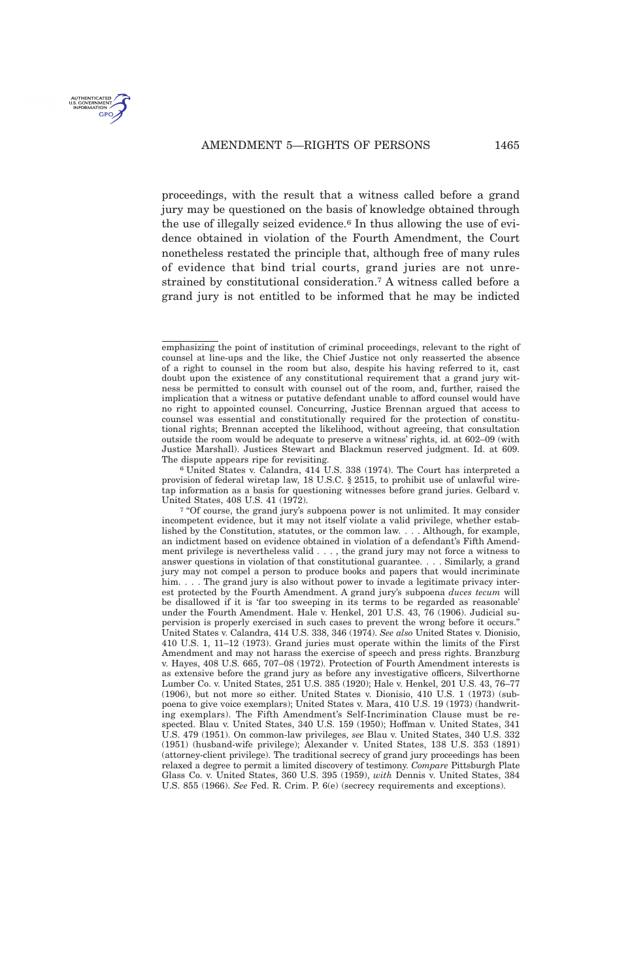AMENDMENT 5-RIGHTS OF PERSONS 1465

proceedings, with the result that a witness called before a grand jury may be questioned on the basis of knowledge obtained through the use of illegally seized evidence.<sup>6</sup> In thus allowing the use of evidence obtained in violation of the Fourth Amendment, the Court nonetheless restated the principle that, although free of many rules of evidence that bind trial courts, grand juries are not unrestrained by constitutional consideration.<sup>7</sup> A witness called before a grand jury is not entitled to be informed that he may be indicted

6 United States v. Calandra, 414 U.S. 338 (1974). The Court has interpreted a provision of federal wiretap law, 18 U.S.C. § 2515, to prohibit use of unlawful wiretap information as a basis for questioning witnesses before grand juries. Gelbard v. United States, 408 U.S. 41 (1972).

7 "Of course, the grand jury's subpoena power is not unlimited. It may consider incompetent evidence, but it may not itself violate a valid privilege, whether established by the Constitution, statutes, or the common law. . . . Although, for example, an indictment based on evidence obtained in violation of a defendant's Fifth Amendment privilege is nevertheless valid . . . , the grand jury may not force a witness to answer questions in violation of that constitutional guarantee. . . . Similarly, a grand jury may not compel a person to produce books and papers that would incriminate him. . . . The grand jury is also without power to invade a legitimate privacy interest protected by the Fourth Amendment. A grand jury's subpoena *duces tecum* will be disallowed if it is 'far too sweeping in its terms to be regarded as reasonable' under the Fourth Amendment. Hale v. Henkel, 201 U.S. 43, 76 (1906). Judicial supervision is properly exercised in such cases to prevent the wrong before it occurs." United States v. Calandra, 414 U.S. 338, 346 (1974). *See also* United States v. Dionisio, 410 U.S. 1, 11–12 (1973). Grand juries must operate within the limits of the First Amendment and may not harass the exercise of speech and press rights. Branzburg v. Hayes, 408 U.S. 665, 707–08 (1972). Protection of Fourth Amendment interests is as extensive before the grand jury as before any investigative officers, Silverthorne Lumber Co. v. United States, 251 U.S. 385 (1920); Hale v. Henkel, 201 U.S. 43, 76–77 (1906), but not more so either. United States v. Dionisio, 410 U.S. 1 (1973) (subpoena to give voice exemplars); United States v. Mara, 410 U.S. 19 (1973) (handwriting exemplars). The Fifth Amendment's Self-Incrimination Clause must be respected. Blau v. United States, 340 U.S. 159 (1950); Hoffman v. United States, 341 U.S. 479 (1951). On common-law privileges, *see* Blau v. United States, 340 U.S. 332 (1951) (husband-wife privilege); Alexander v. United States, 138 U.S. 353 (1891) (attorney-client privilege). The traditional secrecy of grand jury proceedings has been relaxed a degree to permit a limited discovery of testimony. *Compare* Pittsburgh Plate Glass Co. v. United States, 360 U.S. 395 (1959), *with* Dennis v. United States, 384 U.S. 855 (1966). *See* Fed. R. Crim. P. 6(e) (secrecy requirements and exceptions).

emphasizing the point of institution of criminal proceedings, relevant to the right of counsel at line-ups and the like, the Chief Justice not only reasserted the absence of a right to counsel in the room but also, despite his having referred to it, cast doubt upon the existence of any constitutional requirement that a grand jury witness be permitted to consult with counsel out of the room, and, further, raised the implication that a witness or putative defendant unable to afford counsel would have no right to appointed counsel. Concurring, Justice Brennan argued that access to counsel was essential and constitutionally required for the protection of constitutional rights; Brennan accepted the likelihood, without agreeing, that consultation outside the room would be adequate to preserve a witness' rights, id. at 602–09 (with Justice Marshall). Justices Stewart and Blackmun reserved judgment. Id. at 609. The dispute appears ripe for revisiting.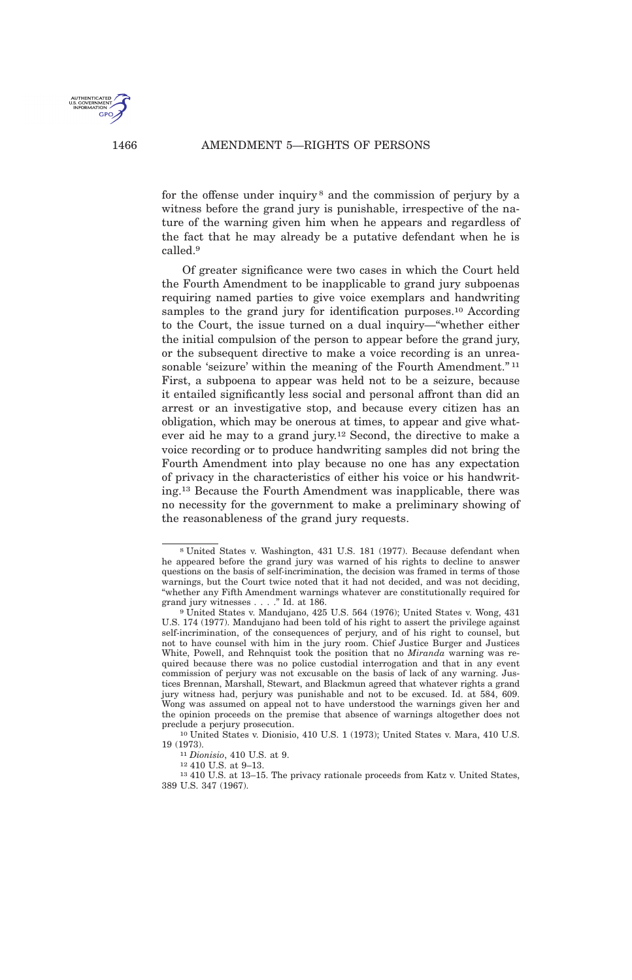

for the offense under inquiry <sup>8</sup> and the commission of perjury by a witness before the grand jury is punishable, irrespective of the nature of the warning given him when he appears and regardless of the fact that he may already be a putative defendant when he is called.<sup>9</sup>

Of greater significance were two cases in which the Court held the Fourth Amendment to be inapplicable to grand jury subpoenas requiring named parties to give voice exemplars and handwriting samples to the grand jury for identification purposes.<sup>10</sup> According to the Court, the issue turned on a dual inquiry—"whether either the initial compulsion of the person to appear before the grand jury, or the subsequent directive to make a voice recording is an unreasonable 'seizure' within the meaning of the Fourth Amendment."<sup>11</sup> First, a subpoena to appear was held not to be a seizure, because it entailed significantly less social and personal affront than did an arrest or an investigative stop, and because every citizen has an obligation, which may be onerous at times, to appear and give whatever aid he may to a grand jury.<sup>12</sup> Second, the directive to make a voice recording or to produce handwriting samples did not bring the Fourth Amendment into play because no one has any expectation of privacy in the characteristics of either his voice or his handwriting.<sup>13</sup> Because the Fourth Amendment was inapplicable, there was no necessity for the government to make a preliminary showing of the reasonableness of the grand jury requests.

<sup>8</sup> United States v. Washington, 431 U.S. 181 (1977). Because defendant when he appeared before the grand jury was warned of his rights to decline to answer questions on the basis of self-incrimination, the decision was framed in terms of those warnings, but the Court twice noted that it had not decided, and was not deciding, "whether any Fifth Amendment warnings whatever are constitutionally required for grand jury witnesses . . . ." Id. at 186.

<sup>9</sup> United States v. Mandujano, 425 U.S. 564 (1976); United States v. Wong, 431 U.S. 174 (1977). Mandujano had been told of his right to assert the privilege against self-incrimination, of the consequences of perjury, and of his right to counsel, but not to have counsel with him in the jury room. Chief Justice Burger and Justices White, Powell, and Rehnquist took the position that no *Miranda* warning was required because there was no police custodial interrogation and that in any event commission of perjury was not excusable on the basis of lack of any warning. Justices Brennan, Marshall, Stewart, and Blackmun agreed that whatever rights a grand jury witness had, perjury was punishable and not to be excused. Id. at 584, 609. Wong was assumed on appeal not to have understood the warnings given her and the opinion proceeds on the premise that absence of warnings altogether does not preclude a perjury prosecution.

<sup>10</sup> United States v. Dionisio, 410 U.S. 1 (1973); United States v. Mara, 410 U.S. 19 (1973).

<sup>11</sup> *Dionisio*, 410 U.S. at 9.

<sup>12</sup> 410 U.S. at 9–13.

<sup>13</sup> 410 U.S. at 13–15. The privacy rationale proceeds from Katz v. United States, 389 U.S. 347 (1967).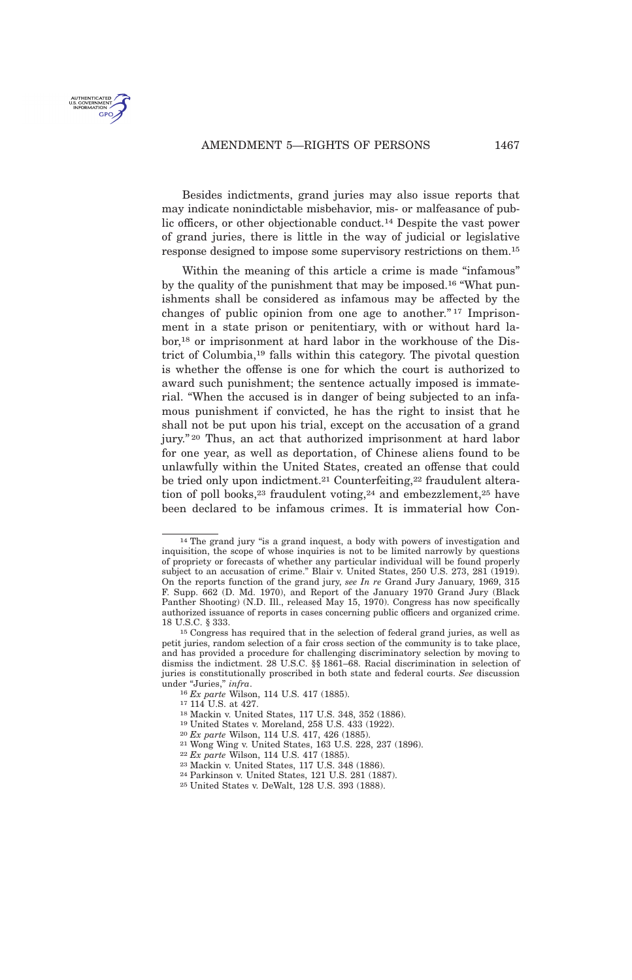Besides indictments, grand juries may also issue reports that may indicate nonindictable misbehavior, mis- or malfeasance of public officers, or other objectionable conduct.<sup>14</sup> Despite the vast power of grand juries, there is little in the way of judicial or legislative response designed to impose some supervisory restrictions on them.<sup>15</sup>

Within the meaning of this article a crime is made "infamous" by the quality of the punishment that may be imposed.<sup>16</sup> "What punishments shall be considered as infamous may be affected by the changes of public opinion from one age to another." <sup>17</sup> Imprisonment in a state prison or penitentiary, with or without hard labor,<sup>18</sup> or imprisonment at hard labor in the workhouse of the District of Columbia,<sup>19</sup> falls within this category. The pivotal question is whether the offense is one for which the court is authorized to award such punishment; the sentence actually imposed is immaterial. "When the accused is in danger of being subjected to an infamous punishment if convicted, he has the right to insist that he shall not be put upon his trial, except on the accusation of a grand jury." <sup>20</sup> Thus, an act that authorized imprisonment at hard labor for one year, as well as deportation, of Chinese aliens found to be unlawfully within the United States, created an offense that could be tried only upon indictment.<sup>21</sup> Counterfeiting,<sup>22</sup> fraudulent alteration of poll books,<sup>23</sup> fraudulent voting,<sup>24</sup> and embezzlement,<sup>25</sup> have been declared to be infamous crimes. It is immaterial how Con-

<sup>14</sup> The grand jury "is a grand inquest, a body with powers of investigation and inquisition, the scope of whose inquiries is not to be limited narrowly by questions of propriety or forecasts of whether any particular individual will be found properly subject to an accusation of crime." Blair v. United States, 250 U.S. 273, 281 (1919). On the reports function of the grand jury, *see In re* Grand Jury January, 1969, 315 F. Supp. 662 (D. Md. 1970), and Report of the January 1970 Grand Jury (Black Panther Shooting) (N.D. Ill., released May 15, 1970). Congress has now specifically authorized issuance of reports in cases concerning public officers and organized crime. 18 U.S.C. § 333.

<sup>15</sup> Congress has required that in the selection of federal grand juries, as well as petit juries, random selection of a fair cross section of the community is to take place, and has provided a procedure for challenging discriminatory selection by moving to dismiss the indictment. 28 U.S.C. §§ 1861–68. Racial discrimination in selection of juries is constitutionally proscribed in both state and federal courts. *See* discussion under "Juries," *infra*.

<sup>16</sup> *Ex parte* Wilson, 114 U.S. 417 (1885).

<sup>17</sup> 114 U.S. at 427.

<sup>18</sup> Mackin v. United States, 117 U.S. 348, 352 (1886).

<sup>19</sup> United States v. Moreland, 258 U.S. 433 (1922).

<sup>20</sup> *Ex parte* Wilson, 114 U.S. 417, 426 (1885).

<sup>21</sup> Wong Wing v. United States, 163 U.S. 228, 237 (1896).

<sup>22</sup> *Ex parte* Wilson, 114 U.S. 417 (1885).

<sup>23</sup> Mackin v. United States, 117 U.S. 348 (1886).

<sup>24</sup> Parkinson v. United States, 121 U.S. 281 (1887).

<sup>25</sup> United States v. DeWalt, 128 U.S. 393 (1888).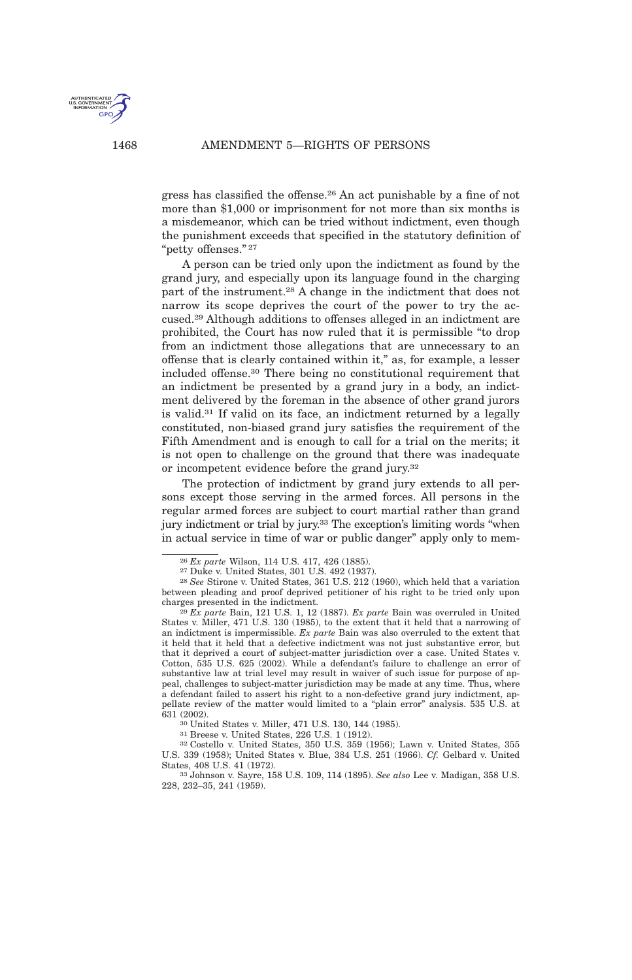

gress has classified the offense.<sup>26</sup> An act punishable by a fine of not more than \$1,000 or imprisonment for not more than six months is a misdemeanor, which can be tried without indictment, even though the punishment exceeds that specified in the statutory definition of "petty offenses." <sup>27</sup>

A person can be tried only upon the indictment as found by the grand jury, and especially upon its language found in the charging part of the instrument.<sup>28</sup> A change in the indictment that does not narrow its scope deprives the court of the power to try the accused.<sup>29</sup> Although additions to offenses alleged in an indictment are prohibited, the Court has now ruled that it is permissible "to drop from an indictment those allegations that are unnecessary to an offense that is clearly contained within it," as, for example, a lesser included offense.<sup>30</sup> There being no constitutional requirement that an indictment be presented by a grand jury in a body, an indictment delivered by the foreman in the absence of other grand jurors is valid.<sup>31</sup> If valid on its face, an indictment returned by a legally constituted, non-biased grand jury satisfies the requirement of the Fifth Amendment and is enough to call for a trial on the merits; it is not open to challenge on the ground that there was inadequate or incompetent evidence before the grand jury.<sup>32</sup>

The protection of indictment by grand jury extends to all persons except those serving in the armed forces. All persons in the regular armed forces are subject to court martial rather than grand jury indictment or trial by jury.<sup>33</sup> The exception's limiting words "when in actual service in time of war or public danger" apply only to mem-

<sup>26</sup> *Ex parte* Wilson, 114 U.S. 417, 426 (1885).

<sup>27</sup> Duke v. United States, 301 U.S. 492 (1937).

<sup>28</sup> *See* Stirone v. United States, 361 U.S. 212 (1960), which held that a variation between pleading and proof deprived petitioner of his right to be tried only upon charges presented in the indictment.

<sup>29</sup> *Ex parte* Bain, 121 U.S. 1, 12 (1887). *Ex parte* Bain was overruled in United States v. Miller, 471 U.S. 130 (1985), to the extent that it held that a narrowing of an indictment is impermissible. *Ex parte* Bain was also overruled to the extent that it held that it held that a defective indictment was not just substantive error, but that it deprived a court of subject-matter jurisdiction over a case. United States v. Cotton, 535 U.S. 625 (2002). While a defendant's failure to challenge an error of substantive law at trial level may result in waiver of such issue for purpose of appeal, challenges to subject-matter jurisdiction may be made at any time. Thus, where a defendant failed to assert his right to a non-defective grand jury indictment, appellate review of the matter would limited to a "plain error" analysis. 535 U.S. at 631 (2002).

<sup>30</sup> United States v. Miller, 471 U.S. 130, 144 (1985).

<sup>31</sup> Breese v. United States, 226 U.S. 1 (1912).

<sup>32</sup> Costello v. United States, 350 U.S. 359 (1956); Lawn v. United States, 355 U.S. 339 (1958); United States v. Blue, 384 U.S. 251 (1966). *Cf.* Gelbard v. United States, 408 U.S. 41 (1972).

<sup>33</sup> Johnson v. Sayre, 158 U.S. 109, 114 (1895). *See also* Lee v. Madigan, 358 U.S. 228, 232–35, 241 (1959).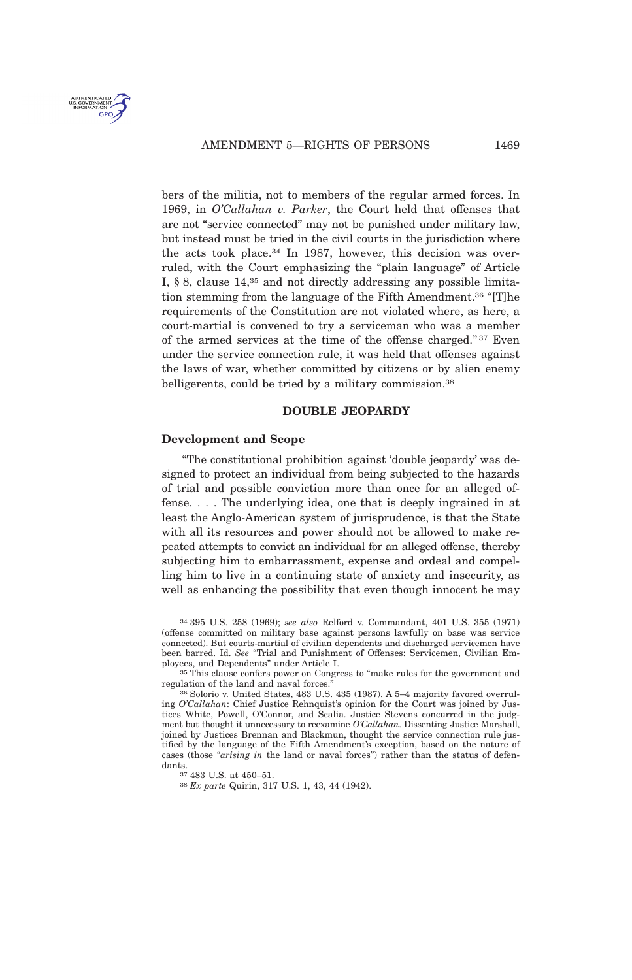<span id="page-8-0"></span>

bers of the militia, not to members of the regular armed forces. In 1969, in *O'Callahan v. Parker*, the Court held that offenses that are not "service connected" may not be punished under military law, but instead must be tried in the civil courts in the jurisdiction where the acts took place.<sup>34</sup> In 1987, however, this decision was overruled, with the Court emphasizing the "plain language" of Article I, § 8, clause 14,<sup>35</sup> and not directly addressing any possible limitation stemming from the language of the Fifth Amendment.<sup>36</sup> "[T]he requirements of the Constitution are not violated where, as here, a court-martial is convened to try a serviceman who was a member of the armed services at the time of the offense charged." <sup>37</sup> Even under the service connection rule, it was held that offenses against the laws of war, whether committed by citizens or by alien enemy belligerents, could be tried by a military commission.<sup>38</sup>

#### **DOUBLE JEOPARDY**

#### **Development and Scope**

"The constitutional prohibition against 'double jeopardy' was designed to protect an individual from being subjected to the hazards of trial and possible conviction more than once for an alleged offense. . . . The underlying idea, one that is deeply ingrained in at least the Anglo-American system of jurisprudence, is that the State with all its resources and power should not be allowed to make repeated attempts to convict an individual for an alleged offense, thereby subjecting him to embarrassment, expense and ordeal and compelling him to live in a continuing state of anxiety and insecurity, as well as enhancing the possibility that even though innocent he may

<sup>34</sup> 395 U.S. 258 (1969); *see also* Relford v. Commandant, 401 U.S. 355 (1971) (offense committed on military base against persons lawfully on base was service connected). But courts-martial of civilian dependents and discharged servicemen have been barred. Id. *See* "Trial and Punishment of Offenses: Servicemen, Civilian Employees, and Dependents" under Article I.

<sup>35</sup> This clause confers power on Congress to "make rules for the government and regulation of the land and naval forces."

<sup>36</sup> Solorio v. United States, 483 U.S. 435 (1987). A 5–4 majority favored overruling *O'Callahan*: Chief Justice Rehnquist's opinion for the Court was joined by Justices White, Powell, O'Connor, and Scalia. Justice Stevens concurred in the judgment but thought it unnecessary to reexamine *O'Callahan*. Dissenting Justice Marshall, joined by Justices Brennan and Blackmun, thought the service connection rule justified by the language of the Fifth Amendment's exception, based on the nature of cases (those "*arising in* the land or naval forces") rather than the status of defendants.

<sup>37</sup> 483 U.S. at 450–51.

<sup>38</sup> *Ex parte* Quirin, 317 U.S. 1, 43, 44 (1942).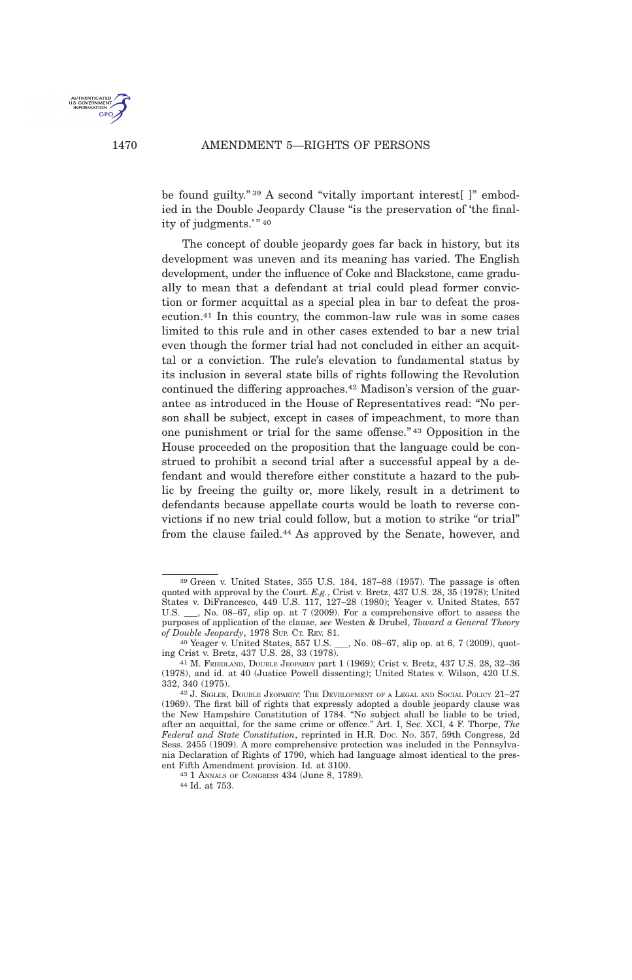be found guilty." <sup>39</sup> A second "vitally important interest[ ]" embodied in the Double Jeopardy Clause "is the preservation of 'the finality of judgments.'" 40

The concept of double jeopardy goes far back in history, but its development was uneven and its meaning has varied. The English development, under the influence of Coke and Blackstone, came gradually to mean that a defendant at trial could plead former conviction or former acquittal as a special plea in bar to defeat the prosecution.<sup>41</sup> In this country, the common-law rule was in some cases limited to this rule and in other cases extended to bar a new trial even though the former trial had not concluded in either an acquittal or a conviction. The rule's elevation to fundamental status by its inclusion in several state bills of rights following the Revolution continued the differing approaches.<sup>42</sup> Madison's version of the guarantee as introduced in the House of Representatives read: "No person shall be subject, except in cases of impeachment, to more than one punishment or trial for the same offense." <sup>43</sup> Opposition in the House proceeded on the proposition that the language could be construed to prohibit a second trial after a successful appeal by a defendant and would therefore either constitute a hazard to the public by freeing the guilty or, more likely, result in a detriment to defendants because appellate courts would be loath to reverse convictions if no new trial could follow, but a motion to strike "or trial" from the clause failed.<sup>44</sup> As approved by the Senate, however, and

<sup>39</sup> Green v. United States, 355 U.S. 184, 187–88 (1957). The passage is often quoted with approval by the Court. *E.g.*, Crist v. Bretz, 437 U.S. 28, 35 (1978); United States v. DiFrancesco, 449 U.S. 117, 127–28 (1980); Yeager v. United States, 557 U.S. \_\_\_, No. 08–67, slip op. at 7 (2009). For a comprehensive effort to assess the purposes of application of the clause, *see* Westen & Drubel, *Toward a General Theory of Double Jeopardy*, 1978 SUP. CT. REV. 81.

<sup>40</sup> Yeager v. United States, 557 U.S. \_\_\_, No. 08–67, slip op. at 6, 7 (2009), quoting Crist v. Bretz, 437 U.S. 28, 33 (1978).

<sup>41</sup> M. FRIEDLAND, DOUBLE JEOPARDY part 1 (1969); Crist v. Bretz, 437 U.S. 28, 32–36 (1978), and id. at 40 (Justice Powell dissenting); United States v. Wilson, 420 U.S. 332, 340 (1975).

<sup>42</sup> J. SIGLER, DOUBLE JEOPARDY: THE DEVELOPMENT OF A LEGAL AND SOCIAL POLICY 21–27 (1969). The first bill of rights that expressly adopted a double jeopardy clause was the New Hampshire Constitution of 1784. "No subject shall be liable to be tried, after an acquittal, for the same crime or offence." Art. I, Sec. XCI, 4 F. Thorpe, *The Federal and State Constitution*, reprinted in H.R. DOC. NO. 357, 59th Congress, 2d Sess. 2455 (1909). A more comprehensive protection was included in the Pennsylvania Declaration of Rights of 1790, which had language almost identical to the present Fifth Amendment provision. Id. at 3100.

<sup>43</sup> 1 ANNALS OF CONGRESS 434 (June 8, 1789).

<sup>44</sup> Id. at 753.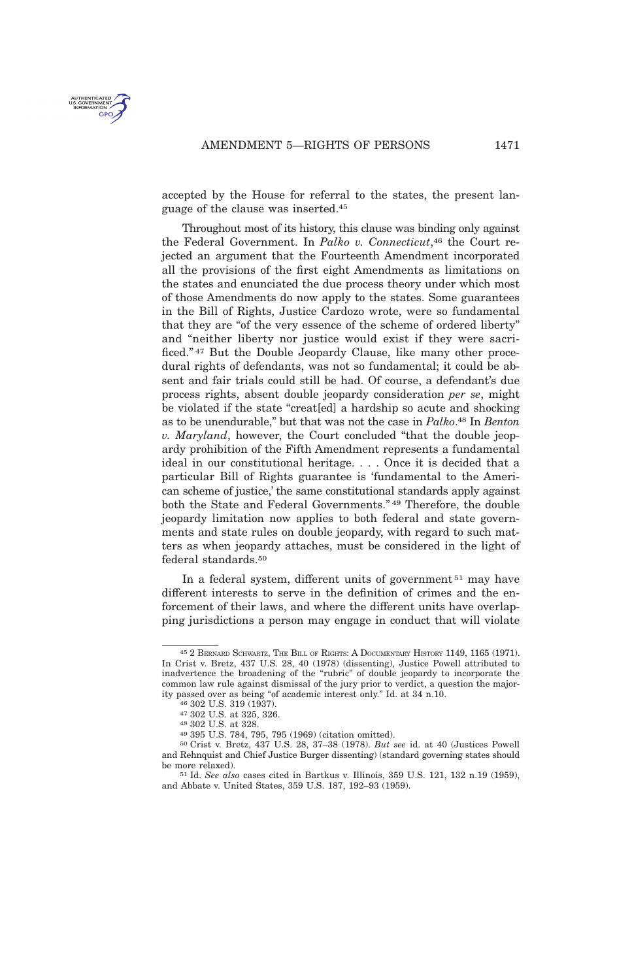

accepted by the House for referral to the states, the present language of the clause was inserted.<sup>45</sup>

Throughout most of its history, this clause was binding only against the Federal Government. In *Palko v. Connecticut*, <sup>46</sup> the Court rejected an argument that the Fourteenth Amendment incorporated all the provisions of the first eight Amendments as limitations on the states and enunciated the due process theory under which most of those Amendments do now apply to the states. Some guarantees in the Bill of Rights, Justice Cardozo wrote, were so fundamental that they are "of the very essence of the scheme of ordered liberty" and "neither liberty nor justice would exist if they were sacrificed." <sup>47</sup> But the Double Jeopardy Clause, like many other procedural rights of defendants, was not so fundamental; it could be absent and fair trials could still be had. Of course, a defendant's due process rights, absent double jeopardy consideration *per se*, might be violated if the state "creat[ed] a hardship so acute and shocking as to be unendurable," but that was not the case in *Palko*. <sup>48</sup> In *Benton v. Maryland*, however, the Court concluded "that the double jeopardy prohibition of the Fifth Amendment represents a fundamental ideal in our constitutional heritage. . . . Once it is decided that a particular Bill of Rights guarantee is 'fundamental to the American scheme of justice,' the same constitutional standards apply against both the State and Federal Governments." <sup>49</sup> Therefore, the double jeopardy limitation now applies to both federal and state governments and state rules on double jeopardy, with regard to such matters as when jeopardy attaches, must be considered in the light of federal standards.<sup>50</sup>

In a federal system, different units of government<sup>51</sup> may have different interests to serve in the definition of crimes and the enforcement of their laws, and where the different units have overlapping jurisdictions a person may engage in conduct that will violate

<sup>45</sup> 2 BERNARD SCHWARTZ, THE BILL OF RIGHTS: A DOCUMENTARY HISTORY 1149, 1165 (1971). In Crist v. Bretz, 437 U.S. 28, 40 (1978) (dissenting), Justice Powell attributed to inadvertence the broadening of the "rubric" of double jeopardy to incorporate the common law rule against dismissal of the jury prior to verdict, a question the majority passed over as being "of academic interest only." Id. at 34 n.10.

<sup>46</sup> 302 U.S. 319 (1937).

<sup>47</sup> 302 U.S. at 325, 326.

<sup>48</sup> 302 U.S. at 328.

<sup>49</sup> 395 U.S. 784, 795, 795 (1969) (citation omitted).

<sup>50</sup> Crist v. Bretz, 437 U.S. 28, 37–38 (1978). *But see* id. at 40 (Justices Powell and Rehnquist and Chief Justice Burger dissenting) (standard governing states should be more relaxed).

<sup>51</sup> Id. *See also* cases cited in Bartkus v. Illinois, 359 U.S. 121, 132 n.19 (1959), and Abbate v. United States, 359 U.S. 187, 192–93 (1959).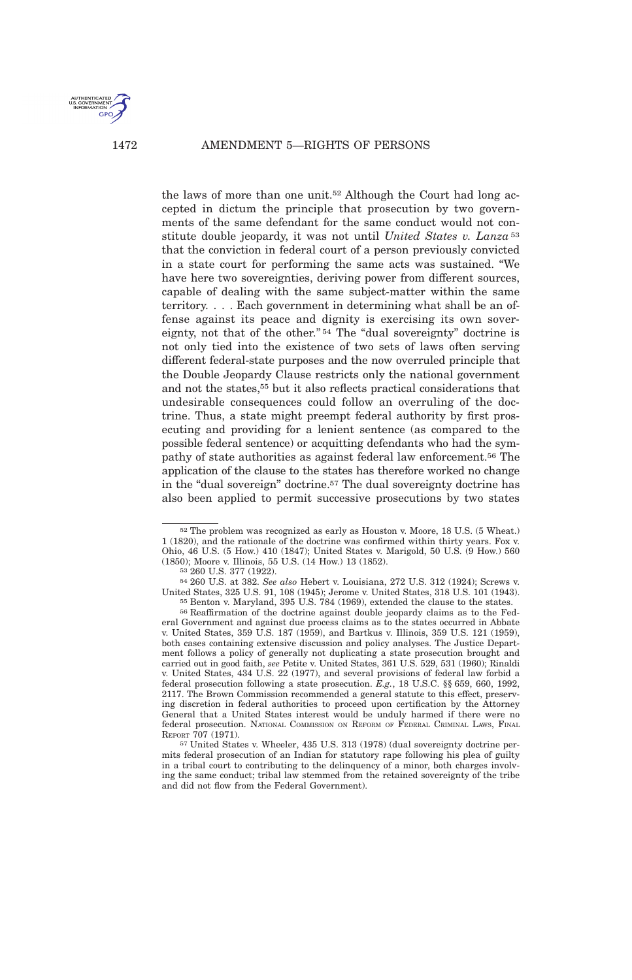

the laws of more than one unit.<sup>52</sup> Although the Court had long accepted in dictum the principle that prosecution by two governments of the same defendant for the same conduct would not constitute double jeopardy, it was not until *United States v. Lanza* <sup>53</sup> that the conviction in federal court of a person previously convicted in a state court for performing the same acts was sustained. "We have here two sovereignties, deriving power from different sources, capable of dealing with the same subject-matter within the same territory. . . . Each government in determining what shall be an offense against its peace and dignity is exercising its own sovereignty, not that of the other." <sup>54</sup> The "dual sovereignty" doctrine is not only tied into the existence of two sets of laws often serving different federal-state purposes and the now overruled principle that the Double Jeopardy Clause restricts only the national government and not the states,<sup>55</sup> but it also reflects practical considerations that undesirable consequences could follow an overruling of the doctrine. Thus, a state might preempt federal authority by first prosecuting and providing for a lenient sentence (as compared to the possible federal sentence) or acquitting defendants who had the sympathy of state authorities as against federal law enforcement.<sup>56</sup> The application of the clause to the states has therefore worked no change in the "dual sovereign" doctrine.<sup>57</sup> The dual sovereignty doctrine has also been applied to permit successive prosecutions by two states

<sup>52</sup> The problem was recognized as early as Houston v. Moore, 18 U.S. (5 Wheat.) 1 (1820), and the rationale of the doctrine was confirmed within thirty years. Fox v. Ohio, 46 U.S. (5 How.) 410 (1847); United States v. Marigold, 50 U.S. (9 How.) 560 (1850); Moore v. Illinois, 55 U.S. (14 How.) 13 (1852).

<sup>53</sup> 260 U.S. 377 (1922).

<sup>54</sup> 260 U.S. at 382. *See also* Hebert v. Louisiana, 272 U.S. 312 (1924); Screws v. United States, 325 U.S. 91, 108 (1945); Jerome v. United States, 318 U.S. 101 (1943). 55 Benton v. Maryland, 395 U.S. 784 (1969), extended the clause to the states.

<sup>56</sup> Reaffirmation of the doctrine against double jeopardy claims as to the Federal Government and against due process claims as to the states occurred in Abbate v. United States, 359 U.S. 187 (1959), and Bartkus v. Illinois, 359 U.S. 121 (1959), both cases containing extensive discussion and policy analyses. The Justice Department follows a policy of generally not duplicating a state prosecution brought and carried out in good faith, *see* Petite v. United States, 361 U.S. 529, 531 (1960); Rinaldi v. United States, 434 U.S. 22 (1977), and several provisions of federal law forbid a federal prosecution following a state prosecution. *E.g.*, 18 U.S.C. §§ 659, 660, 1992, 2117. The Brown Commission recommended a general statute to this effect, preserving discretion in federal authorities to proceed upon certification by the Attorney General that a United States interest would be unduly harmed if there were no federal prosecution. NATIONAL COMMISSION ON REFORM OF FEDERAL CRIMINAL LAWS, FINAL REPORT 707 (1971).

<sup>57</sup> United States v. Wheeler, 435 U.S. 313 (1978) (dual sovereignty doctrine permits federal prosecution of an Indian for statutory rape following his plea of guilty in a tribal court to contributing to the delinquency of a minor, both charges involving the same conduct; tribal law stemmed from the retained sovereignty of the tribe and did not flow from the Federal Government).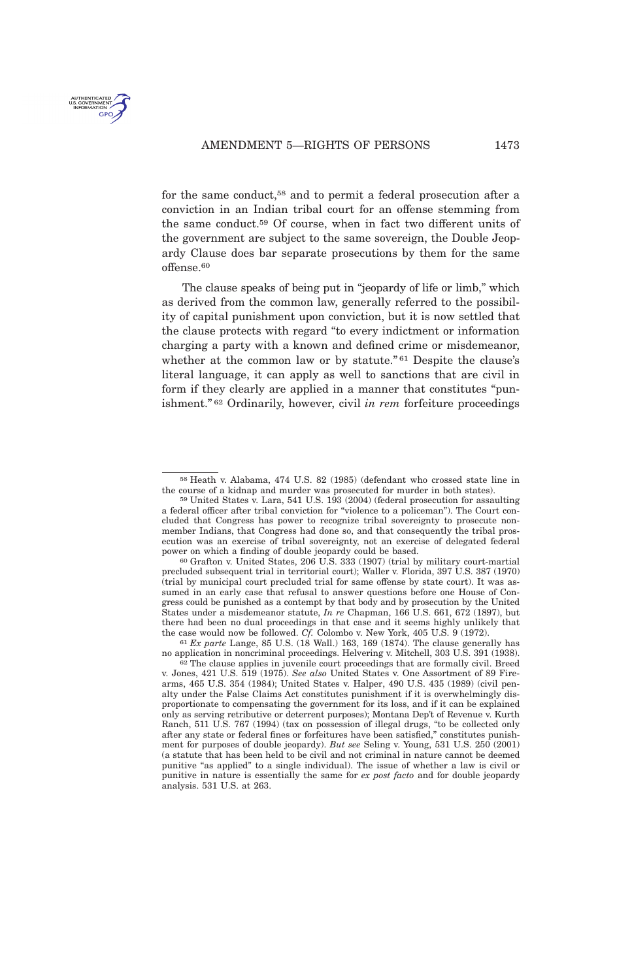

for the same conduct,<sup>58</sup> and to permit a federal prosecution after a conviction in an Indian tribal court for an offense stemming from the same conduct.<sup>59</sup> Of course, when in fact two different units of the government are subject to the same sovereign, the Double Jeopardy Clause does bar separate prosecutions by them for the same offense.<sup>60</sup>

The clause speaks of being put in "jeopardy of life or limb," which as derived from the common law, generally referred to the possibility of capital punishment upon conviction, but it is now settled that the clause protects with regard "to every indictment or information charging a party with a known and defined crime or misdemeanor, whether at the common law or by statute."<sup>61</sup> Despite the clause's literal language, it can apply as well to sanctions that are civil in form if they clearly are applied in a manner that constitutes "punishment." <sup>62</sup> Ordinarily, however, civil *in rem* forfeiture proceedings

<sup>58</sup> Heath v. Alabama, 474 U.S. 82 (1985) (defendant who crossed state line in the course of a kidnap and murder was prosecuted for murder in both states).

<sup>59</sup> United States v. Lara, 541 U.S. 193 (2004) (federal prosecution for assaulting a federal officer after tribal conviction for "violence to a policeman"). The Court concluded that Congress has power to recognize tribal sovereignty to prosecute nonmember Indians, that Congress had done so, and that consequently the tribal prosecution was an exercise of tribal sovereignty, not an exercise of delegated federal power on which a finding of double jeopardy could be based.

<sup>60</sup> Grafton v. United States, 206 U.S. 333 (1907) (trial by military court-martial precluded subsequent trial in territorial court); Waller v. Florida, 397 U.S. 387 (1970) (trial by municipal court precluded trial for same offense by state court). It was assumed in an early case that refusal to answer questions before one House of Congress could be punished as a contempt by that body and by prosecution by the United States under a misdemeanor statute, *In re* Chapman, 166 U.S. 661, 672 (1897), but there had been no dual proceedings in that case and it seems highly unlikely that the case would now be followed. *Cf.* Colombo v. New York, 405 U.S. 9 (1972).

<sup>61</sup> *Ex parte* Lange, 85 U.S. (18 Wall.) 163, 169 (1874). The clause generally has no application in noncriminal proceedings. Helvering v. Mitchell, 303 U.S. 391 (1938). <sup>2</sup> The clause applies in juvenile court proceedings that are formally civil. Breed

v. Jones, 421 U.S. 519 (1975). *See also* United States v. One Assortment of 89 Firearms, 465 U.S. 354 (1984); United States v. Halper, 490 U.S. 435 (1989) (civil penalty under the False Claims Act constitutes punishment if it is overwhelmingly disproportionate to compensating the government for its loss, and if it can be explained only as serving retributive or deterrent purposes); Montana Dep't of Revenue v. Kurth Ranch, 511 U.S. 767 (1994) (tax on possession of illegal drugs, "to be collected only after any state or federal fines or forfeitures have been satisfied," constitutes punishment for purposes of double jeopardy). *But see* Seling v. Young, 531 U.S. 250 (2001) (a statute that has been held to be civil and not criminal in nature cannot be deemed punitive "as applied" to a single individual). The issue of whether a law is civil or punitive in nature is essentially the same for *ex post facto* and for double jeopardy analysis. 531 U.S. at 263.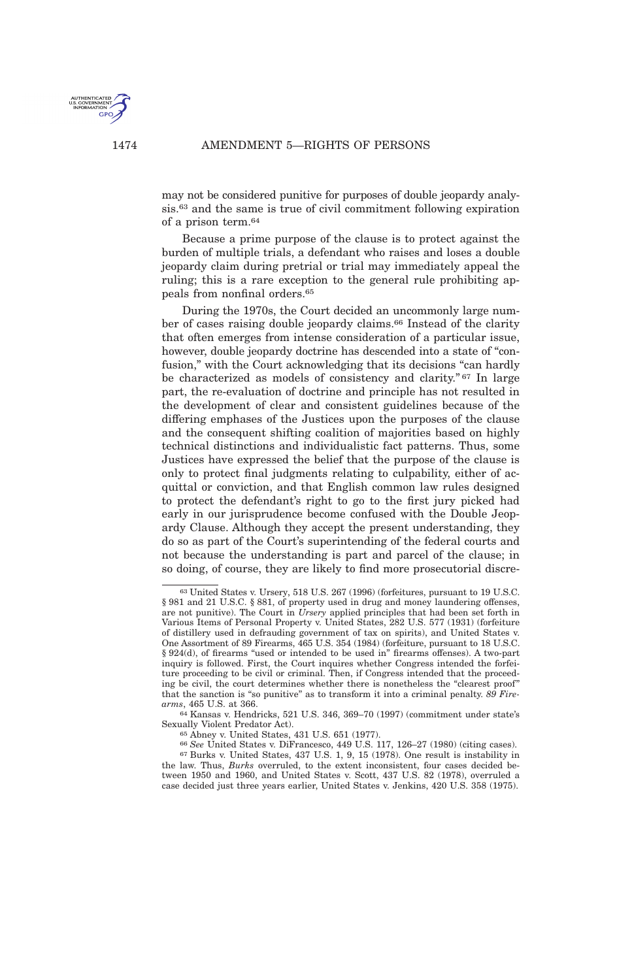may not be considered punitive for purposes of double jeopardy analysis.<sup>63</sup> and the same is true of civil commitment following expiration of a prison term.<sup>64</sup>

Because a prime purpose of the clause is to protect against the burden of multiple trials, a defendant who raises and loses a double jeopardy claim during pretrial or trial may immediately appeal the ruling; this is a rare exception to the general rule prohibiting appeals from nonfinal orders.<sup>65</sup>

During the 1970s, the Court decided an uncommonly large number of cases raising double jeopardy claims.<sup>66</sup> Instead of the clarity that often emerges from intense consideration of a particular issue, however, double jeopardy doctrine has descended into a state of "confusion," with the Court acknowledging that its decisions "can hardly be characterized as models of consistency and clarity." <sup>67</sup> In large part, the re-evaluation of doctrine and principle has not resulted in the development of clear and consistent guidelines because of the differing emphases of the Justices upon the purposes of the clause and the consequent shifting coalition of majorities based on highly technical distinctions and individualistic fact patterns. Thus, some Justices have expressed the belief that the purpose of the clause is only to protect final judgments relating to culpability, either of acquittal or conviction, and that English common law rules designed to protect the defendant's right to go to the first jury picked had early in our jurisprudence become confused with the Double Jeopardy Clause. Although they accept the present understanding, they do so as part of the Court's superintending of the federal courts and not because the understanding is part and parcel of the clause; in so doing, of course, they are likely to find more prosecutorial discre-



U.S. GOVERNME

<sup>63</sup> United States v. Ursery, 518 U.S. 267 (1996) (forfeitures, pursuant to 19 U.S.C. § 981 and 21 U.S.C. § 881, of property used in drug and money laundering offenses, are not punitive). The Court in *Ursery* applied principles that had been set forth in Various Items of Personal Property v. United States, 282 U.S. 577 (1931) (forfeiture of distillery used in defrauding government of tax on spirits), and United States v. One Assortment of 89 Firearms, 465 U.S. 354 (1984) (forfeiture, pursuant to 18 U.S.C. § 924(d), of firearms "used or intended to be used in" firearms offenses). A two-part inquiry is followed. First, the Court inquires whether Congress intended the forfeiture proceeding to be civil or criminal. Then, if Congress intended that the proceeding be civil, the court determines whether there is nonetheless the "clearest proof" that the sanction is "so punitive" as to transform it into a criminal penalty. *89 Firearms*, 465 U.S. at 366.

 $64$  Kansas v. Hendricks, 521 U.S. 346, 369–70 (1997) (commitment under state's Sexually Violent Predator Act).

<sup>65</sup> Abney v. United States, 431 U.S. 651 (1977).

<sup>66</sup> *See* United States v. DiFrancesco, 449 U.S. 117, 126–27 (1980) (citing cases). 67 Burks v. United States, 437 U.S. 1, 9, 15 (1978). One result is instability in the law. Thus, *Burks* overruled, to the extent inconsistent, four cases decided between 1950 and 1960, and United States v. Scott, 437 U.S. 82 (1978), overruled a case decided just three years earlier, United States v. Jenkins, 420 U.S. 358 (1975).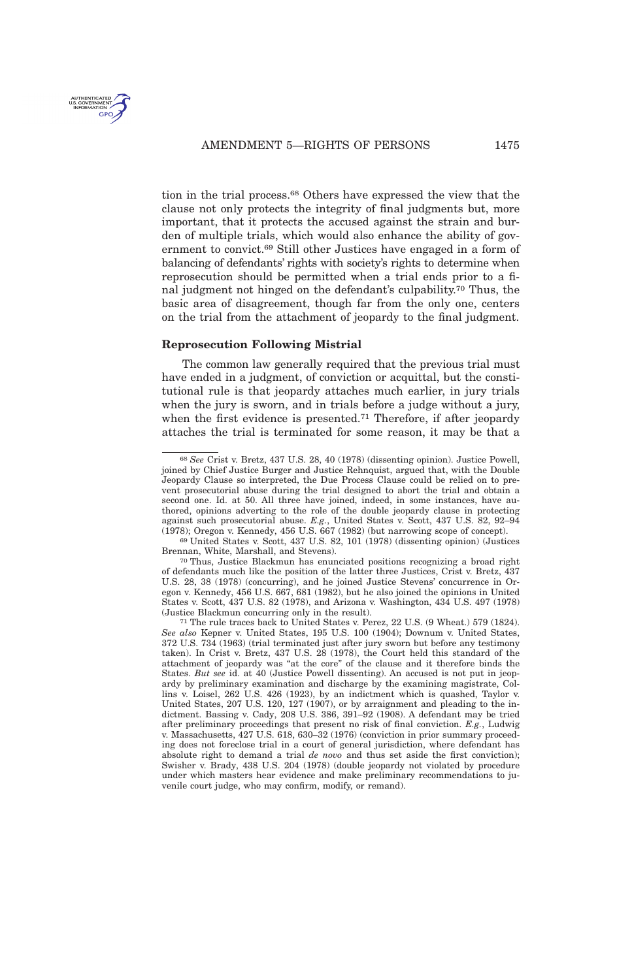<span id="page-14-0"></span>

tion in the trial process.<sup>68</sup> Others have expressed the view that the clause not only protects the integrity of final judgments but, more important, that it protects the accused against the strain and burden of multiple trials, which would also enhance the ability of government to convict.<sup>69</sup> Still other Justices have engaged in a form of balancing of defendants' rights with society's rights to determine when reprosecution should be permitted when a trial ends prior to a final judgment not hinged on the defendant's culpability.<sup>70</sup> Thus, the basic area of disagreement, though far from the only one, centers on the trial from the attachment of jeopardy to the final judgment.

#### **Reprosecution Following Mistrial**

The common law generally required that the previous trial must have ended in a judgment, of conviction or acquittal, but the constitutional rule is that jeopardy attaches much earlier, in jury trials when the jury is sworn, and in trials before a judge without a jury, when the first evidence is presented.<sup>71</sup> Therefore, if after jeopardy attaches the trial is terminated for some reason, it may be that a

<sup>68</sup> *See* Crist v. Bretz, 437 U.S. 28, 40 (1978) (dissenting opinion). Justice Powell, joined by Chief Justice Burger and Justice Rehnquist, argued that, with the Double Jeopardy Clause so interpreted, the Due Process Clause could be relied on to prevent prosecutorial abuse during the trial designed to abort the trial and obtain a second one. Id. at 50. All three have joined, indeed, in some instances, have authored, opinions adverting to the role of the double jeopardy clause in protecting against such prosecutorial abuse. *E.g.*, United States v. Scott, 437 U.S. 82, 92–94 (1978); Oregon v. Kennedy, 456 U.S. 667 (1982) (but narrowing scope of concept).

<sup>69</sup> United States v. Scott, 437 U.S. 82, 101 (1978) (dissenting opinion) (Justices Brennan, White, Marshall, and Stevens).

<sup>70</sup> Thus, Justice Blackmun has enunciated positions recognizing a broad right of defendants much like the position of the latter three Justices, Crist v. Bretz, 437 U.S. 28, 38 (1978) (concurring), and he joined Justice Stevens' concurrence in Oregon v. Kennedy, 456 U.S. 667, 681 (1982), but he also joined the opinions in United States v. Scott, 437 U.S. 82 (1978), and Arizona v. Washington, 434 U.S. 497 (1978) (Justice Blackmun concurring only in the result).

<sup>71</sup> The rule traces back to United States v. Perez, 22 U.S. (9 Wheat.) 579 (1824). *See also* Kepner v. United States, 195 U.S. 100 (1904); Downum v. United States, 372 U.S. 734 (1963) (trial terminated just after jury sworn but before any testimony taken). In Crist v. Bretz, 437 U.S. 28 (1978), the Court held this standard of the attachment of jeopardy was "at the core" of the clause and it therefore binds the States. *But see* id. at 40 (Justice Powell dissenting). An accused is not put in jeopardy by preliminary examination and discharge by the examining magistrate, Collins v. Loisel, 262 U.S. 426 (1923), by an indictment which is quashed, Taylor v. United States, 207 U.S. 120, 127 (1907), or by arraignment and pleading to the indictment. Bassing v. Cady, 208 U.S. 386, 391–92 (1908). A defendant may be tried after preliminary proceedings that present no risk of final conviction. *E.g.*, Ludwig v. Massachusetts, 427 U.S. 618, 630–32 (1976) (conviction in prior summary proceeding does not foreclose trial in a court of general jurisdiction, where defendant has absolute right to demand a trial *de novo* and thus set aside the first conviction); Swisher v. Brady, 438 U.S. 204 (1978) (double jeopardy not violated by procedure under which masters hear evidence and make preliminary recommendations to juvenile court judge, who may confirm, modify, or remand).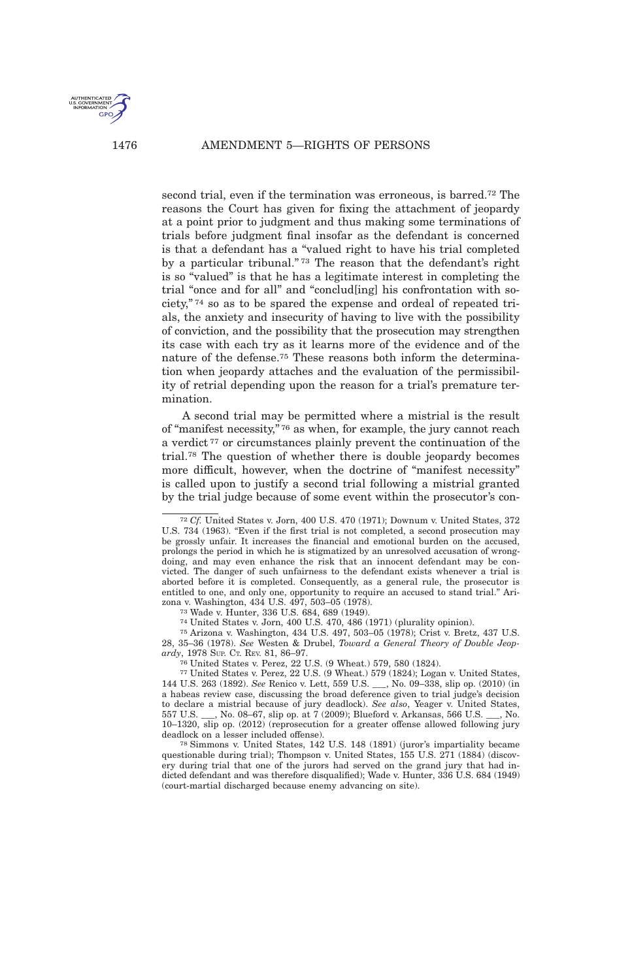

second trial, even if the termination was erroneous, is barred.<sup>72</sup> The reasons the Court has given for fixing the attachment of jeopardy at a point prior to judgment and thus making some terminations of trials before judgment final insofar as the defendant is concerned is that a defendant has a "valued right to have his trial completed by a particular tribunal." <sup>73</sup> The reason that the defendant's right is so "valued" is that he has a legitimate interest in completing the trial "once and for all" and "conclud[ing] his confrontation with society," <sup>74</sup> so as to be spared the expense and ordeal of repeated trials, the anxiety and insecurity of having to live with the possibility of conviction, and the possibility that the prosecution may strengthen its case with each try as it learns more of the evidence and of the nature of the defense.<sup>75</sup> These reasons both inform the determination when jeopardy attaches and the evaluation of the permissibility of retrial depending upon the reason for a trial's premature termination.

A second trial may be permitted where a mistrial is the result of "manifest necessity," <sup>76</sup> as when, for example, the jury cannot reach a verdict <sup>77</sup> or circumstances plainly prevent the continuation of the trial.<sup>78</sup> The question of whether there is double jeopardy becomes more difficult, however, when the doctrine of "manifest necessity" is called upon to justify a second trial following a mistrial granted by the trial judge because of some event within the prosecutor's con-

73 Wade v. Hunter, 336 U.S. 684, 689 (1949).

74 United States v. Jorn, 400 U.S. 470, 486 (1971) (plurality opinion).

75 Arizona v. Washington, 434 U.S. 497, 503–05 (1978); Crist v. Bretz, 437 U.S. 28, 35–36 (1978). *See* Westen & Drubel, *Toward a General Theory of Double Jeopardy*, 1978 SUP. CT. REV. 81, 86–97.

76 United States v. Perez, 22 U.S. (9 Wheat.) 579, 580 (1824).

77 United States v. Perez, 22 U.S. (9 Wheat.) 579 (1824); Logan v. United States, 144 U.S. 263 (1892). *See* Renico v. Lett, 559 U.S. \_\_\_, No. 09–338, slip op. (2010) (in a habeas review case, discussing the broad deference given to trial judge's decision to declare a mistrial because of jury deadlock). *See also*, Yeager v. United States, 557 U.S. \_\_\_, No. 08–67, slip op. at 7 (2009); Blueford v. Arkansas, 566 U.S. \_\_\_, No. 10–1320, slip op. (2012) (reprosecution for a greater offense allowed following jury deadlock on a lesser included offense).

78 Simmons v. United States, 142 U.S. 148 (1891) (juror's impartiality became questionable during trial); Thompson v. United States, 155 U.S. 271 (1884) (discovery during trial that one of the jurors had served on the grand jury that had indicted defendant and was therefore disqualified); Wade v. Hunter, 336 U.S. 684 (1949) (court-martial discharged because enemy advancing on site).

<sup>72</sup> *Cf.* United States v. Jorn, 400 U.S. 470 (1971); Downum v. United States, 372 U.S. 734 (1963). "Even if the first trial is not completed, a second prosecution may be grossly unfair. It increases the financial and emotional burden on the accused, prolongs the period in which he is stigmatized by an unresolved accusation of wrongdoing, and may even enhance the risk that an innocent defendant may be convicted. The danger of such unfairness to the defendant exists whenever a trial is aborted before it is completed. Consequently, as a general rule, the prosecutor is entitled to one, and only one, opportunity to require an accused to stand trial." Arizona v. Washington, 434 U.S. 497, 503–05 (1978).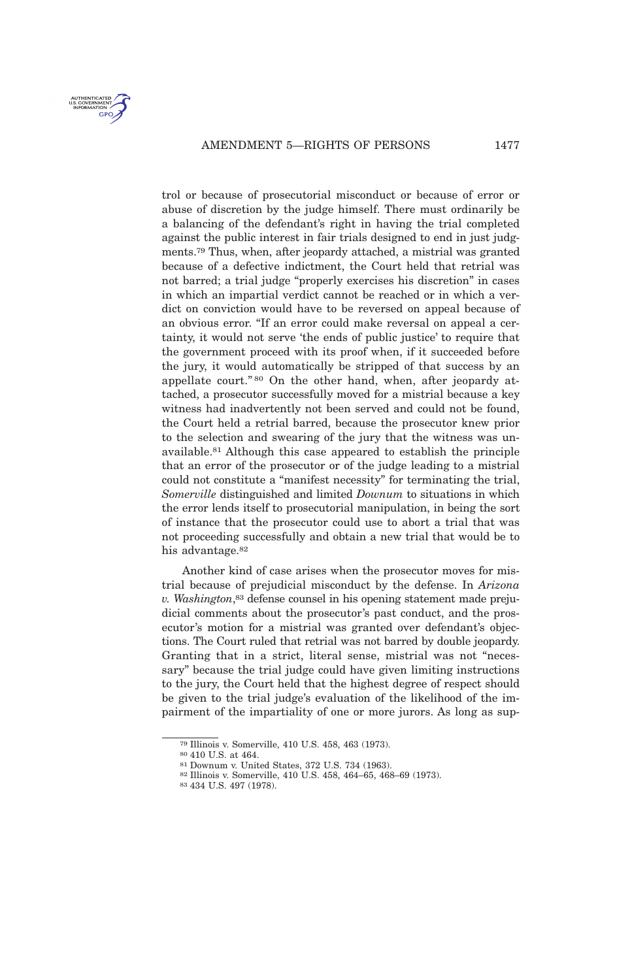

trol or because of prosecutorial misconduct or because of error or abuse of discretion by the judge himself. There must ordinarily be a balancing of the defendant's right in having the trial completed against the public interest in fair trials designed to end in just judgments.<sup>79</sup> Thus, when, after jeopardy attached, a mistrial was granted because of a defective indictment, the Court held that retrial was not barred; a trial judge "properly exercises his discretion" in cases in which an impartial verdict cannot be reached or in which a verdict on conviction would have to be reversed on appeal because of an obvious error. "If an error could make reversal on appeal a certainty, it would not serve 'the ends of public justice' to require that the government proceed with its proof when, if it succeeded before the jury, it would automatically be stripped of that success by an appellate court."<sup>80</sup> On the other hand, when, after jeopardy attached, a prosecutor successfully moved for a mistrial because a key witness had inadvertently not been served and could not be found, the Court held a retrial barred, because the prosecutor knew prior to the selection and swearing of the jury that the witness was unavailable.<sup>81</sup> Although this case appeared to establish the principle that an error of the prosecutor or of the judge leading to a mistrial could not constitute a "manifest necessity" for terminating the trial, *Somerville* distinguished and limited *Downum* to situations in which the error lends itself to prosecutorial manipulation, in being the sort of instance that the prosecutor could use to abort a trial that was not proceeding successfully and obtain a new trial that would be to his advantage.<sup>82</sup>

Another kind of case arises when the prosecutor moves for mistrial because of prejudicial misconduct by the defense. In *Arizona v. Washington*, <sup>83</sup> defense counsel in his opening statement made prejudicial comments about the prosecutor's past conduct, and the prosecutor's motion for a mistrial was granted over defendant's objections. The Court ruled that retrial was not barred by double jeopardy. Granting that in a strict, literal sense, mistrial was not "necessary" because the trial judge could have given limiting instructions to the jury, the Court held that the highest degree of respect should be given to the trial judge's evaluation of the likelihood of the impairment of the impartiality of one or more jurors. As long as sup-

<sup>79</sup> Illinois v. Somerville, 410 U.S. 458, 463 (1973).

<sup>80</sup> 410 U.S. at 464.

<sup>81</sup> Downum v. United States, 372 U.S. 734 (1963).

<sup>82</sup> Illinois v. Somerville, 410 U.S. 458, 464–65, 468–69 (1973).

<sup>83</sup> 434 U.S. 497 (1978).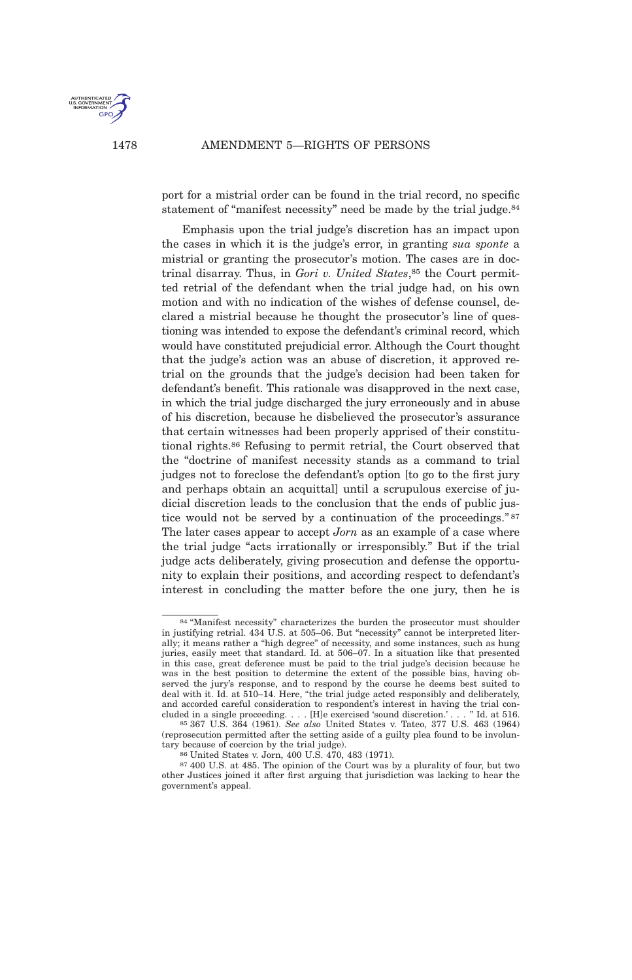port for a mistrial order can be found in the trial record, no specific statement of "manifest necessity" need be made by the trial judge.<sup>84</sup>

Emphasis upon the trial judge's discretion has an impact upon the cases in which it is the judge's error, in granting *sua sponte* a mistrial or granting the prosecutor's motion. The cases are in doctrinal disarray. Thus, in *Gori v. United States*, <sup>85</sup> the Court permitted retrial of the defendant when the trial judge had, on his own motion and with no indication of the wishes of defense counsel, declared a mistrial because he thought the prosecutor's line of questioning was intended to expose the defendant's criminal record, which would have constituted prejudicial error. Although the Court thought that the judge's action was an abuse of discretion, it approved retrial on the grounds that the judge's decision had been taken for defendant's benefit. This rationale was disapproved in the next case, in which the trial judge discharged the jury erroneously and in abuse of his discretion, because he disbelieved the prosecutor's assurance that certain witnesses had been properly apprised of their constitutional rights.<sup>86</sup> Refusing to permit retrial, the Court observed that the "doctrine of manifest necessity stands as a command to trial judges not to foreclose the defendant's option [to go to the first jury and perhaps obtain an acquittal] until a scrupulous exercise of judicial discretion leads to the conclusion that the ends of public justice would not be served by a continuation of the proceedings." <sup>87</sup> The later cases appear to accept *Jorn* as an example of a case where the trial judge "acts irrationally or irresponsibly." But if the trial judge acts deliberately, giving prosecution and defense the opportunity to explain their positions, and according respect to defendant's interest in concluding the matter before the one jury, then he is

<sup>84</sup> "Manifest necessity" characterizes the burden the prosecutor must shoulder in justifying retrial. 434 U.S. at 505–06. But "necessity" cannot be interpreted literally; it means rather a "high degree" of necessity, and some instances, such as hung juries, easily meet that standard. Id. at 506–07. In a situation like that presented in this case, great deference must be paid to the trial judge's decision because he was in the best position to determine the extent of the possible bias, having observed the jury's response, and to respond by the course he deems best suited to deal with it. Id. at 510–14. Here, "the trial judge acted responsibly and deliberately, and accorded careful consideration to respondent's interest in having the trial concluded in a single proceeding. . . . [H]e exercised 'sound discretion.' . . . " Id. at 516.

<sup>85</sup> 367 U.S. 364 (1961). *See also* United States v. Tateo, 377 U.S. 463 (1964) (reprosecution permitted after the setting aside of a guilty plea found to be involuntary because of coercion by the trial judge).

<sup>86</sup> United States v. Jorn, 400 U.S. 470, 483 (1971).

<sup>87</sup> 400 U.S. at 485. The opinion of the Court was by a plurality of four, but two other Justices joined it after first arguing that jurisdiction was lacking to hear the government's appeal.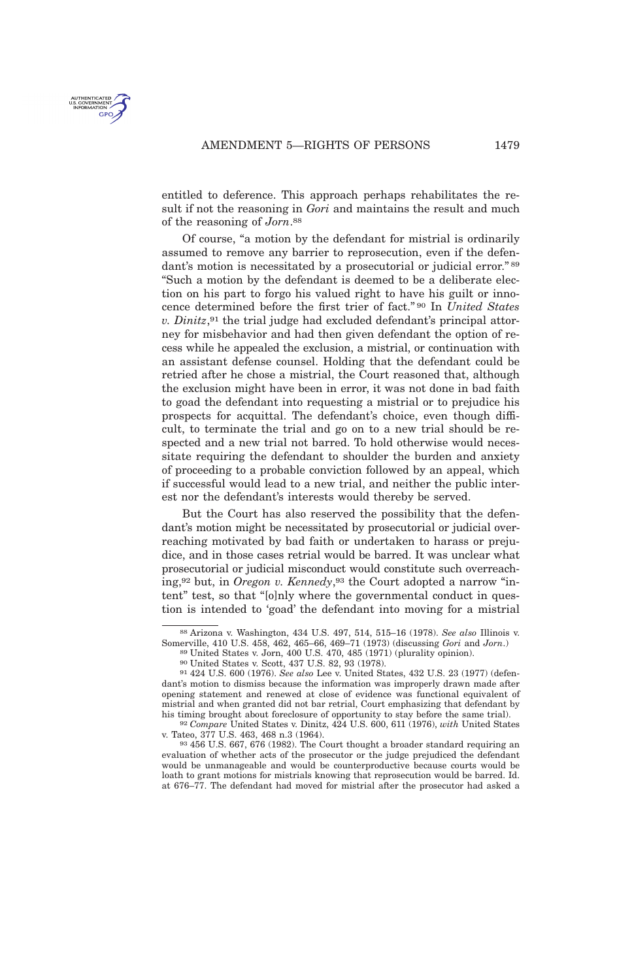

entitled to deference. This approach perhaps rehabilitates the result if not the reasoning in *Gori* and maintains the result and much of the reasoning of *Jorn*. 88

Of course, "a motion by the defendant for mistrial is ordinarily assumed to remove any barrier to reprosecution, even if the defendant's motion is necessitated by a prosecutorial or judicial error." 89 "Such a motion by the defendant is deemed to be a deliberate election on his part to forgo his valued right to have his guilt or innocence determined before the first trier of fact." <sup>90</sup> In *United States v. Dinitz*, <sup>91</sup> the trial judge had excluded defendant's principal attorney for misbehavior and had then given defendant the option of recess while he appealed the exclusion, a mistrial, or continuation with an assistant defense counsel. Holding that the defendant could be retried after he chose a mistrial, the Court reasoned that, although the exclusion might have been in error, it was not done in bad faith to goad the defendant into requesting a mistrial or to prejudice his prospects for acquittal. The defendant's choice, even though difficult, to terminate the trial and go on to a new trial should be respected and a new trial not barred. To hold otherwise would necessitate requiring the defendant to shoulder the burden and anxiety of proceeding to a probable conviction followed by an appeal, which if successful would lead to a new trial, and neither the public interest nor the defendant's interests would thereby be served.

But the Court has also reserved the possibility that the defendant's motion might be necessitated by prosecutorial or judicial overreaching motivated by bad faith or undertaken to harass or prejudice, and in those cases retrial would be barred. It was unclear what prosecutorial or judicial misconduct would constitute such overreaching,<sup>92</sup> but, in *Oregon v. Kennedy*, <sup>93</sup> the Court adopted a narrow "intent" test, so that "[o]nly where the governmental conduct in question is intended to 'goad' the defendant into moving for a mistrial

89 United States v. Jorn, 400 U.S. 470, 485 (1971) (plurality opinion).

<sup>88</sup> Arizona v. Washington, 434 U.S. 497, 514, 515–16 (1978). *See also* Illinois v. Somerville, 410 U.S. 458, 462, 465–66, 469–71 (1973) (discussing *Gori* and *Jorn*.)

<sup>90</sup> United States v. Scott, 437 U.S. 82, 93 (1978).

<sup>91</sup> 424 U.S. 600 (1976). *See also* Lee v. United States, 432 U.S. 23 (1977) (defendant's motion to dismiss because the information was improperly drawn made after opening statement and renewed at close of evidence was functional equivalent of mistrial and when granted did not bar retrial, Court emphasizing that defendant by his timing brought about foreclosure of opportunity to stay before the same trial).

<sup>92</sup> *Compare* United States v. Dinitz, 424 U.S. 600, 611 (1976), *with* United States v. Tateo, 377 U.S. 463, 468 n.3 (1964).

<sup>93</sup> 456 U.S. 667, 676 (1982). The Court thought a broader standard requiring an evaluation of whether acts of the prosecutor or the judge prejudiced the defendant would be unmanageable and would be counterproductive because courts would be loath to grant motions for mistrials knowing that reprosecution would be barred. Id. at 676–77. The defendant had moved for mistrial after the prosecutor had asked a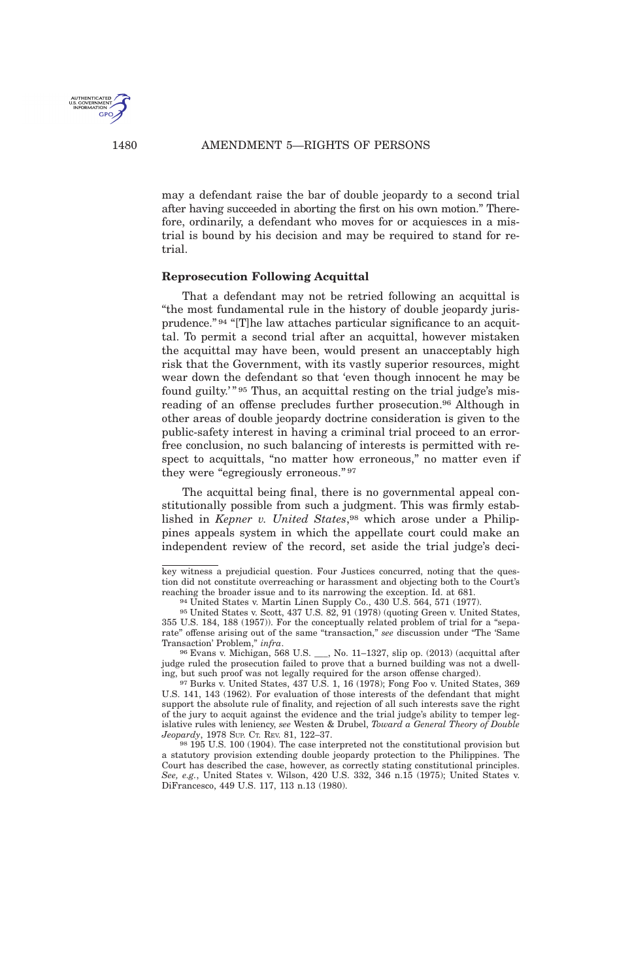<span id="page-19-0"></span>

may a defendant raise the bar of double jeopardy to a second trial after having succeeded in aborting the first on his own motion." Therefore, ordinarily, a defendant who moves for or acquiesces in a mistrial is bound by his decision and may be required to stand for retrial.

#### **Reprosecution Following Acquittal**

That a defendant may not be retried following an acquittal is "the most fundamental rule in the history of double jeopardy jurisprudence." <sup>94</sup> "[T]he law attaches particular significance to an acquittal. To permit a second trial after an acquittal, however mistaken the acquittal may have been, would present an unacceptably high risk that the Government, with its vastly superior resources, might wear down the defendant so that 'even though innocent he may be found guilty.<sup>" 95</sup> Thus, an acquittal resting on the trial judge's misreading of an offense precludes further prosecution.<sup>96</sup> Although in other areas of double jeopardy doctrine consideration is given to the public-safety interest in having a criminal trial proceed to an errorfree conclusion, no such balancing of interests is permitted with respect to acquittals, "no matter how erroneous," no matter even if they were "egregiously erroneous." <sup>97</sup>

The acquittal being final, there is no governmental appeal constitutionally possible from such a judgment. This was firmly established in *Kepner v. United States*, <sup>98</sup> which arose under a Philippines appeals system in which the appellate court could make an independent review of the record, set aside the trial judge's deci-

96 Evans v. Michigan, 568 U.S. \_\_\_, No. 11–1327, slip op. (2013) (acquittal after judge ruled the prosecution failed to prove that a burned building was not a dwelling, but such proof was not legally required for the arson offense charged).

key witness a prejudicial question. Four Justices concurred, noting that the question did not constitute overreaching or harassment and objecting both to the Court's reaching the broader issue and to its narrowing the exception. Id. at 681.

<sup>94</sup> United States v. Martin Linen Supply Co., 430 U.S. 564, 571 (1977).

<sup>95</sup> United States v. Scott, 437 U.S. 82, 91 (1978) (quoting Green v. United States, 355 U.S. 184, 188 (1957)). For the conceptually related problem of trial for a "separate" offense arising out of the same "transaction," *see* discussion under "The 'Same Transaction' Problem," *infra*.

<sup>97</sup> Burks v. United States, 437 U.S. 1, 16 (1978); Fong Foo v. United States, 369 U.S. 141, 143 (1962). For evaluation of those interests of the defendant that might support the absolute rule of finality, and rejection of all such interests save the right of the jury to acquit against the evidence and the trial judge's ability to temper legislative rules with leniency, *see* Westen & Drubel, *Toward a General Theory of Double Jeopardy*, 1978 Sup. Cr. REV. 81, 122-37.

<sup>98</sup> 195 U.S. 100 (1904). The case interpreted not the constitutional provision but a statutory provision extending double jeopardy protection to the Philippines. The Court has described the case, however, as correctly stating constitutional principles. *See, e.g.*, United States v. Wilson, 420 U.S. 332, 346 n.15 (1975); United States v. DiFrancesco, 449 U.S. 117, 113 n.13 (1980).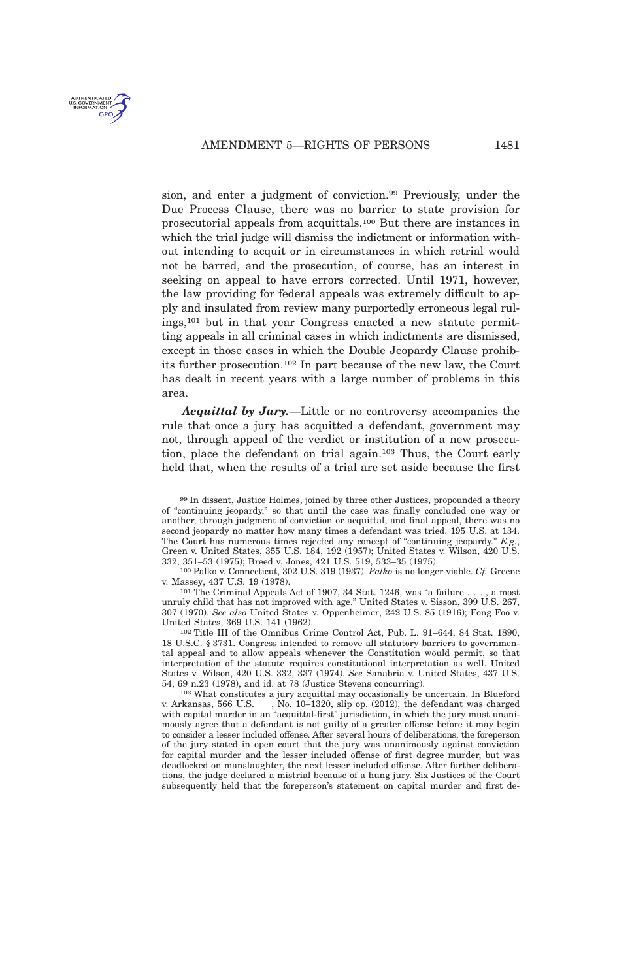<span id="page-20-0"></span>

sion, and enter a judgment of conviction.<sup>99</sup> Previously, under the Due Process Clause, there was no barrier to state provision for prosecutorial appeals from acquittals.<sup>100</sup> But there are instances in which the trial judge will dismiss the indictment or information without intending to acquit or in circumstances in which retrial would not be barred, and the prosecution, of course, has an interest in seeking on appeal to have errors corrected. Until 1971, however, the law providing for federal appeals was extremely difficult to apply and insulated from review many purportedly erroneous legal rulings,<sup>101</sup> but in that year Congress enacted a new statute permitting appeals in all criminal cases in which indictments are dismissed, except in those cases in which the Double Jeopardy Clause prohibits further prosecution.<sup>102</sup> In part because of the new law, the Court has dealt in recent years with a large number of problems in this area.

*Acquittal by Jury.*—Little or no controversy accompanies the rule that once a jury has acquitted a defendant, government may not, through appeal of the verdict or institution of a new prosecution, place the defendant on trial again.<sup>103</sup> Thus, the Court early held that, when the results of a trial are set aside because the first

<sup>99</sup> In dissent, Justice Holmes, joined by three other Justices, propounded a theory of "continuing jeopardy," so that until the case was finally concluded one way or another, through judgment of conviction or acquittal, and final appeal, there was no second jeopardy no matter how many times a defendant was tried. 195 U.S. at 134. The Court has numerous times rejected any concept of "continuing jeopardy." *E.g.*, Green v. United States, 355 U.S. 184, 192 (1957); United States v. Wilson, 420 U.S. 332, 351–53 (1975); Breed v. Jones, 421 U.S. 519, 533–35 (1975).

<sup>100</sup> Palko v. Connecticut, 302 U.S. 319 (1937). *Palko* is no longer viable. *Cf.* Greene v. Massey, 437 U.S. 19 (1978).

<sup>101</sup> The Criminal Appeals Act of 1907, 34 Stat. 1246, was "a failure . . . , a most unruly child that has not improved with age." United States v. Sisson, 399 U.S. 267, 307 (1970). *See also* United States v. Oppenheimer, 242 U.S. 85 (1916); Fong Foo v. United States, 369 U.S. 141 (1962).

<sup>102</sup> Title III of the Omnibus Crime Control Act, Pub. L. 91–644, 84 Stat. 1890, 18 U.S.C. § 3731. Congress intended to remove all statutory barriers to governmental appeal and to allow appeals whenever the Constitution would permit, so that interpretation of the statute requires constitutional interpretation as well. United States v. Wilson, 420 U.S. 332, 337 (1974). *See* Sanabria v. United States, 437 U.S. 54, 69 n.23 (1978), and id. at 78 (Justice Stevens concurring).

<sup>103</sup> What constitutes a jury acquittal may occasionally be uncertain. In Blueford v. Arkansas, 566 U.S. \_\_\_, No. 10–1320, slip op. (2012), the defendant was charged with capital murder in an "acquittal-first" jurisdiction, in which the jury must unanimously agree that a defendant is not guilty of a greater offense before it may begin to consider a lesser included offense. After several hours of deliberations, the foreperson of the jury stated in open court that the jury was unanimously against conviction for capital murder and the lesser included offense of first degree murder, but was deadlocked on manslaughter, the next lesser included offense. After further deliberations, the judge declared a mistrial because of a hung jury. Six Justices of the Court subsequently held that the foreperson's statement on capital murder and first de-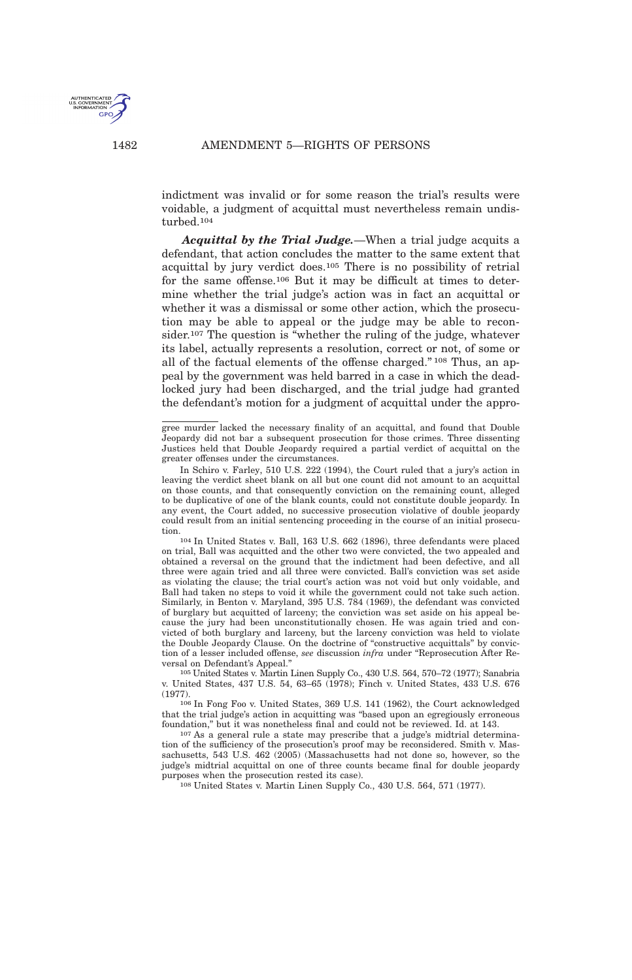

<span id="page-21-0"></span>

indictment was invalid or for some reason the trial's results were voidable, a judgment of acquittal must nevertheless remain undisturbed.<sup>104</sup>

*Acquittal by the Trial Judge.*—When a trial judge acquits a defendant, that action concludes the matter to the same extent that acquittal by jury verdict does.<sup>105</sup> There is no possibility of retrial for the same offense.<sup>106</sup> But it may be difficult at times to determine whether the trial judge's action was in fact an acquittal or whether it was a dismissal or some other action, which the prosecution may be able to appeal or the judge may be able to reconsider.<sup>107</sup> The question is "whether the ruling of the judge, whatever its label, actually represents a resolution, correct or not, of some or all of the factual elements of the offense charged." <sup>108</sup> Thus, an appeal by the government was held barred in a case in which the deadlocked jury had been discharged, and the trial judge had granted the defendant's motion for a judgment of acquittal under the appro-

106 In Fong Foo v. United States, 369 U.S. 141 (1962), the Court acknowledged that the trial judge's action in acquitting was "based upon an egregiously erroneous foundation," but it was nonetheless final and could not be reviewed. Id. at 143.

107 As a general rule a state may prescribe that a judge's midtrial determination of the sufficiency of the prosecution's proof may be reconsidered. Smith v. Massachusetts, 543 U.S. 462 (2005) (Massachusetts had not done so, however, so the judge's midtrial acquittal on one of three counts became final for double jeopardy purposes when the prosecution rested its case).

108 United States v. Martin Linen Supply Co., 430 U.S. 564, 571 (1977).

gree murder lacked the necessary finality of an acquittal, and found that Double Jeopardy did not bar a subsequent prosecution for those crimes. Three dissenting Justices held that Double Jeopardy required a partial verdict of acquittal on the greater offenses under the circumstances.

In Schiro v. Farley, 510 U.S. 222 (1994), the Court ruled that a jury's action in leaving the verdict sheet blank on all but one count did not amount to an acquittal on those counts, and that consequently conviction on the remaining count, alleged to be duplicative of one of the blank counts, could not constitute double jeopardy. In any event, the Court added, no successive prosecution violative of double jeopardy could result from an initial sentencing proceeding in the course of an initial prosecution.

<sup>104</sup> In United States v. Ball, 163 U.S. 662 (1896), three defendants were placed on trial, Ball was acquitted and the other two were convicted, the two appealed and obtained a reversal on the ground that the indictment had been defective, and all three were again tried and all three were convicted. Ball's conviction was set aside as violating the clause; the trial court's action was not void but only voidable, and Ball had taken no steps to void it while the government could not take such action. Similarly, in Benton v. Maryland, 395 U.S. 784 (1969), the defendant was convicted of burglary but acquitted of larceny; the conviction was set aside on his appeal because the jury had been unconstitutionally chosen. He was again tried and convicted of both burglary and larceny, but the larceny conviction was held to violate the Double Jeopardy Clause. On the doctrine of "constructive acquittals" by conviction of a lesser included offense, *see* discussion *infra* under "Reprosecution After Reversal on Defendant's Appeal."

<sup>105</sup> United States v. Martin Linen Supply Co., 430 U.S. 564, 570–72 (1977); Sanabria v. United States, 437 U.S. 54, 63–65 (1978); Finch v. United States, 433 U.S. 676 (1977).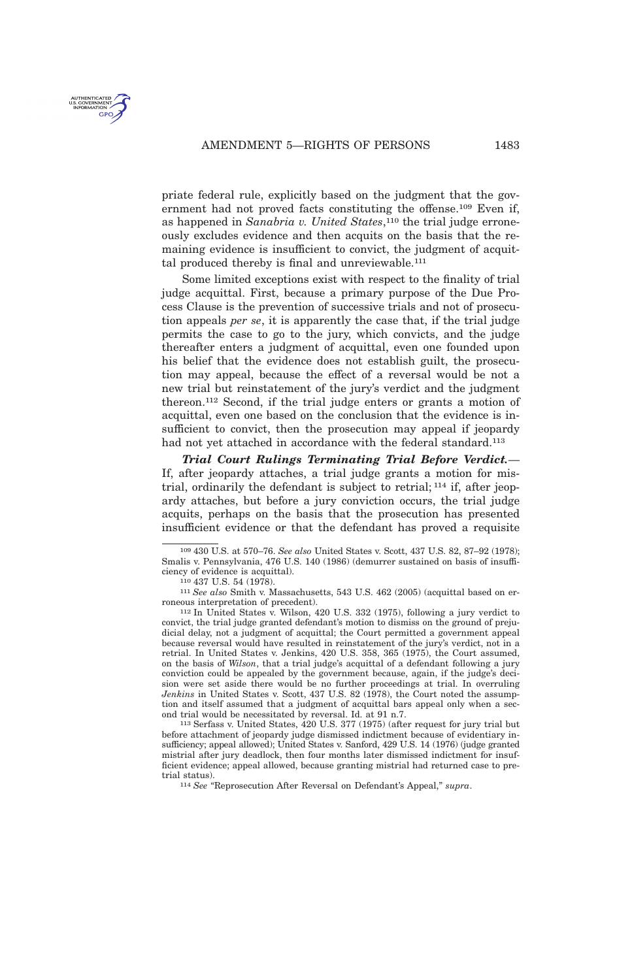<span id="page-22-0"></span>

priate federal rule, explicitly based on the judgment that the government had not proved facts constituting the offense.<sup>109</sup> Even if, as happened in *Sanabria v. United States*, <sup>110</sup> the trial judge erroneously excludes evidence and then acquits on the basis that the remaining evidence is insufficient to convict, the judgment of acquittal produced thereby is final and unreviewable.<sup>111</sup>

Some limited exceptions exist with respect to the finality of trial judge acquittal. First, because a primary purpose of the Due Process Clause is the prevention of successive trials and not of prosecution appeals *per se*, it is apparently the case that, if the trial judge permits the case to go to the jury, which convicts, and the judge thereafter enters a judgment of acquittal, even one founded upon his belief that the evidence does not establish guilt, the prosecution may appeal, because the effect of a reversal would be not a new trial but reinstatement of the jury's verdict and the judgment thereon.<sup>112</sup> Second, if the trial judge enters or grants a motion of acquittal, even one based on the conclusion that the evidence is insufficient to convict, then the prosecution may appeal if jeopardy had not yet attached in accordance with the federal standard.<sup>113</sup>

*Trial Court Rulings Terminating Trial Before Verdict.*— If, after jeopardy attaches, a trial judge grants a motion for mistrial, ordinarily the defendant is subject to retrial; <sup>114</sup> if, after jeopardy attaches, but before a jury conviction occurs, the trial judge acquits, perhaps on the basis that the prosecution has presented insufficient evidence or that the defendant has proved a requisite

111 *See also* Smith v. Massachusetts, 543 U.S. 462 (2005) (acquittal based on erroneous interpretation of precedent).

<sup>109</sup> 430 U.S. at 570–76. *See also* United States v. Scott, 437 U.S. 82, 87–92 (1978); Smalis v. Pennsylvania, 476 U.S. 140 (1986) (demurrer sustained on basis of insufficiency of evidence is acquittal).

<sup>110</sup> 437 U.S. 54 (1978).

<sup>112</sup> In United States v. Wilson, 420 U.S. 332 (1975), following a jury verdict to convict, the trial judge granted defendant's motion to dismiss on the ground of prejudicial delay, not a judgment of acquittal; the Court permitted a government appeal because reversal would have resulted in reinstatement of the jury's verdict, not in a retrial. In United States v. Jenkins, 420 U.S. 358, 365 (1975), the Court assumed, on the basis of *Wilson*, that a trial judge's acquittal of a defendant following a jury conviction could be appealed by the government because, again, if the judge's decision were set aside there would be no further proceedings at trial. In overruling *Jenkins* in United States v. Scott, 437 U.S. 82 (1978), the Court noted the assumption and itself assumed that a judgment of acquittal bars appeal only when a second trial would be necessitated by reversal. Id. at 91 n.7.

<sup>113</sup> Serfass v. United States, 420 U.S. 377 (1975) (after request for jury trial but before attachment of jeopardy judge dismissed indictment because of evidentiary insufficiency; appeal allowed); United States v. Sanford, 429 U.S. 14 (1976) (judge granted mistrial after jury deadlock, then four months later dismissed indictment for insufficient evidence; appeal allowed, because granting mistrial had returned case to pretrial status).

<sup>114</sup> *See* "Reprosecution After Reversal on Defendant's Appeal," *supra*.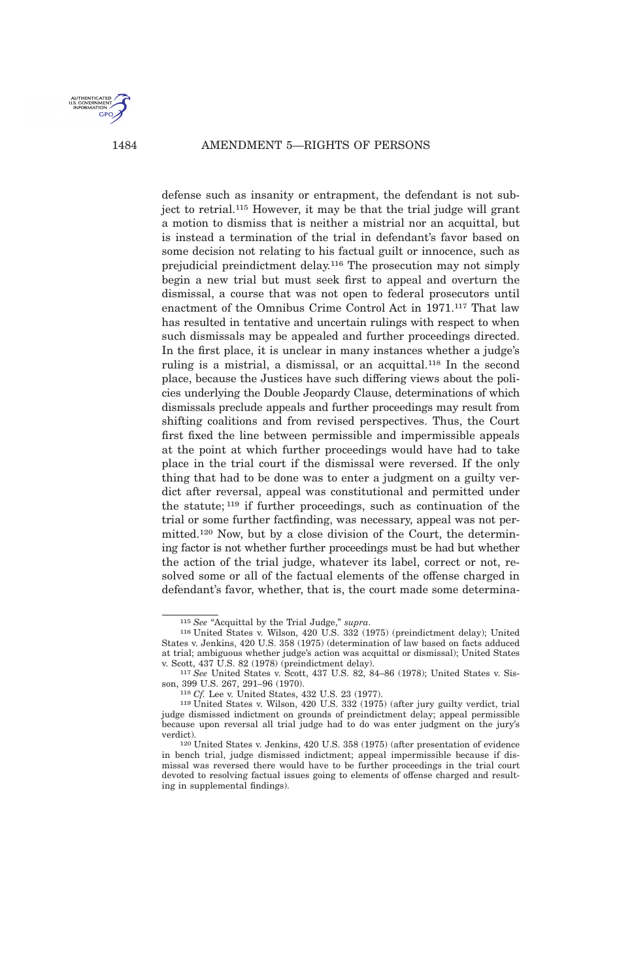

1484 AMENDMENT 5—RIGHTS OF PERSONS

defense such as insanity or entrapment, the defendant is not subject to retrial.<sup>115</sup> However, it may be that the trial judge will grant a motion to dismiss that is neither a mistrial nor an acquittal, but is instead a termination of the trial in defendant's favor based on some decision not relating to his factual guilt or innocence, such as prejudicial preindictment delay.<sup>116</sup> The prosecution may not simply begin a new trial but must seek first to appeal and overturn the dismissal, a course that was not open to federal prosecutors until enactment of the Omnibus Crime Control Act in 1971.<sup>117</sup> That law has resulted in tentative and uncertain rulings with respect to when such dismissals may be appealed and further proceedings directed. In the first place, it is unclear in many instances whether a judge's ruling is a mistrial, a dismissal, or an acquittal.<sup>118</sup> In the second place, because the Justices have such differing views about the policies underlying the Double Jeopardy Clause, determinations of which dismissals preclude appeals and further proceedings may result from shifting coalitions and from revised perspectives. Thus, the Court first fixed the line between permissible and impermissible appeals at the point at which further proceedings would have had to take place in the trial court if the dismissal were reversed. If the only thing that had to be done was to enter a judgment on a guilty verdict after reversal, appeal was constitutional and permitted under the statute; <sup>119</sup> if further proceedings, such as continuation of the trial or some further factfinding, was necessary, appeal was not permitted.<sup>120</sup> Now, but by a close division of the Court, the determining factor is not whether further proceedings must be had but whether the action of the trial judge, whatever its label, correct or not, resolved some or all of the factual elements of the offense charged in defendant's favor, whether, that is, the court made some determina-

<sup>115</sup> *See* "Acquittal by the Trial Judge," *supra*.

<sup>116</sup> United States v. Wilson, 420 U.S. 332 (1975) (preindictment delay); United States v. Jenkins, 420 U.S. 358 (1975) (determination of law based on facts adduced at trial; ambiguous whether judge's action was acquittal or dismissal); United States v. Scott, 437 U.S. 82 (1978) (preindictment delay).

<sup>117</sup> *See* United States v. Scott, 437 U.S. 82, 84–86 (1978); United States v. Sisson, 399 U.S. 267, 291–96 (1970).

<sup>118</sup> *Cf.* Lee v. United States, 432 U.S. 23 (1977).

<sup>119</sup> United States v. Wilson, 420 U.S. 332 (1975) (after jury guilty verdict, trial judge dismissed indictment on grounds of preindictment delay; appeal permissible because upon reversal all trial judge had to do was enter judgment on the jury's verdict).

<sup>120</sup> United States v. Jenkins, 420 U.S. 358 (1975) (after presentation of evidence in bench trial, judge dismissed indictment; appeal impermissible because if dismissal was reversed there would have to be further proceedings in the trial court devoted to resolving factual issues going to elements of offense charged and resulting in supplemental findings).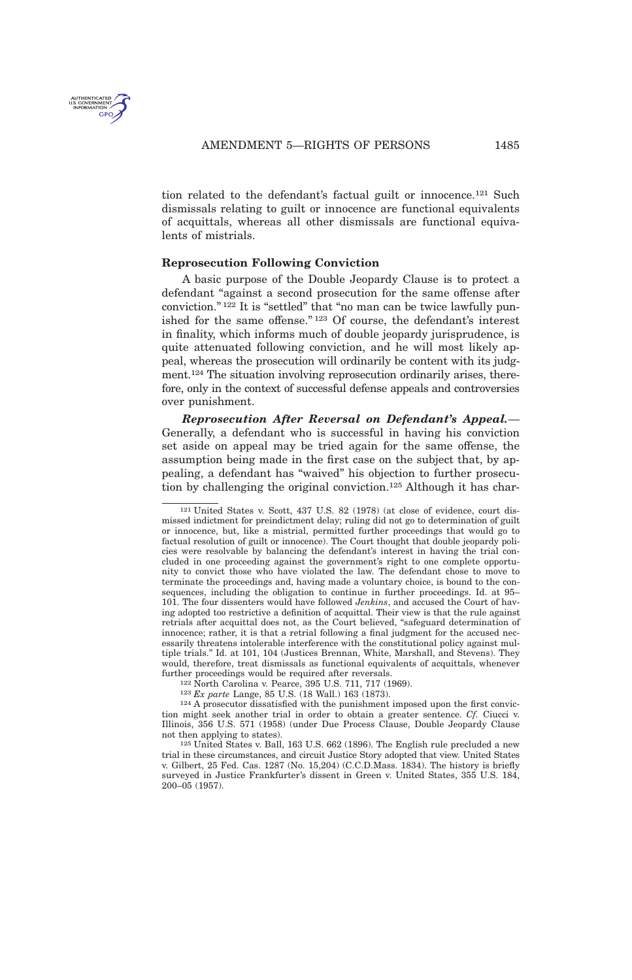<span id="page-24-0"></span>

tion related to the defendant's factual guilt or innocence.<sup>121</sup> Such dismissals relating to guilt or innocence are functional equivalents of acquittals, whereas all other dismissals are functional equivalents of mistrials.

#### **Reprosecution Following Conviction**

A basic purpose of the Double Jeopardy Clause is to protect a defendant "against a second prosecution for the same offense after conviction." <sup>122</sup> It is "settled" that "no man can be twice lawfully punished for the same offense." <sup>123</sup> Of course, the defendant's interest in finality, which informs much of double jeopardy jurisprudence, is quite attenuated following conviction, and he will most likely appeal, whereas the prosecution will ordinarily be content with its judgment.<sup>124</sup> The situation involving reprosecution ordinarily arises, therefore, only in the context of successful defense appeals and controversies over punishment.

*Reprosecution After Reversal on Defendant's Appeal.*— Generally, a defendant who is successful in having his conviction set aside on appeal may be tried again for the same offense, the assumption being made in the first case on the subject that, by appealing, a defendant has "waived" his objection to further prosecution by challenging the original conviction.<sup>125</sup> Although it has char-

122 North Carolina v. Pearce, 395 U.S. 711, 717 (1969).

123 *Ex parte* Lange, 85 U.S. (18 Wall.) 163 (1873).

124 A prosecutor dissatisfied with the punishment imposed upon the first conviction might seek another trial in order to obtain a greater sentence. *Cf.* Ciucci v. Illinois, 356 U.S. 571 (1958) (under Due Process Clause, Double Jeopardy Clause not then applying to states).

125 United States v. Ball, 163 U.S. 662 (1896). The English rule precluded a new trial in these circumstances, and circuit Justice Story adopted that view. United States v. Gilbert, 25 Fed. Cas. 1287 (No. 15,204) (C.C.D.Mass. 1834). The history is briefly surveyed in Justice Frankfurter's dissent in Green v. United States, 355 U.S. 184, 200–05 (1957).

<sup>121</sup> United States v. Scott, 437 U.S. 82 (1978) (at close of evidence, court dismissed indictment for preindictment delay; ruling did not go to determination of guilt or innocence, but, like a mistrial, permitted further proceedings that would go to factual resolution of guilt or innocence). The Court thought that double jeopardy policies were resolvable by balancing the defendant's interest in having the trial concluded in one proceeding against the government's right to one complete opportunity to convict those who have violated the law. The defendant chose to move to terminate the proceedings and, having made a voluntary choice, is bound to the consequences, including the obligation to continue in further proceedings. Id. at 95– 101. The four dissenters would have followed *Jenkins*, and accused the Court of having adopted too restrictive a definition of acquittal. Their view is that the rule against retrials after acquittal does not, as the Court believed, "safeguard determination of innocence; rather, it is that a retrial following a final judgment for the accused necessarily threatens intolerable interference with the constitutional policy against multiple trials." Id. at 101, 104 (Justices Brennan, White, Marshall, and Stevens). They would, therefore, treat dismissals as functional equivalents of acquittals, whenever further proceedings would be required after reversals.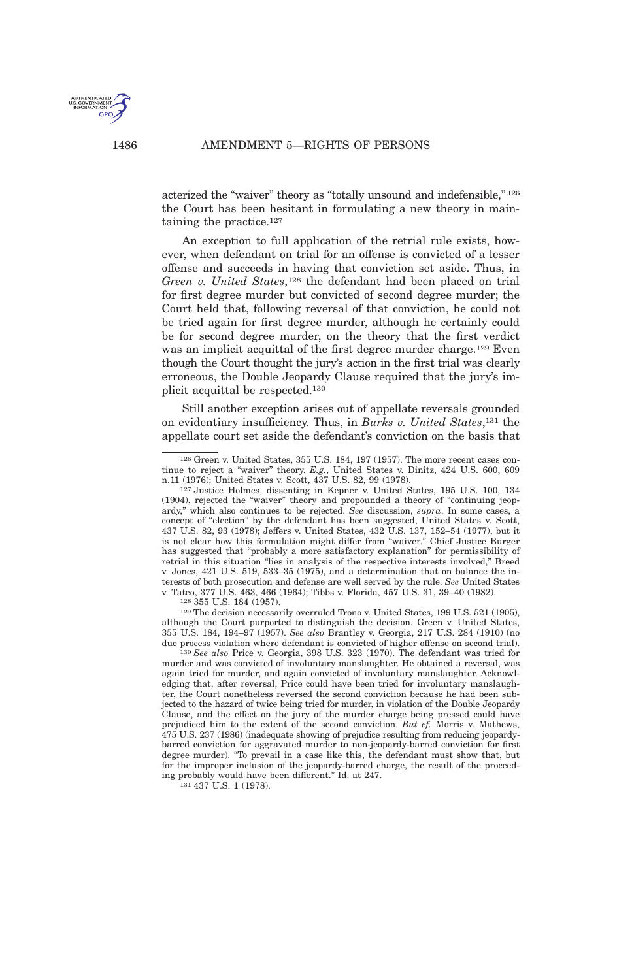

acterized the "waiver" theory as "totally unsound and indefensible," <sup>126</sup> the Court has been hesitant in formulating a new theory in maintaining the practice.<sup>127</sup>

An exception to full application of the retrial rule exists, however, when defendant on trial for an offense is convicted of a lesser offense and succeeds in having that conviction set aside. Thus, in *Green v. United States*, <sup>128</sup> the defendant had been placed on trial for first degree murder but convicted of second degree murder; the Court held that, following reversal of that conviction, he could not be tried again for first degree murder, although he certainly could be for second degree murder, on the theory that the first verdict was an implicit acquittal of the first degree murder charge.<sup>129</sup> Even though the Court thought the jury's action in the first trial was clearly erroneous, the Double Jeopardy Clause required that the jury's implicit acquittal be respected.<sup>130</sup>

Still another exception arises out of appellate reversals grounded on evidentiary insufficiency. Thus, in *Burks v. United States*, <sup>131</sup> the appellate court set aside the defendant's conviction on the basis that

128 355 U.S. 184 (1957).

129 The decision necessarily overruled Trono v. United States, 199 U.S. 521 (1905), although the Court purported to distinguish the decision. Green v. United States, 355 U.S. 184, 194–97 (1957). *See also* Brantley v. Georgia, 217 U.S. 284 (1910) (no due process violation where defendant is convicted of higher offense on second trial).

130 *See also* Price v. Georgia, 398 U.S. 323 (1970). The defendant was tried for murder and was convicted of involuntary manslaughter. He obtained a reversal, was again tried for murder, and again convicted of involuntary manslaughter. Acknowledging that, after reversal, Price could have been tried for involuntary manslaughter, the Court nonetheless reversed the second conviction because he had been subjected to the hazard of twice being tried for murder, in violation of the Double Jeopardy Clause, and the effect on the jury of the murder charge being pressed could have prejudiced him to the extent of the second conviction. *But cf.* Morris v. Mathews, 475 U.S. 237 (1986) (inadequate showing of prejudice resulting from reducing jeopardybarred conviction for aggravated murder to non-jeopardy-barred conviction for first degree murder). "To prevail in a case like this, the defendant must show that, but for the improper inclusion of the jeopardy-barred charge, the result of the proceeding probably would have been different." Id. at 247.

131 437 U.S. 1 (1978).

<sup>126</sup> Green v. United States, 355 U.S. 184, 197 (1957). The more recent cases continue to reject a "waiver" theory. *E.g.*, United States v. Dinitz, 424 U.S. 600, 609 n.11 (1976); United States v. Scott, 437 U.S. 82, 99 (1978).

<sup>127</sup> Justice Holmes, dissenting in Kepner v. United States, 195 U.S. 100, 134 (1904), rejected the "waiver" theory and propounded a theory of "continuing jeopardy," which also continues to be rejected. *See* discussion, *supra*. In some cases, a concept of "election" by the defendant has been suggested, United States v. Scott, 437 U.S. 82, 93 (1978); Jeffers v. United States, 432 U.S. 137, 152–54 (1977), but it is not clear how this formulation might differ from "waiver." Chief Justice Burger has suggested that "probably a more satisfactory explanation" for permissibility of retrial in this situation "lies in analysis of the respective interests involved," Breed v. Jones, 421 U.S. 519, 533–35 (1975), and a determination that on balance the interests of both prosecution and defense are well served by the rule. *See* United States v. Tateo, 377 U.S. 463, 466 (1964); Tibbs v. Florida, 457 U.S. 31, 39–40 (1982).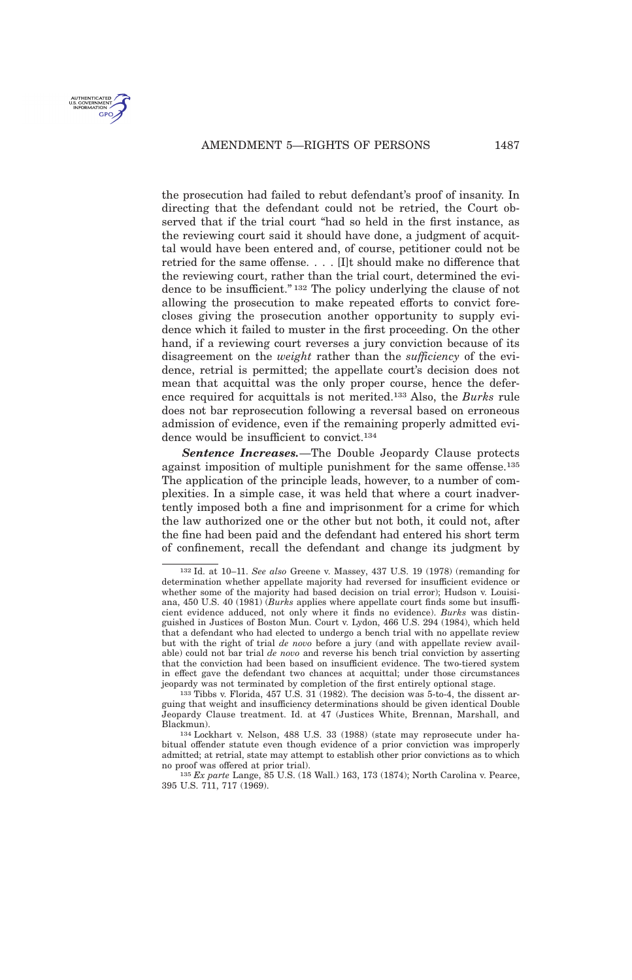<span id="page-26-0"></span>

the prosecution had failed to rebut defendant's proof of insanity. In directing that the defendant could not be retried, the Court observed that if the trial court "had so held in the first instance, as the reviewing court said it should have done, a judgment of acquittal would have been entered and, of course, petitioner could not be retried for the same offense. . . . [I]t should make no difference that the reviewing court, rather than the trial court, determined the evidence to be insufficient." <sup>132</sup> The policy underlying the clause of not allowing the prosecution to make repeated efforts to convict forecloses giving the prosecution another opportunity to supply evidence which it failed to muster in the first proceeding. On the other hand, if a reviewing court reverses a jury conviction because of its disagreement on the *weight* rather than the *sufficiency* of the evidence, retrial is permitted; the appellate court's decision does not mean that acquittal was the only proper course, hence the deference required for acquittals is not merited.<sup>133</sup> Also, the *Burks* rule does not bar reprosecution following a reversal based on erroneous admission of evidence, even if the remaining properly admitted evidence would be insufficient to convict.<sup>134</sup>

*Sentence Increases.*—The Double Jeopardy Clause protects against imposition of multiple punishment for the same offense.<sup>135</sup> The application of the principle leads, however, to a number of complexities. In a simple case, it was held that where a court inadvertently imposed both a fine and imprisonment for a crime for which the law authorized one or the other but not both, it could not, after the fine had been paid and the defendant had entered his short term of confinement, recall the defendant and change its judgment by

<sup>132</sup> Id. at 10–11. *See also* Greene v. Massey, 437 U.S. 19 (1978) (remanding for determination whether appellate majority had reversed for insufficient evidence or whether some of the majority had based decision on trial error); Hudson v. Louisiana, 450 U.S. 40 (1981) (*Burks* applies where appellate court finds some but insufficient evidence adduced, not only where it finds no evidence). *Burks* was distinguished in Justices of Boston Mun. Court v. Lydon, 466 U.S. 294 (1984), which held that a defendant who had elected to undergo a bench trial with no appellate review but with the right of trial *de novo* before a jury (and with appellate review available) could not bar trial *de novo* and reverse his bench trial conviction by asserting that the conviction had been based on insufficient evidence. The two-tiered system in effect gave the defendant two chances at acquittal; under those circumstances jeopardy was not terminated by completion of the first entirely optional stage.

<sup>133</sup> Tibbs v. Florida, 457 U.S. 31 (1982). The decision was 5-to-4, the dissent arguing that weight and insufficiency determinations should be given identical Double Jeopardy Clause treatment. Id. at 47 (Justices White, Brennan, Marshall, and Blackmun).

<sup>134</sup> Lockhart v. Nelson, 488 U.S. 33 (1988) (state may reprosecute under habitual offender statute even though evidence of a prior conviction was improperly admitted; at retrial, state may attempt to establish other prior convictions as to which no proof was offered at prior trial).

<sup>135</sup> *Ex parte* Lange, 85 U.S. (18 Wall.) 163, 173 (1874); North Carolina v. Pearce, 395 U.S. 711, 717 (1969).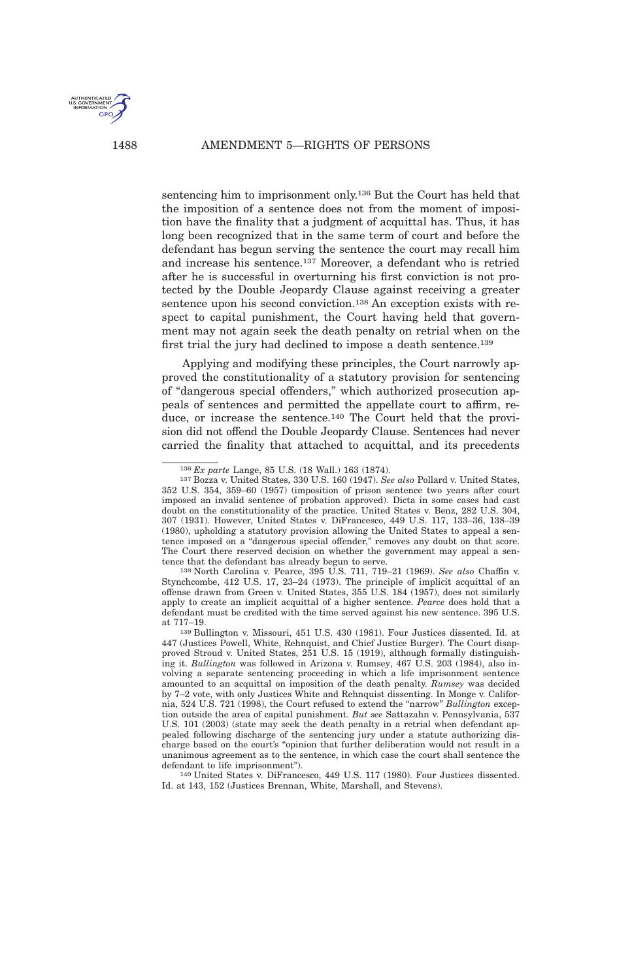1488 AMENDMENT 5—RIGHTS OF PERSONS

U.S. GOVERNME

sentencing him to imprisonment only.<sup>136</sup> But the Court has held that the imposition of a sentence does not from the moment of imposition have the finality that a judgment of acquittal has. Thus, it has long been recognized that in the same term of court and before the defendant has begun serving the sentence the court may recall him and increase his sentence.<sup>137</sup> Moreover, a defendant who is retried after he is successful in overturning his first conviction is not protected by the Double Jeopardy Clause against receiving a greater sentence upon his second conviction.<sup>138</sup> An exception exists with respect to capital punishment, the Court having held that government may not again seek the death penalty on retrial when on the first trial the jury had declined to impose a death sentence.<sup>139</sup>

Applying and modifying these principles, the Court narrowly approved the constitutionality of a statutory provision for sentencing of "dangerous special offenders," which authorized prosecution appeals of sentences and permitted the appellate court to affirm, reduce, or increase the sentence.<sup>140</sup> The Court held that the provision did not offend the Double Jeopardy Clause. Sentences had never carried the finality that attached to acquittal, and its precedents

138 North Carolina v. Pearce, 395 U.S. 711, 719–21 (1969). *See also* Chaffin v. Stynchcombe, 412 U.S. 17, 23–24 (1973). The principle of implicit acquittal of an offense drawn from Green v. United States, 355 U.S. 184 (1957), does not similarly apply to create an implicit acquittal of a higher sentence. *Pearce* does hold that a defendant must be credited with the time served against his new sentence. 395 U.S. at 717–19.

140 United States v. DiFrancesco, 449 U.S. 117 (1980). Four Justices dissented. Id. at 143, 152 (Justices Brennan, White, Marshall, and Stevens).

<sup>136</sup> *Ex parte* Lange, 85 U.S. (18 Wall.) 163 (1874).

<sup>137</sup> Bozza v. United States, 330 U.S. 160 (1947). *See also* Pollard v. United States, 352 U.S. 354, 359–60 (1957) (imposition of prison sentence two years after court imposed an invalid sentence of probation approved). Dicta in some cases had cast doubt on the constitutionality of the practice. United States v. Benz, 282 U.S. 304, 307 (1931). However, United States v. DiFrancesco, 449 U.S. 117, 133–36, 138–39 (1980), upholding a statutory provision allowing the United States to appeal a sentence imposed on a "dangerous special offender," removes any doubt on that score. The Court there reserved decision on whether the government may appeal a sentence that the defendant has already begun to serve.

<sup>139</sup> Bullington v. Missouri, 451 U.S. 430 (1981). Four Justices dissented. Id. at 447 (Justices Powell, White, Rehnquist, and Chief Justice Burger). The Court disapproved Stroud v. United States, 251 U.S. 15 (1919), although formally distinguishing it. *Bullington* was followed in Arizona v. Rumsey, 467 U.S. 203 (1984), also involving a separate sentencing proceeding in which a life imprisonment sentence amounted to an acquittal on imposition of the death penalty. *Rumsey* was decided by 7–2 vote, with only Justices White and Rehnquist dissenting. In Monge v. California, 524 U.S. 721 (1998), the Court refused to extend the "narrow" *Bullington* exception outside the area of capital punishment. *But see* Sattazahn v. Pennsylvania, 537 U.S. 101 (2003) (state may seek the death penalty in a retrial when defendant appealed following discharge of the sentencing jury under a statute authorizing discharge based on the court's "opinion that further deliberation would not result in a unanimous agreement as to the sentence, in which case the court shall sentence the defendant to life imprisonment").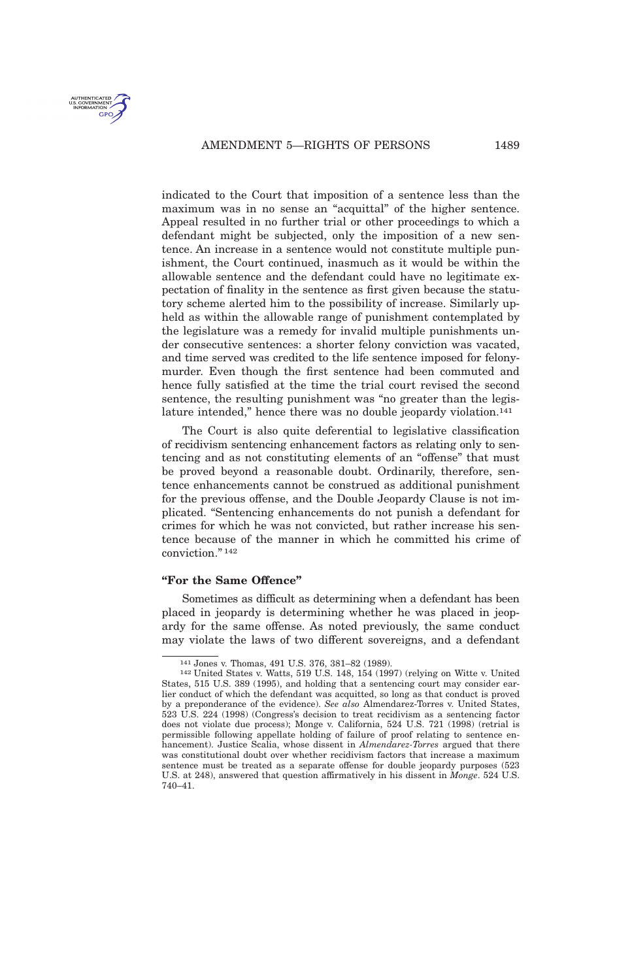<span id="page-28-0"></span>

#### AMENDMENT 5-RIGHTS OF PERSONS 1489

indicated to the Court that imposition of a sentence less than the maximum was in no sense an "acquittal" of the higher sentence. Appeal resulted in no further trial or other proceedings to which a defendant might be subjected, only the imposition of a new sentence. An increase in a sentence would not constitute multiple punishment, the Court continued, inasmuch as it would be within the allowable sentence and the defendant could have no legitimate expectation of finality in the sentence as first given because the statutory scheme alerted him to the possibility of increase. Similarly upheld as within the allowable range of punishment contemplated by the legislature was a remedy for invalid multiple punishments under consecutive sentences: a shorter felony conviction was vacated, and time served was credited to the life sentence imposed for felonymurder. Even though the first sentence had been commuted and hence fully satisfied at the time the trial court revised the second sentence, the resulting punishment was "no greater than the legislature intended," hence there was no double jeopardy violation.<sup>141</sup>

The Court is also quite deferential to legislative classification of recidivism sentencing enhancement factors as relating only to sentencing and as not constituting elements of an "offense" that must be proved beyond a reasonable doubt. Ordinarily, therefore, sentence enhancements cannot be construed as additional punishment for the previous offense, and the Double Jeopardy Clause is not implicated. "Sentencing enhancements do not punish a defendant for crimes for which he was not convicted, but rather increase his sentence because of the manner in which he committed his crime of conviction." <sup>142</sup>

#### **"For the Same Offence"**

Sometimes as difficult as determining when a defendant has been placed in jeopardy is determining whether he was placed in jeopardy for the same offense. As noted previously, the same conduct may violate the laws of two different sovereigns, and a defendant

<sup>141</sup> Jones v. Thomas, 491 U.S. 376, 381–82 (1989).

<sup>142</sup> United States v. Watts, 519 U.S. 148, 154 (1997) (relying on Witte v. United States, 515 U.S. 389 (1995), and holding that a sentencing court may consider earlier conduct of which the defendant was acquitted, so long as that conduct is proved by a preponderance of the evidence). *See also* Almendarez-Torres v. United States, 523 U.S. 224 (1998) (Congress's decision to treat recidivism as a sentencing factor does not violate due process); Monge v. California, 524 U.S. 721 (1998) (retrial is permissible following appellate holding of failure of proof relating to sentence enhancement). Justice Scalia, whose dissent in *Almendarez-Torres* argued that there was constitutional doubt over whether recidivism factors that increase a maximum sentence must be treated as a separate offense for double jeopardy purposes (523 U.S. at 248), answered that question affirmatively in his dissent in *Monge*. 524 U.S. 740–41.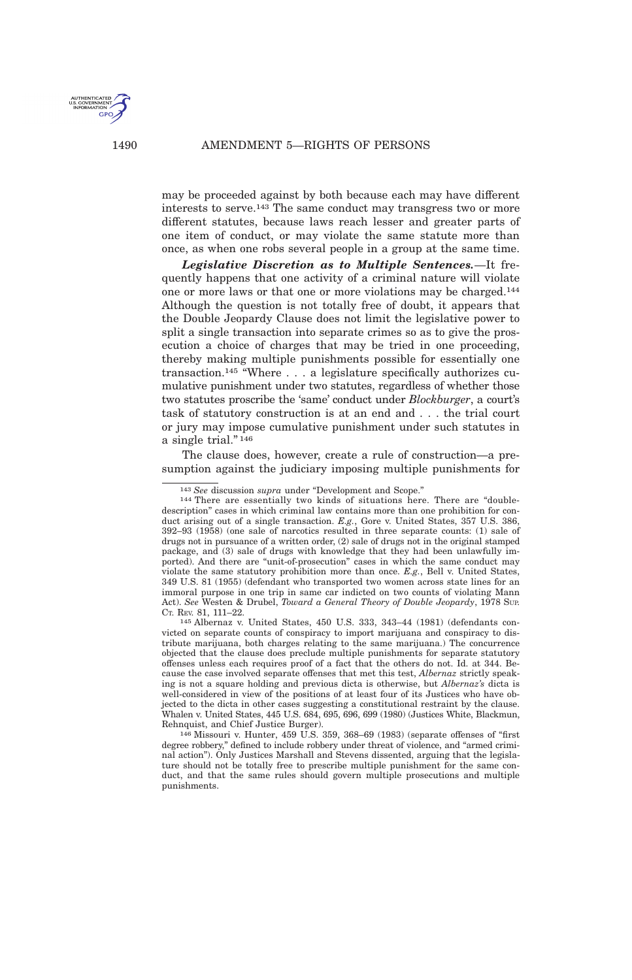<span id="page-29-0"></span>

may be proceeded against by both because each may have different interests to serve.<sup>143</sup> The same conduct may transgress two or more different statutes, because laws reach lesser and greater parts of one item of conduct, or may violate the same statute more than once, as when one robs several people in a group at the same time.

*Legislative Discretion as to Multiple Sentences.*—It frequently happens that one activity of a criminal nature will violate one or more laws or that one or more violations may be charged.<sup>144</sup> Although the question is not totally free of doubt, it appears that the Double Jeopardy Clause does not limit the legislative power to split a single transaction into separate crimes so as to give the prosecution a choice of charges that may be tried in one proceeding, thereby making multiple punishments possible for essentially one transaction.<sup>145</sup> "Where . . . a legislature specifically authorizes cumulative punishment under two statutes, regardless of whether those two statutes proscribe the 'same' conduct under *Blockburger*, a court's task of statutory construction is at an end and . . . the trial court or jury may impose cumulative punishment under such statutes in a single trial." <sup>146</sup>

The clause does, however, create a rule of construction—a presumption against the judiciary imposing multiple punishments for

<sup>143</sup> *See* discussion *supra* under "Development and Scope."

<sup>&</sup>lt;sup>144</sup> There are essentially two kinds of situations here. There are "doubledescription" cases in which criminal law contains more than one prohibition for conduct arising out of a single transaction. *E.g.*, Gore v. United States, 357 U.S. 386, 392–93 (1958) (one sale of narcotics resulted in three separate counts: (1) sale of drugs not in pursuance of a written order, (2) sale of drugs not in the original stamped package, and (3) sale of drugs with knowledge that they had been unlawfully imported). And there are "unit-of-prosecution" cases in which the same conduct may violate the same statutory prohibition more than once. *E.g.*, Bell v. United States, 349 U.S. 81 (1955) (defendant who transported two women across state lines for an immoral purpose in one trip in same car indicted on two counts of violating Mann Act). *See* Westen & Drubel, *Toward a General Theory of Double Jeopardy*, 1978 SUP. CT. REV. 81, 111–22.

<sup>145</sup> Albernaz v. United States, 450 U.S. 333, 343–44 (1981) (defendants convicted on separate counts of conspiracy to import marijuana and conspiracy to distribute marijuana, both charges relating to the same marijuana.) The concurrence objected that the clause does preclude multiple punishments for separate statutory offenses unless each requires proof of a fact that the others do not. Id. at 344. Because the case involved separate offenses that met this test, *Albernaz* strictly speaking is not a square holding and previous dicta is otherwise, but *Albernaz's* dicta is well-considered in view of the positions of at least four of its Justices who have objected to the dicta in other cases suggesting a constitutional restraint by the clause. Whalen v. United States, 445 U.S. 684, 695, 696, 699 (1980) (Justices White, Blackmun, Rehnquist, and Chief Justice Burger).

 $146$  Missouri v. Hunter, 459 U.S. 359, 368–69 (1983) (separate offenses of "first degree robbery," defined to include robbery under threat of violence, and "armed criminal action"). Only Justices Marshall and Stevens dissented, arguing that the legislature should not be totally free to prescribe multiple punishment for the same conduct, and that the same rules should govern multiple prosecutions and multiple punishments.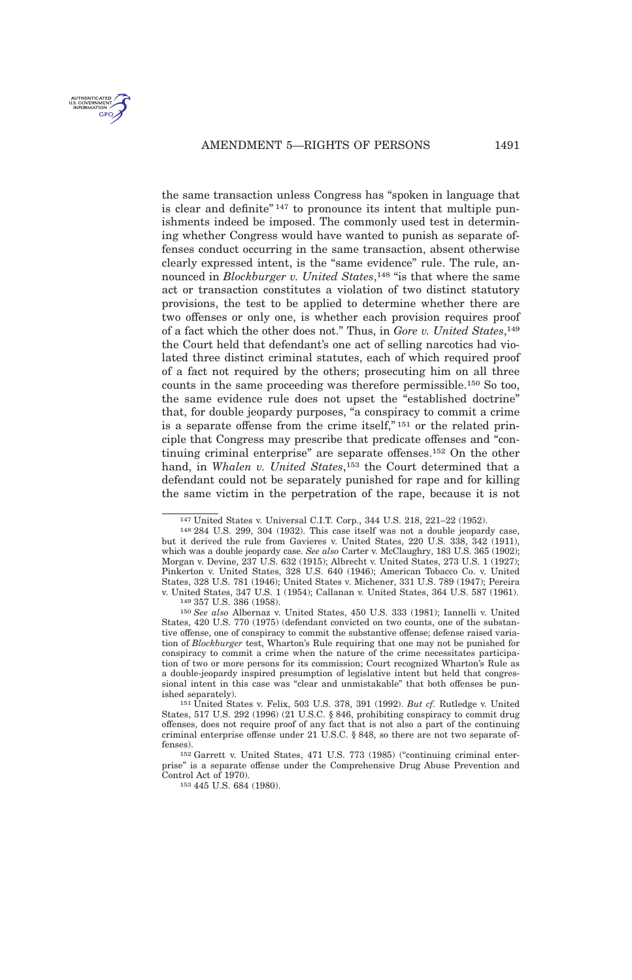the same transaction unless Congress has "spoken in language that is clear and definite<sup>" 147</sup> to pronounce its intent that multiple punishments indeed be imposed. The commonly used test in determining whether Congress would have wanted to punish as separate offenses conduct occurring in the same transaction, absent otherwise clearly expressed intent, is the "same evidence" rule. The rule, announced in *Blockburger v. United States*, <sup>148</sup> "is that where the same act or transaction constitutes a violation of two distinct statutory provisions, the test to be applied to determine whether there are two offenses or only one, is whether each provision requires proof of a fact which the other does not." Thus, in *Gore v. United States*, 149 the Court held that defendant's one act of selling narcotics had violated three distinct criminal statutes, each of which required proof of a fact not required by the others; prosecuting him on all three counts in the same proceeding was therefore permissible.<sup>150</sup> So too, the same evidence rule does not upset the "established doctrine" that, for double jeopardy purposes, "a conspiracy to commit a crime is a separate offense from the crime itself," <sup>151</sup> or the related principle that Congress may prescribe that predicate offenses and "continuing criminal enterprise" are separate offenses.<sup>152</sup> On the other hand, in *Whalen v. United States*, <sup>153</sup> the Court determined that a defendant could not be separately punished for rape and for killing the same victim in the perpetration of the rape, because it is not

<sup>147</sup> United States v. Universal C.I.T. Corp., 344 U.S. 218, 221–22 (1952).

<sup>148</sup> 284 U.S. 299, 304 (1932). This case itself was not a double jeopardy case, but it derived the rule from Gavieres v. United States, 220 U.S. 338, 342 (1911), which was a double jeopardy case. *See also* Carter v. McClaughry, 183 U.S. 365 (1902); Morgan v. Devine, 237 U.S. 632 (1915); Albrecht v. United States, 273 U.S. 1 (1927); Pinkerton v. United States, 328 U.S. 640 (1946); American Tobacco Co. v. United States, 328 U.S. 781 (1946); United States v. Michener, 331 U.S. 789 (1947); Pereira v. United States, 347 U.S. 1 (1954); Callanan v. United States, 364 U.S. 587 (1961).

<sup>149</sup> 357 U.S. 386 (1958).

<sup>150</sup> *See also* Albernaz v. United States, 450 U.S. 333 (1981); Iannelli v. United States, 420 U.S. 770 (1975) (defendant convicted on two counts, one of the substantive offense, one of conspiracy to commit the substantive offense; defense raised variation of *Blockburger* test, Wharton's Rule requiring that one may not be punished for conspiracy to commit a crime when the nature of the crime necessitates participation of two or more persons for its commission; Court recognized Wharton's Rule as a double-jeopardy inspired presumption of legislative intent but held that congressional intent in this case was "clear and unmistakable" that both offenses be punished separately).

<sup>151</sup> United States v. Felix, 503 U.S. 378, 391 (1992). *But cf.* Rutledge v. United States, 517 U.S. 292 (1996) (21 U.S.C. § 846, prohibiting conspiracy to commit drug offenses, does not require proof of any fact that is not also a part of the continuing criminal enterprise offense under 21 U.S.C. § 848, so there are not two separate offenses).

<sup>152</sup> Garrett v. United States, 471 U.S. 773 (1985) ("continuing criminal enterprise" is a separate offense under the Comprehensive Drug Abuse Prevention and Control Act of 1970).

<sup>153</sup> 445 U.S. 684 (1980).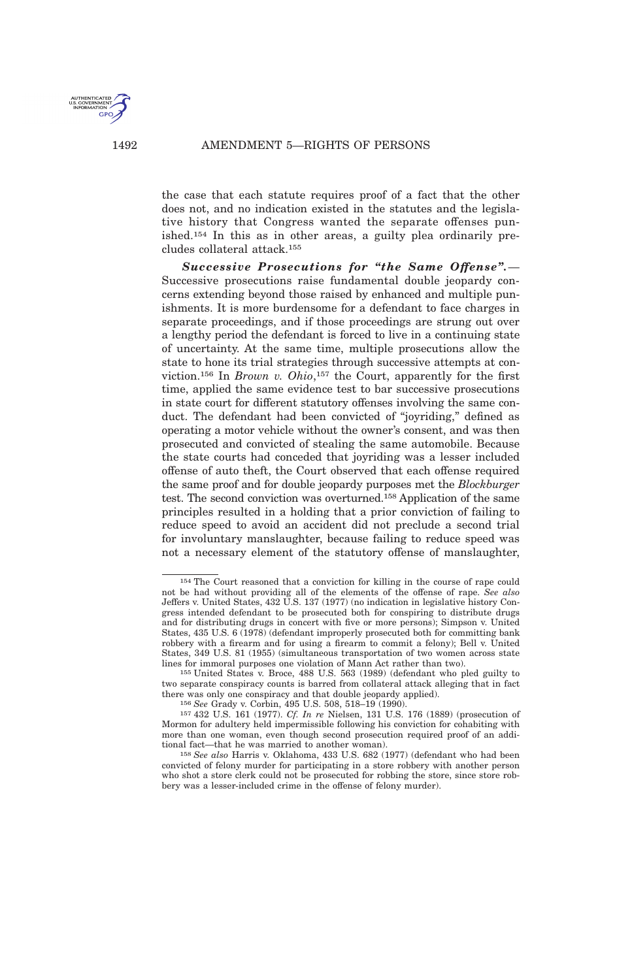<span id="page-31-0"></span>

the case that each statute requires proof of a fact that the other does not, and no indication existed in the statutes and the legislative history that Congress wanted the separate offenses punished.<sup>154</sup> In this as in other areas, a guilty plea ordinarily precludes collateral attack.<sup>155</sup>

*Successive Prosecutions for "the Same Offense".*— Successive prosecutions raise fundamental double jeopardy concerns extending beyond those raised by enhanced and multiple punishments. It is more burdensome for a defendant to face charges in separate proceedings, and if those proceedings are strung out over a lengthy period the defendant is forced to live in a continuing state of uncertainty. At the same time, multiple prosecutions allow the state to hone its trial strategies through successive attempts at conviction.<sup>156</sup> In *Brown v. Ohio*, <sup>157</sup> the Court, apparently for the first time, applied the same evidence test to bar successive prosecutions in state court for different statutory offenses involving the same conduct. The defendant had been convicted of "joyriding," defined as operating a motor vehicle without the owner's consent, and was then prosecuted and convicted of stealing the same automobile. Because the state courts had conceded that joyriding was a lesser included offense of auto theft, the Court observed that each offense required the same proof and for double jeopardy purposes met the *Blockburger* test. The second conviction was overturned.<sup>158</sup> Application of the same principles resulted in a holding that a prior conviction of failing to reduce speed to avoid an accident did not preclude a second trial for involuntary manslaughter, because failing to reduce speed was not a necessary element of the statutory offense of manslaughter,

<sup>154</sup> The Court reasoned that a conviction for killing in the course of rape could not be had without providing all of the elements of the offense of rape. *See also* Jeffers v. United States, 432 U.S. 137 (1977) (no indication in legislative history Congress intended defendant to be prosecuted both for conspiring to distribute drugs and for distributing drugs in concert with five or more persons); Simpson v. United States, 435 U.S. 6 (1978) (defendant improperly prosecuted both for committing bank robbery with a firearm and for using a firearm to commit a felony); Bell v. United States, 349 U.S. 81 (1955) (simultaneous transportation of two women across state lines for immoral purposes one violation of Mann Act rather than two).

<sup>155</sup> United States v. Broce, 488 U.S. 563 (1989) (defendant who pled guilty to two separate conspiracy counts is barred from collateral attack alleging that in fact there was only one conspiracy and that double jeopardy applied).

<sup>156</sup> *See* Grady v. Corbin, 495 U.S. 508, 518–19 (1990).

<sup>157</sup> 432 U.S. 161 (1977). *Cf. In re* Nielsen, 131 U.S. 176 (1889) (prosecution of Mormon for adultery held impermissible following his conviction for cohabiting with more than one woman, even though second prosecution required proof of an additional fact—that he was married to another woman).

<sup>158</sup> *See also* Harris v. Oklahoma, 433 U.S. 682 (1977) (defendant who had been convicted of felony murder for participating in a store robbery with another person who shot a store clerk could not be prosecuted for robbing the store, since store robbery was a lesser-included crime in the offense of felony murder).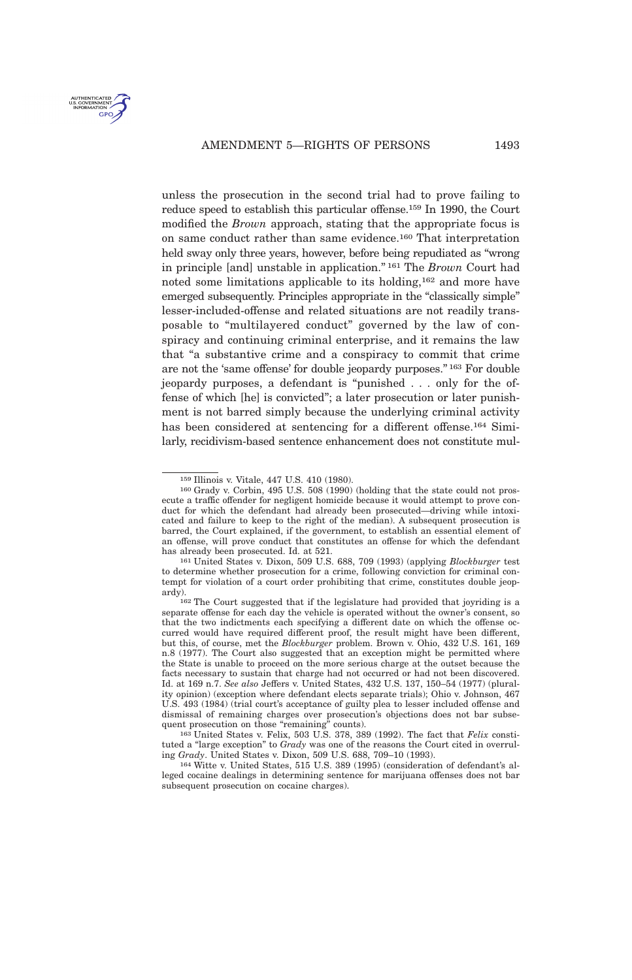

unless the prosecution in the second trial had to prove failing to reduce speed to establish this particular offense.<sup>159</sup> In 1990, the Court modified the *Brown* approach, stating that the appropriate focus is on same conduct rather than same evidence.<sup>160</sup> That interpretation held sway only three years, however, before being repudiated as "wrong in principle [and] unstable in application." <sup>161</sup> The *Brown* Court had noted some limitations applicable to its holding,<sup>162</sup> and more have emerged subsequently. Principles appropriate in the "classically simple" lesser-included-offense and related situations are not readily transposable to "multilayered conduct" governed by the law of conspiracy and continuing criminal enterprise, and it remains the law that "a substantive crime and a conspiracy to commit that crime are not the 'same offense' for double jeopardy purposes." <sup>163</sup> For double jeopardy purposes, a defendant is "punished . . . only for the offense of which [he] is convicted"; a later prosecution or later punishment is not barred simply because the underlying criminal activity has been considered at sentencing for a different offense.<sup>164</sup> Similarly, recidivism-based sentence enhancement does not constitute mul-

161 United States v. Dixon, 509 U.S. 688, 709 (1993) (applying *Blockburger* test to determine whether prosecution for a crime, following conviction for criminal contempt for violation of a court order prohibiting that crime, constitutes double jeopardy).

<sup>159</sup> Illinois v. Vitale, 447 U.S. 410 (1980).

<sup>160</sup> Grady v. Corbin, 495 U.S. 508 (1990) (holding that the state could not prosecute a traffic offender for negligent homicide because it would attempt to prove conduct for which the defendant had already been prosecuted—driving while intoxicated and failure to keep to the right of the median). A subsequent prosecution is barred, the Court explained, if the government, to establish an essential element of an offense, will prove conduct that constitutes an offense for which the defendant has already been prosecuted. Id. at 521.

<sup>162</sup> The Court suggested that if the legislature had provided that joyriding is a separate offense for each day the vehicle is operated without the owner's consent, so that the two indictments each specifying a different date on which the offense occurred would have required different proof, the result might have been different, but this, of course, met the *Blockburger* problem. Brown v. Ohio, 432 U.S. 161, 169 n.8 (1977). The Court also suggested that an exception might be permitted where the State is unable to proceed on the more serious charge at the outset because the facts necessary to sustain that charge had not occurred or had not been discovered. Id. at 169 n.7. *See also* Jeffers v. United States, 432 U.S. 137, 150–54 (1977) (plurality opinion) (exception where defendant elects separate trials); Ohio v. Johnson, 467 U.S. 493 (1984) (trial court's acceptance of guilty plea to lesser included offense and dismissal of remaining charges over prosecution's objections does not bar subsequent prosecution on those "remaining" counts).

<sup>163</sup> United States v. Felix, 503 U.S. 378, 389 (1992). The fact that *Felix* constituted a "large exception" to *Grady* was one of the reasons the Court cited in overruling *Grady*. United States v. Dixon, 509 U.S. 688, 709–10 (1993).

<sup>164</sup> Witte v. United States, 515 U.S. 389 (1995) (consideration of defendant's alleged cocaine dealings in determining sentence for marijuana offenses does not bar subsequent prosecution on cocaine charges).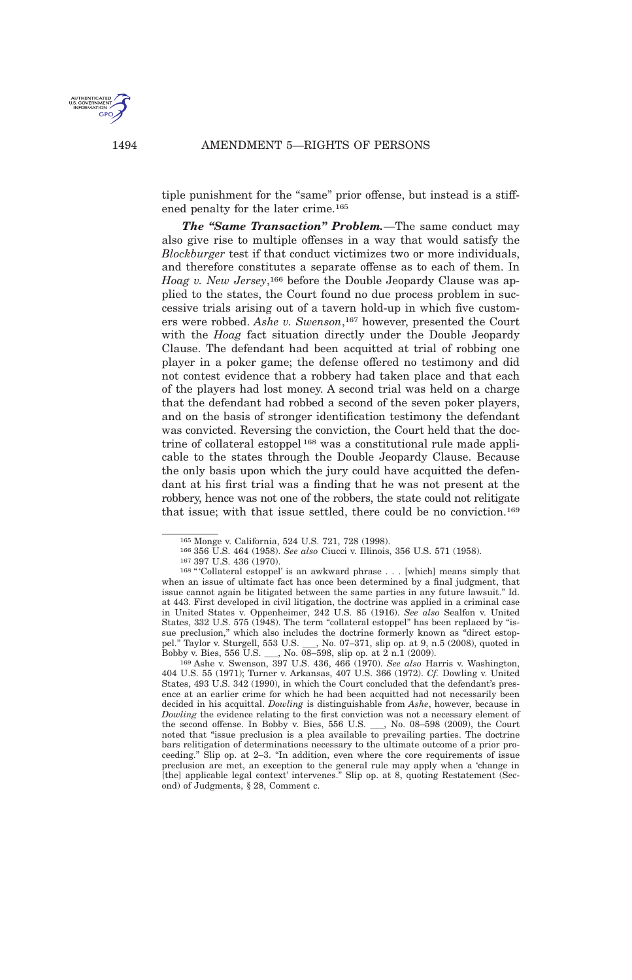<span id="page-33-0"></span>

tiple punishment for the "same" prior offense, but instead is a stiffened penalty for the later crime.<sup>165</sup>

*The "Same Transaction" Problem.*—The same conduct may also give rise to multiple offenses in a way that would satisfy the *Blockburger* test if that conduct victimizes two or more individuals, and therefore constitutes a separate offense as to each of them. In *Hoag v. New Jersey*, <sup>166</sup> before the Double Jeopardy Clause was applied to the states, the Court found no due process problem in successive trials arising out of a tavern hold-up in which five customers were robbed. *Ashe v. Swenson*, <sup>167</sup> however, presented the Court with the *Hoag* fact situation directly under the Double Jeopardy Clause. The defendant had been acquitted at trial of robbing one player in a poker game; the defense offered no testimony and did not contest evidence that a robbery had taken place and that each of the players had lost money. A second trial was held on a charge that the defendant had robbed a second of the seven poker players, and on the basis of stronger identification testimony the defendant was convicted. Reversing the conviction, the Court held that the doctrine of collateral estoppel <sup>168</sup> was a constitutional rule made applicable to the states through the Double Jeopardy Clause. Because the only basis upon which the jury could have acquitted the defendant at his first trial was a finding that he was not present at the robbery, hence was not one of the robbers, the state could not relitigate that issue; with that issue settled, there could be no conviction.<sup>169</sup>

<sup>165</sup> Monge v. California, 524 U.S. 721, 728 (1998).

<sup>166</sup> 356 U.S. 464 (1958). *See also* Ciucci v. Illinois, 356 U.S. 571 (1958).

<sup>167</sup> 397 U.S. 436 (1970).

<sup>168</sup> " 'Collateral estoppel' is an awkward phrase . . . [which] means simply that when an issue of ultimate fact has once been determined by a final judgment, that issue cannot again be litigated between the same parties in any future lawsuit." Id. at 443. First developed in civil litigation, the doctrine was applied in a criminal case in United States v. Oppenheimer, 242 U.S. 85 (1916). *See also* Sealfon v. United States, 332 U.S. 575 (1948). The term "collateral estoppel" has been replaced by "issue preclusion," which also includes the doctrine formerly known as "direct estoppel." Taylor v. Sturgell, 553 U.S. \_\_, No. 07–371, slip op. at 9, n.5 (2008), quoted in Bobby v. Bies, 556 U.S. \_\_, No. 08–598, slip op. at 2 n.1 (2009).  $\mu$ , No. 08–598, slip op. at 2 n.1 (2009).

<sup>169</sup> Ashe v. Swenson, 397 U.S. 436, 466 (1970). *See also* Harris v. Washington, 404 U.S. 55 (1971); Turner v. Arkansas, 407 U.S. 366 (1972). *Cf.* Dowling v. United States, 493 U.S. 342 (1990), in which the Court concluded that the defendant's presence at an earlier crime for which he had been acquitted had not necessarily been decided in his acquittal. *Dowling* is distinguishable from *Ashe*, however, because in *Dowling* the evidence relating to the first conviction was not a necessary element of the second offense. In Bobby v. Bies, 556 U.S. \_\_\_, No. 08–598 (2009), the Court noted that "issue preclusion is a plea available to prevailing parties. The doctrine bars relitigation of determinations necessary to the ultimate outcome of a prior proceeding." Slip op. at 2–3. "In addition, even where the core requirements of issue preclusion are met, an exception to the general rule may apply when a 'change in [the] applicable legal context' intervenes." Slip op. at 8, quoting Restatement (Second) of Judgments, § 28, Comment c.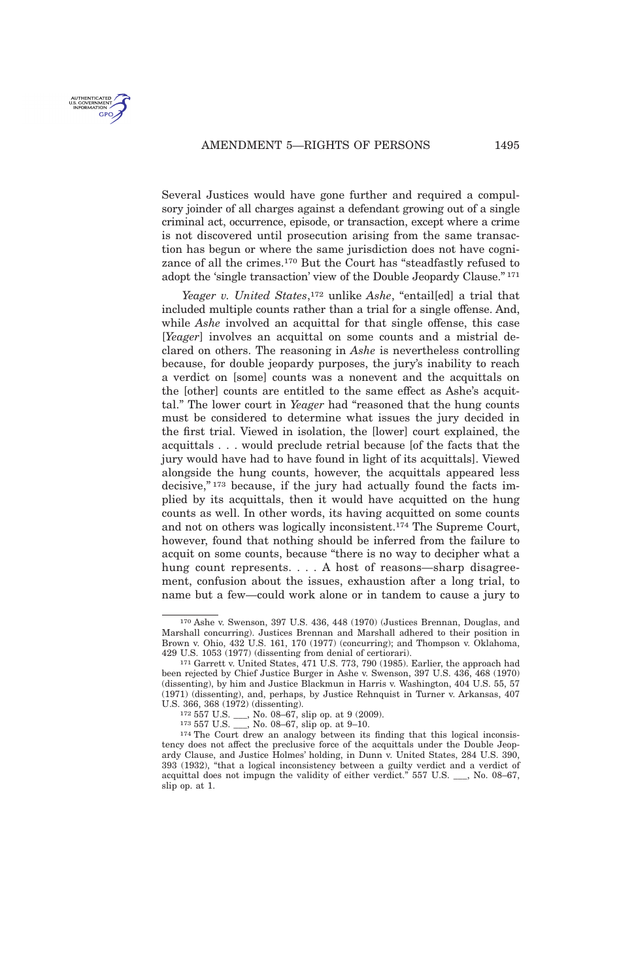

Several Justices would have gone further and required a compulsory joinder of all charges against a defendant growing out of a single criminal act, occurrence, episode, or transaction, except where a crime is not discovered until prosecution arising from the same transaction has begun or where the same jurisdiction does not have cognizance of all the crimes.<sup>170</sup> But the Court has "steadfastly refused to adopt the 'single transaction' view of the Double Jeopardy Clause." <sup>171</sup>

*Yeager v. United States*, <sup>172</sup> unlike *Ashe*, "entail[ed] a trial that included multiple counts rather than a trial for a single offense. And, while *Ashe* involved an acquittal for that single offense, this case [*Yeager*] involves an acquittal on some counts and a mistrial declared on others. The reasoning in *Ashe* is nevertheless controlling because, for double jeopardy purposes, the jury's inability to reach a verdict on [some] counts was a nonevent and the acquittals on the [other] counts are entitled to the same effect as Ashe's acquittal." The lower court in *Yeager* had "reasoned that the hung counts must be considered to determine what issues the jury decided in the first trial. Viewed in isolation, the [lower] court explained, the acquittals . . . would preclude retrial because [of the facts that the jury would have had to have found in light of its acquittals]. Viewed alongside the hung counts, however, the acquittals appeared less decisive," <sup>173</sup> because, if the jury had actually found the facts implied by its acquittals, then it would have acquitted on the hung counts as well. In other words, its having acquitted on some counts and not on others was logically inconsistent.<sup>174</sup> The Supreme Court, however, found that nothing should be inferred from the failure to acquit on some counts, because "there is no way to decipher what a hung count represents. . . . A host of reasons—sharp disagreement, confusion about the issues, exhaustion after a long trial, to name but a few—could work alone or in tandem to cause a jury to

<sup>170</sup> Ashe v. Swenson, 397 U.S. 436, 448 (1970) (Justices Brennan, Douglas, and Marshall concurring). Justices Brennan and Marshall adhered to their position in Brown v. Ohio, 432 U.S. 161, 170 (1977) (concurring); and Thompson v. Oklahoma, 429 U.S. 1053 (1977) (dissenting from denial of certiorari).

<sup>171</sup> Garrett v. United States, 471 U.S. 773, 790 (1985). Earlier, the approach had been rejected by Chief Justice Burger in Ashe v. Swenson, 397 U.S. 436, 468 (1970) (dissenting), by him and Justice Blackmun in Harris v. Washington, 404 U.S. 55, 57 (1971) (dissenting), and, perhaps, by Justice Rehnquist in Turner v. Arkansas, 407 U.S. 366, 368 (1972) (dissenting).

 $172\,557\,$  U.S.  $\qquad$ , No. 08–67, slip op. at 9 (2009).<br> $173\,557\,$  U.S.  $\qquad$ , No. 08–67, slip op. at 9–10.

 $1$ , No. 08–67, slip op. at 9–10.

<sup>174</sup> The Court drew an analogy between its finding that this logical inconsistency does not affect the preclusive force of the acquittals under the Double Jeopardy Clause, and Justice Holmes' holding, in Dunn v. United States, 284 U.S. 390, 393 (1932), "that a logical inconsistency between a guilty verdict and a verdict of acquittal does not impugn the validity of either verdict." 557 U.S. \_\_\_, No. 08–67, slip op. at 1.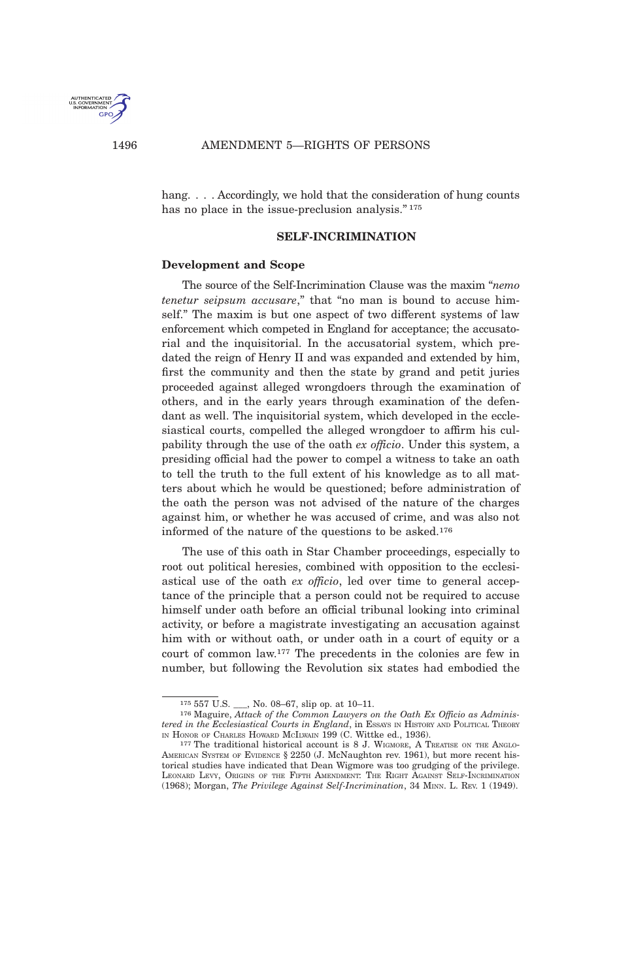<span id="page-35-0"></span>

hang. . . . Accordingly, we hold that the consideration of hung counts has no place in the issue-preclusion analysis."<sup>175</sup>

#### **SELF-INCRIMINATION**

#### **Development and Scope**

The source of the Self-Incrimination Clause was the maxim "*nemo tenetur seipsum accusare*," that "no man is bound to accuse himself." The maxim is but one aspect of two different systems of law enforcement which competed in England for acceptance; the accusatorial and the inquisitorial. In the accusatorial system, which predated the reign of Henry II and was expanded and extended by him, first the community and then the state by grand and petit juries proceeded against alleged wrongdoers through the examination of others, and in the early years through examination of the defendant as well. The inquisitorial system, which developed in the ecclesiastical courts, compelled the alleged wrongdoer to affirm his culpability through the use of the oath *ex officio*. Under this system, a presiding official had the power to compel a witness to take an oath to tell the truth to the full extent of his knowledge as to all matters about which he would be questioned; before administration of the oath the person was not advised of the nature of the charges against him, or whether he was accused of crime, and was also not informed of the nature of the questions to be asked.<sup>176</sup>

The use of this oath in Star Chamber proceedings, especially to root out political heresies, combined with opposition to the ecclesiastical use of the oath *ex officio*, led over time to general acceptance of the principle that a person could not be required to accuse himself under oath before an official tribunal looking into criminal activity, or before a magistrate investigating an accusation against him with or without oath, or under oath in a court of equity or a court of common law.<sup>177</sup> The precedents in the colonies are few in number, but following the Revolution six states had embodied the

<sup>175</sup> 557 U.S. \_\_\_, No. 08–67, slip op. at 10–11.

<sup>176</sup> Maguire, *Attack of the Common Lawyers on the Oath Ex Officio as Administered in the Ecclesiastical Courts in England*, in Essays IN HISTORY AND POLITICAL THEORY IN HONOR OF CHARLES HOWARD MCILWAIN 199 (C. Wittke ed., 1936).

<sup>177</sup> The traditional historical account is 8 J. WIGMORE, A TREATISE ON THE ANGLO-AMERICAN SYSTEM OF EVIDENCE § 2250 (J. McNaughton rev. 1961), but more recent historical studies have indicated that Dean Wigmore was too grudging of the privilege. LEONARD LEVY, ORIGINS OF THE FIFTH AMENDMENT: THE RIGHT AGAINST SELF-INCRIMINATION (1968); Morgan, *The Privilege Against Self-Incrimination*, 34 MINN. L. REV. 1 (1949).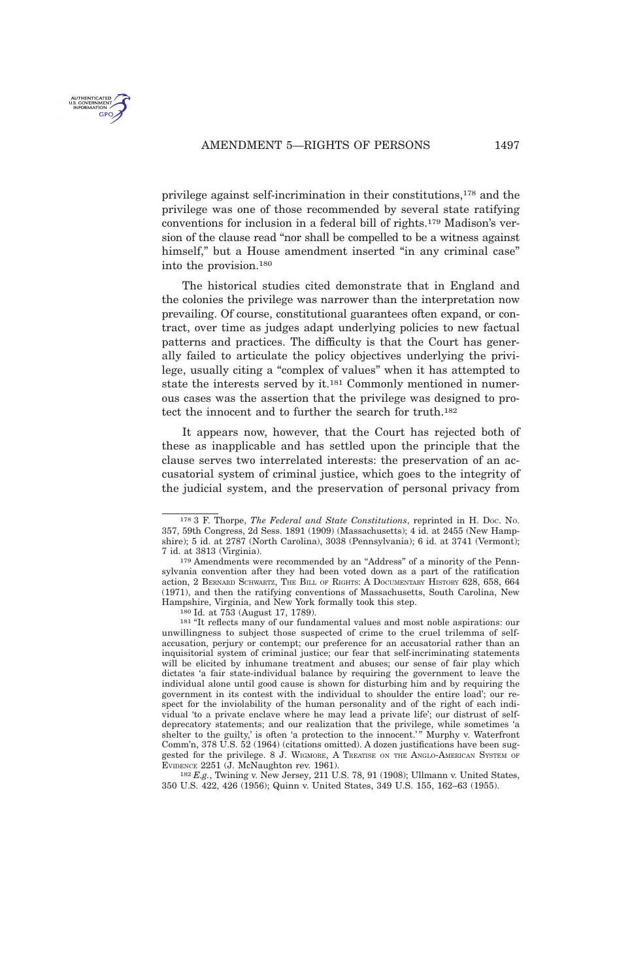AMENDMENT 5-RIGHTS OF PERSONS 1497



privilege against self-incrimination in their constitutions,<sup>178</sup> and the privilege was one of those recommended by several state ratifying conventions for inclusion in a federal bill of rights.<sup>179</sup> Madison's version of the clause read "nor shall be compelled to be a witness against himself," but a House amendment inserted "in any criminal case" into the provision.<sup>180</sup>

The historical studies cited demonstrate that in England and the colonies the privilege was narrower than the interpretation now prevailing. Of course, constitutional guarantees often expand, or contract, over time as judges adapt underlying policies to new factual patterns and practices. The difficulty is that the Court has generally failed to articulate the policy objectives underlying the privilege, usually citing a "complex of values" when it has attempted to state the interests served by it.<sup>181</sup> Commonly mentioned in numerous cases was the assertion that the privilege was designed to protect the innocent and to further the search for truth.<sup>182</sup>

It appears now, however, that the Court has rejected both of these as inapplicable and has settled upon the principle that the clause serves two interrelated interests: the preservation of an accusatorial system of criminal justice, which goes to the integrity of the judicial system, and the preservation of personal privacy from

180 Id. at 753 (August 17, 1789).

181 "It reflects many of our fundamental values and most noble aspirations: our unwillingness to subject those suspected of crime to the cruel trilemma of selfaccusation, perjury or contempt; our preference for an accusatorial rather than an inquisitorial system of criminal justice; our fear that self-incriminating statements will be elicited by inhumane treatment and abuses; our sense of fair play which dictates 'a fair state-individual balance by requiring the government to leave the individual alone until good cause is shown for disturbing him and by requiring the government in its contest with the individual to shoulder the entire load'; our respect for the inviolability of the human personality and of the right of each individual 'to a private enclave where he may lead a private life'; our distrust of selfdeprecatory statements; and our realization that the privilege, while sometimes 'a shelter to the guilty,' is often 'a protection to the innocent.' " Murphy v. Waterfront Comm'n, 378 U.S. 52 (1964) (citations omitted). A dozen justifications have been suggested for the privilege. 8 J. WIGMORE, A TREATISE ON THE ANGLO-AMERICAN SYSTEM OF EVIDENCE  $2251$  (J. McNaughton rev. 1961).

 $^{182}E.g.,$  Twining v. New Jersey,  $211$  U.S. 78,  $91$  (1908); Ullmann v. United States. 350 U.S. 422, 426 (1956); Quinn v. United States, 349 U.S. 155, 162–63 (1955).

<sup>178</sup> 3 F. Thorpe, *The Federal and State Constitutions*, reprinted in H. DOC. NO. 357, 59th Congress, 2d Sess. 1891 (1909) (Massachusetts); 4 id. at 2455 (New Hampshire); 5 id. at 2787 (North Carolina), 3038 (Pennsylvania); 6 id. at 3741 (Vermont); 7 id. at 3813 (Virginia).

<sup>179</sup> Amendments were recommended by an "Address" of a minority of the Pennsylvania convention after they had been voted down as a part of the ratification action, 2 BERNARD SCHWARTZ, THE BILL OF RIGHTS: A DOCUMENTARY HISTORY 628, 658, 664 (1971), and then the ratifying conventions of Massachusetts, South Carolina, New Hampshire, Virginia, and New York formally took this step.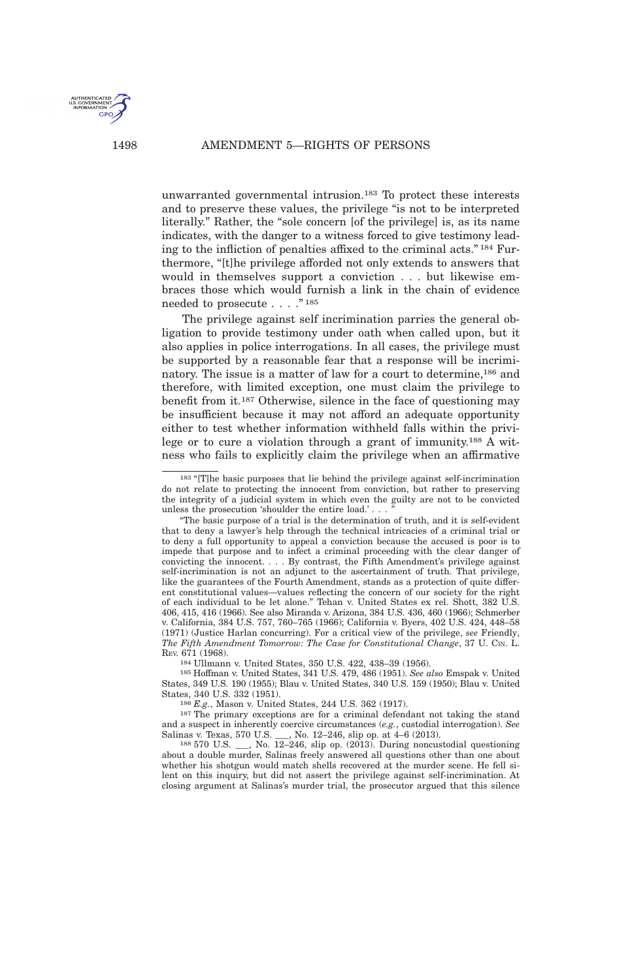unwarranted governmental intrusion.<sup>183</sup> To protect these interests and to preserve these values, the privilege "is not to be interpreted literally." Rather, the "sole concern [of the privilege] is, as its name indicates, with the danger to a witness forced to give testimony leading to the infliction of penalties affixed to the criminal acts." <sup>184</sup> Furthermore, "[t]he privilege afforded not only extends to answers that would in themselves support a conviction . . . but likewise embraces those which would furnish a link in the chain of evidence needed to prosecute . . . ." <sup>185</sup>

The privilege against self incrimination parries the general obligation to provide testimony under oath when called upon, but it also applies in police interrogations. In all cases, the privilege must be supported by a reasonable fear that a response will be incriminatory. The issue is a matter of law for a court to determine,<sup>186</sup> and therefore, with limited exception, one must claim the privilege to benefit from it.<sup>187</sup> Otherwise, silence in the face of questioning may be insufficient because it may not afford an adequate opportunity either to test whether information withheld falls within the privilege or to cure a violation through a grant of immunity.<sup>188</sup> A witness who fails to explicitly claim the privilege when an affirmative

184 Ullmann v. United States, 350 U.S. 422, 438–39 (1956).

186 *E.g.*, Mason v. United States, 244 U.S. 362 (1917).

<sup>187</sup> The primary exceptions are for a criminal defendant not taking the stand and a suspect in inherently coercive circumstances (*e.g.*, custodial interrogation). *See* nas v. Texas, 570 U.S. \_\_, No. 12–246, slip op. at 4–6 (2013).<br><sup>188</sup> 570 U.S. . No. 12–246, slip op. (2013). During noncus

 $18$ , No.  $12-246$ , slip op. (2013). During noncustodial questioning about a double murder, Salinas freely answered all questions other than one about whether his shotgun would match shells recovered at the murder scene. He fell silent on this inquiry, but did not assert the privilege against self-incrimination. At closing argument at Salinas's murder trial, the prosecutor argued that this silence



U.S. GOVERNME

<sup>183</sup> "[T]he basic purposes that lie behind the privilege against self-incrimination do not relate to protecting the innocent from conviction, but rather to preserving the integrity of a judicial system in which even the guilty are not to be convicted unless the prosecution 'shoulder the entire load.'  $\ldots$ 

<sup>&</sup>quot;The basic purpose of a trial is the determination of truth, and it is self-evident that to deny a lawyer's help through the technical intricacies of a criminal trial or to deny a full opportunity to appeal a conviction because the accused is poor is to impede that purpose and to infect a criminal proceeding with the clear danger of convicting the innocent. . . . By contrast, the Fifth Amendment's privilege against self-incrimination is not an adjunct to the ascertainment of truth. That privilege, like the guarantees of the Fourth Amendment, stands as a protection of quite different constitutional values—values reflecting the concern of our society for the right of each individual to be let alone." Tehan v. United States ex rel. Shott, 382 U.S. 406, 415, 416 (1966). See also Miranda v. Arizona, 384 U.S. 436, 460 (1966); Schmerber v. California, 384 U.S. 757, 760–765 (1966); California v. Byers, 402 U.S. 424, 448–58 (1971) (Justice Harlan concurring). For a critical view of the privilege, *see* Friendly, *The Fifth Amendment Tomorrow: The Case for Constitutional Change*, 37 U. CIN. L. REV. 671 (1968).

<sup>185</sup> Hoffman v. United States, 341 U.S. 479, 486 (1951). *See also* Emspak v. United States, 349 U.S. 190 (1955); Blau v. United States, 340 U.S. 159 (1950); Blau v. United States, 340 U.S. 332 (1951).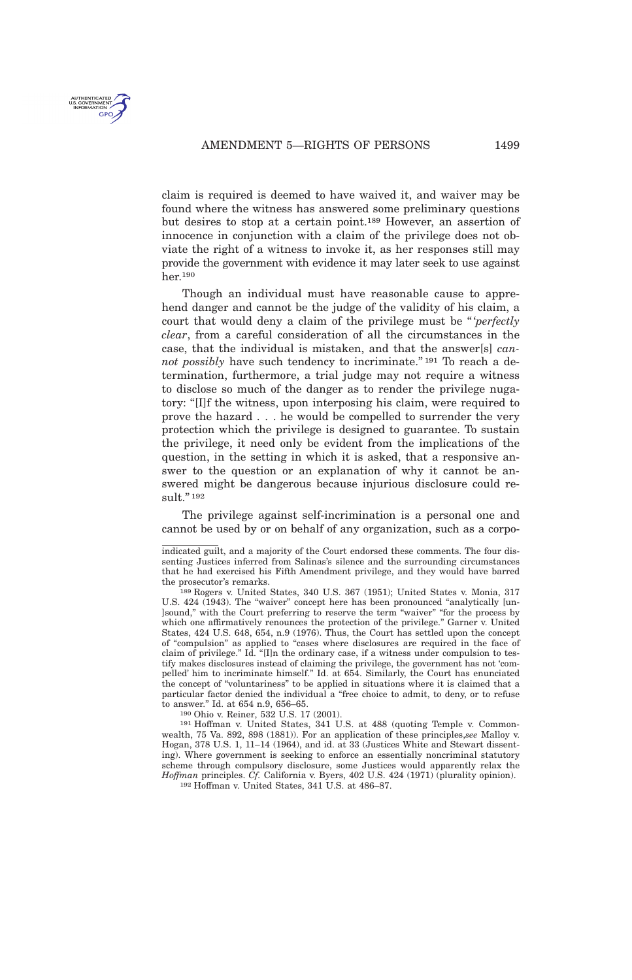AMENDMENT 5-RIGHTS OF PERSONS 1499



claim is required is deemed to have waived it, and waiver may be found where the witness has answered some preliminary questions but desires to stop at a certain point.<sup>189</sup> However, an assertion of innocence in conjunction with a claim of the privilege does not obviate the right of a witness to invoke it, as her responses still may provide the government with evidence it may later seek to use against her.<sup>190</sup>

Though an individual must have reasonable cause to apprehend danger and cannot be the judge of the validity of his claim, a court that would deny a claim of the privilege must be " '*perfectly clear*, from a careful consideration of all the circumstances in the case, that the individual is mistaken, and that the answer[s] *cannot possibly* have such tendency to incriminate." <sup>191</sup> To reach a determination, furthermore, a trial judge may not require a witness to disclose so much of the danger as to render the privilege nugatory: "[I]f the witness, upon interposing his claim, were required to prove the hazard . . . he would be compelled to surrender the very protection which the privilege is designed to guarantee. To sustain the privilege, it need only be evident from the implications of the question, in the setting in which it is asked, that a responsive answer to the question or an explanation of why it cannot be answered might be dangerous because injurious disclosure could result." 192

The privilege against self-incrimination is a personal one and cannot be used by or on behalf of any organization, such as a corpo-

190 Ohio v. Reiner, 532 U.S. 17 (2001).

191 Hoffman v. United States, 341 U.S. at 488 (quoting Temple v. Commonwealth, 75 Va. 892, 898 (1881)). For an application of these principles,*see* Malloy v. Hogan, 378 U.S. 1, 11–14 (1964), and id. at 33 (Justices White and Stewart dissenting). Where government is seeking to enforce an essentially noncriminal statutory scheme through compulsory disclosure, some Justices would apparently relax the *Hoffman* principles. *Cf.* California v. Byers, 402 U.S. 424 (1971) (plurality opinion).

192 Hoffman v. United States, 341 U.S. at 486–87.

indicated guilt, and a majority of the Court endorsed these comments. The four dissenting Justices inferred from Salinas's silence and the surrounding circumstances that he had exercised his Fifth Amendment privilege, and they would have barred the prosecutor's remarks.

<sup>189</sup> Rogers v. United States, 340 U.S. 367 (1951); United States v. Monia, 317 U.S. 424 (1943). The "waiver" concept here has been pronounced "analytically [un- ]sound," with the Court preferring to reserve the term "waiver" "for the process by which one affirmatively renounces the protection of the privilege." Garner v. United States, 424 U.S. 648, 654, n.9 (1976). Thus, the Court has settled upon the concept of "compulsion" as applied to "cases where disclosures are required in the face of claim of privilege." Id. "[I]n the ordinary case, if a witness under compulsion to testify makes disclosures instead of claiming the privilege, the government has not 'compelled' him to incriminate himself." Id. at 654. Similarly, the Court has enunciated the concept of "voluntariness" to be applied in situations where it is claimed that a particular factor denied the individual a "free choice to admit, to deny, or to refuse to answer." Id. at 654 n.9, 656–65.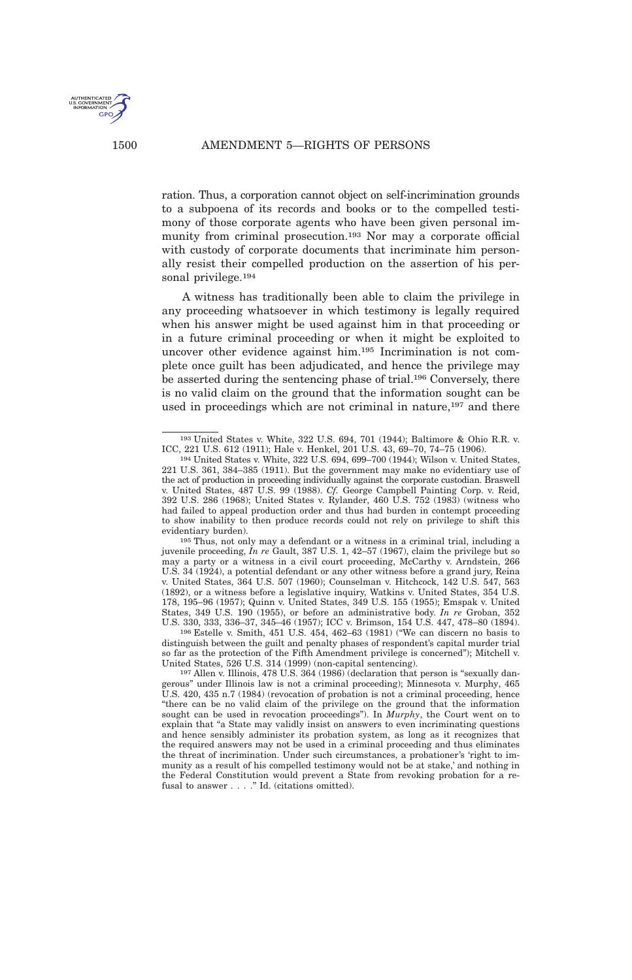

ration. Thus, a corporation cannot object on self-incrimination grounds to a subpoena of its records and books or to the compelled testimony of those corporate agents who have been given personal immunity from criminal prosecution.<sup>193</sup> Nor may a corporate official with custody of corporate documents that incriminate him personally resist their compelled production on the assertion of his personal privilege.<sup>194</sup>

A witness has traditionally been able to claim the privilege in any proceeding whatsoever in which testimony is legally required when his answer might be used against him in that proceeding or in a future criminal proceeding or when it might be exploited to uncover other evidence against him.<sup>195</sup> Incrimination is not complete once guilt has been adjudicated, and hence the privilege may be asserted during the sentencing phase of trial.<sup>196</sup> Conversely, there is no valid claim on the ground that the information sought can be used in proceedings which are not criminal in nature,<sup>197</sup> and there

<sup>193</sup> United States v. White, 322 U.S. 694, 701 (1944); Baltimore & Ohio R.R. v. ICC, 221 U.S. 612 (1911); Hale v. Henkel, 201 U.S. 43, 69–70, 74–75 (1906).

<sup>194</sup> United States v. White, 322 U.S. 694, 699–700 (1944); Wilson v. United States, 221 U.S. 361, 384–385 (1911). But the government may make no evidentiary use of the act of production in proceeding individually against the corporate custodian. Braswell v. United States, 487 U.S. 99 (1988). *Cf.* George Campbell Painting Corp. v. Reid, 392 U.S. 286 (1968); United States v. Rylander, 460 U.S. 752 (1983) (witness who had failed to appeal production order and thus had burden in contempt proceeding to show inability to then produce records could not rely on privilege to shift this evidentiary burden).

<sup>195</sup> Thus, not only may a defendant or a witness in a criminal trial, including a juvenile proceeding, *In re* Gault, 387 U.S. 1, 42–57 (1967), claim the privilege but so may a party or a witness in a civil court proceeding, McCarthy v. Arndstein, 266 U.S. 34 (1924), a potential defendant or any other witness before a grand jury, Reina v. United States, 364 U.S. 507 (1960); Counselman v. Hitchcock, 142 U.S. 547, 563 (1892), or a witness before a legislative inquiry, Watkins v. United States, 354 U.S. 178, 195–96 (1957); Quinn v. United States, 349 U.S. 155 (1955); Emspak v. United States, 349 U.S. 190 (1955), or before an administrative body. *In re* Groban, 352 U.S. 330, 333, 336–37, 345–46 (1957); ICC v. Brimson, 154 U.S. 447, 478–80 (1894).

<sup>196</sup> Estelle v. Smith, 451 U.S. 454, 462–63 (1981) ("We can discern no basis to distinguish between the guilt and penalty phases of respondent's capital murder trial so far as the protection of the Fifth Amendment privilege is concerned"); Mitchell v. United States, 526 U.S. 314 (1999) (non-capital sentencing).

<sup>197</sup> Allen v. Illinois, 478 U.S. 364 (1986) (declaration that person is "sexually dangerous" under Illinois law is not a criminal proceeding); Minnesota v. Murphy, 465 U.S. 420, 435 n.7 (1984) (revocation of probation is not a criminal proceeding, hence "there can be no valid claim of the privilege on the ground that the information sought can be used in revocation proceedings"). In *Murphy*, the Court went on to explain that "a State may validly insist on answers to even incriminating questions and hence sensibly administer its probation system, as long as it recognizes that the required answers may not be used in a criminal proceeding and thus eliminates the threat of incrimination. Under such circumstances, a probationer's 'right to immunity as a result of his compelled testimony would not be at stake,' and nothing in the Federal Constitution would prevent a State from revoking probation for a refusal to answer . . . ." Id. (citations omitted).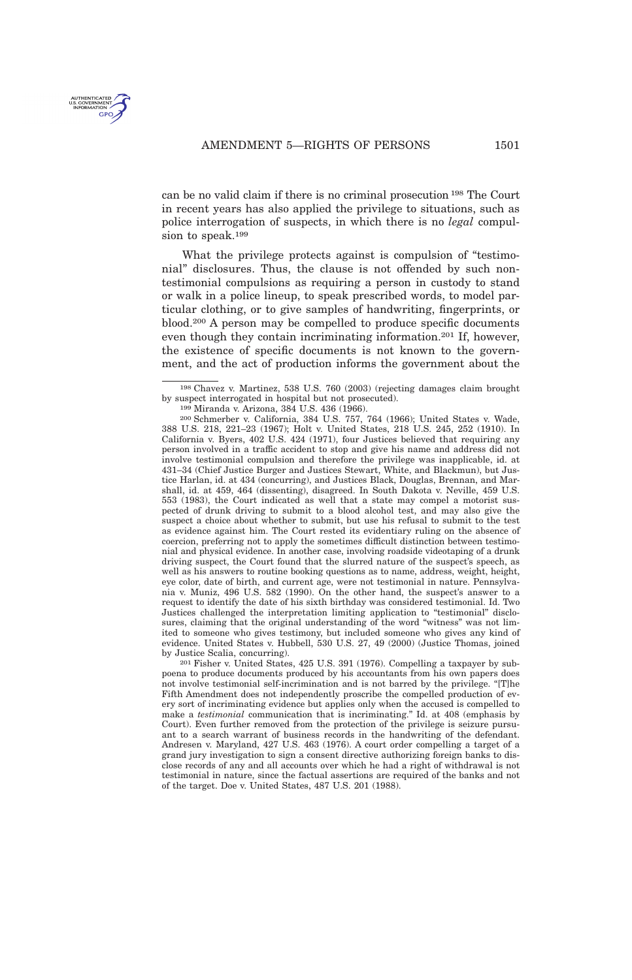can be no valid claim if there is no criminal prosecution<sup>198</sup> The Court in recent years has also applied the privilege to situations, such as police interrogation of suspects, in which there is no *legal* compulsion to speak.<sup>199</sup>

What the privilege protects against is compulsion of "testimonial" disclosures. Thus, the clause is not offended by such nontestimonial compulsions as requiring a person in custody to stand or walk in a police lineup, to speak prescribed words, to model particular clothing, or to give samples of handwriting, fingerprints, or blood.<sup>200</sup> A person may be compelled to produce specific documents even though they contain incriminating information.<sup>201</sup> If, however, the existence of specific documents is not known to the government, and the act of production informs the government about the

199 Miranda v. Arizona, 384 U.S. 436 (1966).

200 Schmerber v. California, 384 U.S. 757, 764 (1966); United States v. Wade, 388 U.S. 218, 221–23 (1967); Holt v. United States, 218 U.S. 245, 252 (1910). In California v. Byers, 402 U.S. 424 (1971), four Justices believed that requiring any person involved in a traffic accident to stop and give his name and address did not involve testimonial compulsion and therefore the privilege was inapplicable, id. at 431–34 (Chief Justice Burger and Justices Stewart, White, and Blackmun), but Justice Harlan, id. at 434 (concurring), and Justices Black, Douglas, Brennan, and Marshall, id. at 459, 464 (dissenting), disagreed. In South Dakota v. Neville, 459 U.S. 553 (1983), the Court indicated as well that a state may compel a motorist suspected of drunk driving to submit to a blood alcohol test, and may also give the suspect a choice about whether to submit, but use his refusal to submit to the test as evidence against him. The Court rested its evidentiary ruling on the absence of coercion, preferring not to apply the sometimes difficult distinction between testimonial and physical evidence. In another case, involving roadside videotaping of a drunk driving suspect, the Court found that the slurred nature of the suspect's speech, as well as his answers to routine booking questions as to name, address, weight, height, eye color, date of birth, and current age, were not testimonial in nature. Pennsylvania v. Muniz, 496 U.S. 582 (1990). On the other hand, the suspect's answer to a request to identify the date of his sixth birthday was considered testimonial. Id. Two Justices challenged the interpretation limiting application to "testimonial" disclosures, claiming that the original understanding of the word "witness" was not limited to someone who gives testimony, but included someone who gives any kind of evidence. United States v. Hubbell, 530 U.S. 27, 49 (2000) (Justice Thomas, joined by Justice Scalia, concurring).

201 Fisher v. United States, 425 U.S. 391 (1976). Compelling a taxpayer by subpoena to produce documents produced by his accountants from his own papers does not involve testimonial self-incrimination and is not barred by the privilege. "[T]he Fifth Amendment does not independently proscribe the compelled production of every sort of incriminating evidence but applies only when the accused is compelled to make a *testimonial* communication that is incriminating." Id. at 408 (emphasis by Court). Even further removed from the protection of the privilege is seizure pursuant to a search warrant of business records in the handwriting of the defendant. Andresen v. Maryland, 427 U.S. 463 (1976). A court order compelling a target of a grand jury investigation to sign a consent directive authorizing foreign banks to disclose records of any and all accounts over which he had a right of withdrawal is not testimonial in nature, since the factual assertions are required of the banks and not of the target. Doe v. United States, 487 U.S. 201 (1988).

<sup>198</sup> Chavez v. Martinez, 538 U.S. 760 (2003) (rejecting damages claim brought by suspect interrogated in hospital but not prosecuted).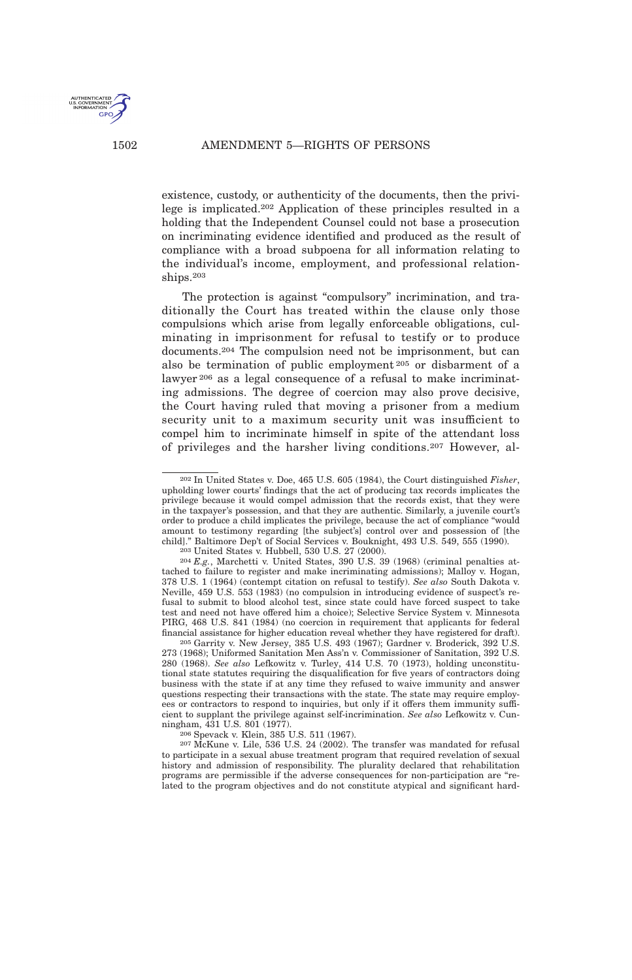

existence, custody, or authenticity of the documents, then the privilege is implicated.<sup>202</sup> Application of these principles resulted in a holding that the Independent Counsel could not base a prosecution on incriminating evidence identified and produced as the result of compliance with a broad subpoena for all information relating to the individual's income, employment, and professional relationships.<sup>203</sup>

The protection is against "compulsory" incrimination, and traditionally the Court has treated within the clause only those compulsions which arise from legally enforceable obligations, culminating in imprisonment for refusal to testify or to produce documents.<sup>204</sup> The compulsion need not be imprisonment, but can also be termination of public employment <sup>205</sup> or disbarment of a lawyer <sup>206</sup> as a legal consequence of a refusal to make incriminating admissions. The degree of coercion may also prove decisive, the Court having ruled that moving a prisoner from a medium security unit to a maximum security unit was insufficient to compel him to incriminate himself in spite of the attendant loss of privileges and the harsher living conditions.<sup>207</sup> However, al-

206 Spevack v. Klein, 385 U.S. 511 (1967).

207 McKune v. Lile, 536 U.S. 24 (2002). The transfer was mandated for refusal to participate in a sexual abuse treatment program that required revelation of sexual history and admission of responsibility. The plurality declared that rehabilitation programs are permissible if the adverse consequences for non-participation are "related to the program objectives and do not constitute atypical and significant hard-

<sup>202</sup> In United States v. Doe, 465 U.S. 605 (1984), the Court distinguished *Fisher*, upholding lower courts' findings that the act of producing tax records implicates the privilege because it would compel admission that the records exist, that they were in the taxpayer's possession, and that they are authentic. Similarly, a juvenile court's order to produce a child implicates the privilege, because the act of compliance "would amount to testimony regarding [the subject's] control over and possession of [the child]." Baltimore Dep't of Social Services v. Bouknight, 493 U.S. 549, 555 (1990).

<sup>203</sup> United States v. Hubbell, 530 U.S. 27 (2000).

<sup>204</sup> *E.g.*, Marchetti v. United States, 390 U.S. 39 (1968) (criminal penalties attached to failure to register and make incriminating admissions); Malloy v. Hogan, 378 U.S. 1 (1964) (contempt citation on refusal to testify). *See also* South Dakota v. Neville, 459 U.S. 553 (1983) (no compulsion in introducing evidence of suspect's refusal to submit to blood alcohol test, since state could have forced suspect to take test and need not have offered him a choice); Selective Service System v. Minnesota PIRG, 468 U.S. 841 (1984) (no coercion in requirement that applicants for federal financial assistance for higher education reveal whether they have registered for draft).

<sup>205</sup> Garrity v. New Jersey, 385 U.S. 493 (1967); Gardner v. Broderick, 392 U.S. 273 (1968); Uniformed Sanitation Men Ass'n v. Commissioner of Sanitation, 392 U.S. 280 (1968). *See also* Lefkowitz v. Turley, 414 U.S. 70 (1973), holding unconstitutional state statutes requiring the disqualification for five years of contractors doing business with the state if at any time they refused to waive immunity and answer questions respecting their transactions with the state. The state may require employees or contractors to respond to inquiries, but only if it offers them immunity sufficient to supplant the privilege against self-incrimination. *See also* Lefkowitz v. Cunningham, 431 U.S. 801 (1977).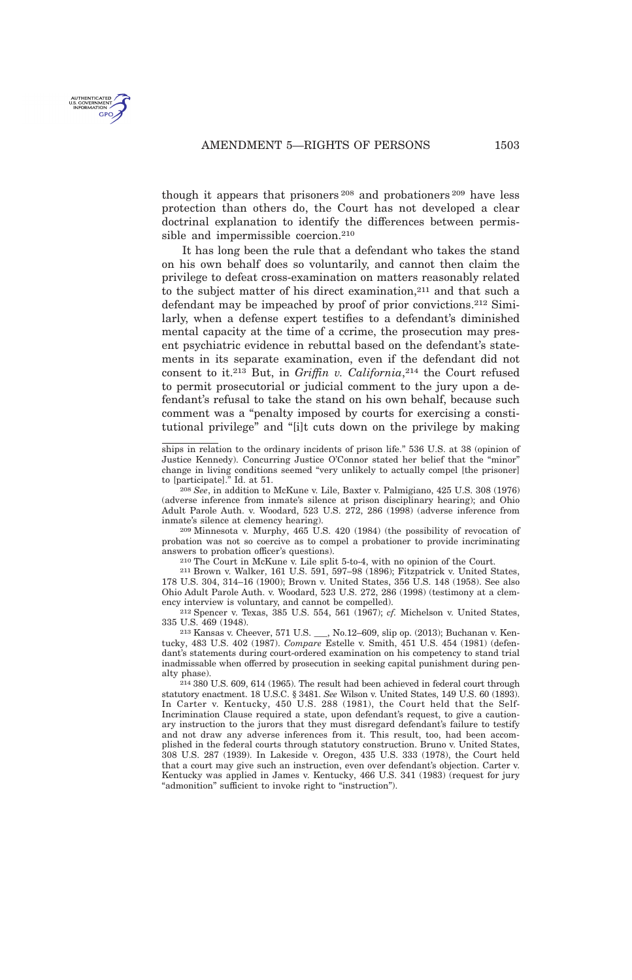

though it appears that prisoners <sup>208</sup> and probationers <sup>209</sup> have less protection than others do, the Court has not developed a clear doctrinal explanation to identify the differences between permissible and impermissible coercion.<sup>210</sup>

It has long been the rule that a defendant who takes the stand on his own behalf does so voluntarily, and cannot then claim the privilege to defeat cross-examination on matters reasonably related to the subject matter of his direct examination,<sup>211</sup> and that such a defendant may be impeached by proof of prior convictions.<sup>212</sup> Similarly, when a defense expert testifies to a defendant's diminished mental capacity at the time of a ccrime, the prosecution may present psychiatric evidence in rebuttal based on the defendant's statements in its separate examination, even if the defendant did not consent to it.<sup>213</sup> But, in *Griffin v. California*, <sup>214</sup> the Court refused to permit prosecutorial or judicial comment to the jury upon a defendant's refusal to take the stand on his own behalf, because such comment was a "penalty imposed by courts for exercising a constitutional privilege" and "[i]t cuts down on the privilege by making

209 Minnesota v. Murphy, 465 U.S. 420 (1984) (the possibility of revocation of probation was not so coercive as to compel a probationer to provide incriminating answers to probation officer's questions).

210 The Court in McKune v. Lile split 5-to-4, with no opinion of the Court.

211 Brown v. Walker, 161 U.S. 591, 597–98 (1896); Fitzpatrick v. United States, 178 U.S. 304, 314–16 (1900); Brown v. United States, 356 U.S. 148 (1958). See also Ohio Adult Parole Auth. v. Woodard, 523 U.S. 272, 286 (1998) (testimony at a clemency interview is voluntary, and cannot be compelled).

212 Spencer v. Texas, 385 U.S. 554, 561 (1967); *cf.* Michelson v. United States, 335 U.S. 469 (1948).

213 Kansas v. Cheever, 571 U.S. \_\_\_, No.12–609, slip op. (2013); Buchanan v. Kentucky, 483 U.S. 402 (1987). *Compare* Estelle v. Smith, 451 U.S. 454 (1981) (defendant's statements during court-ordered examination on his competency to stand trial inadmissable when offerred by prosecution in seeking capital punishment during penalty phase).

214 380 U.S. 609, 614 (1965). The result had been achieved in federal court through statutory enactment. 18 U.S.C. § 3481. *See* Wilson v. United States, 149 U.S. 60 (1893). In Carter v. Kentucky, 450 U.S. 288 (1981), the Court held that the Self-Incrimination Clause required a state, upon defendant's request, to give a cautionary instruction to the jurors that they must disregard defendant's failure to testify and not draw any adverse inferences from it. This result, too, had been accomplished in the federal courts through statutory construction. Bruno v. United States, 308 U.S. 287 (1939). In Lakeside v. Oregon, 435 U.S. 333 (1978), the Court held that a court may give such an instruction, even over defendant's objection. Carter v. Kentucky was applied in James v. Kentucky, 466 U.S. 341 (1983) (request for jury "admonition" sufficient to invoke right to "instruction").

ships in relation to the ordinary incidents of prison life." 536 U.S. at 38 (opinion of Justice Kennedy). Concurring Justice O'Connor stated her belief that the "minor" change in living conditions seemed "very unlikely to actually compel [the prisoner] to [participate]." Id. at 51.

<sup>208</sup> *See*, in addition to McKune v. Lile, Baxter v. Palmigiano, 425 U.S. 308 (1976) (adverse inference from inmate's silence at prison disciplinary hearing); and Ohio Adult Parole Auth. v. Woodard, 523 U.S. 272, 286 (1998) (adverse inference from inmate's silence at clemency hearing).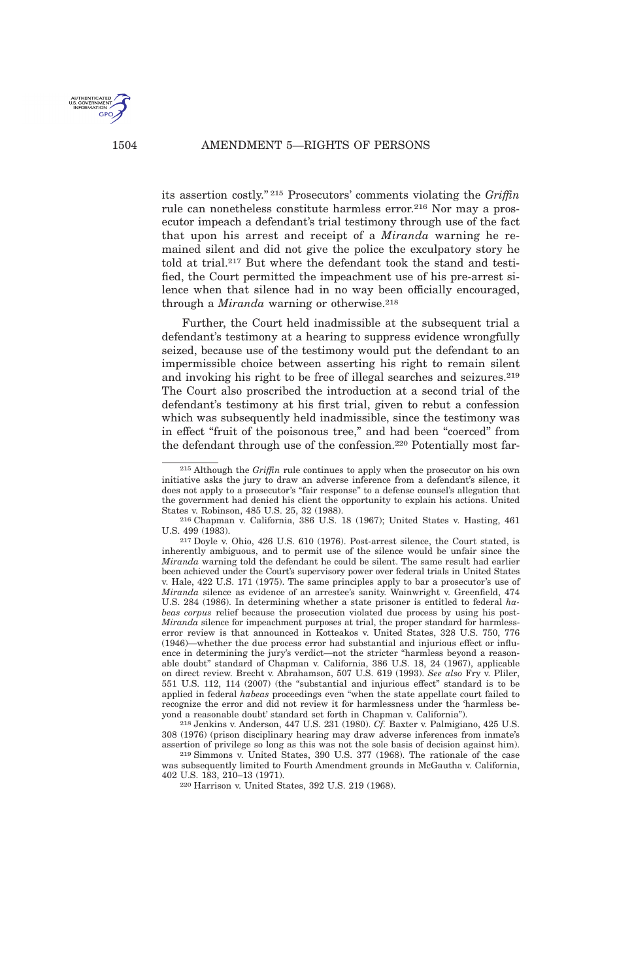its assertion costly." <sup>215</sup> Prosecutors' comments violating the *Griffin* rule can nonetheless constitute harmless error.<sup>216</sup> Nor may a prosecutor impeach a defendant's trial testimony through use of the fact that upon his arrest and receipt of a *Miranda* warning he remained silent and did not give the police the exculpatory story he told at trial.<sup>217</sup> But where the defendant took the stand and testified, the Court permitted the impeachment use of his pre-arrest silence when that silence had in no way been officially encouraged, through a *Miranda* warning or otherwise.<sup>218</sup>

Further, the Court held inadmissible at the subsequent trial a defendant's testimony at a hearing to suppress evidence wrongfully seized, because use of the testimony would put the defendant to an impermissible choice between asserting his right to remain silent and invoking his right to be free of illegal searches and seizures.<sup>219</sup> The Court also proscribed the introduction at a second trial of the defendant's testimony at his first trial, given to rebut a confession which was subsequently held inadmissible, since the testimony was in effect "fruit of the poisonous tree," and had been "coerced" from the defendant through use of the confession.<sup>220</sup> Potentially most far-

218 Jenkins v. Anderson, 447 U.S. 231 (1980). *Cf.* Baxter v. Palmigiano, 425 U.S. 308 (1976) (prison disciplinary hearing may draw adverse inferences from inmate's assertion of privilege so long as this was not the sole basis of decision against him).

219 Simmons v. United States, 390 U.S. 377 (1968). The rationale of the case was subsequently limited to Fourth Amendment grounds in McGautha v. California, 402 U.S. 183, 210–13 (1971).



**U.S. GOVERNME**<br>INFORMATION

<sup>215</sup> Although the *Griffin* rule continues to apply when the prosecutor on his own initiative asks the jury to draw an adverse inference from a defendant's silence, it does not apply to a prosecutor's "fair response" to a defense counsel's allegation that the government had denied his client the opportunity to explain his actions. United States v. Robinson, 485 U.S. 25, 32 (1988).

<sup>216</sup> Chapman v. California, 386 U.S. 18 (1967); United States v. Hasting, 461 U.S. 499 (1983).

<sup>217</sup> Doyle v. Ohio, 426 U.S. 610 (1976). Post-arrest silence, the Court stated, is inherently ambiguous, and to permit use of the silence would be unfair since the *Miranda* warning told the defendant he could be silent. The same result had earlier been achieved under the Court's supervisory power over federal trials in United States v. Hale, 422 U.S. 171 (1975). The same principles apply to bar a prosecutor's use of *Miranda* silence as evidence of an arrestee's sanity. Wainwright v. Greenfield, 474 U.S. 284 (1986). In determining whether a state prisoner is entitled to federal *habeas corpus* relief because the prosecution violated due process by using his post-*Miranda* silence for impeachment purposes at trial, the proper standard for harmlesserror review is that announced in Kotteakos v. United States, 328 U.S. 750, 776 (1946)—whether the due process error had substantial and injurious effect or influence in determining the jury's verdict—not the stricter "harmless beyond a reasonable doubt" standard of Chapman v. California, 386 U.S. 18, 24 (1967), applicable on direct review. Brecht v. Abrahamson, 507 U.S. 619 (1993). *See also* Fry v. Pliler, 551 U.S. 112, 114 (2007) (the "substantial and injurious effect" standard is to be applied in federal *habeas* proceedings even "when the state appellate court failed to recognize the error and did not review it for harmlessness under the 'harmless beyond a reasonable doubt' standard set forth in Chapman v. California").

<sup>220</sup> Harrison v. United States, 392 U.S. 219 (1968).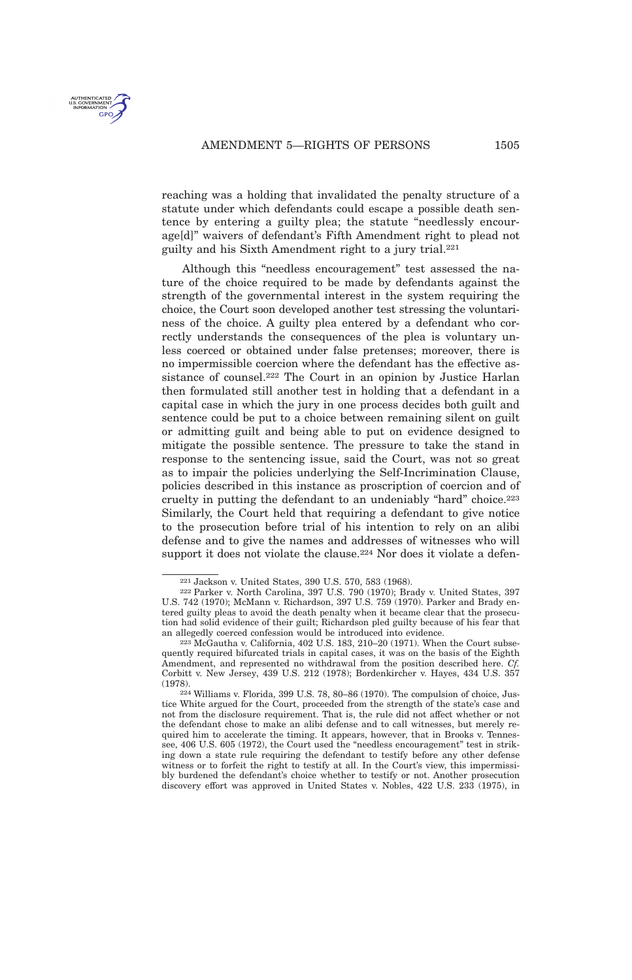

reaching was a holding that invalidated the penalty structure of a statute under which defendants could escape a possible death sentence by entering a guilty plea; the statute "needlessly encourage[d]" waivers of defendant's Fifth Amendment right to plead not guilty and his Sixth Amendment right to a jury trial.<sup>221</sup>

Although this "needless encouragement" test assessed the nature of the choice required to be made by defendants against the strength of the governmental interest in the system requiring the choice, the Court soon developed another test stressing the voluntariness of the choice. A guilty plea entered by a defendant who correctly understands the consequences of the plea is voluntary unless coerced or obtained under false pretenses; moreover, there is no impermissible coercion where the defendant has the effective assistance of counsel.<sup>222</sup> The Court in an opinion by Justice Harlan then formulated still another test in holding that a defendant in a capital case in which the jury in one process decides both guilt and sentence could be put to a choice between remaining silent on guilt or admitting guilt and being able to put on evidence designed to mitigate the possible sentence. The pressure to take the stand in response to the sentencing issue, said the Court, was not so great as to impair the policies underlying the Self-Incrimination Clause, policies described in this instance as proscription of coercion and of cruelty in putting the defendant to an undeniably "hard" choice.<sup>223</sup> Similarly, the Court held that requiring a defendant to give notice to the prosecution before trial of his intention to rely on an alibi defense and to give the names and addresses of witnesses who will support it does not violate the clause.<sup>224</sup> Nor does it violate a defen-

<sup>221</sup> Jackson v. United States, 390 U.S. 570, 583 (1968).

<sup>222</sup> Parker v. North Carolina, 397 U.S. 790 (1970); Brady v. United States, 397 U.S. 742 (1970); McMann v. Richardson, 397 U.S. 759 (1970). Parker and Brady entered guilty pleas to avoid the death penalty when it became clear that the prosecution had solid evidence of their guilt; Richardson pled guilty because of his fear that an allegedly coerced confession would be introduced into evidence.

<sup>223</sup> McGautha v. California, 402 U.S. 183, 210–20 (1971). When the Court subsequently required bifurcated trials in capital cases, it was on the basis of the Eighth Amendment, and represented no withdrawal from the position described here. *Cf.* Corbitt v. New Jersey, 439 U.S. 212 (1978); Bordenkircher v. Hayes, 434 U.S. 357 (1978).

<sup>224</sup> Williams v. Florida, 399 U.S. 78, 80–86 (1970). The compulsion of choice, Justice White argued for the Court, proceeded from the strength of the state's case and not from the disclosure requirement. That is, the rule did not affect whether or not the defendant chose to make an alibi defense and to call witnesses, but merely required him to accelerate the timing. It appears, however, that in Brooks v. Tennessee, 406 U.S. 605 (1972), the Court used the "needless encouragement" test in striking down a state rule requiring the defendant to testify before any other defense witness or to forfeit the right to testify at all. In the Court's view, this impermissibly burdened the defendant's choice whether to testify or not. Another prosecution discovery effort was approved in United States v. Nobles, 422 U.S. 233 (1975), in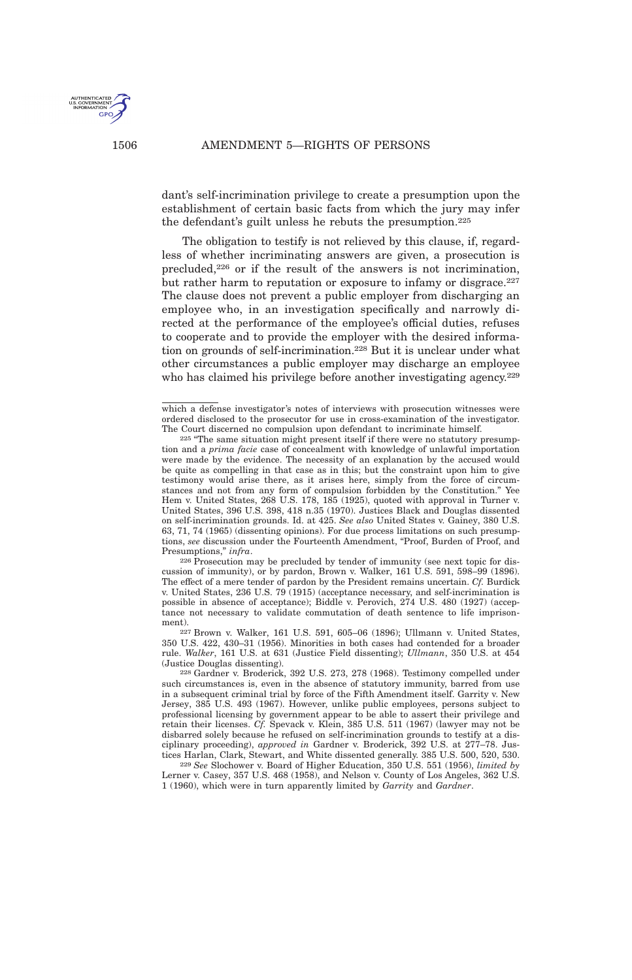

dant's self-incrimination privilege to create a presumption upon the establishment of certain basic facts from which the jury may infer the defendant's guilt unless he rebuts the presumption.<sup>225</sup>

The obligation to testify is not relieved by this clause, if, regardless of whether incriminating answers are given, a prosecution is precluded,<sup>226</sup> or if the result of the answers is not incrimination, but rather harm to reputation or exposure to infamy or disgrace.<sup>227</sup> The clause does not prevent a public employer from discharging an employee who, in an investigation specifically and narrowly directed at the performance of the employee's official duties, refuses to cooperate and to provide the employer with the desired information on grounds of self-incrimination.<sup>228</sup> But it is unclear under what other circumstances a public employer may discharge an employee who has claimed his privilege before another investigating agency.<sup>229</sup>

226 Prosecution may be precluded by tender of immunity (see next topic for discussion of immunity), or by pardon, Brown v. Walker, 161 U.S. 591, 598–99 (1896). The effect of a mere tender of pardon by the President remains uncertain. *Cf.* Burdick v. United States, 236 U.S. 79 (1915) (acceptance necessary, and self-incrimination is possible in absence of acceptance); Biddle v. Perovich, 274 U.S. 480 (1927) (acceptance not necessary to validate commutation of death sentence to life imprisonment).

227 Brown v. Walker, 161 U.S. 591, 605–06 (1896); Ullmann v. United States, 350 U.S. 422, 430–31 (1956). Minorities in both cases had contended for a broader rule. *Walker*, 161 U.S. at 631 (Justice Field dissenting); *Ullmann*, 350 U.S. at 454 (Justice Douglas dissenting).

228 Gardner v. Broderick, 392 U.S. 273, 278 (1968). Testimony compelled under such circumstances is, even in the absence of statutory immunity, barred from use in a subsequent criminal trial by force of the Fifth Amendment itself. Garrity v. New Jersey, 385 U.S. 493 (1967). However, unlike public employees, persons subject to professional licensing by government appear to be able to assert their privilege and retain their licenses. *Cf.* Spevack v. Klein, 385 U.S. 511 (1967) (lawyer may not be disbarred solely because he refused on self-incrimination grounds to testify at a disciplinary proceeding), *approved in* Gardner v. Broderick, 392 U.S. at 277–78. Justices Harlan, Clark, Stewart, and White dissented generally. 385 U.S. 500, 520, 530.

229 *See* Slochower v. Board of Higher Education, 350 U.S. 551 (1956), *limited by* Lerner v. Casey, 357 U.S. 468 (1958), and Nelson v. County of Los Angeles, 362 U.S. 1 (1960), which were in turn apparently limited by *Garrity* and *Gardner*.

which a defense investigator's notes of interviews with prosecution witnesses were ordered disclosed to the prosecutor for use in cross-examination of the investigator. The Court discerned no compulsion upon defendant to incriminate himself.

<sup>225</sup> "The same situation might present itself if there were no statutory presumption and a *prima facie* case of concealment with knowledge of unlawful importation were made by the evidence. The necessity of an explanation by the accused would be quite as compelling in that case as in this; but the constraint upon him to give testimony would arise there, as it arises here, simply from the force of circumstances and not from any form of compulsion forbidden by the Constitution." Yee Hem v. United States, 268 U.S. 178, 185 (1925), quoted with approval in Turner v. United States, 396 U.S. 398, 418 n.35 (1970). Justices Black and Douglas dissented on self-incrimination grounds. Id. at 425. *See also* United States v. Gainey, 380 U.S. 63, 71, 74 (1965) (dissenting opinions). For due process limitations on such presumptions, *see* discussion under the Fourteenth Amendment, "Proof, Burden of Proof, and Presumptions," *infra*.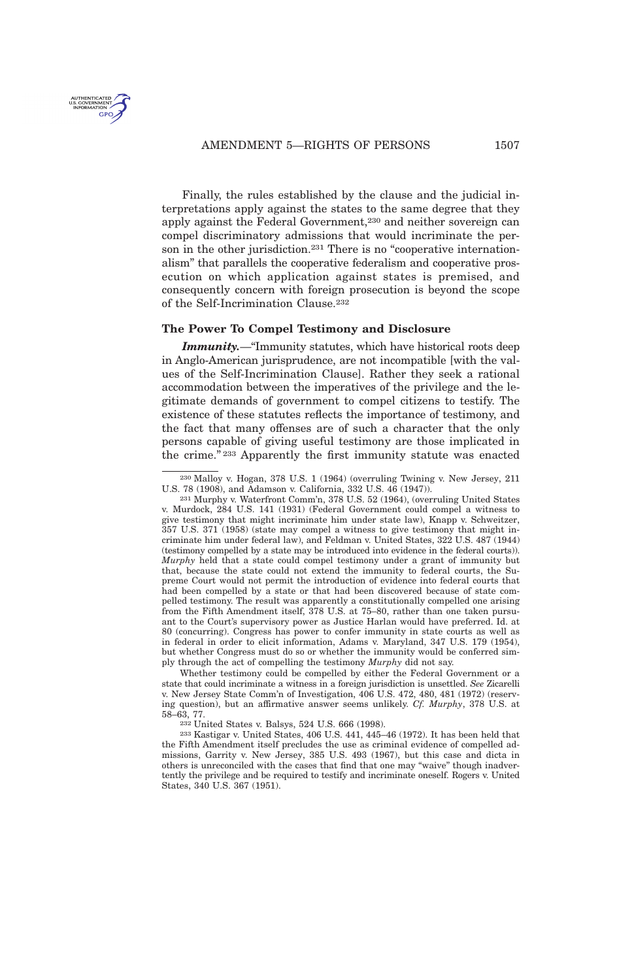## AMENDMENT 5-RIGHTS OF PERSONS 1507



Finally, the rules established by the clause and the judicial interpretations apply against the states to the same degree that they apply against the Federal Government,<sup>230</sup> and neither sovereign can compel discriminatory admissions that would incriminate the person in the other jurisdiction.<sup>231</sup> There is no "cooperative internationalism" that parallels the cooperative federalism and cooperative prosecution on which application against states is premised, and consequently concern with foreign prosecution is beyond the scope of the Self-Incrimination Clause.<sup>232</sup>

#### **The Power To Compel Testimony and Disclosure**

**Immunity.**—"Immunity statutes, which have historical roots deep in Anglo-American jurisprudence, are not incompatible [with the values of the Self-Incrimination Clause]. Rather they seek a rational accommodation between the imperatives of the privilege and the legitimate demands of government to compel citizens to testify. The existence of these statutes reflects the importance of testimony, and the fact that many offenses are of such a character that the only persons capable of giving useful testimony are those implicated in the crime." <sup>233</sup> Apparently the first immunity statute was enacted

Whether testimony could be compelled by either the Federal Government or a state that could incriminate a witness in a foreign jurisdiction is unsettled. *See* Zicarelli v. New Jersey State Comm'n of Investigation, 406 U.S. 472, 480, 481 (1972) (reserving question), but an affirmative answer seems unlikely. *Cf. Murphy*, 378 U.S. at 58–63, 77.

232 United States v. Balsys, 524 U.S. 666 (1998).

233 Kastigar v. United States, 406 U.S. 441, 445–46 (1972). It has been held that the Fifth Amendment itself precludes the use as criminal evidence of compelled admissions, Garrity v. New Jersey, 385 U.S. 493 (1967), but this case and dicta in others is unreconciled with the cases that find that one may "waive" though inadvertently the privilege and be required to testify and incriminate oneself. Rogers v. United States, 340 U.S. 367 (1951).

<sup>230</sup> Malloy v. Hogan, 378 U.S. 1 (1964) (overruling Twining v. New Jersey, 211 U.S. 78 (1908), and Adamson v. California, 332 U.S. 46 (1947)).

<sup>231</sup> Murphy v. Waterfront Comm'n, 378 U.S. 52 (1964), (overruling United States v. Murdock, 284 U.S. 141 (1931) (Federal Government could compel a witness to give testimony that might incriminate him under state law), Knapp v. Schweitzer, 357 U.S. 371 (1958) (state may compel a witness to give testimony that might incriminate him under federal law), and Feldman v. United States, 322 U.S. 487 (1944) (testimony compelled by a state may be introduced into evidence in the federal courts)). *Murphy* held that a state could compel testimony under a grant of immunity but that, because the state could not extend the immunity to federal courts, the Supreme Court would not permit the introduction of evidence into federal courts that had been compelled by a state or that had been discovered because of state compelled testimony. The result was apparently a constitutionally compelled one arising from the Fifth Amendment itself, 378 U.S. at 75–80, rather than one taken pursuant to the Court's supervisory power as Justice Harlan would have preferred. Id. at 80 (concurring). Congress has power to confer immunity in state courts as well as in federal in order to elicit information, Adams v. Maryland, 347 U.S. 179 (1954), but whether Congress must do so or whether the immunity would be conferred simply through the act of compelling the testimony *Murphy* did not say.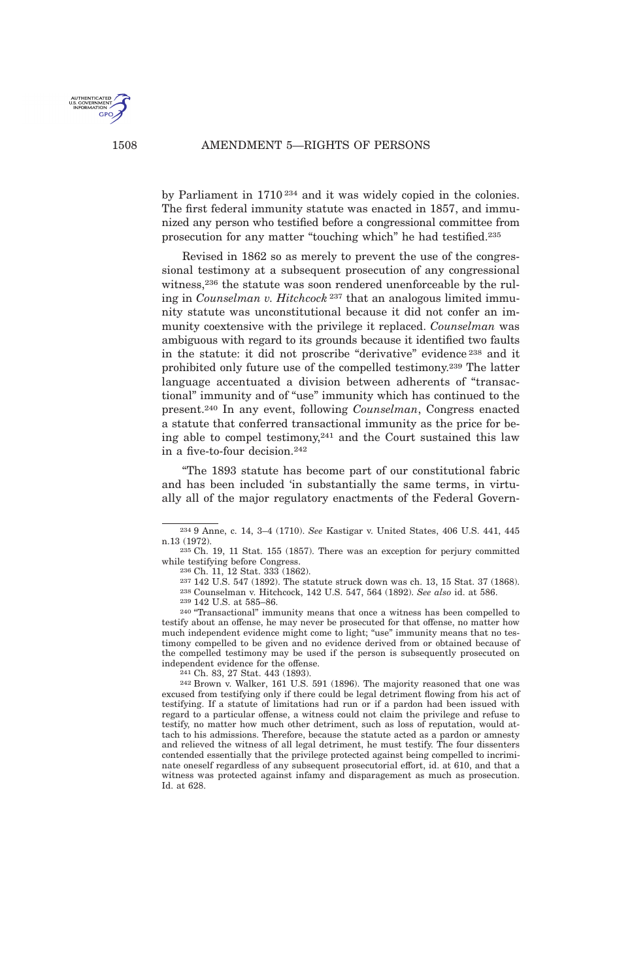

by Parliament in 1710 <sup>234</sup> and it was widely copied in the colonies. The first federal immunity statute was enacted in 1857, and immunized any person who testified before a congressional committee from prosecution for any matter "touching which" he had testified.<sup>235</sup>

Revised in 1862 so as merely to prevent the use of the congressional testimony at a subsequent prosecution of any congressional witness,<sup>236</sup> the statute was soon rendered unenforceable by the ruling in *Counselman v. Hitchcock* <sup>237</sup> that an analogous limited immunity statute was unconstitutional because it did not confer an immunity coextensive with the privilege it replaced. *Counselman* was ambiguous with regard to its grounds because it identified two faults in the statute: it did not proscribe "derivative" evidence <sup>238</sup> and it prohibited only future use of the compelled testimony.<sup>239</sup> The latter language accentuated a division between adherents of "transactional" immunity and of "use" immunity which has continued to the present.<sup>240</sup> In any event, following *Counselman*, Congress enacted a statute that conferred transactional immunity as the price for being able to compel testimony,<sup>241</sup> and the Court sustained this law in a five-to-four decision.<sup>242</sup>

"The 1893 statute has become part of our constitutional fabric and has been included 'in substantially the same terms, in virtually all of the major regulatory enactments of the Federal Govern-

235 Ch. 19, 11 Stat. 155 (1857). There was an exception for perjury committed while testifying before Congress.

236 Ch. 11, 12 Stat. 333 (1862).

237 142 U.S. 547 (1892). The statute struck down was ch. 13, 15 Stat. 37 (1868).

238 Counselman v. Hitchcock, 142 U.S. 547, 564 (1892). *See also* id. at 586.

240 "Transactional" immunity means that once a witness has been compelled to testify about an offense, he may never be prosecuted for that offense, no matter how much independent evidence might come to light; "use" immunity means that no testimony compelled to be given and no evidence derived from or obtained because of the compelled testimony may be used if the person is subsequently prosecuted on independent evidence for the offense.

241 Ch. 83, 27 Stat. 443 (1893).

242 Brown v. Walker, 161 U.S. 591 (1896). The majority reasoned that one was excused from testifying only if there could be legal detriment flowing from his act of testifying. If a statute of limitations had run or if a pardon had been issued with regard to a particular offense, a witness could not claim the privilege and refuse to testify, no matter how much other detriment, such as loss of reputation, would attach to his admissions. Therefore, because the statute acted as a pardon or amnesty and relieved the witness of all legal detriment, he must testify. The four dissenters contended essentially that the privilege protected against being compelled to incriminate oneself regardless of any subsequent prosecutorial effort, id. at 610, and that a witness was protected against infamy and disparagement as much as prosecution. Id. at 628.

<sup>234</sup> 9 Anne, c. 14, 3–4 (1710). *See* Kastigar v. United States, 406 U.S. 441, 445 n.13 (1972).

<sup>239</sup> 142 U.S. at 585–86.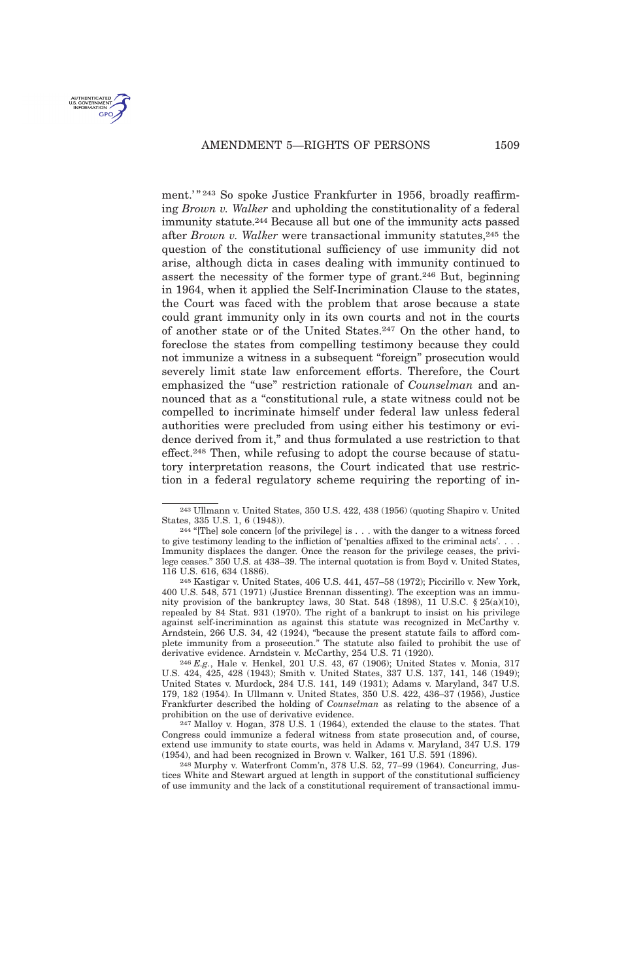ment.'"<sup>243</sup> So spoke Justice Frankfurter in 1956, broadly reaffirming *Brown v. Walker* and upholding the constitutionality of a federal immunity statute.<sup>244</sup> Because all but one of the immunity acts passed after *Brown v. Walker* were transactional immunity statutes,<sup>245</sup> the question of the constitutional sufficiency of use immunity did not arise, although dicta in cases dealing with immunity continued to assert the necessity of the former type of grant.<sup>246</sup> But, beginning in 1964, when it applied the Self-Incrimination Clause to the states, the Court was faced with the problem that arose because a state could grant immunity only in its own courts and not in the courts of another state or of the United States.<sup>247</sup> On the other hand, to foreclose the states from compelling testimony because they could not immunize a witness in a subsequent "foreign" prosecution would severely limit state law enforcement efforts. Therefore, the Court emphasized the "use" restriction rationale of *Counselman* and announced that as a "constitutional rule, a state witness could not be compelled to incriminate himself under federal law unless federal authorities were precluded from using either his testimony or evidence derived from it," and thus formulated a use restriction to that effect.<sup>248</sup> Then, while refusing to adopt the course because of statutory interpretation reasons, the Court indicated that use restriction in a federal regulatory scheme requiring the reporting of in-

<sup>243</sup> Ullmann v. United States, 350 U.S. 422, 438 (1956) (quoting Shapiro v. United States, 335 U.S. 1, 6 (1948)).

<sup>244</sup> "[The] sole concern [of the privilege] is . . . with the danger to a witness forced to give testimony leading to the infliction of 'penalties affixed to the criminal acts'. . . . Immunity displaces the danger. Once the reason for the privilege ceases, the privilege ceases." 350 U.S. at 438–39. The internal quotation is from Boyd v. United States, 116 U.S. 616, 634 (1886).

<sup>245</sup> Kastigar v. United States, 406 U.S. 441, 457–58 (1972); Piccirillo v. New York, 400 U.S. 548, 571 (1971) (Justice Brennan dissenting). The exception was an immunity provision of the bankruptcy laws, 30 Stat. 548 (1898), 11 U.S.C.  $\S 25(a)(10)$ , repealed by 84 Stat. 931 (1970). The right of a bankrupt to insist on his privilege against self-incrimination as against this statute was recognized in McCarthy v. Arndstein, 266 U.S. 34, 42 (1924), "because the present statute fails to afford complete immunity from a prosecution." The statute also failed to prohibit the use of derivative evidence. Arndstein v. McCarthy, 254 U.S. 71 (1920).

<sup>246</sup> *E.g.*, Hale v. Henkel, 201 U.S. 43, 67 (1906); United States v. Monia, 317 U.S. 424, 425, 428 (1943); Smith v. United States, 337 U.S. 137, 141, 146 (1949); United States v. Murdock, 284 U.S. 141, 149 (1931); Adams v. Maryland, 347 U.S. 179, 182 (1954). In Ullmann v. United States, 350 U.S. 422, 436–37 (1956), Justice Frankfurter described the holding of *Counselman* as relating to the absence of a prohibition on the use of derivative evidence.

<sup>247</sup> Malloy v. Hogan, 378 U.S. 1 (1964), extended the clause to the states. That Congress could immunize a federal witness from state prosecution and, of course, extend use immunity to state courts, was held in Adams v. Maryland, 347 U.S. 179 (1954), and had been recognized in Brown v. Walker, 161 U.S. 591 (1896).

<sup>248</sup> Murphy v. Waterfront Comm'n, 378 U.S. 52, 77–99 (1964). Concurring, Justices White and Stewart argued at length in support of the constitutional sufficiency of use immunity and the lack of a constitutional requirement of transactional immu-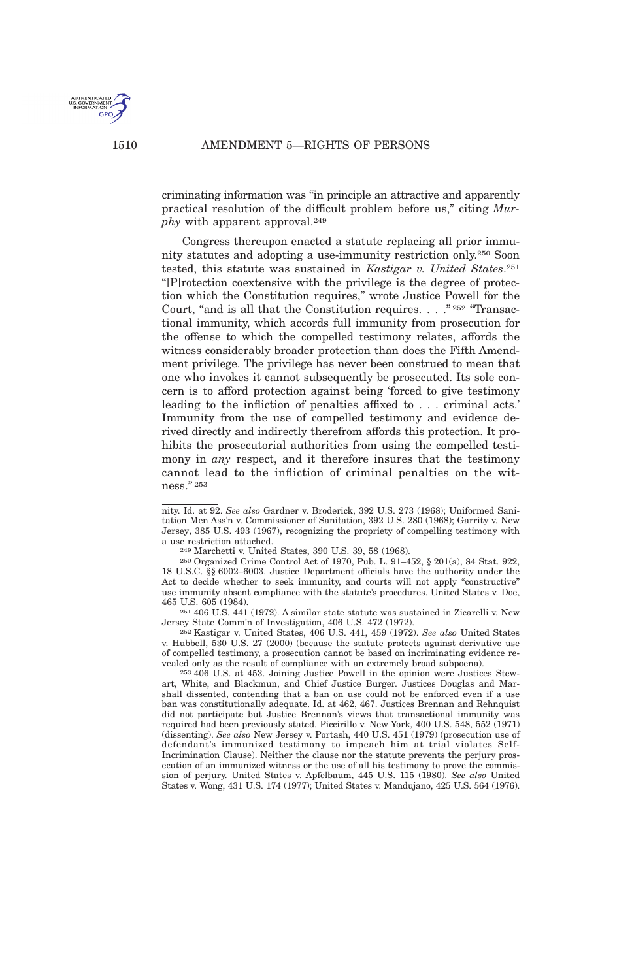

criminating information was "in principle an attractive and apparently practical resolution of the difficult problem before us," citing *Murphy* with apparent approval.<sup>249</sup>

Congress thereupon enacted a statute replacing all prior immunity statutes and adopting a use-immunity restriction only.<sup>250</sup> Soon tested, this statute was sustained in *Kastigar v. United States*. 251 "[P]rotection coextensive with the privilege is the degree of protection which the Constitution requires," wrote Justice Powell for the Court, "and is all that the Constitution requires. . . . "<sup>252</sup> "Transactional immunity, which accords full immunity from prosecution for the offense to which the compelled testimony relates, affords the witness considerably broader protection than does the Fifth Amendment privilege. The privilege has never been construed to mean that one who invokes it cannot subsequently be prosecuted. Its sole concern is to afford protection against being 'forced to give testimony leading to the infliction of penalties affixed to . . . criminal acts.' Immunity from the use of compelled testimony and evidence derived directly and indirectly therefrom affords this protection. It prohibits the prosecutorial authorities from using the compelled testimony in *any* respect, and it therefore insures that the testimony cannot lead to the infliction of criminal penalties on the witness." <sup>253</sup>

251 406 U.S. 441 (1972). A similar state statute was sustained in Zicarelli v. New Jersey State Comm'n of Investigation, 406 U.S. 472 (1972).

252 Kastigar v. United States, 406 U.S. 441, 459 (1972). *See also* United States v. Hubbell, 530 U.S. 27 (2000) (because the statute protects against derivative use of compelled testimony, a prosecution cannot be based on incriminating evidence revealed only as the result of compliance with an extremely broad subpoena).

253 406 U.S. at 453. Joining Justice Powell in the opinion were Justices Stewart, White, and Blackmun, and Chief Justice Burger. Justices Douglas and Marshall dissented, contending that a ban on use could not be enforced even if a use ban was constitutionally adequate. Id. at 462, 467. Justices Brennan and Rehnquist did not participate but Justice Brennan's views that transactional immunity was required had been previously stated. Piccirillo v. New York, 400 U.S. 548, 552 (1971) (dissenting). *See also* New Jersey v. Portash, 440 U.S. 451 (1979) (prosecution use of defendant's immunized testimony to impeach him at trial violates Self-Incrimination Clause). Neither the clause nor the statute prevents the perjury prosecution of an immunized witness or the use of all his testimony to prove the commission of perjury. United States v. Apfelbaum, 445 U.S. 115 (1980). *See also* United States v. Wong, 431 U.S. 174 (1977); United States v. Mandujano, 425 U.S. 564 (1976).

nity. Id. at 92. *See also* Gardner v. Broderick, 392 U.S. 273 (1968); Uniformed Sanitation Men Ass'n v. Commissioner of Sanitation, 392 U.S. 280 (1968); Garrity v. New Jersey, 385 U.S. 493 (1967), recognizing the propriety of compelling testimony with a use restriction attached.

<sup>249</sup> Marchetti v. United States, 390 U.S. 39, 58 (1968).

<sup>250</sup> Organized Crime Control Act of 1970, Pub. L. 91–452, § 201(a), 84 Stat. 922, 18 U.S.C. §§ 6002–6003. Justice Department officials have the authority under the Act to decide whether to seek immunity, and courts will not apply "constructive" use immunity absent compliance with the statute's procedures. United States v. Doe, 465 U.S. 605 (1984).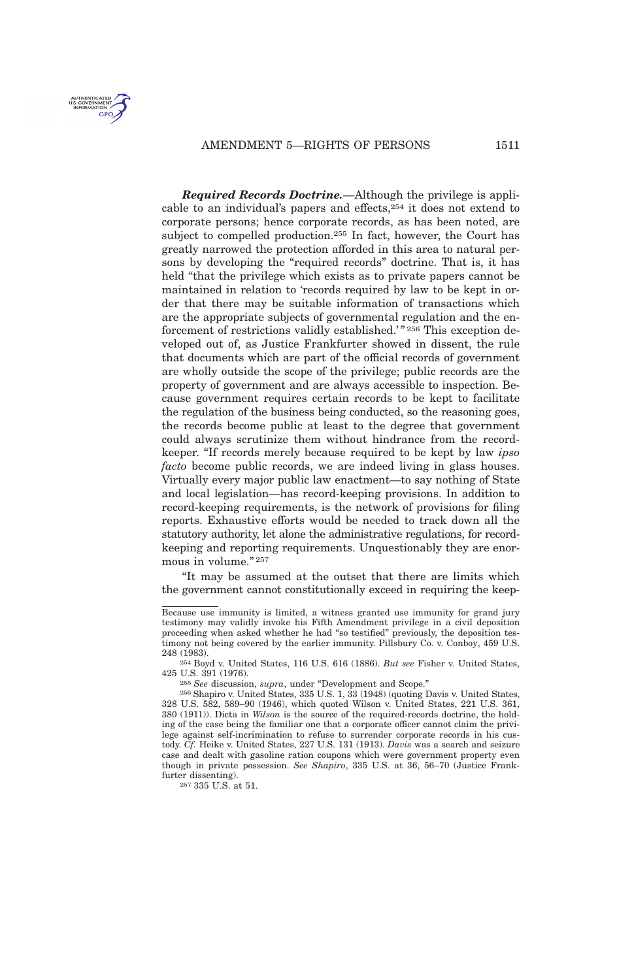



*Required Records Doctrine.*—Although the privilege is applicable to an individual's papers and effects,<sup>254</sup> it does not extend to corporate persons; hence corporate records, as has been noted, are subject to compelled production.<sup>255</sup> In fact, however, the Court has greatly narrowed the protection afforded in this area to natural persons by developing the "required records" doctrine. That is, it has held "that the privilege which exists as to private papers cannot be maintained in relation to 'records required by law to be kept in order that there may be suitable information of transactions which are the appropriate subjects of governmental regulation and the enforcement of restrictions validly established.'" 256 This exception developed out of, as Justice Frankfurter showed in dissent, the rule that documents which are part of the official records of government are wholly outside the scope of the privilege; public records are the property of government and are always accessible to inspection. Because government requires certain records to be kept to facilitate the regulation of the business being conducted, so the reasoning goes, the records become public at least to the degree that government could always scrutinize them without hindrance from the recordkeeper. "If records merely because required to be kept by law *ipso facto* become public records, we are indeed living in glass houses. Virtually every major public law enactment—to say nothing of State and local legislation—has record-keeping provisions. In addition to record-keeping requirements, is the network of provisions for filing reports. Exhaustive efforts would be needed to track down all the statutory authority, let alone the administrative regulations, for recordkeeping and reporting requirements. Unquestionably they are enormous in volume." <sup>257</sup>

"It may be assumed at the outset that there are limits which the government cannot constitutionally exceed in requiring the keep-

257 335 U.S. at 51.

Because use immunity is limited, a witness granted use immunity for grand jury testimony may validly invoke his Fifth Amendment privilege in a civil deposition proceeding when asked whether he had "so testified" previously, the deposition testimony not being covered by the earlier immunity. Pillsbury Co. v. Conboy, 459 U.S. 248 (1983).

<sup>254</sup> Boyd v. United States, 116 U.S. 616 (1886). *But see* Fisher v. United States, 425 U.S. 391 (1976).

<sup>255</sup> *See* discussion, *supra*, under "Development and Scope."

<sup>256</sup> Shapiro v. United States, 335 U.S. 1, 33 (1948) (quoting Davis v. United States, 328 U.S. 582, 589–90 (1946), which quoted Wilson v. United States, 221 U.S. 361, 380 (1911)). Dicta in *Wilson* is the source of the required-records doctrine, the holding of the case being the familiar one that a corporate officer cannot claim the privilege against self-incrimination to refuse to surrender corporate records in his custody. *Cf.* Heike v. United States, 227 U.S. 131 (1913). *Davis* was a search and seizure case and dealt with gasoline ration coupons which were government property even though in private possession. *See Shapiro*, 335 U.S. at 36, 56–70 (Justice Frankfurter dissenting).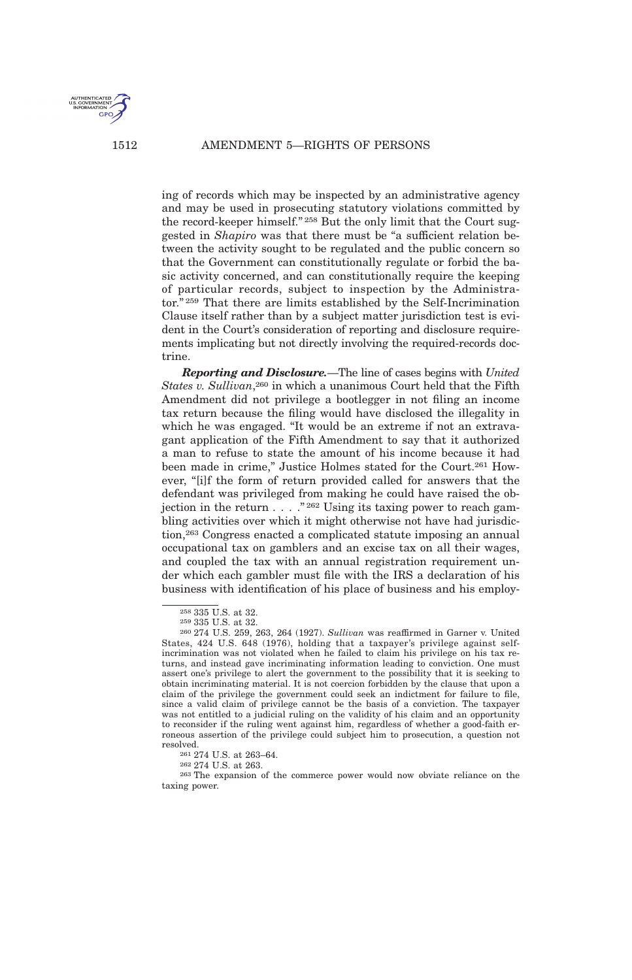1512 AMENDMENT 5-RIGHTS OF PERSONS

ing of records which may be inspected by an administrative agency and may be used in prosecuting statutory violations committed by the record-keeper himself." <sup>258</sup> But the only limit that the Court suggested in *Shapiro* was that there must be "a sufficient relation between the activity sought to be regulated and the public concern so that the Government can constitutionally regulate or forbid the basic activity concerned, and can constitutionally require the keeping of particular records, subject to inspection by the Administrator." <sup>259</sup> That there are limits established by the Self-Incrimination Clause itself rather than by a subject matter jurisdiction test is evident in the Court's consideration of reporting and disclosure requirements implicating but not directly involving the required-records doctrine.

*Reporting and Disclosure.*—The line of cases begins with *United States v. Sullivan*, <sup>260</sup> in which a unanimous Court held that the Fifth Amendment did not privilege a bootlegger in not filing an income tax return because the filing would have disclosed the illegality in which he was engaged. "It would be an extreme if not an extravagant application of the Fifth Amendment to say that it authorized a man to refuse to state the amount of his income because it had been made in crime," Justice Holmes stated for the Court.<sup>261</sup> However, "[i]f the form of return provided called for answers that the defendant was privileged from making he could have raised the objection in the return . . . . "<sup>262</sup> Using its taxing power to reach gambling activities over which it might otherwise not have had jurisdiction,<sup>263</sup> Congress enacted a complicated statute imposing an annual occupational tax on gamblers and an excise tax on all their wages, and coupled the tax with an annual registration requirement under which each gambler must file with the IRS a declaration of his business with identification of his place of business and his employ-



<sup>258</sup> 335 U.S. at 32.

<sup>259</sup> 335 U.S. at 32.

<sup>260</sup> 274 U.S. 259, 263, 264 (1927). *Sullivan* was reaffirmed in Garner v. United States, 424 U.S. 648 (1976), holding that a taxpayer's privilege against selfincrimination was not violated when he failed to claim his privilege on his tax returns, and instead gave incriminating information leading to conviction. One must assert one's privilege to alert the government to the possibility that it is seeking to obtain incriminating material. It is not coercion forbidden by the clause that upon a claim of the privilege the government could seek an indictment for failure to file, since a valid claim of privilege cannot be the basis of a conviction. The taxpayer was not entitled to a judicial ruling on the validity of his claim and an opportunity to reconsider if the ruling went against him, regardless of whether a good-faith erroneous assertion of the privilege could subject him to prosecution, a question not resolved.

<sup>261</sup> 274 U.S. at 263–64.

<sup>262</sup> 274 U.S. at 263.

<sup>263</sup> The expansion of the commerce power would now obviate reliance on the taxing power.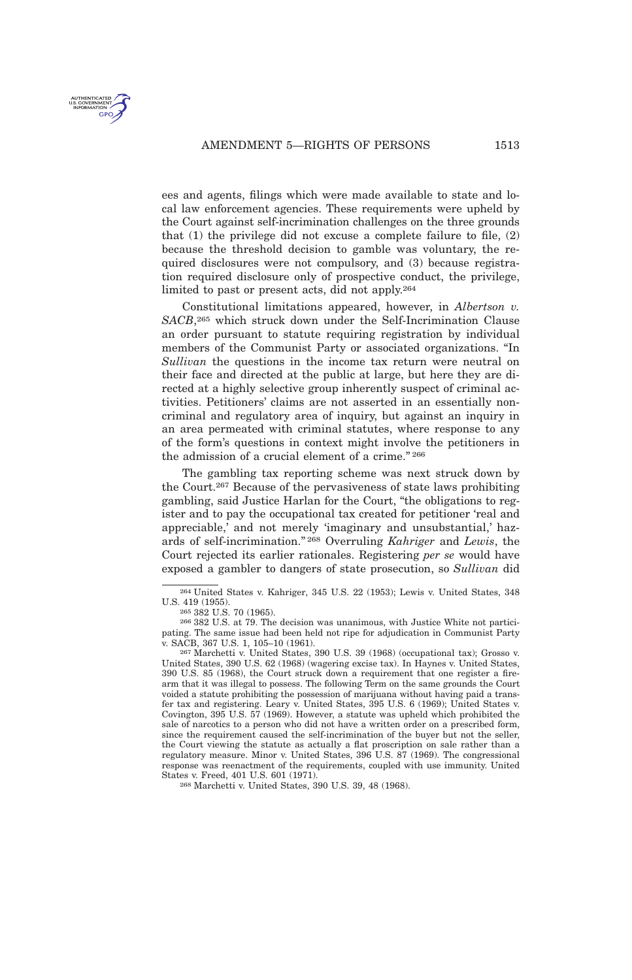## AMENDMENT 5-RIGHTS OF PERSONS 1513



ees and agents, filings which were made available to state and local law enforcement agencies. These requirements were upheld by the Court against self-incrimination challenges on the three grounds that (1) the privilege did not excuse a complete failure to file, (2) because the threshold decision to gamble was voluntary, the required disclosures were not compulsory, and (3) because registration required disclosure only of prospective conduct, the privilege, limited to past or present acts, did not apply.<sup>264</sup>

Constitutional limitations appeared, however, in *Albertson v. SACB*, <sup>265</sup> which struck down under the Self-Incrimination Clause an order pursuant to statute requiring registration by individual members of the Communist Party or associated organizations. "In *Sullivan* the questions in the income tax return were neutral on their face and directed at the public at large, but here they are directed at a highly selective group inherently suspect of criminal activities. Petitioners' claims are not asserted in an essentially noncriminal and regulatory area of inquiry, but against an inquiry in an area permeated with criminal statutes, where response to any of the form's questions in context might involve the petitioners in the admission of a crucial element of a crime." <sup>266</sup>

The gambling tax reporting scheme was next struck down by the Court.<sup>267</sup> Because of the pervasiveness of state laws prohibiting gambling, said Justice Harlan for the Court, "the obligations to register and to pay the occupational tax created for petitioner 'real and appreciable,' and not merely 'imaginary and unsubstantial,' hazards of self-incrimination." <sup>268</sup> Overruling *Kahriger* and *Lewis*, the Court rejected its earlier rationales. Registering *per se* would have exposed a gambler to dangers of state prosecution, so *Sullivan* did

<sup>264</sup> United States v. Kahriger, 345 U.S. 22 (1953); Lewis v. United States, 348 U.S. 419 (1955).

<sup>265</sup> 382 U.S. 70 (1965).

<sup>266</sup> 382 U.S. at 79. The decision was unanimous, with Justice White not participating. The same issue had been held not ripe for adjudication in Communist Party v. SACB, 367 U.S. 1, 105–10 (1961).

<sup>267</sup> Marchetti v. United States, 390 U.S. 39 (1968) (occupational tax); Grosso v. United States, 390 U.S. 62 (1968) (wagering excise tax). In Haynes v. United States, 390 U.S. 85 (1968), the Court struck down a requirement that one register a firearm that it was illegal to possess. The following Term on the same grounds the Court voided a statute prohibiting the possession of marijuana without having paid a transfer tax and registering. Leary v. United States, 395 U.S. 6 (1969); United States v. Covington, 395 U.S. 57 (1969). However, a statute was upheld which prohibited the sale of narcotics to a person who did not have a written order on a prescribed form, since the requirement caused the self-incrimination of the buyer but not the seller, the Court viewing the statute as actually a flat proscription on sale rather than a regulatory measure. Minor v. United States, 396 U.S. 87 (1969). The congressional response was reenactment of the requirements, coupled with use immunity. United States v. Freed, 401 U.S. 601 (1971).

<sup>268</sup> Marchetti v. United States, 390 U.S. 39, 48 (1968).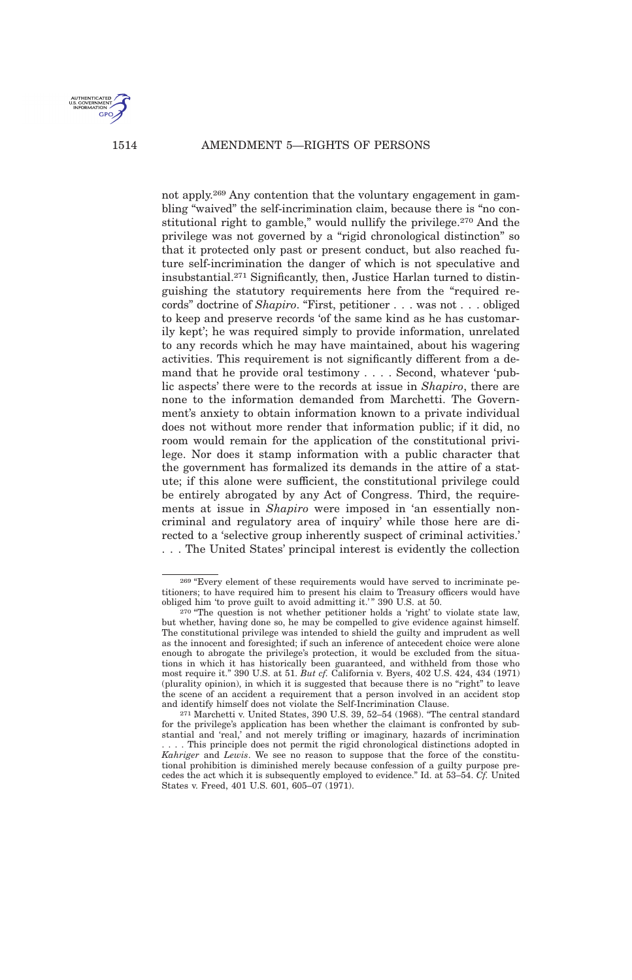

not apply.<sup>269</sup> Any contention that the voluntary engagement in gambling "waived" the self-incrimination claim, because there is "no constitutional right to gamble," would nullify the privilege.<sup>270</sup> And the privilege was not governed by a "rigid chronological distinction" so that it protected only past or present conduct, but also reached future self-incrimination the danger of which is not speculative and insubstantial.<sup>271</sup> Significantly, then, Justice Harlan turned to distinguishing the statutory requirements here from the "required records" doctrine of *Shapiro*. "First, petitioner . . . was not . . . obliged to keep and preserve records 'of the same kind as he has customarily kept'; he was required simply to provide information, unrelated to any records which he may have maintained, about his wagering activities. This requirement is not significantly different from a demand that he provide oral testimony . . . . Second, whatever 'public aspects' there were to the records at issue in *Shapiro*, there are none to the information demanded from Marchetti. The Government's anxiety to obtain information known to a private individual does not without more render that information public; if it did, no room would remain for the application of the constitutional privilege. Nor does it stamp information with a public character that the government has formalized its demands in the attire of a statute; if this alone were sufficient, the constitutional privilege could be entirely abrogated by any Act of Congress. Third, the requirements at issue in *Shapiro* were imposed in 'an essentially noncriminal and regulatory area of inquiry' while those here are directed to a 'selective group inherently suspect of criminal activities.' . . . The United States' principal interest is evidently the collection

<sup>269</sup> "Every element of these requirements would have served to incriminate petitioners; to have required him to present his claim to Treasury officers would have obliged him 'to prove guilt to avoid admitting it.'" 390 U.S. at 50.

 $^{270}$  "The question is not whether petitioner holds a 'right' to violate state law, but whether, having done so, he may be compelled to give evidence against himself. The constitutional privilege was intended to shield the guilty and imprudent as well as the innocent and foresighted; if such an inference of antecedent choice were alone enough to abrogate the privilege's protection, it would be excluded from the situations in which it has historically been guaranteed, and withheld from those who most require it." 390 U.S. at 51. *But cf.* California v. Byers, 402 U.S. 424, 434 (1971) (plurality opinion), in which it is suggested that because there is no "right" to leave the scene of an accident a requirement that a person involved in an accident stop and identify himself does not violate the Self-Incrimination Clause.

<sup>271</sup> Marchetti v. United States, 390 U.S. 39, 52–54 (1968). "The central standard for the privilege's application has been whether the claimant is confronted by substantial and 'real,' and not merely trifling or imaginary, hazards of incrimination . . . . This principle does not permit the rigid chronological distinctions adopted in *Kahriger* and *Lewis*. We see no reason to suppose that the force of the constitutional prohibition is diminished merely because confession of a guilty purpose precedes the act which it is subsequently employed to evidence." Id. at 53–54. *Cf.* United States v. Freed, 401 U.S. 601, 605–07 (1971).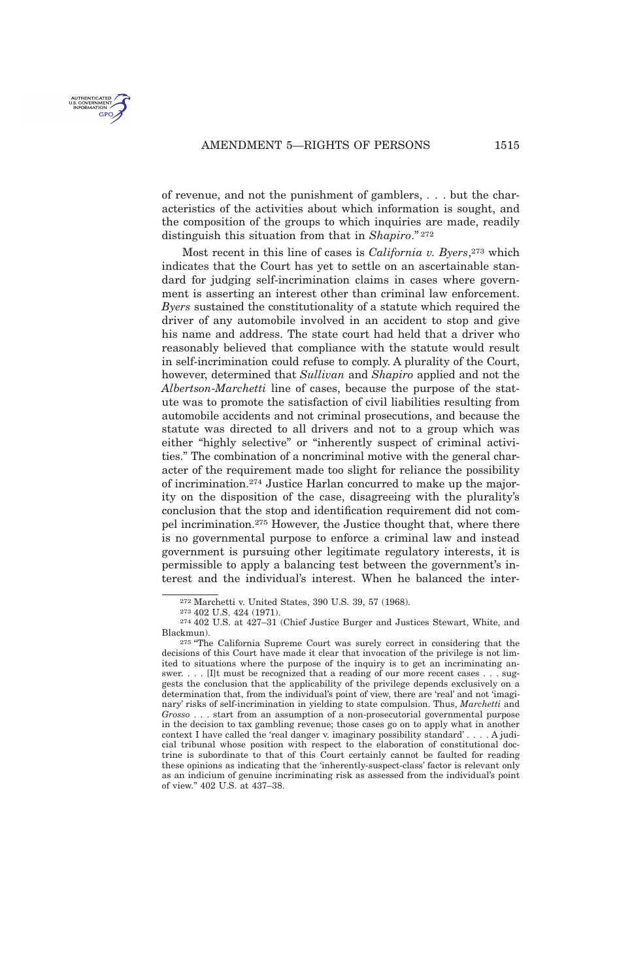of revenue, and not the punishment of gamblers, . . . but the characteristics of the activities about which information is sought, and the composition of the groups to which inquiries are made, readily distinguish this situation from that in *Shapiro*." <sup>272</sup>

Most recent in this line of cases is *California v. Byers*, <sup>273</sup> which indicates that the Court has yet to settle on an ascertainable standard for judging self-incrimination claims in cases where government is asserting an interest other than criminal law enforcement. *Byers* sustained the constitutionality of a statute which required the driver of any automobile involved in an accident to stop and give his name and address. The state court had held that a driver who reasonably believed that compliance with the statute would result in self-incrimination could refuse to comply. A plurality of the Court, however, determined that *Sullivan* and *Shapiro* applied and not the *Albertson*-*Marchetti* line of cases, because the purpose of the statute was to promote the satisfaction of civil liabilities resulting from automobile accidents and not criminal prosecutions, and because the statute was directed to all drivers and not to a group which was either "highly selective" or "inherently suspect of criminal activities." The combination of a noncriminal motive with the general character of the requirement made too slight for reliance the possibility of incrimination.<sup>274</sup> Justice Harlan concurred to make up the majority on the disposition of the case, disagreeing with the plurality's conclusion that the stop and identification requirement did not compel incrimination.<sup>275</sup> However, the Justice thought that, where there is no governmental purpose to enforce a criminal law and instead government is pursuing other legitimate regulatory interests, it is permissible to apply a balancing test between the government's interest and the individual's interest. When he balanced the inter-

<sup>272</sup> Marchetti v. United States, 390 U.S. 39, 57 (1968).

<sup>273</sup> 402 U.S. 424 (1971).

<sup>274</sup> 402 U.S. at 427–31 (Chief Justice Burger and Justices Stewart, White, and Blackmun).

<sup>275</sup> "The California Supreme Court was surely correct in considering that the decisions of this Court have made it clear that invocation of the privilege is not limited to situations where the purpose of the inquiry is to get an incriminating answer. . . . [I]t must be recognized that a reading of our more recent cases . . . suggests the conclusion that the applicability of the privilege depends exclusively on a determination that, from the individual's point of view, there are 'real' and not 'imaginary' risks of self-incrimination in yielding to state compulsion. Thus, *Marchetti* and *Grosso* . . . start from an assumption of a non-prosecutorial governmental purpose in the decision to tax gambling revenue; those cases go on to apply what in another context I have called the 'real danger v. imaginary possibility standard' . . . . A judicial tribunal whose position with respect to the elaboration of constitutional doctrine is subordinate to that of this Court certainly cannot be faulted for reading these opinions as indicating that the 'inherently-suspect-class' factor is relevant only as an indicium of genuine incriminating risk as assessed from the individual's point of view." 402 U.S. at 437–38.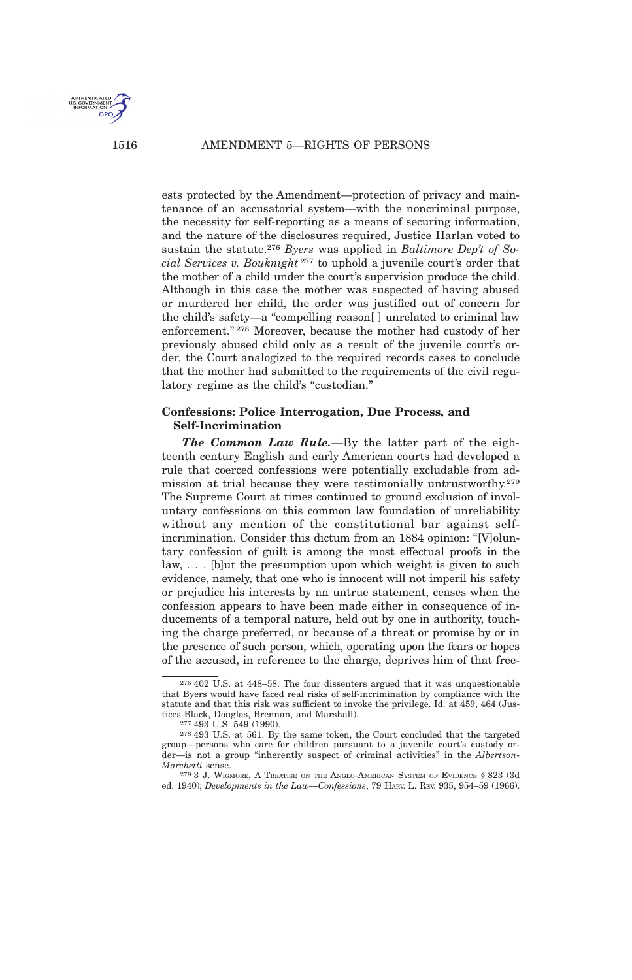1516 AMENDMENT 5—RIGHTS OF PERSONS

**U.S. GOVERNME**<br>INFORMATION

ests protected by the Amendment—protection of privacy and maintenance of an accusatorial system—with the noncriminal purpose, the necessity for self-reporting as a means of securing information, and the nature of the disclosures required, Justice Harlan voted to sustain the statute.<sup>276</sup> *Byers* was applied in *Baltimore Dep't of Social Services v. Bouknight* <sup>277</sup> to uphold a juvenile court's order that the mother of a child under the court's supervision produce the child. Although in this case the mother was suspected of having abused or murdered her child, the order was justified out of concern for the child's safety—a "compelling reason[ ] unrelated to criminal law enforcement." <sup>278</sup> Moreover, because the mother had custody of her previously abused child only as a result of the juvenile court's order, the Court analogized to the required records cases to conclude that the mother had submitted to the requirements of the civil regulatory regime as the child's "custodian."

# **Confessions: Police Interrogation, Due Process, and Self-Incrimination**

*The Common Law Rule.*—By the latter part of the eighteenth century English and early American courts had developed a rule that coerced confessions were potentially excludable from admission at trial because they were testimonially untrustworthy.<sup>279</sup> The Supreme Court at times continued to ground exclusion of involuntary confessions on this common law foundation of unreliability without any mention of the constitutional bar against selfincrimination. Consider this dictum from an 1884 opinion: "[V]oluntary confession of guilt is among the most effectual proofs in the law, . . . [b]ut the presumption upon which weight is given to such evidence, namely, that one who is innocent will not imperil his safety or prejudice his interests by an untrue statement, ceases when the confession appears to have been made either in consequence of inducements of a temporal nature, held out by one in authority, touching the charge preferred, or because of a threat or promise by or in the presence of such person, which, operating upon the fears or hopes of the accused, in reference to the charge, deprives him of that free-

<sup>276</sup> 402 U.S. at 448–58. The four dissenters argued that it was unquestionable that Byers would have faced real risks of self-incrimination by compliance with the statute and that this risk was sufficient to invoke the privilege. Id. at 459, 464 (Justices Black, Douglas, Brennan, and Marshall).

<sup>277</sup> 493 U.S. 549 (1990).

<sup>278</sup> 493 U.S. at 561. By the same token, the Court concluded that the targeted group—persons who care for children pursuant to a juvenile court's custody order—is not a group "inherently suspect of criminal activities" in the *Albertson*-*Marchetti* sense.

<sup>279</sup> 3 J. WIGMORE, A TREATISE ON THE ANGLO-AMERICAN SYSTEM OF EVIDENCE § 823 (3d ed. 1940); *Developments in the Law—Confessions*, 79 HARV. L. REV. 935, 954–59 (1966).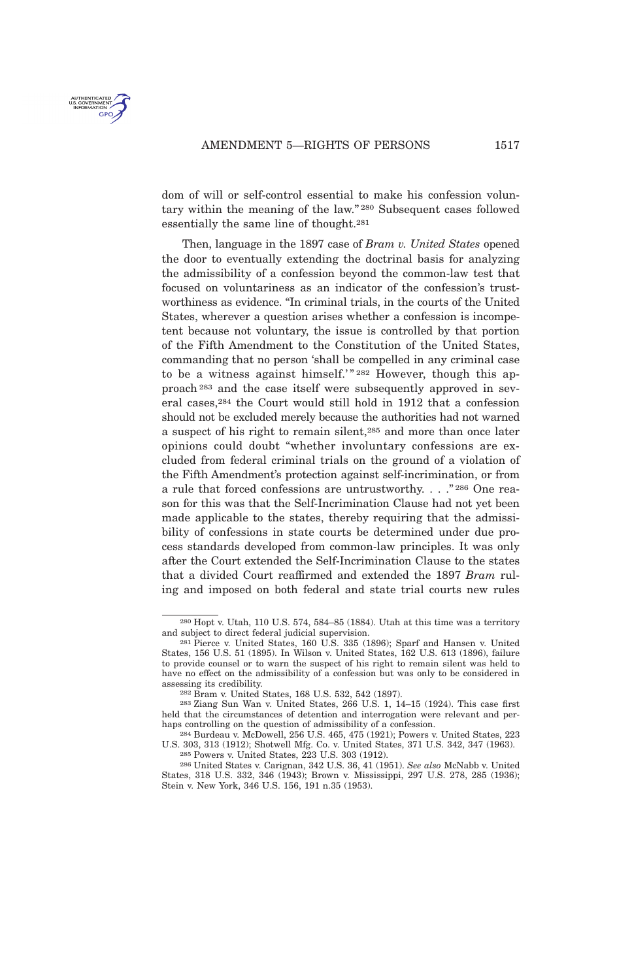dom of will or self-control essential to make his confession voluntary within the meaning of the law." <sup>280</sup> Subsequent cases followed essentially the same line of thought.<sup>281</sup>

Then, language in the 1897 case of *Bram v. United States* opened the door to eventually extending the doctrinal basis for analyzing the admissibility of a confession beyond the common-law test that focused on voluntariness as an indicator of the confession's trustworthiness as evidence. "In criminal trials, in the courts of the United States, wherever a question arises whether a confession is incompetent because not voluntary, the issue is controlled by that portion of the Fifth Amendment to the Constitution of the United States, commanding that no person 'shall be compelled in any criminal case to be a witness against himself.'"<sup>282</sup> However, though this approach <sup>283</sup> and the case itself were subsequently approved in several cases,<sup>284</sup> the Court would still hold in 1912 that a confession should not be excluded merely because the authorities had not warned a suspect of his right to remain silent,<sup>285</sup> and more than once later opinions could doubt "whether involuntary confessions are excluded from federal criminal trials on the ground of a violation of the Fifth Amendment's protection against self-incrimination, or from a rule that forced confessions are untrustworthy. . . . "286 One reason for this was that the Self-Incrimination Clause had not yet been made applicable to the states, thereby requiring that the admissibility of confessions in state courts be determined under due process standards developed from common-law principles. It was only after the Court extended the Self-Incrimination Clause to the states that a divided Court reaffirmed and extended the 1897 *Bram* ruling and imposed on both federal and state trial courts new rules

<sup>280</sup> Hopt v. Utah, 110 U.S. 574, 584–85 (1884). Utah at this time was a territory and subject to direct federal judicial supervision.

<sup>281</sup> Pierce v. United States, 160 U.S. 335 (1896); Sparf and Hansen v. United States, 156 U.S. 51 (1895). In Wilson v. United States, 162 U.S. 613 (1896), failure to provide counsel or to warn the suspect of his right to remain silent was held to have no effect on the admissibility of a confession but was only to be considered in assessing its credibility.

<sup>282</sup> Bram v. United States, 168 U.S. 532, 542 (1897).

<sup>283</sup> Ziang Sun Wan v. United States, 266 U.S. 1, 14–15 (1924). This case first held that the circumstances of detention and interrogation were relevant and perhaps controlling on the question of admissibility of a confession.

<sup>284</sup> Burdeau v. McDowell, 256 U.S. 465, 475 (1921); Powers v. United States, 223 U.S. 303, 313 (1912); Shotwell Mfg. Co. v. United States, 371 U.S. 342, 347 (1963). 285 Powers v. United States, 223 U.S. 303 (1912).

<sup>286</sup> United States v. Carignan, 342 U.S. 36, 41 (1951). *See also* McNabb v. United States, 318 U.S. 332, 346 (1943); Brown v. Mississippi, 297 U.S. 278, 285 (1936); Stein v. New York, 346 U.S. 156, 191 n.35 (1953).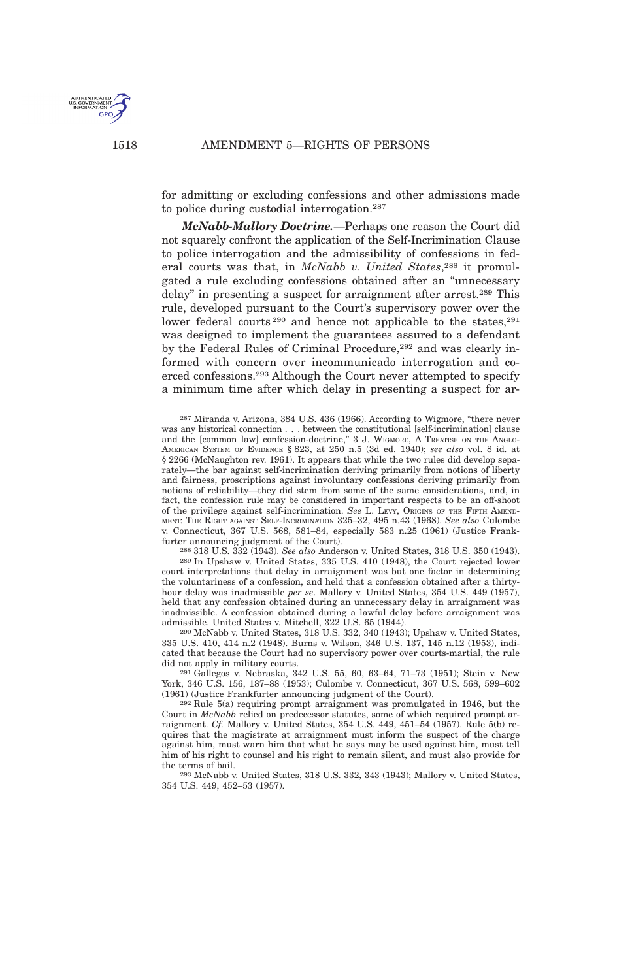

for admitting or excluding confessions and other admissions made to police during custodial interrogation.<sup>287</sup>

*McNabb-Mallory Doctrine.*—Perhaps one reason the Court did not squarely confront the application of the Self-Incrimination Clause to police interrogation and the admissibility of confessions in federal courts was that, in *McNabb v. United States*, <sup>288</sup> it promulgated a rule excluding confessions obtained after an "unnecessary delay" in presenting a suspect for arraignment after arrest.<sup>289</sup> This rule, developed pursuant to the Court's supervisory power over the lower federal courts<sup>290</sup> and hence not applicable to the states,<sup>291</sup> was designed to implement the guarantees assured to a defendant by the Federal Rules of Criminal Procedure,<sup>292</sup> and was clearly informed with concern over incommunicado interrogation and coerced confessions.<sup>293</sup> Although the Court never attempted to specify a minimum time after which delay in presenting a suspect for ar-

288 318 U.S. 332 (1943). *See also* Anderson v. United States, 318 U.S. 350 (1943).

289 In Upshaw v. United States, 335 U.S. 410 (1948), the Court rejected lower court interpretations that delay in arraignment was but one factor in determining the voluntariness of a confession, and held that a confession obtained after a thirtyhour delay was inadmissible *per se*. Mallory v. United States, 354 U.S. 449 (1957), held that any confession obtained during an unnecessary delay in arraignment was inadmissible. A confession obtained during a lawful delay before arraignment was admissible. United States v. Mitchell, 322 U.S. 65 (1944).

<sup>287</sup> Miranda v. Arizona, 384 U.S. 436 (1966). According to Wigmore, "there never was any historical connection . . . between the constitutional [self-incrimination] clause and the [common law] confession-doctrine," 3 J. WIGMORE, A TREATISE ON THE ANGLO-AMERICAN SYSTEM OF EVIDENCE § 823, at 250 n.5 (3d ed. 1940); *see also* vol. 8 id. at § 2266 (McNaughton rev. 1961). It appears that while the two rules did develop separately—the bar against self-incrimination deriving primarily from notions of liberty and fairness, proscriptions against involuntary confessions deriving primarily from notions of reliability—they did stem from some of the same considerations, and, in fact, the confession rule may be considered in important respects to be an off-shoot of the privilege against self-incrimination. *See* L. LEVY, ORIGINS OF THE FIFTH AMEND-MENT: THE RIGHT AGAINST SELF-INCRIMINATION 325–32, 495 n.43 (1968). *See also* Culombe v. Connecticut, 367 U.S. 568, 581–84, especially 583 n.25 (1961) (Justice Frankfurter announcing judgment of the Court).

<sup>290</sup> McNabb v. United States, 318 U.S. 332, 340 (1943); Upshaw v. United States, 335 U.S. 410, 414 n.2 (1948). Burns v. Wilson, 346 U.S. 137, 145 n.12 (1953), indicated that because the Court had no supervisory power over courts-martial, the rule did not apply in military courts.

<sup>291</sup> Gallegos v. Nebraska, 342 U.S. 55, 60, 63–64, 71–73 (1951); Stein v. New York, 346 U.S. 156, 187–88 (1953); Culombe v. Connecticut, 367 U.S. 568, 599–602 (1961) (Justice Frankfurter announcing judgment of the Court).

<sup>292</sup> Rule 5(a) requiring prompt arraignment was promulgated in 1946, but the Court in *McNabb* relied on predecessor statutes, some of which required prompt arraignment. *Cf.* Mallory v. United States, 354 U.S. 449, 451–54 (1957). Rule 5(b) requires that the magistrate at arraignment must inform the suspect of the charge against him, must warn him that what he says may be used against him, must tell him of his right to counsel and his right to remain silent, and must also provide for the terms of bail.

<sup>293</sup> McNabb v. United States, 318 U.S. 332, 343 (1943); Mallory v. United States, 354 U.S. 449, 452–53 (1957).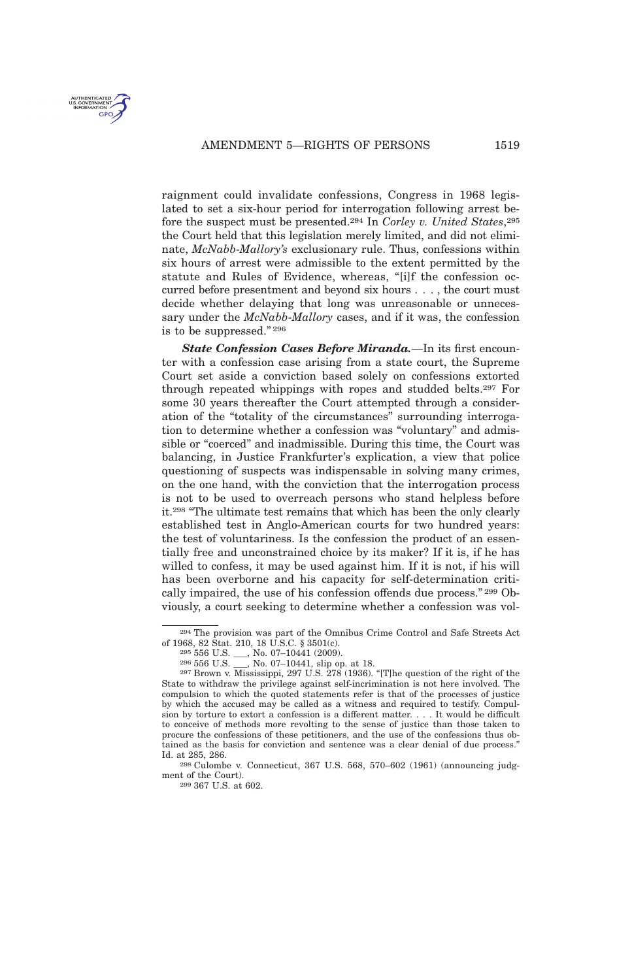raignment could invalidate confessions, Congress in 1968 legislated to set a six-hour period for interrogation following arrest before the suspect must be presented.<sup>294</sup> In *Corley v. United States*, 295 the Court held that this legislation merely limited, and did not eliminate, *McNabb*-*Mallory's* exclusionary rule. Thus, confessions within six hours of arrest were admissible to the extent permitted by the statute and Rules of Evidence, whereas, "[i]f the confession occurred before presentment and beyond six hours . . . , the court must decide whether delaying that long was unreasonable or unnecessary under the *McNabb*-*Mallory* cases, and if it was, the confession is to be suppressed." <sup>296</sup>

*State Confession Cases Before Miranda.*—In its first encounter with a confession case arising from a state court, the Supreme Court set aside a conviction based solely on confessions extorted through repeated whippings with ropes and studded belts.<sup>297</sup> For some 30 years thereafter the Court attempted through a consideration of the "totality of the circumstances" surrounding interrogation to determine whether a confession was "voluntary" and admissible or "coerced" and inadmissible. During this time, the Court was balancing, in Justice Frankfurter's explication, a view that police questioning of suspects was indispensable in solving many crimes, on the one hand, with the conviction that the interrogation process is not to be used to overreach persons who stand helpless before it.<sup>298</sup> "The ultimate test remains that which has been the only clearly established test in Anglo-American courts for two hundred years: the test of voluntariness. Is the confession the product of an essentially free and unconstrained choice by its maker? If it is, if he has willed to confess, it may be used against him. If it is not, if his will has been overborne and his capacity for self-determination critically impaired, the use of his confession offends due process." <sup>299</sup> Obviously, a court seeking to determine whether a confession was vol-

<sup>294</sup> The provision was part of the Omnibus Crime Control and Safe Streets Act of 1968, 82 Stat. 210, 18 U.S.C. § 3501(c).

 $295\,556$  U.S. \_\_, No. 07-10441 (2009).<br> $296\,556$  U.S. \_\_, No. 07-10441, slip op

<sup>&</sup>lt;sub>-</sub>, No. 07-10441, slip op. at 18.

<sup>297</sup> Brown v. Mississippi, 297 U.S. 278 (1936). "[T]he question of the right of the State to withdraw the privilege against self-incrimination is not here involved. The compulsion to which the quoted statements refer is that of the processes of justice by which the accused may be called as a witness and required to testify. Compulsion by torture to extort a confession is a different matter. . . . It would be difficult to conceive of methods more revolting to the sense of justice than those taken to procure the confessions of these petitioners, and the use of the confessions thus obtained as the basis for conviction and sentence was a clear denial of due process." Id. at 285, 286.

<sup>298</sup> Culombe v. Connecticut, 367 U.S. 568, 570–602 (1961) (announcing judgment of the Court).

<sup>299</sup> 367 U.S. at 602.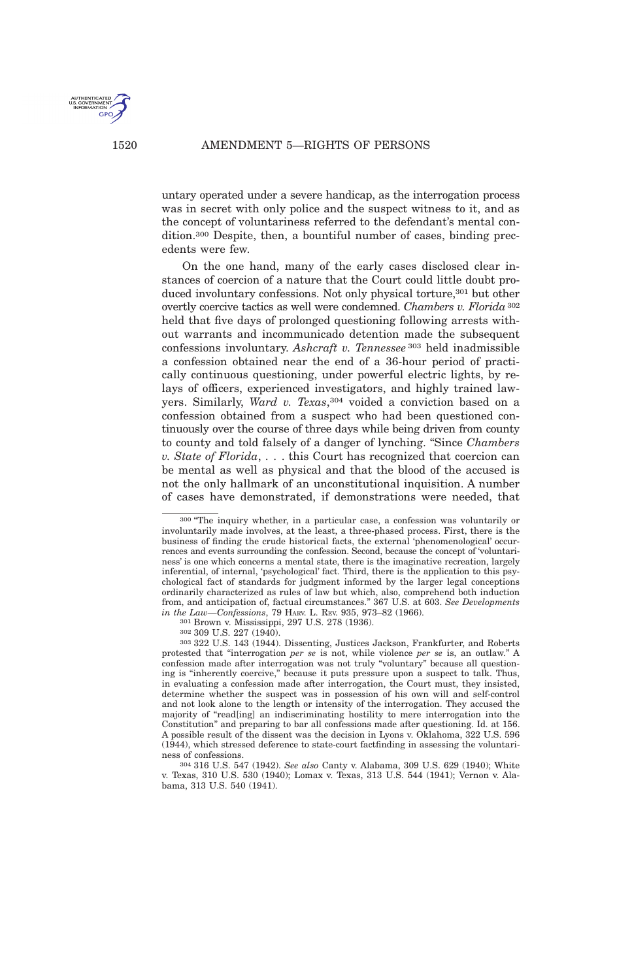

untary operated under a severe handicap, as the interrogation process was in secret with only police and the suspect witness to it, and as the concept of voluntariness referred to the defendant's mental condition.<sup>300</sup> Despite, then, a bountiful number of cases, binding precedents were few.

On the one hand, many of the early cases disclosed clear instances of coercion of a nature that the Court could little doubt produced involuntary confessions. Not only physical torture,<sup>301</sup> but other overtly coercive tactics as well were condemned. *Chambers v. Florida*<sup>302</sup> held that five days of prolonged questioning following arrests without warrants and incommunicado detention made the subsequent confessions involuntary. *Ashcraft v. Tennessee* <sup>303</sup> held inadmissible a confession obtained near the end of a 36-hour period of practically continuous questioning, under powerful electric lights, by relays of officers, experienced investigators, and highly trained lawyers. Similarly, *Ward v. Texas*, <sup>304</sup> voided a conviction based on a confession obtained from a suspect who had been questioned continuously over the course of three days while being driven from county to county and told falsely of a danger of lynching. "Since *Chambers v. State of Florida*, . . . this Court has recognized that coercion can be mental as well as physical and that the blood of the accused is not the only hallmark of an unconstitutional inquisition. A number of cases have demonstrated, if demonstrations were needed, that

302 309 U.S. 227 (1940).

303 322 U.S. 143 (1944). Dissenting, Justices Jackson, Frankfurter, and Roberts protested that "interrogation *per se* is not, while violence *per se* is, an outlaw." A confession made after interrogation was not truly "voluntary" because all questioning is "inherently coercive," because it puts pressure upon a suspect to talk. Thus, in evaluating a confession made after interrogation, the Court must, they insisted, determine whether the suspect was in possession of his own will and self-control and not look alone to the length or intensity of the interrogation. They accused the majority of "read[ing] an indiscriminating hostility to mere interrogation into the Constitution" and preparing to bar all confessions made after questioning. Id. at 156. A possible result of the dissent was the decision in Lyons v. Oklahoma, 322 U.S. 596 (1944), which stressed deference to state-court factfinding in assessing the voluntariness of confessions.

304 316 U.S. 547 (1942). *See also* Canty v. Alabama, 309 U.S. 629 (1940); White v. Texas, 310 U.S. 530 (1940); Lomax v. Texas, 313 U.S. 544 (1941); Vernon v. Alabama, 313 U.S. 540 (1941).

<sup>300</sup> "The inquiry whether, in a particular case, a confession was voluntarily or involuntarily made involves, at the least, a three-phased process. First, there is the business of finding the crude historical facts, the external 'phenomenological' occurrences and events surrounding the confession. Second, because the concept of 'voluntariness' is one which concerns a mental state, there is the imaginative recreation, largely inferential, of internal, 'psychological' fact. Third, there is the application to this psychological fact of standards for judgment informed by the larger legal conceptions ordinarily characterized as rules of law but which, also, comprehend both induction from, and anticipation of, factual circumstances." 367 U.S. at 603. *See Developments in the Law—Confessions*, 79 HARV. L. REV. 935, 973–82 (1966).

<sup>301</sup> Brown v. Mississippi, 297 U.S. 278 (1936).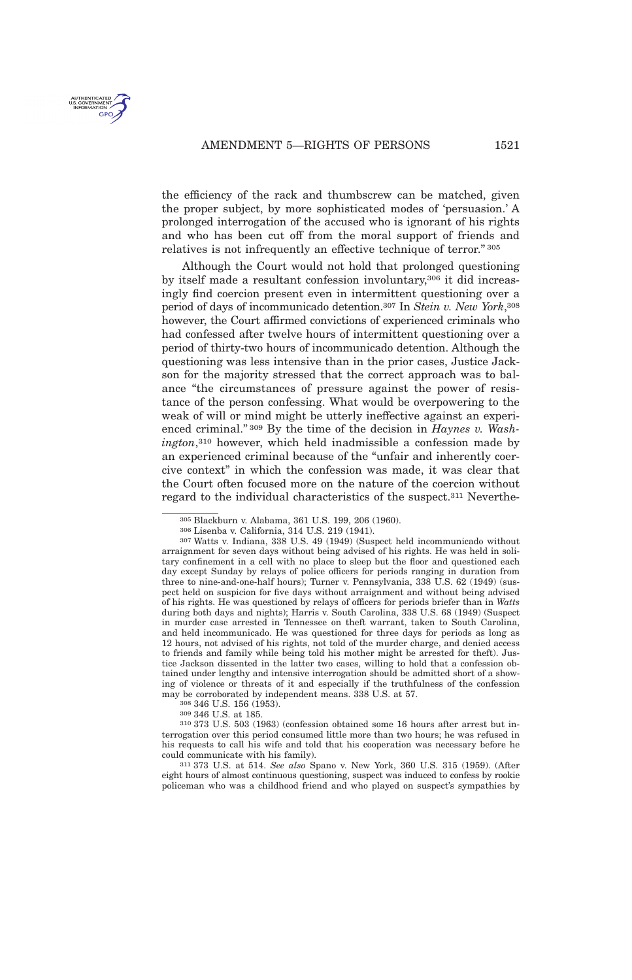

the efficiency of the rack and thumbscrew can be matched, given the proper subject, by more sophisticated modes of 'persuasion.' A prolonged interrogation of the accused who is ignorant of his rights and who has been cut off from the moral support of friends and relatives is not infrequently an effective technique of terror." <sup>305</sup>

Although the Court would not hold that prolonged questioning by itself made a resultant confession involuntary,<sup>306</sup> it did increasingly find coercion present even in intermittent questioning over a period of days of incommunicado detention.<sup>307</sup> In *Stein v. New York*, 308 however, the Court affirmed convictions of experienced criminals who had confessed after twelve hours of intermittent questioning over a period of thirty-two hours of incommunicado detention. Although the questioning was less intensive than in the prior cases, Justice Jackson for the majority stressed that the correct approach was to balance "the circumstances of pressure against the power of resistance of the person confessing. What would be overpowering to the weak of will or mind might be utterly ineffective against an experienced criminal." <sup>309</sup> By the time of the decision in *Haynes v. Washington*, <sup>310</sup> however, which held inadmissible a confession made by an experienced criminal because of the "unfair and inherently coercive context" in which the confession was made, it was clear that the Court often focused more on the nature of the coercion without regard to the individual characteristics of the suspect.<sup>311</sup> Neverthe-

<sup>305</sup> Blackburn v. Alabama, 361 U.S. 199, 206 (1960).

<sup>306</sup> Lisenba v. California, 314 U.S. 219 (1941).

<sup>307</sup> Watts v. Indiana, 338 U.S. 49 (1949) (Suspect held incommunicado without arraignment for seven days without being advised of his rights. He was held in solitary confinement in a cell with no place to sleep but the floor and questioned each day except Sunday by relays of police officers for periods ranging in duration from three to nine-and-one-half hours); Turner v. Pennsylvania, 338 U.S. 62 (1949) (suspect held on suspicion for five days without arraignment and without being advised of his rights. He was questioned by relays of officers for periods briefer than in *Watts* during both days and nights); Harris v. South Carolina, 338 U.S. 68 (1949) (Suspect in murder case arrested in Tennessee on theft warrant, taken to South Carolina, and held incommunicado. He was questioned for three days for periods as long as 12 hours, not advised of his rights, not told of the murder charge, and denied access to friends and family while being told his mother might be arrested for theft). Justice Jackson dissented in the latter two cases, willing to hold that a confession obtained under lengthy and intensive interrogation should be admitted short of a showing of violence or threats of it and especially if the truthfulness of the confession may be corroborated by independent means. 338 U.S. at 57.

<sup>308</sup> 346 U.S. 156 (1953).

<sup>309</sup> 346 U.S. at 185.

<sup>310</sup> 373 U.S. 503 (1963) (confession obtained some 16 hours after arrest but interrogation over this period consumed little more than two hours; he was refused in his requests to call his wife and told that his cooperation was necessary before he could communicate with his family).

<sup>311</sup> 373 U.S. at 514. *See also* Spano v. New York, 360 U.S. 315 (1959). (After eight hours of almost continuous questioning, suspect was induced to confess by rookie policeman who was a childhood friend and who played on suspect's sympathies by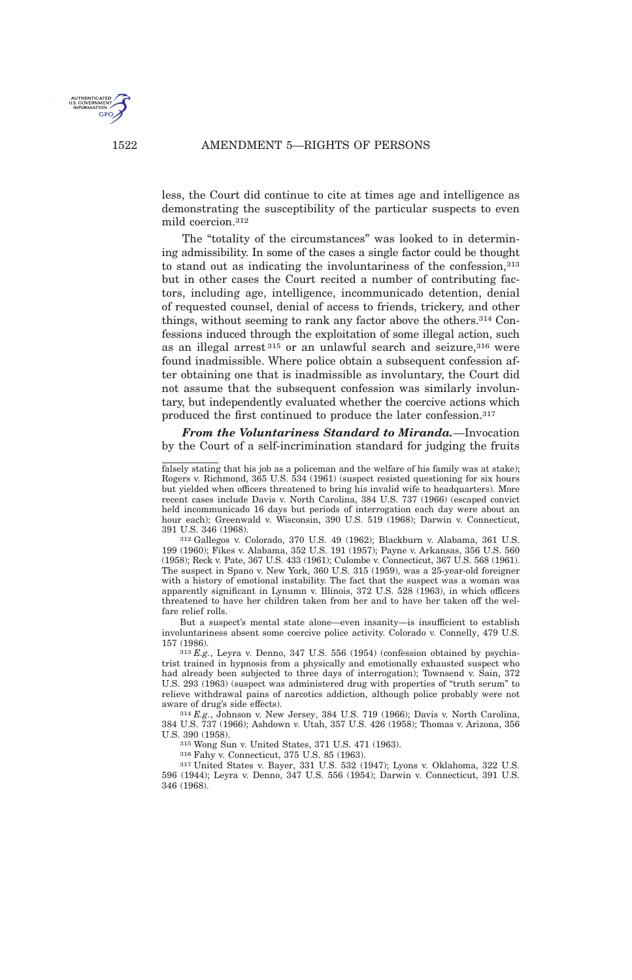

less, the Court did continue to cite at times age and intelligence as demonstrating the susceptibility of the particular suspects to even mild coercion.<sup>312</sup>

The "totality of the circumstances" was looked to in determining admissibility. In some of the cases a single factor could be thought to stand out as indicating the involuntariness of the confession,<sup>313</sup> but in other cases the Court recited a number of contributing factors, including age, intelligence, incommunicado detention, denial of requested counsel, denial of access to friends, trickery, and other things, without seeming to rank any factor above the others.<sup>314</sup> Confessions induced through the exploitation of some illegal action, such as an illegal arrest<sup>315</sup> or an unlawful search and seizure,<sup>316</sup> were found inadmissible. Where police obtain a subsequent confession after obtaining one that is inadmissible as involuntary, the Court did not assume that the subsequent confession was similarly involuntary, but independently evaluated whether the coercive actions which produced the first continued to produce the later confession.<sup>317</sup>

*From the Voluntariness Standard to Miranda.*—Invocation by the Court of a self-incrimination standard for judging the fruits

312 Gallegos v. Colorado, 370 U.S. 49 (1962); Blackburn v. Alabama, 361 U.S. 199 (1960); Fikes v. Alabama, 352 U.S. 191 (1957); Payne v. Arkansas, 356 U.S. 560 (1958); Reck v. Pate, 367 U.S. 433 (1961); Culombe v. Connecticut, 367 U.S. 568 (1961). The suspect in Spano v. New York, 360 U.S. 315 (1959), was a 25-year-old foreigner with a history of emotional instability. The fact that the suspect was a woman was apparently significant in Lynumn v. Illinois, 372 U.S. 528 (1963), in which officers threatened to have her children taken from her and to have her taken off the welfare relief rolls.

But a suspect's mental state alone—even insanity—is insufficient to establish involuntariness absent some coercive police activity. Colorado v. Connelly, 479 U.S. 157 (1986).

313 *E.g.*, Leyra v. Denno, 347 U.S. 556 (1954) (confession obtained by psychiatrist trained in hypnosis from a physically and emotionally exhausted suspect who had already been subjected to three days of interrogation); Townsend v. Sain, 372 U.S. 293 (1963) (suspect was administered drug with properties of "truth serum" to relieve withdrawal pains of narcotics addiction, although police probably were not aware of drug's side effects).

314 *E.g.*, Johnson v. New Jersey, 384 U.S. 719 (1966); Davis v. North Carolina, 384 U.S. 737 (1966); Ashdown v. Utah, 357 U.S. 426 (1958); Thomas v. Arizona, 356 U.S. 390 (1958).

315 Wong Sun v. United States, 371 U.S. 471 (1963).

316 Fahy v. Connecticut, 375 U.S. 85 (1963).

317 United States v. Bayer, 331 U.S. 532 (1947); Lyons v. Oklahoma, 322 U.S. 596 (1944); Leyra v. Denno, 347 U.S. 556 (1954); Darwin v. Connecticut, 391 U.S. 346 (1968).

falsely stating that his job as a policeman and the welfare of his family was at stake); Rogers v. Richmond, 365 U.S. 534 (1961) (suspect resisted questioning for six hours but yielded when officers threatened to bring his invalid wife to headquarters). More recent cases include Davis v. North Carolina, 384 U.S. 737 (1966) (escaped convict held incommunicado 16 days but periods of interrogation each day were about an hour each); Greenwald v. Wisconsin, 390 U.S. 519 (1968); Darwin v. Connecticut, 391 U.S. 346 (1968).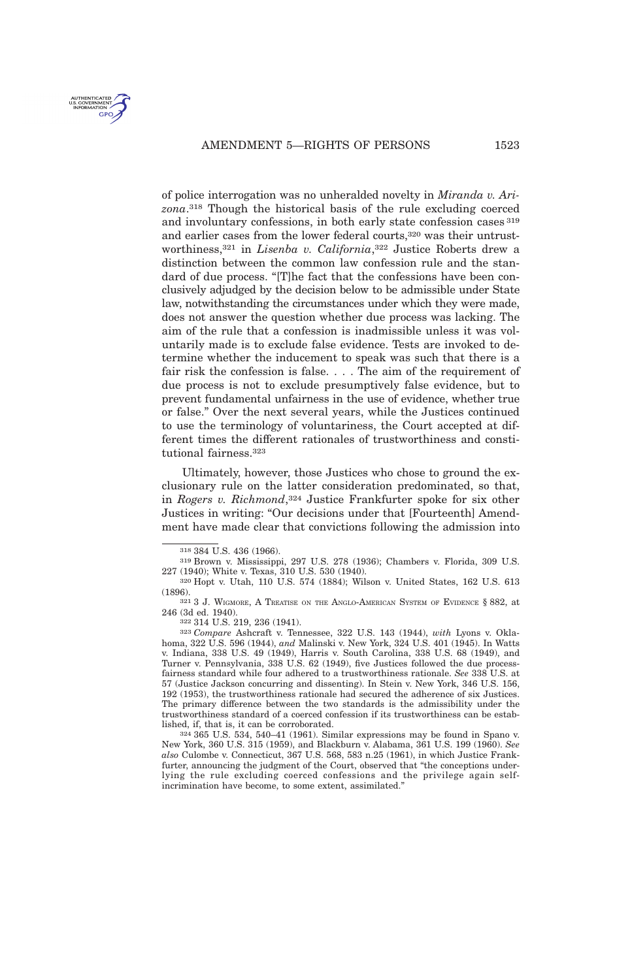

of police interrogation was no unheralded novelty in *Miranda v. Arizona*. <sup>318</sup> Though the historical basis of the rule excluding coerced and involuntary confessions, in both early state confession cases <sup>319</sup> and earlier cases from the lower federal courts,<sup>320</sup> was their untrustworthiness,<sup>321</sup> in *Lisenba v. California*, <sup>322</sup> Justice Roberts drew a distinction between the common law confession rule and the standard of due process. "[T]he fact that the confessions have been conclusively adjudged by the decision below to be admissible under State law, notwithstanding the circumstances under which they were made, does not answer the question whether due process was lacking. The aim of the rule that a confession is inadmissible unless it was voluntarily made is to exclude false evidence. Tests are invoked to determine whether the inducement to speak was such that there is a fair risk the confession is false. . . . The aim of the requirement of due process is not to exclude presumptively false evidence, but to prevent fundamental unfairness in the use of evidence, whether true or false." Over the next several years, while the Justices continued to use the terminology of voluntariness, the Court accepted at different times the different rationales of trustworthiness and constitutional fairness.<sup>323</sup>

Ultimately, however, those Justices who chose to ground the exclusionary rule on the latter consideration predominated, so that, in *Rogers v. Richmond*, <sup>324</sup> Justice Frankfurter spoke for six other Justices in writing: "Our decisions under that [Fourteenth] Amendment have made clear that convictions following the admission into

<sup>318</sup> 384 U.S. 436 (1966).

<sup>319</sup> Brown v. Mississippi, 297 U.S. 278 (1936); Chambers v. Florida, 309 U.S. 227 (1940); White v. Texas, 310 U.S. 530 (1940).

<sup>320</sup> Hopt v. Utah, 110 U.S. 574 (1884); Wilson v. United States, 162 U.S. 613 (1896).

<sup>321</sup> 3 J. WIGMORE, A TREATISE ON THE ANGLO-AMERICAN SYSTEM OF EVIDENCE § 882, at 246 (3d ed. 1940).

<sup>322</sup> 314 U.S. 219, 236 (1941).

<sup>323</sup> *Compare* Ashcraft v. Tennessee, 322 U.S. 143 (1944), *with* Lyons v. Oklahoma, 322 U.S. 596 (1944), *and* Malinski v. New York, 324 U.S. 401 (1945). In Watts v. Indiana, 338 U.S. 49 (1949), Harris v. South Carolina, 338 U.S. 68 (1949), and Turner v. Pennsylvania, 338 U.S. 62 (1949), five Justices followed the due processfairness standard while four adhered to a trustworthiness rationale. *See* 338 U.S. at 57 (Justice Jackson concurring and dissenting). In Stein v. New York, 346 U.S. 156, 192 (1953), the trustworthiness rationale had secured the adherence of six Justices. The primary difference between the two standards is the admissibility under the trustworthiness standard of a coerced confession if its trustworthiness can be established, if, that is, it can be corroborated.

<sup>324</sup> 365 U.S. 534, 540–41 (1961). Similar expressions may be found in Spano v. New York, 360 U.S. 315 (1959), and Blackburn v. Alabama, 361 U.S. 199 (1960). *See also* Culombe v. Connecticut, 367 U.S. 568, 583 n.25 (1961), in which Justice Frankfurter, announcing the judgment of the Court, observed that "the conceptions underlying the rule excluding coerced confessions and the privilege again selfincrimination have become, to some extent, assimilated."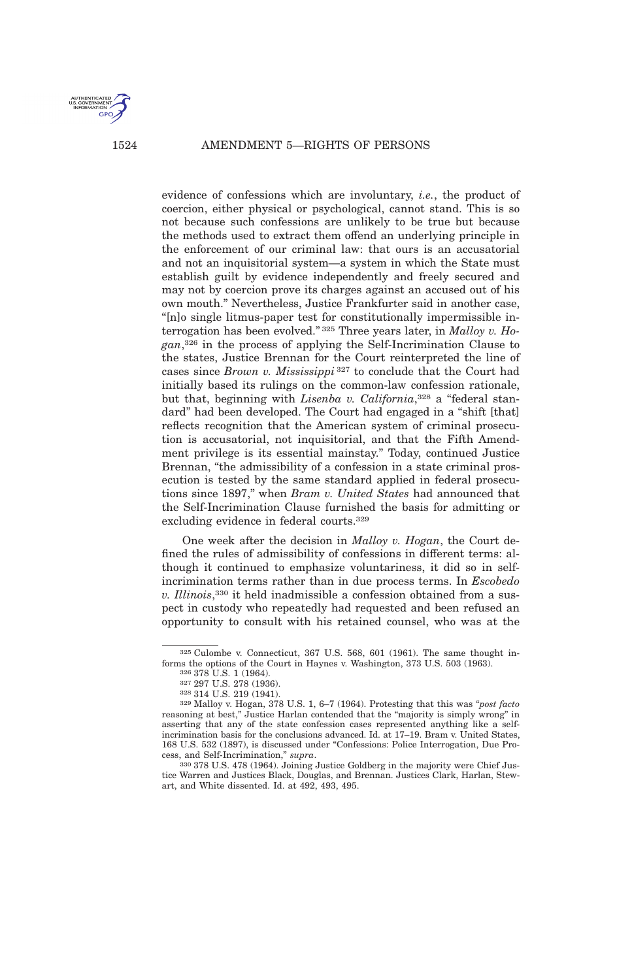

1524 AMENDMENT 5—RIGHTS OF PERSONS

evidence of confessions which are involuntary, *i.e.*, the product of coercion, either physical or psychological, cannot stand. This is so not because such confessions are unlikely to be true but because the methods used to extract them offend an underlying principle in the enforcement of our criminal law: that ours is an accusatorial and not an inquisitorial system—a system in which the State must establish guilt by evidence independently and freely secured and may not by coercion prove its charges against an accused out of his own mouth." Nevertheless, Justice Frankfurter said in another case, "[n]o single litmus-paper test for constitutionally impermissible interrogation has been evolved." <sup>325</sup> Three years later, in *Malloy v. Hogan*, <sup>326</sup> in the process of applying the Self-Incrimination Clause to the states, Justice Brennan for the Court reinterpreted the line of cases since *Brown v. Mississippi* <sup>327</sup> to conclude that the Court had initially based its rulings on the common-law confession rationale, but that, beginning with *Lisenba v. California*, <sup>328</sup> a "federal standard" had been developed. The Court had engaged in a "shift [that] reflects recognition that the American system of criminal prosecution is accusatorial, not inquisitorial, and that the Fifth Amendment privilege is its essential mainstay." Today, continued Justice Brennan, "the admissibility of a confession in a state criminal prosecution is tested by the same standard applied in federal prosecutions since 1897," when *Bram v. United States* had announced that the Self-Incrimination Clause furnished the basis for admitting or excluding evidence in federal courts.<sup>329</sup>

One week after the decision in *Malloy v. Hogan*, the Court defined the rules of admissibility of confessions in different terms: although it continued to emphasize voluntariness, it did so in selfincrimination terms rather than in due process terms. In *Escobedo v. Illinois*, <sup>330</sup> it held inadmissible a confession obtained from a suspect in custody who repeatedly had requested and been refused an opportunity to consult with his retained counsel, who was at the

<sup>325</sup> Culombe v. Connecticut, 367 U.S. 568, 601 (1961). The same thought informs the options of the Court in Haynes v. Washington, 373 U.S. 503 (1963).

<sup>326</sup> 378 U.S. 1 (1964).

<sup>327</sup> 297 U.S. 278 (1936).

<sup>328</sup> 314 U.S. 219 (1941).

<sup>329</sup> Malloy v. Hogan, 378 U.S. 1, 6–7 (1964). Protesting that this was "*post facto* reasoning at best," Justice Harlan contended that the "majority is simply wrong" in asserting that any of the state confession cases represented anything like a selfincrimination basis for the conclusions advanced. Id. at 17–19. Bram v. United States, 168 U.S. 532 (1897), is discussed under "Confessions: Police Interrogation, Due Process, and Self-Incrimination," *supra*.

 $330\,378$  U.S. 478 (1964). Joining Justice Goldberg in the majority were Chief Justice Warren and Justices Black, Douglas, and Brennan. Justices Clark, Harlan, Stewart, and White dissented. Id. at 492, 493, 495.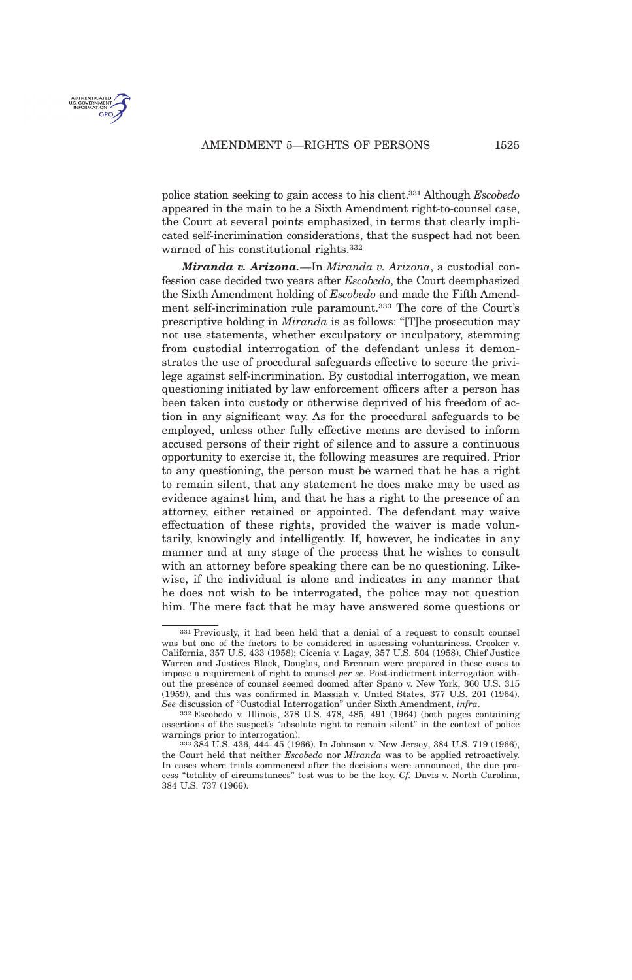police station seeking to gain access to his client.<sup>331</sup> Although *Escobedo* appeared in the main to be a Sixth Amendment right-to-counsel case, the Court at several points emphasized, in terms that clearly implicated self-incrimination considerations, that the suspect had not been warned of his constitutional rights.<sup>332</sup>

*Miranda v. Arizona.*—In *Miranda v. Arizona*, a custodial confession case decided two years after *Escobedo*, the Court deemphasized the Sixth Amendment holding of *Escobedo* and made the Fifth Amendment self-incrimination rule paramount.<sup>333</sup> The core of the Court's prescriptive holding in *Miranda* is as follows: "[T]he prosecution may not use statements, whether exculpatory or inculpatory, stemming from custodial interrogation of the defendant unless it demonstrates the use of procedural safeguards effective to secure the privilege against self-incrimination. By custodial interrogation, we mean questioning initiated by law enforcement officers after a person has been taken into custody or otherwise deprived of his freedom of action in any significant way. As for the procedural safeguards to be employed, unless other fully effective means are devised to inform accused persons of their right of silence and to assure a continuous opportunity to exercise it, the following measures are required. Prior to any questioning, the person must be warned that he has a right to remain silent, that any statement he does make may be used as evidence against him, and that he has a right to the presence of an attorney, either retained or appointed. The defendant may waive effectuation of these rights, provided the waiver is made voluntarily, knowingly and intelligently. If, however, he indicates in any manner and at any stage of the process that he wishes to consult with an attorney before speaking there can be no questioning. Likewise, if the individual is alone and indicates in any manner that he does not wish to be interrogated, the police may not question him. The mere fact that he may have answered some questions or

<sup>331</sup> Previously, it had been held that a denial of a request to consult counsel was but one of the factors to be considered in assessing voluntariness. Crooker v. California, 357 U.S. 433 (1958); Cicenia v. Lagay, 357 U.S. 504 (1958). Chief Justice Warren and Justices Black, Douglas, and Brennan were prepared in these cases to impose a requirement of right to counsel *per se*. Post-indictment interrogation without the presence of counsel seemed doomed after Spano v. New York, 360 U.S. 315 (1959), and this was confirmed in Massiah v. United States, 377 U.S. 201 (1964). *See* discussion of "Custodial Interrogation" under Sixth Amendment, *infra*.

<sup>332</sup> Escobedo v. Illinois, 378 U.S. 478, 485, 491 (1964) (both pages containing assertions of the suspect's "absolute right to remain silent" in the context of police warnings prior to interrogation).

<sup>333</sup> 384 U.S. 436, 444–45 (1966). In Johnson v. New Jersey, 384 U.S. 719 (1966), the Court held that neither *Escobedo* nor *Miranda* was to be applied retroactively. In cases where trials commenced after the decisions were announced, the due process "totality of circumstances" test was to be the key. *Cf.* Davis v. North Carolina, 384 U.S. 737 (1966).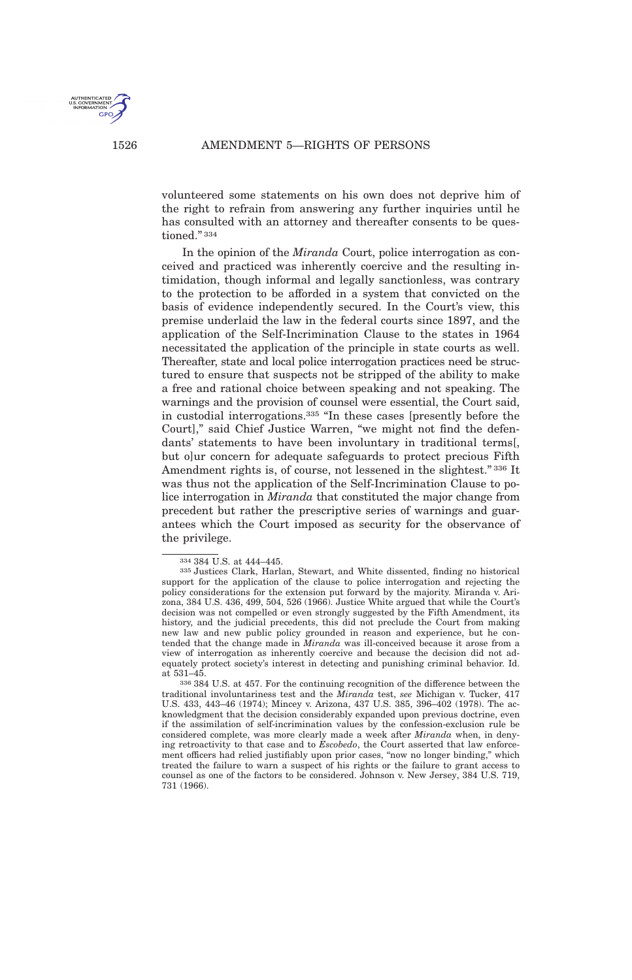

volunteered some statements on his own does not deprive him of the right to refrain from answering any further inquiries until he has consulted with an attorney and thereafter consents to be questioned." <sup>334</sup>

In the opinion of the *Miranda* Court, police interrogation as conceived and practiced was inherently coercive and the resulting intimidation, though informal and legally sanctionless, was contrary to the protection to be afforded in a system that convicted on the basis of evidence independently secured. In the Court's view, this premise underlaid the law in the federal courts since 1897, and the application of the Self-Incrimination Clause to the states in 1964 necessitated the application of the principle in state courts as well. Thereafter, state and local police interrogation practices need be structured to ensure that suspects not be stripped of the ability to make a free and rational choice between speaking and not speaking. The warnings and the provision of counsel were essential, the Court said, in custodial interrogations.<sup>335</sup> "In these cases [presently before the Court]," said Chief Justice Warren, "we might not find the defendants' statements to have been involuntary in traditional terms[, but o ur concern for adequate safeguards to protect precious Fifth Amendment rights is, of course, not lessened in the slightest." <sup>336</sup> It was thus not the application of the Self-Incrimination Clause to police interrogation in *Miranda* that constituted the major change from precedent but rather the prescriptive series of warnings and guarantees which the Court imposed as security for the observance of the privilege.

<sup>334</sup> 384 U.S. at 444–445.

<sup>335</sup> Justices Clark, Harlan, Stewart, and White dissented, finding no historical support for the application of the clause to police interrogation and rejecting the policy considerations for the extension put forward by the majority. Miranda v. Arizona, 384 U.S. 436, 499, 504, 526 (1966). Justice White argued that while the Court's decision was not compelled or even strongly suggested by the Fifth Amendment, its history, and the judicial precedents, this did not preclude the Court from making new law and new public policy grounded in reason and experience, but he contended that the change made in *Miranda* was ill-conceived because it arose from a view of interrogation as inherently coercive and because the decision did not adequately protect society's interest in detecting and punishing criminal behavior. Id. at 531–45.

<sup>336</sup> 384 U.S. at 457. For the continuing recognition of the difference between the traditional involuntariness test and the *Miranda* test, *see* Michigan v. Tucker, 417 U.S. 433, 443–46 (1974); Mincey v. Arizona, 437 U.S. 385, 396–402 (1978). The acknowledgment that the decision considerably expanded upon previous doctrine, even if the assimilation of self-incrimination values by the confession-exclusion rule be considered complete, was more clearly made a week after *Miranda* when, in denying retroactivity to that case and to *Escobedo*, the Court asserted that law enforcement officers had relied justifiably upon prior cases, "now no longer binding," which treated the failure to warn a suspect of his rights or the failure to grant access to counsel as one of the factors to be considered. Johnson v. New Jersey, 384 U.S. 719, 731 (1966).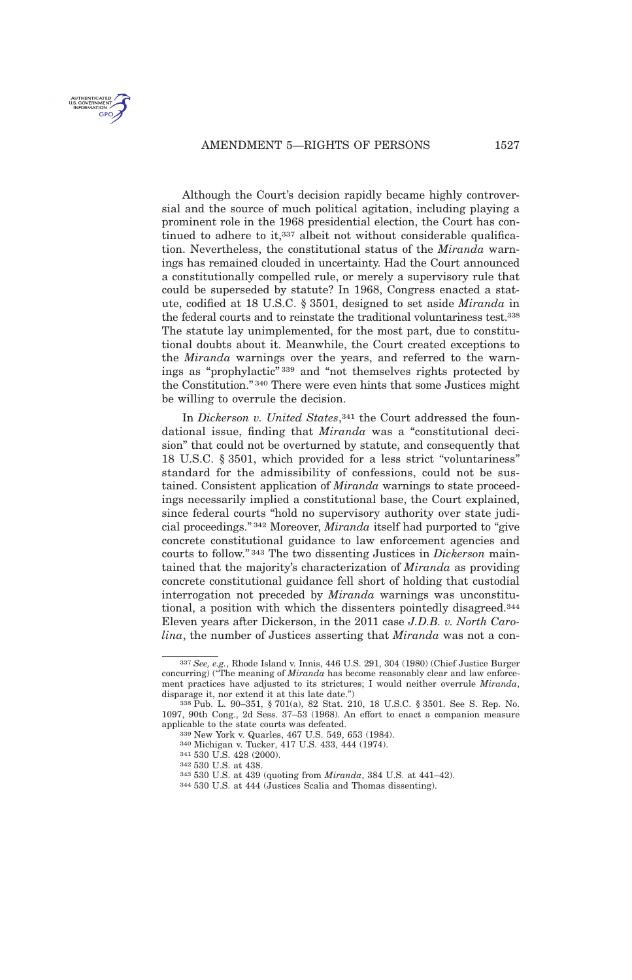

# AMENDMENT 5-RIGHTS OF PERSONS 1527

Although the Court's decision rapidly became highly controversial and the source of much political agitation, including playing a prominent role in the 1968 presidential election, the Court has continued to adhere to it,  $337$  albeit not without considerable qualification. Nevertheless, the constitutional status of the *Miranda* warnings has remained clouded in uncertainty. Had the Court announced a constitutionally compelled rule, or merely a supervisory rule that could be superseded by statute? In 1968, Congress enacted a statute, codified at 18 U.S.C. § 3501, designed to set aside *Miranda* in the federal courts and to reinstate the traditional voluntariness test.<sup>338</sup> The statute lay unimplemented, for the most part, due to constitutional doubts about it. Meanwhile, the Court created exceptions to the *Miranda* warnings over the years, and referred to the warnings as "prophylactic" <sup>339</sup> and "not themselves rights protected by the Constitution." <sup>340</sup> There were even hints that some Justices might be willing to overrule the decision.

In *Dickerson v. United States*, <sup>341</sup> the Court addressed the foundational issue, finding that *Miranda* was a "constitutional decision" that could not be overturned by statute, and consequently that 18 U.S.C. § 3501, which provided for a less strict "voluntariness" standard for the admissibility of confessions, could not be sustained. Consistent application of *Miranda* warnings to state proceedings necessarily implied a constitutional base, the Court explained, since federal courts "hold no supervisory authority over state judicial proceedings." <sup>342</sup> Moreover, *Miranda* itself had purported to "give concrete constitutional guidance to law enforcement agencies and courts to follow." <sup>343</sup> The two dissenting Justices in *Dickerson* maintained that the majority's characterization of *Miranda* as providing concrete constitutional guidance fell short of holding that custodial interrogation not preceded by *Miranda* warnings was unconstitutional, a position with which the dissenters pointedly disagreed.<sup>344</sup> Eleven years after Dickerson, in the 2011 case *J.D.B. v. North Carolina*, the number of Justices asserting that *Miranda* was not a con-

<sup>337</sup> *See, e.g.*, Rhode Island v. Innis, 446 U.S. 291, 304 (1980) (Chief Justice Burger concurring) ("The meaning of *Miranda* has become reasonably clear and law enforcement practices have adjusted to its strictures; I would neither overrule *Miranda*, disparage it, nor extend it at this late date.")

<sup>338</sup> Pub. L. 90–351, § 701(a), 82 Stat. 210, 18 U.S.C. § 3501. See S. Rep. No. 1097, 90th Cong., 2d Sess. 37–53 (1968). An effort to enact a companion measure applicable to the state courts was defeated.

<sup>339</sup> New York v. Quarles, 467 U.S. 549, 653 (1984).

<sup>340</sup> Michigan v. Tucker, 417 U.S. 433, 444 (1974).

<sup>341</sup> 530 U.S. 428 (2000).

<sup>342</sup> 530 U.S. at 438.

<sup>343</sup> 530 U.S. at 439 (quoting from *Miranda*, 384 U.S. at 441–42).

<sup>344</sup> 530 U.S. at 444 (Justices Scalia and Thomas dissenting).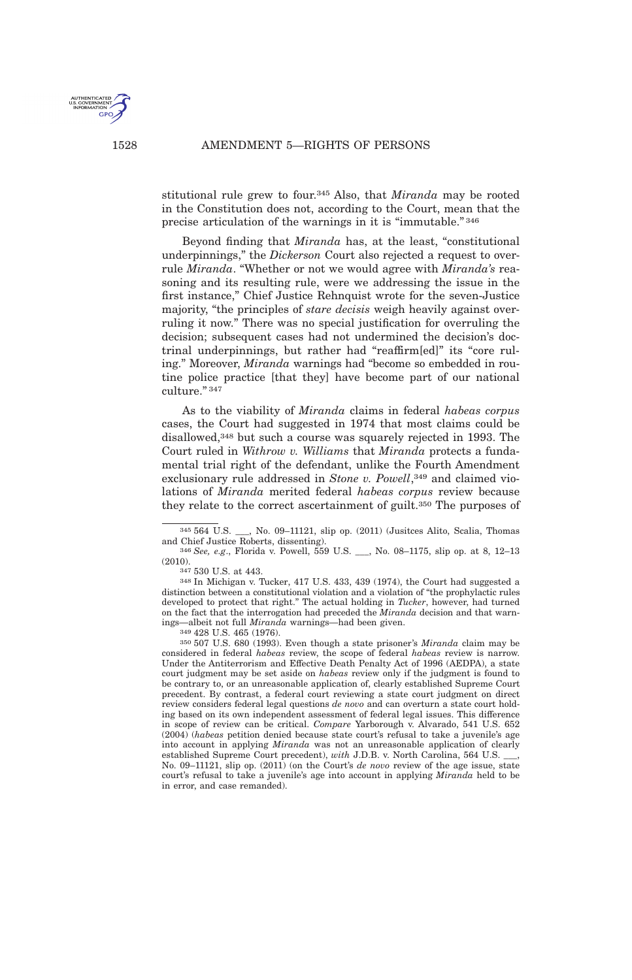

stitutional rule grew to four.<sup>345</sup> Also, that *Miranda* may be rooted in the Constitution does not, according to the Court, mean that the precise articulation of the warnings in it is "immutable." <sup>346</sup>

Beyond finding that *Miranda* has, at the least, "constitutional underpinnings," the *Dickerson* Court also rejected a request to overrule *Miranda*. "Whether or not we would agree with *Miranda's* reasoning and its resulting rule, were we addressing the issue in the first instance," Chief Justice Rehnquist wrote for the seven-Justice majority, "the principles of *stare decisis* weigh heavily against overruling it now." There was no special justification for overruling the decision; subsequent cases had not undermined the decision's doctrinal underpinnings, but rather had "reaffirm[ed]" its "core ruling." Moreover, *Miranda* warnings had "become so embedded in routine police practice [that they] have become part of our national culture." <sup>347</sup>

As to the viability of *Miranda* claims in federal *habeas corpus* cases, the Court had suggested in 1974 that most claims could be disallowed,<sup>348</sup> but such a course was squarely rejected in 1993. The Court ruled in *Withrow v. Williams* that *Miranda* protects a fundamental trial right of the defendant, unlike the Fourth Amendment exclusionary rule addressed in Stone v. Powell,<sup>349</sup> and claimed violations of *Miranda* merited federal *habeas corpus* review because they relate to the correct ascertainment of guilt.<sup>350</sup> The purposes of

346 *See, e.g*., Florida v. Powell, 559 U.S. \_\_\_, No. 08–1175, slip op. at 8, 12–13 (2010).

347 530 U.S. at 443.

348 In Michigan v. Tucker, 417 U.S. 433, 439 (1974), the Court had suggested a distinction between a constitutional violation and a violation of "the prophylactic rules developed to protect that right." The actual holding in *Tucker*, however, had turned on the fact that the interrogation had preceded the *Miranda* decision and that warnings—albeit not full *Miranda* warnings—had been given.

349 428 U.S. 465 (1976).

350 507 U.S. 680 (1993). Even though a state prisoner's *Miranda* claim may be considered in federal *habeas* review, the scope of federal *habeas* review is narrow. Under the Antiterrorism and Effective Death Penalty Act of 1996 (AEDPA), a state court judgment may be set aside on *habeas* review only if the judgment is found to be contrary to, or an unreasonable application of, clearly established Supreme Court precedent. By contrast, a federal court reviewing a state court judgment on direct review considers federal legal questions *de novo* and can overturn a state court holding based on its own independent assessment of federal legal issues. This difference in scope of review can be critical. *Compare* Yarborough v. Alvarado, 541 U.S. 652 (2004) (*habeas* petition denied because state court's refusal to take a juvenile's age into account in applying *Miranda* was not an unreasonable application of clearly established Supreme Court precedent), *with* J.D.B. v. North Carolina, 564 U.S. \_\_\_, No. 09–11121, slip op. (2011) (on the Court's *de novo* review of the age issue, state court's refusal to take a juvenile's age into account in applying *Miranda* held to be in error, and case remanded).

<sup>345</sup> 564 U.S. \_\_\_, No. 09–11121, slip op. (2011) (Jusitces Alito, Scalia, Thomas and Chief Justice Roberts, dissenting).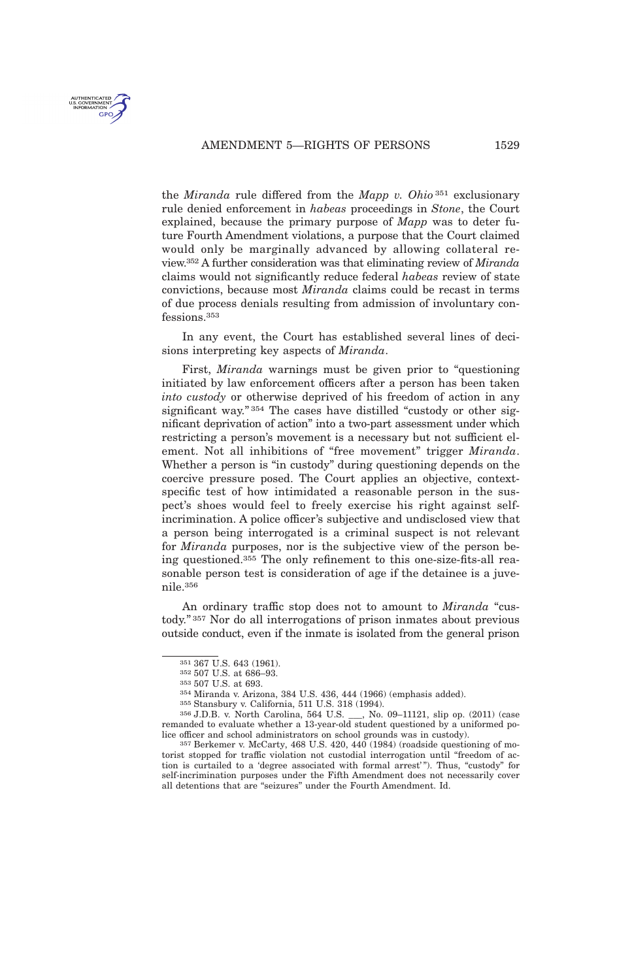AMENDMENT 5-RIGHTS OF PERSONS 1529



the *Miranda* rule differed from the *Mapp v. Ohio* <sup>351</sup> exclusionary rule denied enforcement in *habeas* proceedings in *Stone*, the Court explained, because the primary purpose of *Mapp* was to deter future Fourth Amendment violations, a purpose that the Court claimed would only be marginally advanced by allowing collateral review.<sup>352</sup> A further consideration was that eliminating review of *Miranda* claims would not significantly reduce federal *habeas* review of state convictions, because most *Miranda* claims could be recast in terms of due process denials resulting from admission of involuntary confessions.<sup>353</sup>

In any event, the Court has established several lines of decisions interpreting key aspects of *Miranda*.

First, *Miranda* warnings must be given prior to "questioning initiated by law enforcement officers after a person has been taken *into custody* or otherwise deprived of his freedom of action in any significant way." <sup>354</sup> The cases have distilled "custody or other significant deprivation of action" into a two-part assessment under which restricting a person's movement is a necessary but not sufficient element. Not all inhibitions of "free movement" trigger *Miranda*. Whether a person is "in custody" during questioning depends on the coercive pressure posed. The Court applies an objective, contextspecific test of how intimidated a reasonable person in the suspect's shoes would feel to freely exercise his right against selfincrimination. A police officer's subjective and undisclosed view that a person being interrogated is a criminal suspect is not relevant for *Miranda* purposes, nor is the subjective view of the person being questioned.<sup>355</sup> The only refinement to this one-size-fits-all reasonable person test is consideration of age if the detainee is a juvenile.<sup>356</sup>

An ordinary traffic stop does not to amount to *Miranda* "custody." <sup>357</sup> Nor do all interrogations of prison inmates about previous outside conduct, even if the inmate is isolated from the general prison

<sup>351</sup> 367 U.S. 643 (1961).

<sup>352</sup> 507 U.S. at 686–93.

<sup>353</sup> 507 U.S. at 693.

<sup>354</sup> Miranda v. Arizona, 384 U.S. 436, 444 (1966) (emphasis added).

<sup>355</sup> Stansbury v. California, 511 U.S. 318 (1994).

<sup>356</sup> J.D.B. v. North Carolina, 564 U.S. \_\_\_, No. 09–11121, slip op. (2011) (case remanded to evaluate whether a 13-year-old student questioned by a uniformed police officer and school administrators on school grounds was in custody).

<sup>357</sup> Berkemer v. McCarty, 468 U.S. 420, 440 (1984) (roadside questioning of motorist stopped for traffic violation not custodial interrogation until "freedom of action is curtailed to a 'degree associated with formal arrest'"). Thus, "custody" for self-incrimination purposes under the Fifth Amendment does not necessarily cover all detentions that are "seizures" under the Fourth Amendment. Id.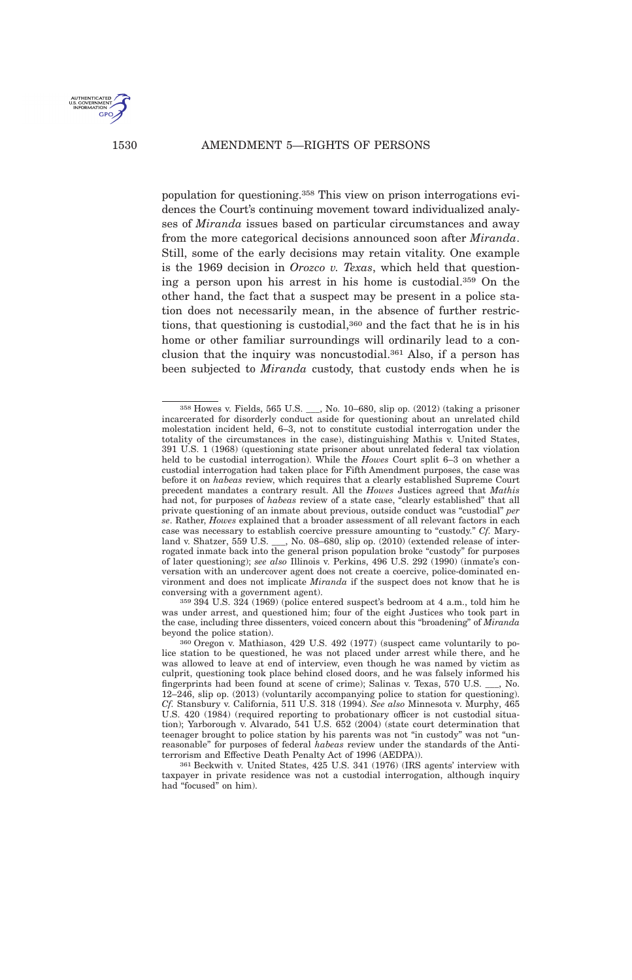

1530 AMENDMENT 5—RIGHTS OF PERSONS

population for questioning.<sup>358</sup> This view on prison interrogations evidences the Court's continuing movement toward individualized analyses of *Miranda* issues based on particular circumstances and away from the more categorical decisions announced soon after *Miranda*. Still, some of the early decisions may retain vitality. One example is the 1969 decision in *Orozco v. Texas*, which held that questioning a person upon his arrest in his home is custodial.<sup>359</sup> On the other hand, the fact that a suspect may be present in a police station does not necessarily mean, in the absence of further restrictions, that questioning is custodial,<sup>360</sup> and the fact that he is in his home or other familiar surroundings will ordinarily lead to a conclusion that the inquiry was noncustodial.<sup>361</sup> Also, if a person has been subjected to *Miranda* custody, that custody ends when he is

359 394 U.S. 324 (1969) (police entered suspect's bedroom at 4 a.m., told him he was under arrest, and questioned him; four of the eight Justices who took part in the case, including three dissenters, voiced concern about this "broadening" of *Miranda* beyond the police station).

361 Beckwith v. United States, 425 U.S. 341 (1976) (IRS agents' interview with taxpayer in private residence was not a custodial interrogation, although inquiry had "focused" on him).

<sup>358</sup> Howes v. Fields, 565 U.S. \_\_\_, No. 10–680, slip op. (2012) (taking a prisoner incarcerated for disorderly conduct aside for questioning about an unrelated child molestation incident held, 6–3, not to constitute custodial interrogation under the totality of the circumstances in the case), distinguishing Mathis v. United States, 391 U.S. 1 (1968) (questioning state prisoner about unrelated federal tax violation held to be custodial interrogation). While the *Howes* Court split 6–3 on whether a custodial interrogation had taken place for Fifth Amendment purposes, the case was before it on *habeas* review, which requires that a clearly established Supreme Court precedent mandates a contrary result. All the *Howes* Justices agreed that *Mathis* had not, for purposes of *habeas* review of a state case, "clearly established" that all private questioning of an inmate about previous, outside conduct was "custodial" *per se*. Rather, *Howes* explained that a broader assessment of all relevant factors in each case was necessary to establish coercive pressure amounting to "custody." *Cf.* Mary- $\ldots$ , No. 08–680, slip op. (2010) (extended release of interrogated inmate back into the general prison population broke "custody" for purposes of later questioning); *see also* Illinois v. Perkins, 496 U.S. 292 (1990) (inmate's conversation with an undercover agent does not create a coercive, police-dominated environment and does not implicate *Miranda* if the suspect does not know that he is conversing with a government agent).

<sup>360</sup> Oregon v. Mathiason, 429 U.S. 492 (1977) (suspect came voluntarily to police station to be questioned, he was not placed under arrest while there, and he was allowed to leave at end of interview, even though he was named by victim as culprit, questioning took place behind closed doors, and he was falsely informed his fingerprints had been found at scene of crime); Salinas v. Texas, 570 U.S. \_\_\_, No. 12–246, slip op. (2013) (voluntarily accompanying police to station for questioning). *Cf.* Stansbury v. California, 511 U.S. 318 (1994). *See also* Minnesota v. Murphy, 465 U.S. 420 (1984) (required reporting to probationary officer is not custodial situation); Yarborough v. Alvarado, 541 U.S. 652 (2004) (state court determination that teenager brought to police station by his parents was not "in custody" was not "unreasonable" for purposes of federal *habeas* review under the standards of the Antiterrorism and Effective Death Penalty Act of 1996 (AEDPA)).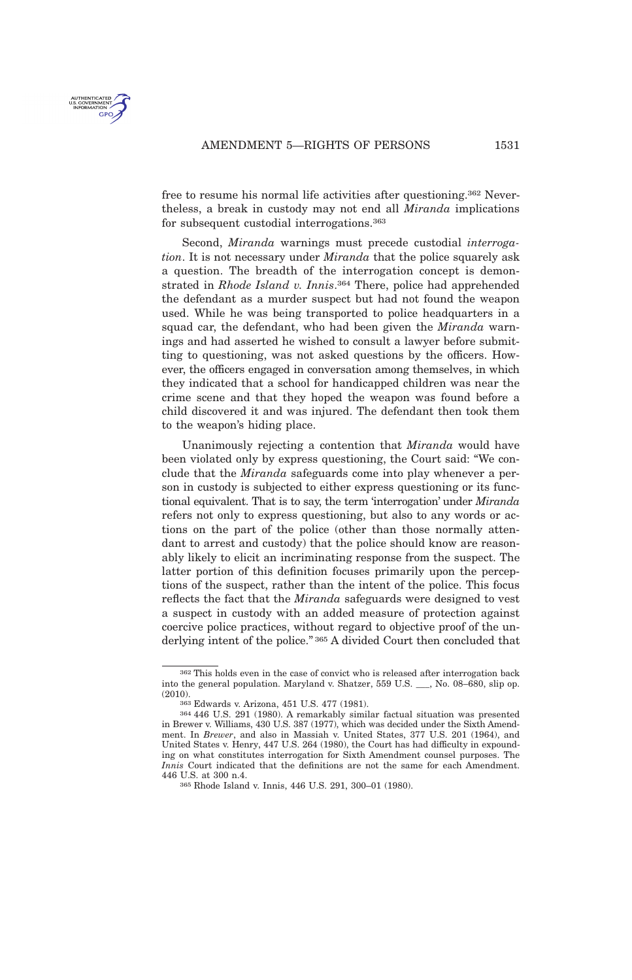

free to resume his normal life activities after questioning. <sup>362</sup> Nevertheless, a break in custody may not end all *Miranda* implications for subsequent custodial interrogations.<sup>363</sup>

Second, *Miranda* warnings must precede custodial *interrogation*. It is not necessary under *Miranda* that the police squarely ask a question. The breadth of the interrogation concept is demonstrated in *Rhode Island v. Innis*. <sup>364</sup> There, police had apprehended the defendant as a murder suspect but had not found the weapon used. While he was being transported to police headquarters in a squad car, the defendant, who had been given the *Miranda* warnings and had asserted he wished to consult a lawyer before submitting to questioning, was not asked questions by the officers. However, the officers engaged in conversation among themselves, in which they indicated that a school for handicapped children was near the crime scene and that they hoped the weapon was found before a child discovered it and was injured. The defendant then took them to the weapon's hiding place.

Unanimously rejecting a contention that *Miranda* would have been violated only by express questioning, the Court said: "We conclude that the *Miranda* safeguards come into play whenever a person in custody is subjected to either express questioning or its functional equivalent. That is to say, the term 'interrogation' under *Miranda* refers not only to express questioning, but also to any words or actions on the part of the police (other than those normally attendant to arrest and custody) that the police should know are reasonably likely to elicit an incriminating response from the suspect. The latter portion of this definition focuses primarily upon the perceptions of the suspect, rather than the intent of the police. This focus reflects the fact that the *Miranda* safeguards were designed to vest a suspect in custody with an added measure of protection against coercive police practices, without regard to objective proof of the underlying intent of the police." <sup>365</sup> A divided Court then concluded that

<sup>362</sup> This holds even in the case of convict who is released after interrogation back into the general population. Maryland v. Shatzer, 559 U.S. \_\_\_, No. 08–680, slip op. (2010).

<sup>363</sup> Edwards v. Arizona, 451 U.S. 477 (1981).

<sup>364</sup> 446 U.S. 291 (1980). A remarkably similar factual situation was presented in Brewer v. Williams, 430 U.S. 387 (1977), which was decided under the Sixth Amendment. In *Brewer*, and also in Massiah v. United States, 377 U.S. 201 (1964), and United States v. Henry, 447 U.S. 264 (1980), the Court has had difficulty in expounding on what constitutes interrogation for Sixth Amendment counsel purposes. The *Innis* Court indicated that the definitions are not the same for each Amendment. 446 U.S. at 300 n.4.

<sup>365</sup> Rhode Island v. Innis, 446 U.S. 291, 300–01 (1980).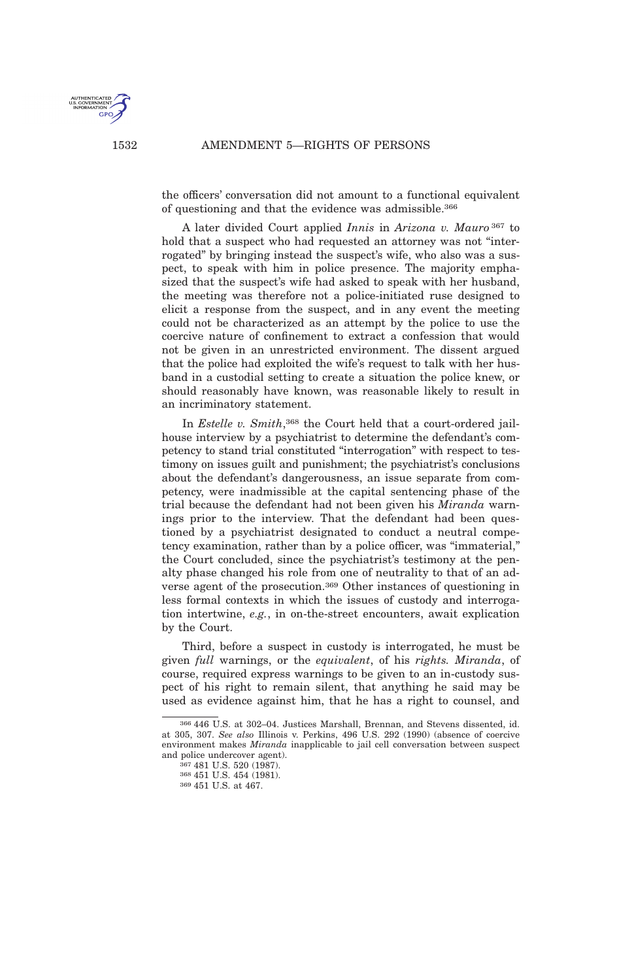the officers' conversation did not amount to a functional equivalent of questioning and that the evidence was admissible.<sup>366</sup>

A later divided Court applied *Innis* in *Arizona v. Mauro* <sup>367</sup> to hold that a suspect who had requested an attorney was not "interrogated" by bringing instead the suspect's wife, who also was a suspect, to speak with him in police presence. The majority emphasized that the suspect's wife had asked to speak with her husband, the meeting was therefore not a police-initiated ruse designed to elicit a response from the suspect, and in any event the meeting could not be characterized as an attempt by the police to use the coercive nature of confinement to extract a confession that would not be given in an unrestricted environment. The dissent argued that the police had exploited the wife's request to talk with her husband in a custodial setting to create a situation the police knew, or should reasonably have known, was reasonable likely to result in an incriminatory statement.

In *Estelle v. Smith*, <sup>368</sup> the Court held that a court-ordered jailhouse interview by a psychiatrist to determine the defendant's competency to stand trial constituted "interrogation" with respect to testimony on issues guilt and punishment; the psychiatrist's conclusions about the defendant's dangerousness, an issue separate from competency, were inadmissible at the capital sentencing phase of the trial because the defendant had not been given his *Miranda* warnings prior to the interview. That the defendant had been questioned by a psychiatrist designated to conduct a neutral competency examination, rather than by a police officer, was "immaterial," the Court concluded, since the psychiatrist's testimony at the penalty phase changed his role from one of neutrality to that of an adverse agent of the prosecution.<sup>369</sup> Other instances of questioning in less formal contexts in which the issues of custody and interrogation intertwine, *e.g.*, in on-the-street encounters, await explication by the Court.

Third, before a suspect in custody is interrogated, he must be given *full* warnings, or the *equivalent*, of his *rights. Miranda*, of course, required express warnings to be given to an in-custody suspect of his right to remain silent, that anything he said may be used as evidence against him, that he has a right to counsel, and

<sup>366</sup> 446 U.S. at 302–04. Justices Marshall, Brennan, and Stevens dissented, id. at 305, 307. *See also* Illinois v. Perkins, 496 U.S. 292 (1990) (absence of coercive environment makes *Miranda* inapplicable to jail cell conversation between suspect and police undercover agent).

<sup>367</sup> 481 U.S. 520 (1987).

<sup>368</sup> 451 U.S. 454 (1981).

<sup>369</sup> 451 U.S. at 467.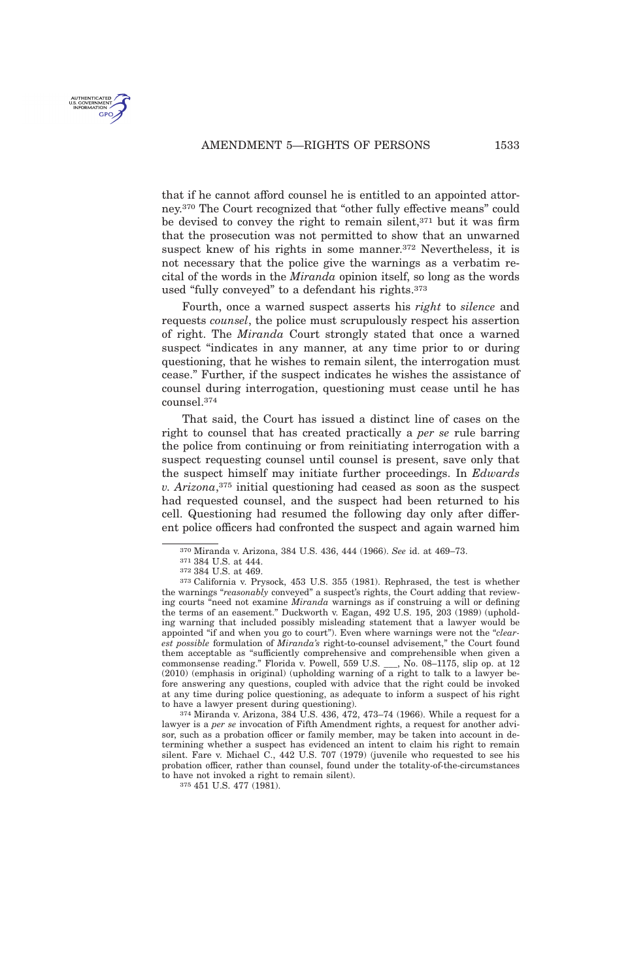

that if he cannot afford counsel he is entitled to an appointed attorney.<sup>370</sup> The Court recognized that "other fully effective means" could be devised to convey the right to remain silent,<sup>371</sup> but it was firm that the prosecution was not permitted to show that an unwarned suspect knew of his rights in some manner.<sup>372</sup> Nevertheless, it is not necessary that the police give the warnings as a verbatim recital of the words in the *Miranda* opinion itself, so long as the words used "fully conveyed" to a defendant his rights.<sup>373</sup>

Fourth, once a warned suspect asserts his *right* to *silence* and requests *counsel*, the police must scrupulously respect his assertion of right. The *Miranda* Court strongly stated that once a warned suspect "indicates in any manner, at any time prior to or during questioning, that he wishes to remain silent, the interrogation must cease." Further, if the suspect indicates he wishes the assistance of counsel during interrogation, questioning must cease until he has counsel.<sup>374</sup>

That said, the Court has issued a distinct line of cases on the right to counsel that has created practically a *per se* rule barring the police from continuing or from reinitiating interrogation with a suspect requesting counsel until counsel is present, save only that the suspect himself may initiate further proceedings. In *Edwards v. Arizona*, <sup>375</sup> initial questioning had ceased as soon as the suspect had requested counsel, and the suspect had been returned to his cell. Questioning had resumed the following day only after different police officers had confronted the suspect and again warned him

 $374$  Miranda v. Arizona,  $384$  U.S.  $436$ ,  $472$ ,  $473-74$  (1966). While a request for a lawyer is a *per se* invocation of Fifth Amendment rights, a request for another advisor, such as a probation officer or family member, may be taken into account in determining whether a suspect has evidenced an intent to claim his right to remain silent. Fare v. Michael C., 442 U.S. 707 (1979) (juvenile who requested to see his probation officer, rather than counsel, found under the totality-of-the-circumstances to have not invoked a right to remain silent).

<sup>370</sup> Miranda v. Arizona, 384 U.S. 436, 444 (1966). *See* id. at 469–73.

<sup>371</sup> 384 U.S. at 444.

<sup>372</sup> 384 U.S. at 469.

<sup>373</sup> California v. Prysock, 453 U.S. 355 (1981). Rephrased, the test is whether the warnings "*reasonably* conveyed" a suspect's rights, the Court adding that reviewing courts "need not examine *Miranda* warnings as if construing a will or defining the terms of an easement." Duckworth v. Eagan, 492 U.S. 195, 203 (1989) (upholding warning that included possibly misleading statement that a lawyer would be appointed "if and when you go to court"). Even where warnings were not the "*clearest possible* formulation of *Miranda's* right-to-counsel advisement," the Court found them acceptable as "sufficiently comprehensive and comprehensible when given a commonsense reading." Florida v. Powell, 559 U.S. \_\_\_, No. 08–1175, slip op. at 12 (2010) (emphasis in original) (upholding warning of a right to talk to a lawyer before answering any questions, coupled with advice that the right could be invoked at any time during police questioning, as adequate to inform a suspect of his right to have a lawyer present during questioning).

<sup>375</sup> 451 U.S. 477 (1981).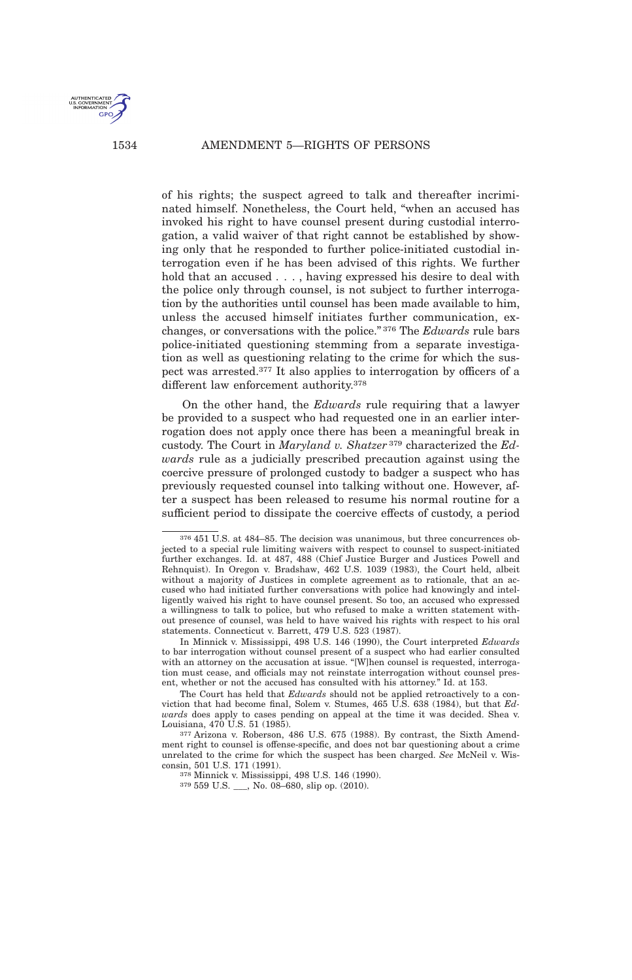

of his rights; the suspect agreed to talk and thereafter incriminated himself. Nonetheless, the Court held, "when an accused has invoked his right to have counsel present during custodial interrogation, a valid waiver of that right cannot be established by showing only that he responded to further police-initiated custodial interrogation even if he has been advised of this rights. We further hold that an accused . . . , having expressed his desire to deal with the police only through counsel, is not subject to further interrogation by the authorities until counsel has been made available to him, unless the accused himself initiates further communication, exchanges, or conversations with the police." <sup>376</sup> The *Edwards* rule bars police-initiated questioning stemming from a separate investigation as well as questioning relating to the crime for which the suspect was arrested.<sup>377</sup> It also applies to interrogation by officers of a different law enforcement authority.<sup>378</sup>

On the other hand, the *Edwards* rule requiring that a lawyer be provided to a suspect who had requested one in an earlier interrogation does not apply once there has been a meaningful break in custody. The Court in *Maryland v. Shatzer* <sup>379</sup> characterized the *Edwards* rule as a judicially prescribed precaution against using the coercive pressure of prolonged custody to badger a suspect who has previously requested counsel into talking without one. However, after a suspect has been released to resume his normal routine for a sufficient period to dissipate the coercive effects of custody, a period

In Minnick v. Mississippi, 498 U.S. 146 (1990), the Court interpreted *Edwards* to bar interrogation without counsel present of a suspect who had earlier consulted with an attorney on the accusation at issue. "[W]hen counsel is requested, interrogation must cease, and officials may not reinstate interrogation without counsel present, whether or not the accused has consulted with his attorney." Id. at 153.

The Court has held that *Edwards* should not be applied retroactively to a conviction that had become final, Solem v. Stumes, 465 U.S. 638 (1984), but that *Edwards* does apply to cases pending on appeal at the time it was decided. Shea v. Louisiana, 470 U.S. 51 (1985).

377 Arizona v. Roberson, 486 U.S. 675 (1988). By contrast, the Sixth Amendment right to counsel is offense-specific, and does not bar questioning about a crime unrelated to the crime for which the suspect has been charged. *See* McNeil v. Wisconsin, 501 U.S. 171 (1991).

378 Minnick v. Mississippi, 498 U.S. 146 (1990).

379 559 U.S. \_\_\_, No. 08–680, slip op. (2010).

<sup>376</sup> 451 U.S. at 484–85. The decision was unanimous, but three concurrences objected to a special rule limiting waivers with respect to counsel to suspect-initiated further exchanges. Id. at 487, 488 (Chief Justice Burger and Justices Powell and Rehnquist). In Oregon v. Bradshaw, 462 U.S. 1039 (1983), the Court held, albeit without a majority of Justices in complete agreement as to rationale, that an accused who had initiated further conversations with police had knowingly and intelligently waived his right to have counsel present. So too, an accused who expressed a willingness to talk to police, but who refused to make a written statement without presence of counsel, was held to have waived his rights with respect to his oral statements. Connecticut v. Barrett, 479 U.S. 523 (1987).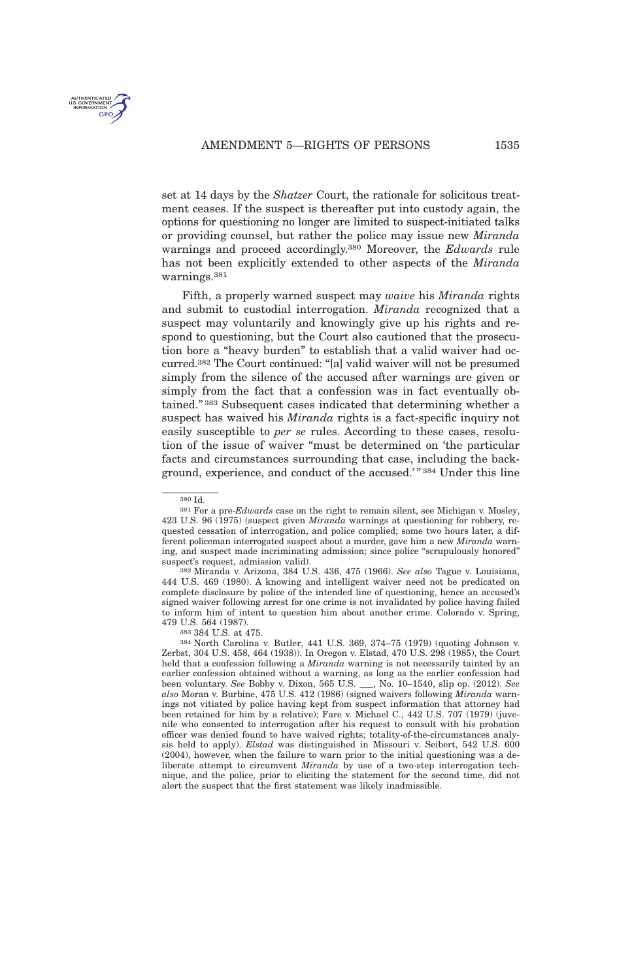

set at 14 days by the *Shatzer* Court, the rationale for solicitous treatment ceases. If the suspect is thereafter put into custody again, the options for questioning no longer are limited to suspect-initiated talks or providing counsel, but rather the police may issue new *Miranda* warnings and proceed accordingly.<sup>380</sup> Moreover, the *Edwards* rule has not been explicitly extended to other aspects of the *Miranda* warnings.<sup>381</sup>

Fifth, a properly warned suspect may *waive* his *Miranda* rights and submit to custodial interrogation. *Miranda* recognized that a suspect may voluntarily and knowingly give up his rights and respond to questioning, but the Court also cautioned that the prosecution bore a "heavy burden" to establish that a valid waiver had occurred.<sup>382</sup> The Court continued: "[a] valid waiver will not be presumed simply from the silence of the accused after warnings are given or simply from the fact that a confession was in fact eventually obtained." <sup>383</sup> Subsequent cases indicated that determining whether a suspect has waived his *Miranda* rights is a fact-specific inquiry not easily susceptible to *per se* rules. According to these cases, resolution of the issue of waiver "must be determined on 'the particular facts and circumstances surrounding that case, including the background, experience, and conduct of the accused.'"<sup>384</sup> Under this line

382 Miranda v. Arizona, 384 U.S. 436, 475 (1966). *See also* Tague v. Louisiana, 444 U.S. 469 (1980). A knowing and intelligent waiver need not be predicated on complete disclosure by police of the intended line of questioning, hence an accused's signed waiver following arrest for one crime is not invalidated by police having failed to inform him of intent to question him about another crime. Colorado v. Spring, 479 U.S. 564 (1987).

383 384 U.S. at 475.

384 North Carolina v. Butler, 441 U.S. 369, 374–75 (1979) (quoting Johnson v. Zerbst, 304 U.S. 458, 464 (1938)). In Oregon v. Elstad, 470 U.S. 298 (1985), the Court held that a confession following a *Miranda* warning is not necessarily tainted by an earlier confession obtained without a warning, as long as the earlier confession had been voluntary. *See* Bobby v. Dixon, 565 U.S. \_\_\_, No. 10–1540, slip op. (2012). *See also* Moran v. Burbine, 475 U.S. 412 (1986) (signed waivers following *Miranda* warnings not vitiated by police having kept from suspect information that attorney had been retained for him by a relative); Fare v. Michael C., 442 U.S. 707 (1979) (juvenile who consented to interrogation after his request to consult with his probation officer was denied found to have waived rights; totality-of-the-circumstances analysis held to apply). *Elstad* was distinguished in Missouri v. Seibert, 542 U.S. 600 (2004), however, when the failure to warn prior to the initial questioning was a deliberate attempt to circumvent *Miranda* by use of a two-step interrogation technique, and the police, prior to eliciting the statement for the second time, did not alert the suspect that the first statement was likely inadmissible.

<sup>380</sup> Id.

<sup>381</sup> For a pre-*Edwards* case on the right to remain silent, see Michigan v. Mosley, 423 U.S. 96 (1975) (suspect given *Miranda* warnings at questioning for robbery, requested cessation of interrogation, and police complied; some two hours later, a different policeman interrogated suspect about a murder, gave him a new *Miranda* warning, and suspect made incriminating admission; since police "scrupulously honored" suspect's request, admission valid).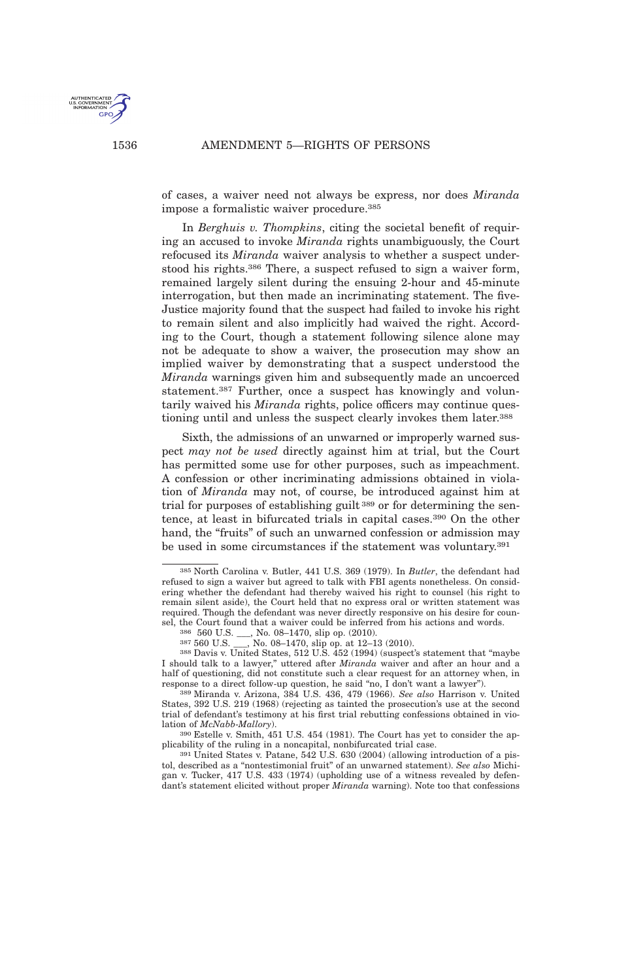

of cases, a waiver need not always be express, nor does *Miranda* impose a formalistic waiver procedure.<sup>385</sup>

In *Berghuis v. Thompkins*, citing the societal benefit of requiring an accused to invoke *Miranda* rights unambiguously, the Court refocused its *Miranda* waiver analysis to whether a suspect understood his rights.<sup>386</sup> There, a suspect refused to sign a waiver form, remained largely silent during the ensuing 2-hour and 45-minute interrogation, but then made an incriminating statement. The five-Justice majority found that the suspect had failed to invoke his right to remain silent and also implicitly had waived the right. According to the Court, though a statement following silence alone may not be adequate to show a waiver, the prosecution may show an implied waiver by demonstrating that a suspect understood the *Miranda* warnings given him and subsequently made an uncoerced statement.<sup>387</sup> Further, once a suspect has knowingly and voluntarily waived his *Miranda* rights, police officers may continue questioning until and unless the suspect clearly invokes them later.<sup>388</sup>

Sixth, the admissions of an unwarned or improperly warned suspect *may not be used* directly against him at trial, but the Court has permitted some use for other purposes, such as impeachment. A confession or other incriminating admissions obtained in violation of *Miranda* may not, of course, be introduced against him at trial for purposes of establishing guilt <sup>389</sup> or for determining the sentence, at least in bifurcated trials in capital cases.<sup>390</sup> On the other hand, the "fruits" of such an unwarned confession or admission may be used in some circumstances if the statement was voluntary.<sup>391</sup>

<sup>385</sup> North Carolina v. Butler, 441 U.S. 369 (1979). In *Butler*, the defendant had refused to sign a waiver but agreed to talk with FBI agents nonetheless. On considering whether the defendant had thereby waived his right to counsel (his right to remain silent aside), the Court held that no express oral or written statement was required. Though the defendant was never directly responsive on his desire for counsel, the Court found that a waiver could be inferred from his actions and words.

<sup>386 560</sup> U.S. \_\_, No. 08–1470, slip op. (2010).<br>387 560 U.S. \_\_, No. 08–1470, slip op. at 12–1

<sup>,</sup> No. 08–1470, slip op. at 12–13 (2010).

<sup>388</sup> Davis v. United States, 512 U.S. 452 (1994) (suspect's statement that "maybe I should talk to a lawyer," uttered after *Miranda* waiver and after an hour and a half of questioning, did not constitute such a clear request for an attorney when, in response to a direct follow-up question, he said "no, I don't want a lawyer").

<sup>389</sup> Miranda v. Arizona, 384 U.S. 436, 479 (1966). *See also* Harrison v. United States, 392 U.S. 219 (1968) (rejecting as tainted the prosecution's use at the second trial of defendant's testimony at his first trial rebutting confessions obtained in violation of *McNabb*-*Mallory*).

<sup>390</sup> Estelle v. Smith, 451 U.S. 454 (1981). The Court has yet to consider the applicability of the ruling in a noncapital, nonbifurcated trial case.

<sup>391</sup> United States v. Patane, 542 U.S. 630 (2004) (allowing introduction of a pistol, described as a "nontestimonial fruit" of an unwarned statement). *See also* Michigan v. Tucker, 417 U.S. 433 (1974) (upholding use of a witness revealed by defendant's statement elicited without proper *Miranda* warning). Note too that confessions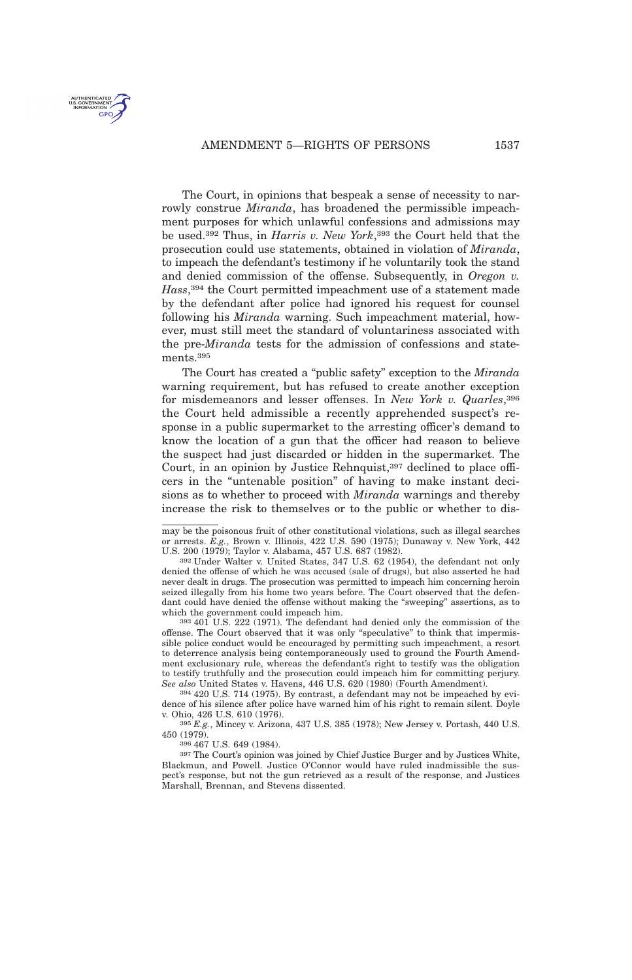

The Court, in opinions that bespeak a sense of necessity to narrowly construe *Miranda*, has broadened the permissible impeachment purposes for which unlawful confessions and admissions may be used.<sup>392</sup> Thus, in *Harris v. New York*, <sup>393</sup> the Court held that the prosecution could use statements, obtained in violation of *Miranda*, to impeach the defendant's testimony if he voluntarily took the stand and denied commission of the offense. Subsequently, in *Oregon v. Hass*, <sup>394</sup> the Court permitted impeachment use of a statement made by the defendant after police had ignored his request for counsel following his *Miranda* warning. Such impeachment material, however, must still meet the standard of voluntariness associated with the pre-*Miranda* tests for the admission of confessions and statements.<sup>395</sup>

The Court has created a "public safety" exception to the *Miranda* warning requirement, but has refused to create another exception for misdemeanors and lesser offenses. In *New York v. Quarles*, 396 the Court held admissible a recently apprehended suspect's response in a public supermarket to the arresting officer's demand to know the location of a gun that the officer had reason to believe the suspect had just discarded or hidden in the supermarket. The Court, in an opinion by Justice Rehnquist,<sup>397</sup> declined to place officers in the "untenable position" of having to make instant decisions as to whether to proceed with *Miranda* warnings and thereby increase the risk to themselves or to the public or whether to dis-

393 401 U.S. 222 (1971). The defendant had denied only the commission of the offense. The Court observed that it was only "speculative" to think that impermissible police conduct would be encouraged by permitting such impeachment, a resort to deterrence analysis being contemporaneously used to ground the Fourth Amendment exclusionary rule, whereas the defendant's right to testify was the obligation to testify truthfully and the prosecution could impeach him for committing perjury. *See also* United States v. Havens, 446 U.S. 620 (1980) (Fourth Amendment).

394 420 U.S. 714 (1975). By contrast, a defendant may not be impeached by evidence of his silence after police have warned him of his right to remain silent. Doyle v. Ohio, 426 U.S. 610 (1976).

395 *E.g.*, Mincey v. Arizona, 437 U.S. 385 (1978); New Jersey v. Portash, 440 U.S. 450 (1979).

396 467 U.S. 649 (1984).

397 The Court's opinion was joined by Chief Justice Burger and by Justices White, Blackmun, and Powell. Justice O'Connor would have ruled inadmissible the suspect's response, but not the gun retrieved as a result of the response, and Justices Marshall, Brennan, and Stevens dissented.

may be the poisonous fruit of other constitutional violations, such as illegal searches or arrests. *E.g.*, Brown v. Illinois, 422 U.S. 590 (1975); Dunaway v. New York, 442 U.S. 200 (1979); Taylor v. Alabama, 457 U.S. 687 (1982).

<sup>392</sup> Under Walter v. United States, 347 U.S. 62 (1954), the defendant not only denied the offense of which he was accused (sale of drugs), but also asserted he had never dealt in drugs. The prosecution was permitted to impeach him concerning heroin seized illegally from his home two years before. The Court observed that the defendant could have denied the offense without making the "sweeping" assertions, as to which the government could impeach him.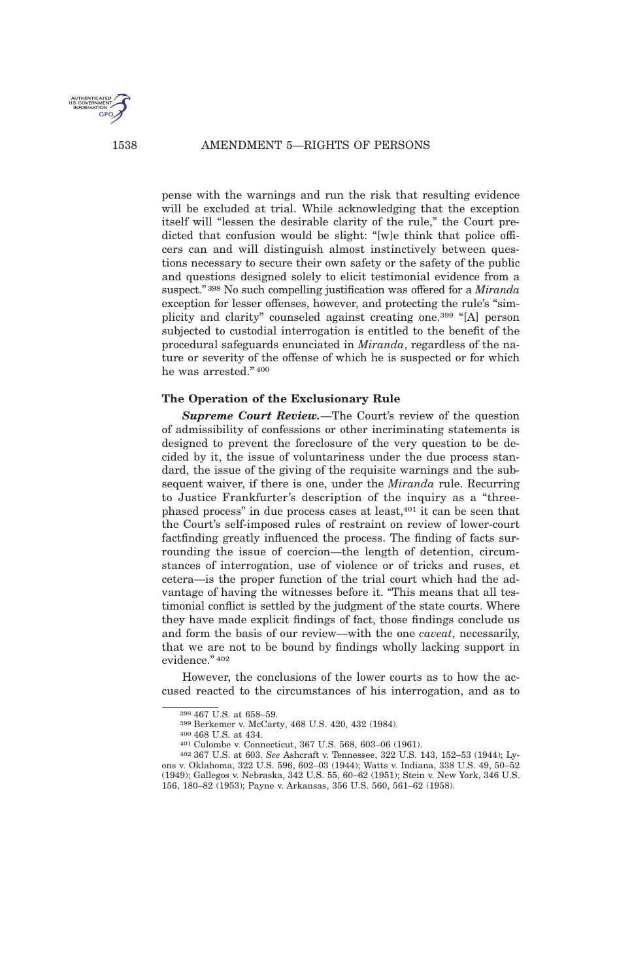

pense with the warnings and run the risk that resulting evidence will be excluded at trial. While acknowledging that the exception itself will "lessen the desirable clarity of the rule," the Court predicted that confusion would be slight: "[w]e think that police officers can and will distinguish almost instinctively between questions necessary to secure their own safety or the safety of the public and questions designed solely to elicit testimonial evidence from a suspect." <sup>398</sup> No such compelling justification was offered for a *Miranda* exception for lesser offenses, however, and protecting the rule's "simplicity and clarity" counseled against creating one.<sup>399</sup> "[A] person subjected to custodial interrogation is entitled to the benefit of the procedural safeguards enunciated in *Miranda*, regardless of the nature or severity of the offense of which he is suspected or for which he was arrested." <sup>400</sup>

## **The Operation of the Exclusionary Rule**

*Supreme Court Review.*—The Court's review of the question of admissibility of confessions or other incriminating statements is designed to prevent the foreclosure of the very question to be decided by it, the issue of voluntariness under the due process standard, the issue of the giving of the requisite warnings and the subsequent waiver, if there is one, under the *Miranda* rule. Recurring to Justice Frankfurter's description of the inquiry as a "threephased process" in due process cases at least,<sup>401</sup> it can be seen that the Court's self-imposed rules of restraint on review of lower-court factfinding greatly influenced the process. The finding of facts surrounding the issue of coercion—the length of detention, circumstances of interrogation, use of violence or of tricks and ruses, et cetera—is the proper function of the trial court which had the advantage of having the witnesses before it. "This means that all testimonial conflict is settled by the judgment of the state courts. Where they have made explicit findings of fact, those findings conclude us and form the basis of our review—with the one *caveat*, necessarily, that we are not to be bound by findings wholly lacking support in evidence." <sup>402</sup>

However, the conclusions of the lower courts as to how the accused reacted to the circumstances of his interrogation, and as to

<sup>398</sup> 467 U.S. at 658–59.

<sup>399</sup> Berkemer v. McCarty, 468 U.S. 420, 432 (1984).

<sup>400</sup> 468 U.S. at 434.

<sup>401</sup> Culombe v. Connecticut, 367 U.S. 568, 603–06 (1961).

<sup>402</sup> 367 U.S. at 603. *See* Ashcraft v. Tennessee, 322 U.S. 143, 152–53 (1944); Lyons v. Oklahoma, 322 U.S. 596, 602–03 (1944); Watts v. Indiana, 338 U.S. 49, 50–52 (1949); Gallegos v. Nebraska, 342 U.S. 55, 60–62 (1951); Stein v. New York, 346 U.S. 156, 180–82 (1953); Payne v. Arkansas, 356 U.S. 560, 561–62 (1958).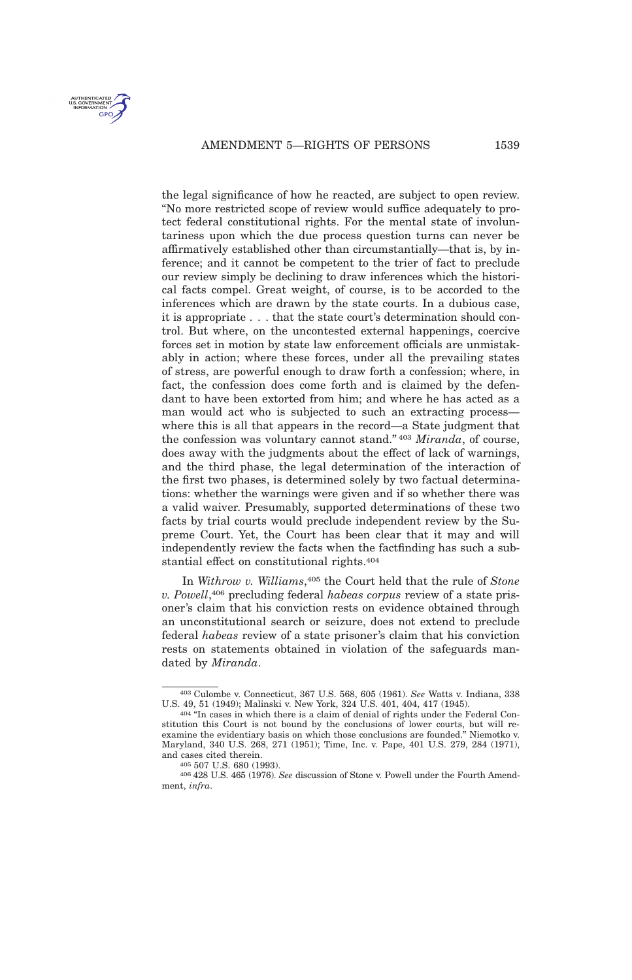

the legal significance of how he reacted, are subject to open review. "No more restricted scope of review would suffice adequately to protect federal constitutional rights. For the mental state of involuntariness upon which the due process question turns can never be affirmatively established other than circumstantially—that is, by inference; and it cannot be competent to the trier of fact to preclude our review simply be declining to draw inferences which the historical facts compel. Great weight, of course, is to be accorded to the inferences which are drawn by the state courts. In a dubious case, it is appropriate . . . that the state court's determination should control. But where, on the uncontested external happenings, coercive forces set in motion by state law enforcement officials are unmistakably in action; where these forces, under all the prevailing states of stress, are powerful enough to draw forth a confession; where, in fact, the confession does come forth and is claimed by the defendant to have been extorted from him; and where he has acted as a man would act who is subjected to such an extracting process where this is all that appears in the record—a State judgment that the confession was voluntary cannot stand." <sup>403</sup> *Miranda*, of course, does away with the judgments about the effect of lack of warnings, and the third phase, the legal determination of the interaction of the first two phases, is determined solely by two factual determinations: whether the warnings were given and if so whether there was a valid waiver. Presumably, supported determinations of these two facts by trial courts would preclude independent review by the Supreme Court. Yet, the Court has been clear that it may and will independently review the facts when the factfinding has such a substantial effect on constitutional rights.<sup>404</sup>

In *Withrow v. Williams*, <sup>405</sup> the Court held that the rule of *Stone v. Powell*, <sup>406</sup> precluding federal *habeas corpus* review of a state prisoner's claim that his conviction rests on evidence obtained through an unconstitutional search or seizure, does not extend to preclude federal *habeas* review of a state prisoner's claim that his conviction rests on statements obtained in violation of the safeguards mandated by *Miranda*.

<sup>403</sup> Culombe v. Connecticut, 367 U.S. 568, 605 (1961). *See* Watts v. Indiana, 338 U.S. 49, 51 (1949); Malinski v. New York, 324 U.S. 401, 404, 417 (1945).

<sup>404</sup> "In cases in which there is a claim of denial of rights under the Federal Constitution this Court is not bound by the conclusions of lower courts, but will reexamine the evidentiary basis on which those conclusions are founded." Niemotko v. Maryland, 340 U.S. 268, 271 (1951); Time, Inc. v. Pape, 401 U.S. 279, 284 (1971), and cases cited therein.

<sup>405</sup> 507 U.S. 680 (1993).

<sup>406</sup> 428 U.S. 465 (1976). *See* discussion of Stone v. Powell under the Fourth Amendment, *infra*.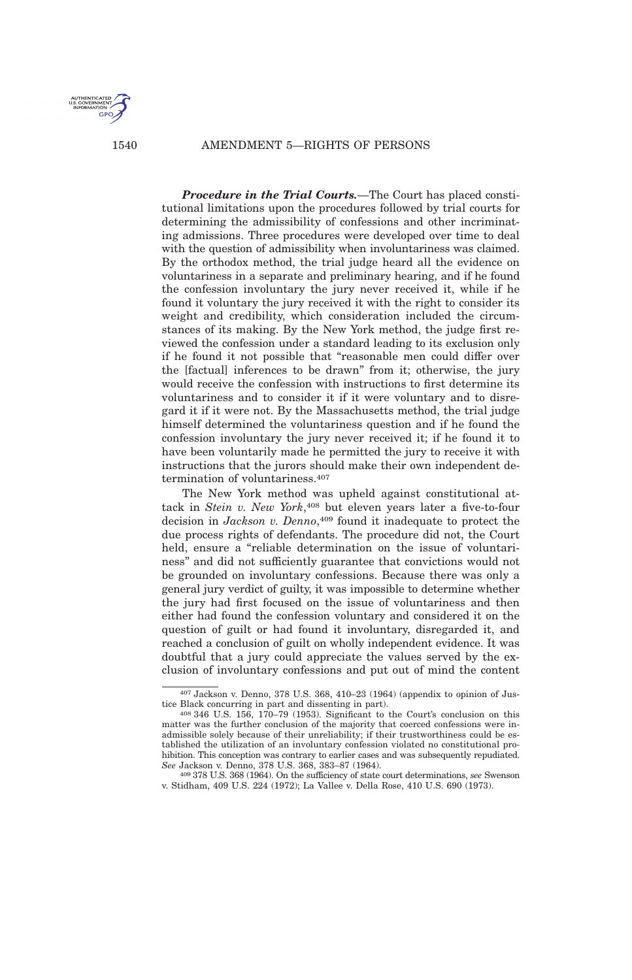

*Procedure in the Trial Courts.*—The Court has placed constitutional limitations upon the procedures followed by trial courts for determining the admissibility of confessions and other incriminating admissions. Three procedures were developed over time to deal with the question of admissibility when involuntariness was claimed. By the orthodox method, the trial judge heard all the evidence on voluntariness in a separate and preliminary hearing, and if he found the confession involuntary the jury never received it, while if he found it voluntary the jury received it with the right to consider its weight and credibility, which consideration included the circumstances of its making. By the New York method, the judge first reviewed the confession under a standard leading to its exclusion only if he found it not possible that "reasonable men could differ over the [factual] inferences to be drawn" from it; otherwise, the jury would receive the confession with instructions to first determine its voluntariness and to consider it if it were voluntary and to disregard it if it were not. By the Massachusetts method, the trial judge himself determined the voluntariness question and if he found the confession involuntary the jury never received it; if he found it to have been voluntarily made he permitted the jury to receive it with instructions that the jurors should make their own independent determination of voluntariness.<sup>407</sup>

The New York method was upheld against constitutional attack in *Stein v. New York*, <sup>408</sup> but eleven years later a five-to-four decision in *Jackson v. Denno*, <sup>409</sup> found it inadequate to protect the due process rights of defendants. The procedure did not, the Court held, ensure a "reliable determination on the issue of voluntariness" and did not sufficiently guarantee that convictions would not be grounded on involuntary confessions. Because there was only a general jury verdict of guilty, it was impossible to determine whether the jury had first focused on the issue of voluntariness and then either had found the confession voluntary and considered it on the question of guilt or had found it involuntary, disregarded it, and reached a conclusion of guilt on wholly independent evidence. It was doubtful that a jury could appreciate the values served by the exclusion of involuntary confessions and put out of mind the content

<sup>407</sup> Jackson v. Denno, 378 U.S. 368, 410–23 (1964) (appendix to opinion of Justice Black concurring in part and dissenting in part).

<sup>408</sup> 346 U.S. 156, 170–79 (1953). Significant to the Court's conclusion on this matter was the further conclusion of the majority that coerced confessions were inadmissible solely because of their unreliability; if their trustworthiness could be established the utilization of an involuntary confession violated no constitutional prohibition. This conception was contrary to earlier cases and was subsequently repudiated. *See* Jackson v. Denno, 378 U.S. 368, 383–87 (1964).

<sup>409</sup> 378 U.S. 368 (1964). On the sufficiency of state court determinations, *see* Swenson v. Stidham, 409 U.S. 224 (1972); La Vallee v. Della Rose, 410 U.S. 690 (1973).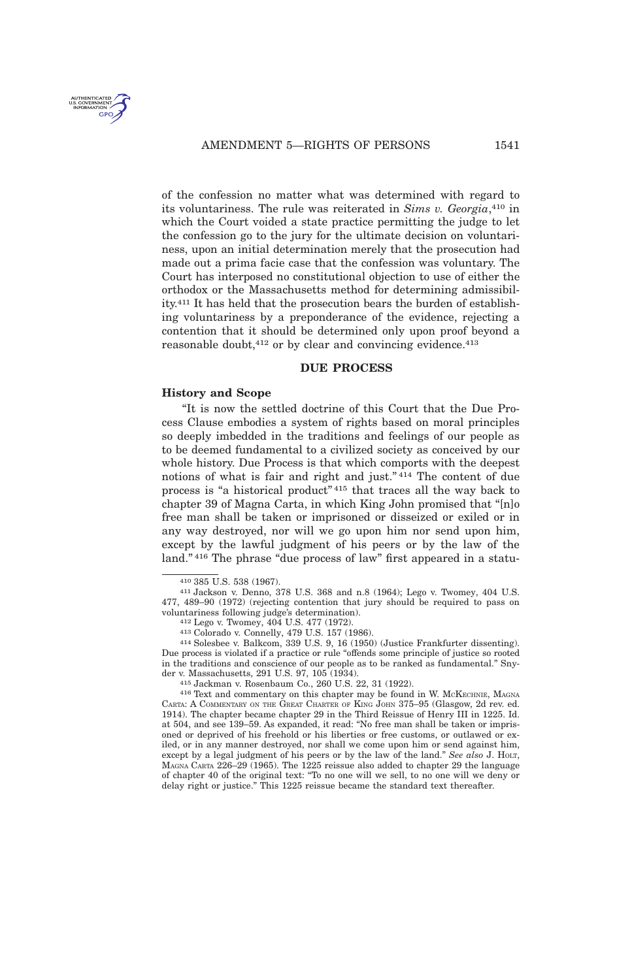

of the confession no matter what was determined with regard to its voluntariness. The rule was reiterated in *Sims v. Georgia*, <sup>410</sup> in which the Court voided a state practice permitting the judge to let the confession go to the jury for the ultimate decision on voluntariness, upon an initial determination merely that the prosecution had made out a prima facie case that the confession was voluntary. The Court has interposed no constitutional objection to use of either the orthodox or the Massachusetts method for determining admissibility.<sup>411</sup> It has held that the prosecution bears the burden of establishing voluntariness by a preponderance of the evidence, rejecting a contention that it should be determined only upon proof beyond a reasonable doubt, $412$  or by clear and convincing evidence. $413$ 

### **DUE PROCESS**

#### **History and Scope**

"It is now the settled doctrine of this Court that the Due Process Clause embodies a system of rights based on moral principles so deeply imbedded in the traditions and feelings of our people as to be deemed fundamental to a civilized society as conceived by our whole history. Due Process is that which comports with the deepest notions of what is fair and right and just." <sup>414</sup> The content of due process is "a historical product" <sup>415</sup> that traces all the way back to chapter 39 of Magna Carta, in which King John promised that "[n]o free man shall be taken or imprisoned or disseized or exiled or in any way destroyed, nor will we go upon him nor send upon him, except by the lawful judgment of his peers or by the law of the land." <sup>416</sup> The phrase "due process of law" first appeared in a statu-

414 Solesbee v. Balkcom, 339 U.S. 9, 16 (1950) (Justice Frankfurter dissenting). Due process is violated if a practice or rule "offends some principle of justice so rooted in the traditions and conscience of our people as to be ranked as fundamental." Snyder v. Massachusetts, 291 U.S. 97, 105 (1934).

416 Text and commentary on this chapter may be found in W. MCKECHNIE, MAGNA CARTA: A COMMENTARY ON THE GREAT CHARTER OF KING JOHN 375–95 (Glasgow, 2d rev. ed. 1914). The chapter became chapter 29 in the Third Reissue of Henry III in 1225. Id. at 504, and see 139–59. As expanded, it read: "No free man shall be taken or imprisoned or deprived of his freehold or his liberties or free customs, or outlawed or exiled, or in any manner destroyed, nor shall we come upon him or send against him, except by a legal judgment of his peers or by the law of the land." See also J. Hour, MAGNA CARTA  $226-29$  (1965). The 1225 reissue also added to chapter 29 the language of chapter 40 of the original text: "To no one will we sell, to no one will we deny or delay right or justice." This 1225 reissue became the standard text thereafter.

<sup>410</sup> 385 U.S. 538 (1967).

<sup>411</sup> Jackson v. Denno, 378 U.S. 368 and n.8 (1964); Lego v. Twomey, 404 U.S. 477, 489–90 (1972) (rejecting contention that jury should be required to pass on voluntariness following judge's determination).

<sup>412</sup> Lego v. Twomey, 404 U.S. 477 (1972).

<sup>413</sup> Colorado v. Connelly, 479 U.S. 157 (1986).

<sup>415</sup> Jackman v. Rosenbaum Co., 260 U.S. 22, 31 (1922).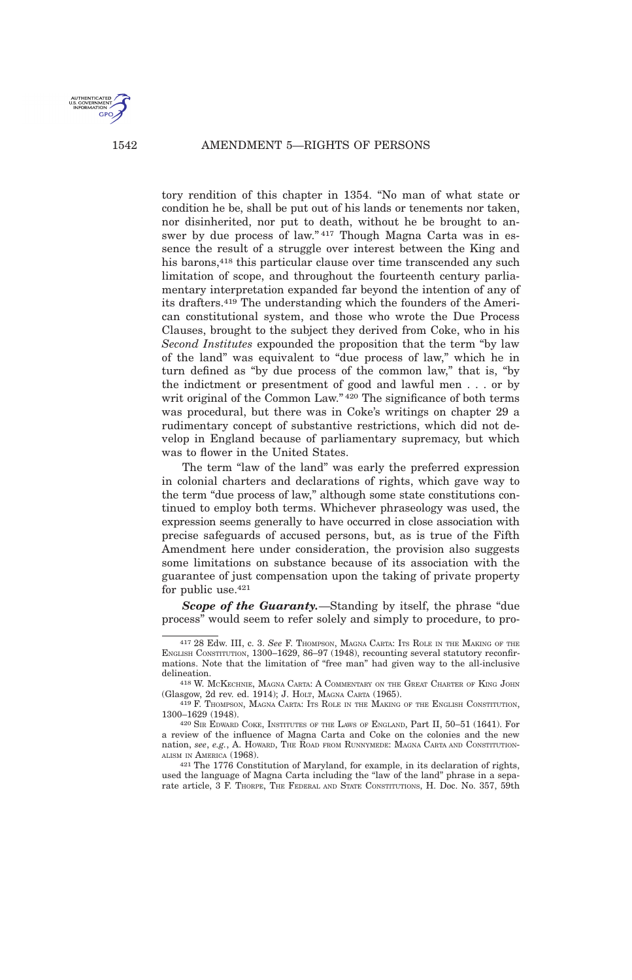

tory rendition of this chapter in 1354. "No man of what state or condition he be, shall be put out of his lands or tenements nor taken, nor disinherited, nor put to death, without he be brought to answer by due process of law." <sup>417</sup> Though Magna Carta was in essence the result of a struggle over interest between the King and his barons,<sup>418</sup> this particular clause over time transcended any such limitation of scope, and throughout the fourteenth century parliamentary interpretation expanded far beyond the intention of any of its drafters.<sup>419</sup> The understanding which the founders of the American constitutional system, and those who wrote the Due Process Clauses, brought to the subject they derived from Coke, who in his *Second Institutes* expounded the proposition that the term "by law of the land" was equivalent to "due process of law," which he in turn defined as "by due process of the common law," that is, "by the indictment or presentment of good and lawful men . . . or by writ original of the Common Law." <sup>420</sup> The significance of both terms was procedural, but there was in Coke's writings on chapter 29 a rudimentary concept of substantive restrictions, which did not develop in England because of parliamentary supremacy, but which was to flower in the United States.

The term "law of the land" was early the preferred expression in colonial charters and declarations of rights, which gave way to the term "due process of law," although some state constitutions continued to employ both terms. Whichever phraseology was used, the expression seems generally to have occurred in close association with precise safeguards of accused persons, but, as is true of the Fifth Amendment here under consideration, the provision also suggests some limitations on substance because of its association with the guarantee of just compensation upon the taking of private property for public use.<sup>421</sup>

*Scope of the Guaranty.*—Standing by itself, the phrase "due process" would seem to refer solely and simply to procedure, to pro-

<sup>417</sup> 28 Edw. III, c. 3. *See* F. THOMPSON, MAGNA CARTA: ITS ROLE IN THE MAKING OF THE ENGLISH CONSTITUTION, 1300–1629, 86–97 (1948), recounting several statutory reconfirmations. Note that the limitation of "free man" had given way to the all-inclusive delineation.

<sup>418</sup> W. MCKECHNIE, MAGNA CARTA: A COMMENTARY ON THE GREAT CHARTER OF KING JOHN (Glasgow, 2d rev. ed. 1914); J. HOLT, MAGNA CARTA (1965).

<sup>419</sup> F. THOMPSON, MAGNA CARTA: ITS ROLE IN THE MAKING OF THE ENGLISH CONSTITUTION, 1300–1629 (1948).

<sup>420</sup> SIR EDWARD COKE, INSTITUTES OF THE LAWS OF ENGLAND, Part II, 50–51 (1641). For a review of the influence of Magna Carta and Coke on the colonies and the new nation, *see*, *e.g.*, A. HOWARD, THE ROAD FROM RUNNYMEDE: MAGNA CARTA AND CONSTITUTION-ALISM IN AMERICA (1968).

<sup>421</sup> The 1776 Constitution of Maryland, for example, in its declaration of rights, used the language of Magna Carta including the "law of the land" phrase in a separate article, 3 F. THORPE, THE FEDERAL AND STATE CONSTITUTIONS, H. Doc. No. 357, 59th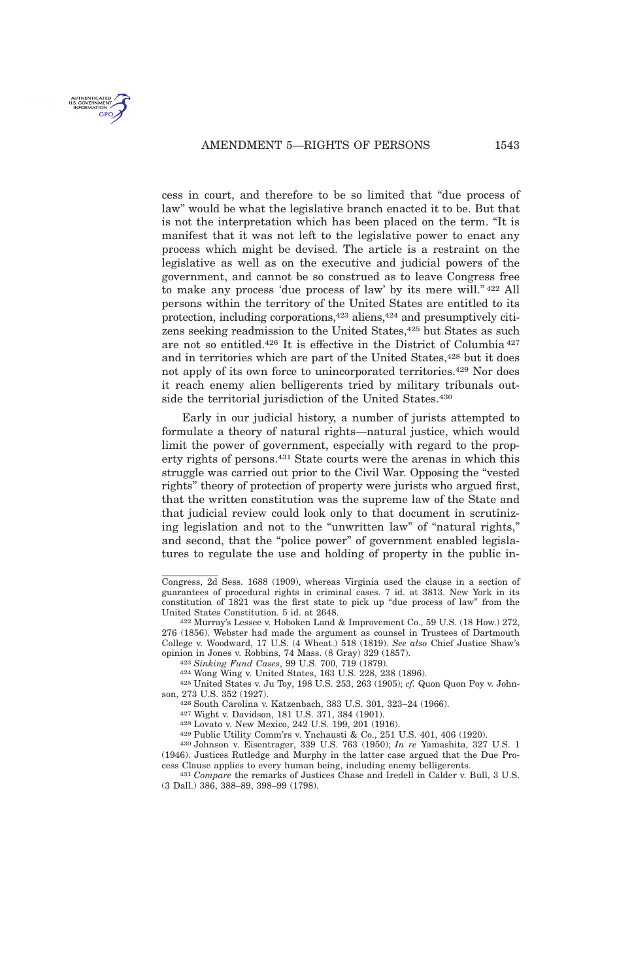cess in court, and therefore to be so limited that "due process of law" would be what the legislative branch enacted it to be. But that is not the interpretation which has been placed on the term. "It is manifest that it was not left to the legislative power to enact any process which might be devised. The article is a restraint on the legislative as well as on the executive and judicial powers of the government, and cannot be so construed as to leave Congress free to make any process 'due process of law' by its mere will." <sup>422</sup> All persons within the territory of the United States are entitled to its protection, including corporations,<sup>423</sup> aliens,<sup>424</sup> and presumptively citizens seeking readmission to the United States,  $425$  but States as such are not so entitled.<sup>426</sup> It is effective in the District of Columbia <sup>427</sup> and in territories which are part of the United States,<sup>428</sup> but it does not apply of its own force to unincorporated territories.<sup>429</sup> Nor does it reach enemy alien belligerents tried by military tribunals outside the territorial jurisdiction of the United States.<sup>430</sup>

Early in our judicial history, a number of jurists attempted to formulate a theory of natural rights—natural justice, which would limit the power of government, especially with regard to the property rights of persons.<sup>431</sup> State courts were the arenas in which this struggle was carried out prior to the Civil War. Opposing the "vested rights" theory of protection of property were jurists who argued first, that the written constitution was the supreme law of the State and that judicial review could look only to that document in scrutinizing legislation and not to the "unwritten law" of "natural rights," and second, that the "police power" of government enabled legislatures to regulate the use and holding of property in the public in-

Congress, 2d Sess. 1688 (1909), whereas Virginia used the clause in a section of guarantees of procedural rights in criminal cases. 7 id. at 3813. New York in its constitution of 1821 was the first state to pick up "due process of law" from the United States Constitution. 5 id. at 2648.

<sup>422</sup> Murray's Lessee v. Hoboken Land & Improvement Co., 59 U.S. (18 How.) 272, 276 (1856). Webster had made the argument as counsel in Trustees of Dartmouth College v. Woodward, 17 U.S. (4 Wheat.) 518 (1819). *See also* Chief Justice Shaw's opinion in Jones v. Robbins, 74 Mass. (8 Gray) 329 (1857).

<sup>423</sup> *Sinking Fund Cases*, 99 U.S. 700, 719 (1879).

<sup>424</sup> Wong Wing v. United States, 163 U.S. 228, 238 (1896).

<sup>425</sup> United States v. Ju Toy, 198 U.S. 253, 263 (1905); *cf.* Quon Quon Poy v. Johnson, 273 U.S. 352 (1927).

<sup>426</sup> South Carolina v. Katzenbach, 383 U.S. 301, 323–24 (1966).

<sup>427</sup> Wight v. Davidson, 181 U.S. 371, 384 (1901).

<sup>428</sup> Lovato v. New Mexico, 242 U.S. 199, 201 (1916).

<sup>429</sup> Public Utility Comm'rs v. Ynchausti & Co., 251 U.S. 401, 406 (1920).

<sup>430</sup> Johnson v. Eisentrager, 339 U.S. 763 (1950); *In re* Yamashita, 327 U.S. 1 (1946). Justices Rutledge and Murphy in the latter case argued that the Due Process Clause applies to every human being, including enemy belligerents.

<sup>431</sup> *Compare* the remarks of Justices Chase and Iredell in Calder v. Bull, 3 U.S. (3 Dall.) 386, 388–89, 398–99 (1798).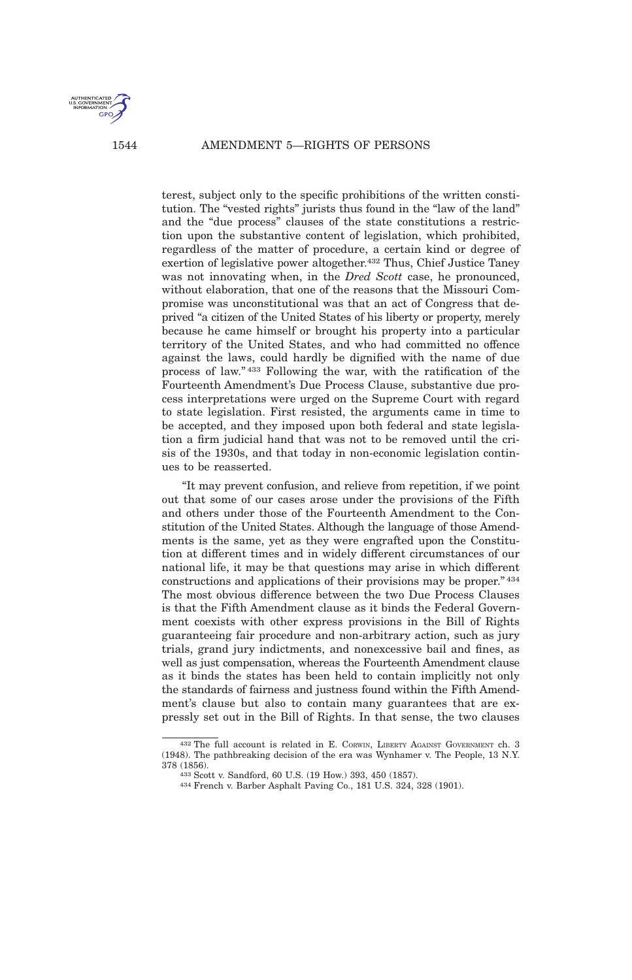

terest, subject only to the specific prohibitions of the written constitution. The "vested rights" jurists thus found in the "law of the land" and the "due process" clauses of the state constitutions a restriction upon the substantive content of legislation, which prohibited, regardless of the matter of procedure, a certain kind or degree of exertion of legislative power altogether.<sup>432</sup> Thus, Chief Justice Taney was not innovating when, in the *Dred Scott* case, he pronounced, without elaboration, that one of the reasons that the Missouri Compromise was unconstitutional was that an act of Congress that deprived "a citizen of the United States of his liberty or property, merely because he came himself or brought his property into a particular territory of the United States, and who had committed no offence against the laws, could hardly be dignified with the name of due process of law." <sup>433</sup> Following the war, with the ratification of the Fourteenth Amendment's Due Process Clause, substantive due process interpretations were urged on the Supreme Court with regard to state legislation. First resisted, the arguments came in time to be accepted, and they imposed upon both federal and state legislation a firm judicial hand that was not to be removed until the crisis of the 1930s, and that today in non-economic legislation continues to be reasserted.

"It may prevent confusion, and relieve from repetition, if we point out that some of our cases arose under the provisions of the Fifth and others under those of the Fourteenth Amendment to the Constitution of the United States. Although the language of those Amendments is the same, yet as they were engrafted upon the Constitution at different times and in widely different circumstances of our national life, it may be that questions may arise in which different constructions and applications of their provisions may be proper." <sup>434</sup> The most obvious difference between the two Due Process Clauses is that the Fifth Amendment clause as it binds the Federal Government coexists with other express provisions in the Bill of Rights guaranteeing fair procedure and non-arbitrary action, such as jury trials, grand jury indictments, and nonexcessive bail and fines, as well as just compensation, whereas the Fourteenth Amendment clause as it binds the states has been held to contain implicitly not only the standards of fairness and justness found within the Fifth Amendment's clause but also to contain many guarantees that are expressly set out in the Bill of Rights. In that sense, the two clauses

<sup>432</sup> The full account is related in E. CORWIN, LIBERTY AGAINST GOVERNMENT ch. 3 (1948). The pathbreaking decision of the era was Wynhamer v. The People, 13 N.Y. 378 (1856).

<sup>433</sup> Scott v. Sandford, 60 U.S. (19 How.) 393, 450 (1857).

<sup>434</sup> French v. Barber Asphalt Paving Co., 181 U.S. 324, 328 (1901).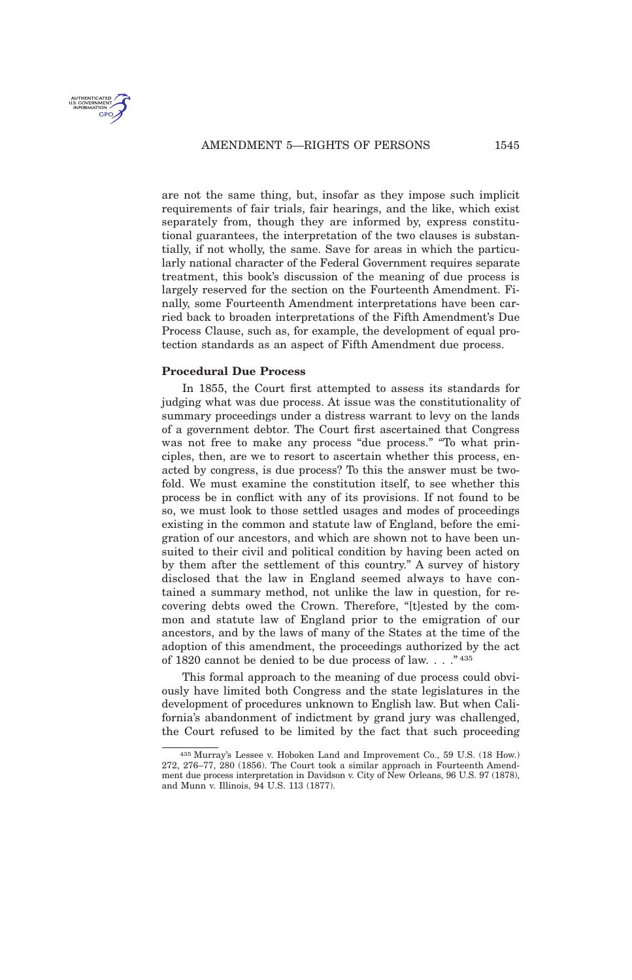

are not the same thing, but, insofar as they impose such implicit requirements of fair trials, fair hearings, and the like, which exist separately from, though they are informed by, express constitutional guarantees, the interpretation of the two clauses is substantially, if not wholly, the same. Save for areas in which the particularly national character of the Federal Government requires separate treatment, this book's discussion of the meaning of due process is largely reserved for the section on the Fourteenth Amendment. Finally, some Fourteenth Amendment interpretations have been carried back to broaden interpretations of the Fifth Amendment's Due Process Clause, such as, for example, the development of equal protection standards as an aspect of Fifth Amendment due process.

## **Procedural Due Process**

In 1855, the Court first attempted to assess its standards for judging what was due process. At issue was the constitutionality of summary proceedings under a distress warrant to levy on the lands of a government debtor. The Court first ascertained that Congress was not free to make any process "due process." "To what principles, then, are we to resort to ascertain whether this process, enacted by congress, is due process? To this the answer must be twofold. We must examine the constitution itself, to see whether this process be in conflict with any of its provisions. If not found to be so, we must look to those settled usages and modes of proceedings existing in the common and statute law of England, before the emigration of our ancestors, and which are shown not to have been unsuited to their civil and political condition by having been acted on by them after the settlement of this country." A survey of history disclosed that the law in England seemed always to have contained a summary method, not unlike the law in question, for recovering debts owed the Crown. Therefore, "[t]ested by the common and statute law of England prior to the emigration of our ancestors, and by the laws of many of the States at the time of the adoption of this amendment, the proceedings authorized by the act of 1820 cannot be denied to be due process of law. . . . "435

This formal approach to the meaning of due process could obviously have limited both Congress and the state legislatures in the development of procedures unknown to English law. But when California's abandonment of indictment by grand jury was challenged, the Court refused to be limited by the fact that such proceeding

<sup>435</sup> Murray's Lessee v. Hoboken Land and Improvement Co., 59 U.S. (18 How.) 272, 276–77, 280 (1856). The Court took a similar approach in Fourteenth Amendment due process interpretation in Davidson v. City of New Orleans, 96 U.S. 97 (1878), and Munn v. Illinois, 94 U.S. 113 (1877).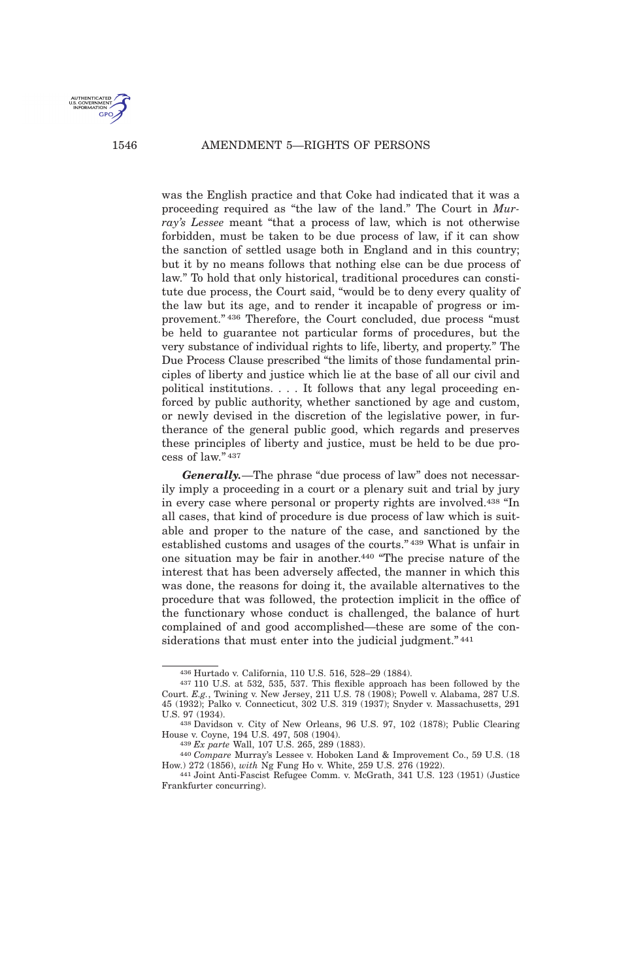

was the English practice and that Coke had indicated that it was a proceeding required as "the law of the land." The Court in *Murray's Lessee* meant "that a process of law, which is not otherwise forbidden, must be taken to be due process of law, if it can show the sanction of settled usage both in England and in this country; but it by no means follows that nothing else can be due process of law." To hold that only historical, traditional procedures can constitute due process, the Court said, "would be to deny every quality of the law but its age, and to render it incapable of progress or improvement." <sup>436</sup> Therefore, the Court concluded, due process "must be held to guarantee not particular forms of procedures, but the very substance of individual rights to life, liberty, and property." The Due Process Clause prescribed "the limits of those fundamental principles of liberty and justice which lie at the base of all our civil and political institutions. . . . It follows that any legal proceeding enforced by public authority, whether sanctioned by age and custom, or newly devised in the discretion of the legislative power, in furtherance of the general public good, which regards and preserves these principles of liberty and justice, must be held to be due process of law." <sup>437</sup>

*Generally.*—The phrase "due process of law" does not necessarily imply a proceeding in a court or a plenary suit and trial by jury in every case where personal or property rights are involved.<sup>438</sup> "In all cases, that kind of procedure is due process of law which is suitable and proper to the nature of the case, and sanctioned by the established customs and usages of the courts." <sup>439</sup> What is unfair in one situation may be fair in another.<sup>440</sup> "The precise nature of the interest that has been adversely affected, the manner in which this was done, the reasons for doing it, the available alternatives to the procedure that was followed, the protection implicit in the office of the functionary whose conduct is challenged, the balance of hurt complained of and good accomplished—these are some of the considerations that must enter into the judicial judgment."<sup>441</sup>

<sup>436</sup> Hurtado v. California, 110 U.S. 516, 528–29 (1884).

<sup>437</sup> 110 U.S. at 532, 535, 537. This flexible approach has been followed by the Court. *E.g.*, Twining v. New Jersey, 211 U.S. 78 (1908); Powell v. Alabama, 287 U.S. 45 (1932); Palko v. Connecticut, 302 U.S. 319 (1937); Snyder v. Massachusetts, 291 U.S. 97 (1934).

<sup>438</sup> Davidson v. City of New Orleans, 96 U.S. 97, 102 (1878); Public Clearing House v. Coyne, 194 U.S. 497, 508 (1904).

<sup>439</sup> *Ex parte* Wall, 107 U.S. 265, 289 (1883).

<sup>440</sup> *Compare* Murray's Lessee v. Hoboken Land & Improvement Co., 59 U.S. (18 How.) 272 (1856), *with* Ng Fung Ho v. White, 259 U.S. 276 (1922).

<sup>441</sup> Joint Anti-Fascist Refugee Comm. v. McGrath, 341 U.S. 123 (1951) (Justice Frankfurter concurring).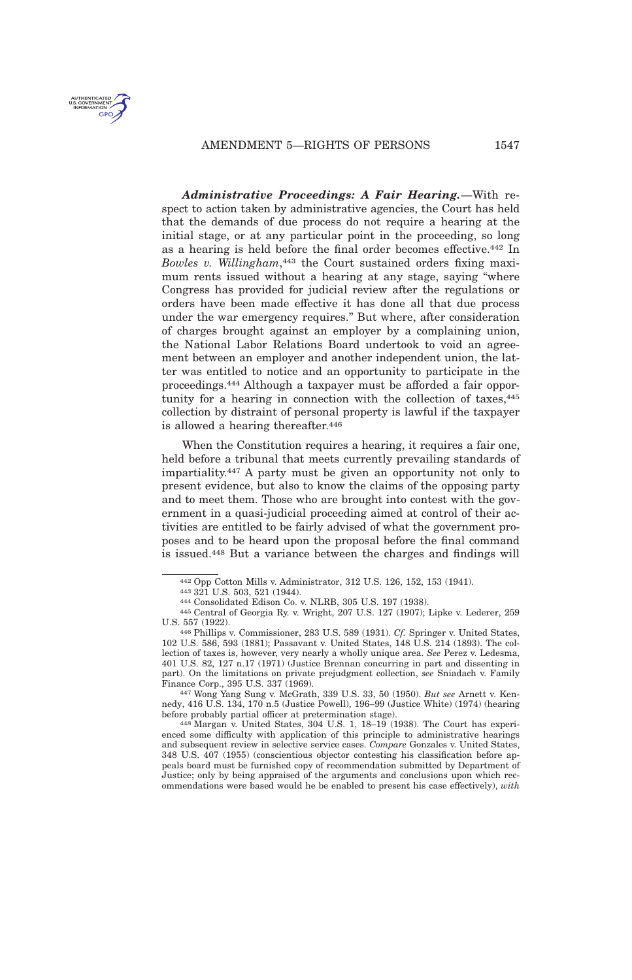

*Administrative Proceedings: A Fair Hearing.*—With respect to action taken by administrative agencies, the Court has held that the demands of due process do not require a hearing at the initial stage, or at any particular point in the proceeding, so long as a hearing is held before the final order becomes effective.<sup>442</sup> In *Bowles v. Willingham*, <sup>443</sup> the Court sustained orders fixing maximum rents issued without a hearing at any stage, saying "where Congress has provided for judicial review after the regulations or orders have been made effective it has done all that due process under the war emergency requires." But where, after consideration of charges brought against an employer by a complaining union, the National Labor Relations Board undertook to void an agreement between an employer and another independent union, the latter was entitled to notice and an opportunity to participate in the proceedings.<sup>444</sup> Although a taxpayer must be afforded a fair opportunity for a hearing in connection with the collection of taxes,  $445$ collection by distraint of personal property is lawful if the taxpayer is allowed a hearing thereafter.<sup>446</sup>

When the Constitution requires a hearing, it requires a fair one, held before a tribunal that meets currently prevailing standards of impartiality.<sup>447</sup> A party must be given an opportunity not only to present evidence, but also to know the claims of the opposing party and to meet them. Those who are brought into contest with the government in a quasi-judicial proceeding aimed at control of their activities are entitled to be fairly advised of what the government proposes and to be heard upon the proposal before the final command is issued.<sup>448</sup> But a variance between the charges and findings will

447 Wong Yang Sung v. McGrath, 339 U.S. 33, 50 (1950). *But see* Arnett v. Kennedy, 416 U.S. 134, 170 n.5 (Justice Powell), 196–99 (Justice White) (1974) (hearing before probably partial officer at pretermination stage).

<sup>442</sup> Opp Cotton Mills v. Administrator, 312 U.S. 126, 152, 153 (1941).

<sup>443</sup> 321 U.S. 503, 521 (1944).

<sup>444</sup> Consolidated Edison Co. v. NLRB, 305 U.S. 197 (1938).

<sup>445</sup> Central of Georgia Ry. v. Wright, 207 U.S. 127 (1907); Lipke v. Lederer, 259 U.S. 557 (1922).

<sup>446</sup> Phillips v. Commissioner, 283 U.S. 589 (1931). *Cf.* Springer v. United States, 102 U.S. 586, 593 (1881); Passavant v. United States, 148 U.S. 214 (1893). The collection of taxes is, however, very nearly a wholly unique area. *See* Perez v. Ledesma, 401 U.S. 82, 127 n.17 (1971) (Justice Brennan concurring in part and dissenting in part). On the limitations on private prejudgment collection, *see* Sniadach v. Family Finance Corp., 395 U.S. 337 (1969).

<sup>448</sup> Margan v. United States, 304 U.S. 1, 18–19 (1938). The Court has experienced some difficulty with application of this principle to administrative hearings and subsequent review in selective service cases. *Compare* Gonzales v. United States, 348 U.S. 407 (1955) (conscientious objector contesting his classification before appeals board must be furnished copy of recommendation submitted by Department of Justice; only by being appraised of the arguments and conclusions upon which recommendations were based would he be enabled to present his case effectively), *with*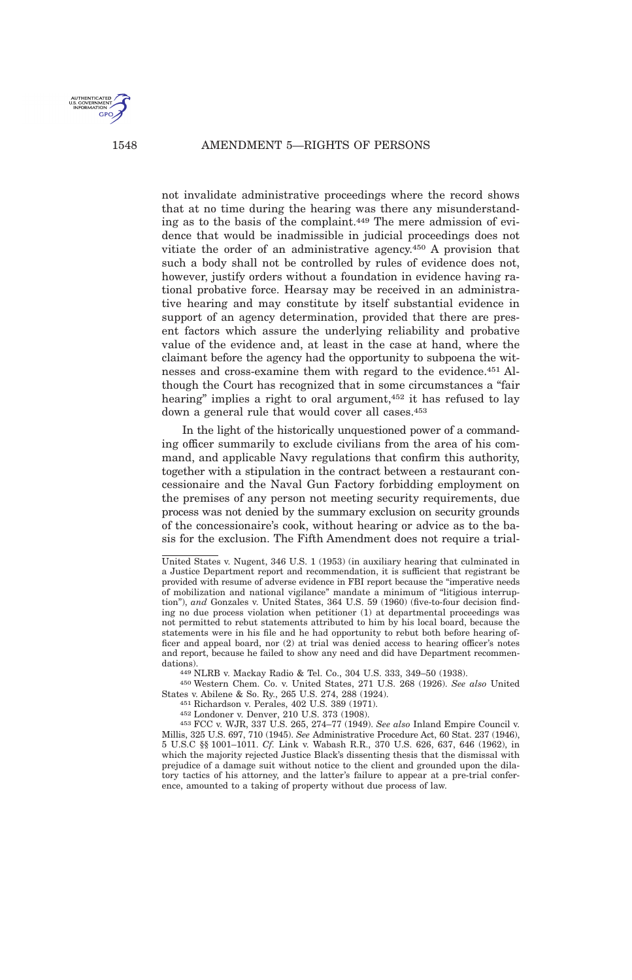

not invalidate administrative proceedings where the record shows that at no time during the hearing was there any misunderstanding as to the basis of the complaint.<sup>449</sup> The mere admission of evidence that would be inadmissible in judicial proceedings does not vitiate the order of an administrative agency.<sup>450</sup> A provision that such a body shall not be controlled by rules of evidence does not, however, justify orders without a foundation in evidence having rational probative force. Hearsay may be received in an administrative hearing and may constitute by itself substantial evidence in support of an agency determination, provided that there are present factors which assure the underlying reliability and probative value of the evidence and, at least in the case at hand, where the claimant before the agency had the opportunity to subpoena the witnesses and cross-examine them with regard to the evidence.<sup>451</sup> Although the Court has recognized that in some circumstances a "fair hearing" implies a right to oral argument,<sup>452</sup> it has refused to lay down a general rule that would cover all cases.<sup>453</sup>

In the light of the historically unquestioned power of a commanding officer summarily to exclude civilians from the area of his command, and applicable Navy regulations that confirm this authority, together with a stipulation in the contract between a restaurant concessionaire and the Naval Gun Factory forbidding employment on the premises of any person not meeting security requirements, due process was not denied by the summary exclusion on security grounds of the concessionaire's cook, without hearing or advice as to the basis for the exclusion. The Fifth Amendment does not require a trial-

United States v. Nugent, 346 U.S. 1 (1953) (in auxiliary hearing that culminated in a Justice Department report and recommendation, it is sufficient that registrant be provided with resume of adverse evidence in FBI report because the "imperative needs of mobilization and national vigilance" mandate a minimum of "litigious interruption"), *and* Gonzales v. United States, 364 U.S. 59 (1960) (five-to-four decision finding no due process violation when petitioner (1) at departmental proceedings was not permitted to rebut statements attributed to him by his local board, because the statements were in his file and he had opportunity to rebut both before hearing officer and appeal board, nor (2) at trial was denied access to hearing officer's notes and report, because he failed to show any need and did have Department recommendations).

<sup>449</sup> NLRB v. Mackay Radio & Tel. Co., 304 U.S. 333, 349–50 (1938).

<sup>450</sup> Western Chem. Co. v. United States, 271 U.S. 268 (1926). *See also* United States v. Abilene & So. Ry., 265 U.S. 274, 288 (1924).

<sup>451</sup> Richardson v. Perales, 402 U.S. 389 (1971).

<sup>452</sup> Londoner v. Denver, 210 U.S. 373 (1908).

<sup>453</sup> FCC v. WJR, 337 U.S. 265, 274–77 (1949). *See also* Inland Empire Council v. Millis, 325 U.S. 697, 710 (1945). *See* Administrative Procedure Act, 60 Stat. 237 (1946), 5 U.S.C §§ 1001–1011. *Cf.* Link v. Wabash R.R., 370 U.S. 626, 637, 646 (1962), in which the majority rejected Justice Black's dissenting thesis that the dismissal with prejudice of a damage suit without notice to the client and grounded upon the dilatory tactics of his attorney, and the latter's failure to appear at a pre-trial conference, amounted to a taking of property without due process of law.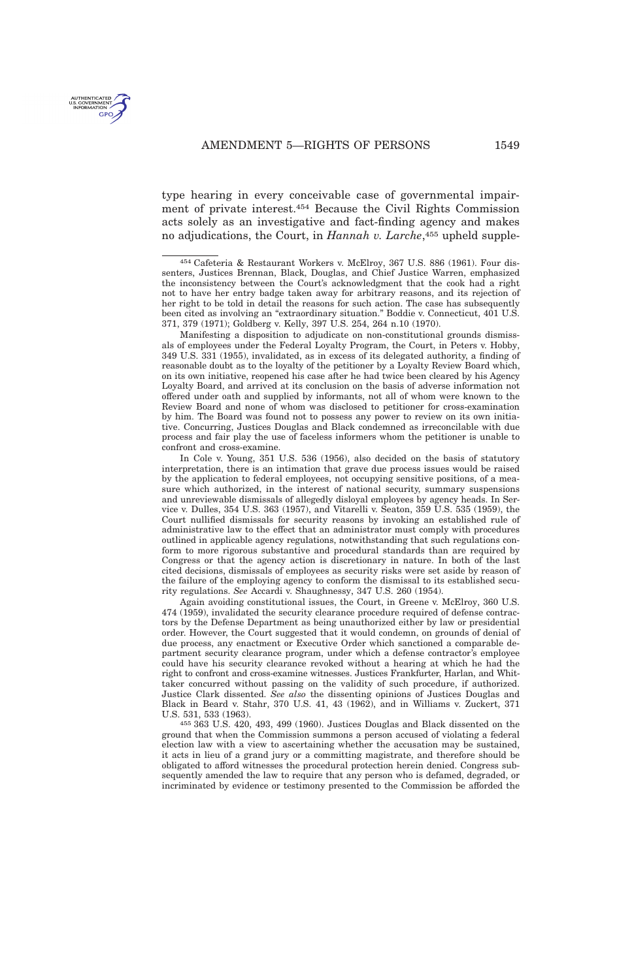

type hearing in every conceivable case of governmental impairment of private interest.<sup>454</sup> Because the Civil Rights Commission acts solely as an investigative and fact-finding agency and makes no adjudications, the Court, in *Hannah v. Larche*, <sup>455</sup> upheld supple-

Manifesting a disposition to adjudicate on non-constitutional grounds dismissals of employees under the Federal Loyalty Program, the Court, in Peters v. Hobby, 349 U.S. 331 (1955), invalidated, as in excess of its delegated authority, a finding of reasonable doubt as to the loyalty of the petitioner by a Loyalty Review Board which, on its own initiative, reopened his case after he had twice been cleared by his Agency Loyalty Board, and arrived at its conclusion on the basis of adverse information not offered under oath and supplied by informants, not all of whom were known to the Review Board and none of whom was disclosed to petitioner for cross-examination by him. The Board was found not to possess any power to review on its own initiative. Concurring, Justices Douglas and Black condemned as irreconcilable with due process and fair play the use of faceless informers whom the petitioner is unable to confront and cross-examine.

In Cole v. Young, 351 U.S. 536 (1956), also decided on the basis of statutory interpretation, there is an intimation that grave due process issues would be raised by the application to federal employees, not occupying sensitive positions, of a measure which authorized, in the interest of national security, summary suspensions and unreviewable dismissals of allegedly disloyal employees by agency heads. In Service v. Dulles, 354 U.S. 363 (1957), and Vitarelli v. Seaton, 359 U.S. 535 (1959), the Court nullified dismissals for security reasons by invoking an established rule of administrative law to the effect that an administrator must comply with procedures outlined in applicable agency regulations, notwithstanding that such regulations conform to more rigorous substantive and procedural standards than are required by Congress or that the agency action is discretionary in nature. In both of the last cited decisions, dismissals of employees as security risks were set aside by reason of the failure of the employing agency to conform the dismissal to its established security regulations. *See* Accardi v. Shaughnessy, 347 U.S. 260 (1954).

Again avoiding constitutional issues, the Court, in Greene v. McElroy, 360 U.S. 474 (1959), invalidated the security clearance procedure required of defense contractors by the Defense Department as being unauthorized either by law or presidential order. However, the Court suggested that it would condemn, on grounds of denial of due process, any enactment or Executive Order which sanctioned a comparable department security clearance program, under which a defense contractor's employee could have his security clearance revoked without a hearing at which he had the right to confront and cross-examine witnesses. Justices Frankfurter, Harlan, and Whittaker concurred without passing on the validity of such procedure, if authorized. Justice Clark dissented. *See also* the dissenting opinions of Justices Douglas and Black in Beard v. Stahr, 370 U.S. 41, 43 (1962), and in Williams v. Zuckert, 371 U.S. 531, 533 (1963).

455 363 U.S. 420, 493, 499 (1960). Justices Douglas and Black dissented on the ground that when the Commission summons a person accused of violating a federal election law with a view to ascertaining whether the accusation may be sustained, it acts in lieu of a grand jury or a committing magistrate, and therefore should be obligated to afford witnesses the procedural protection herein denied. Congress subsequently amended the law to require that any person who is defamed, degraded, or incriminated by evidence or testimony presented to the Commission be afforded the

<sup>454</sup> Cafeteria & Restaurant Workers v. McElroy, 367 U.S. 886 (1961). Four dissenters, Justices Brennan, Black, Douglas, and Chief Justice Warren, emphasized the inconsistency between the Court's acknowledgment that the cook had a right not to have her entry badge taken away for arbitrary reasons, and its rejection of her right to be told in detail the reasons for such action. The case has subsequently been cited as involving an "extraordinary situation." Boddie v. Connecticut, 401 U.S. 371, 379 (1971); Goldberg v. Kelly, 397 U.S. 254, 264 n.10 (1970).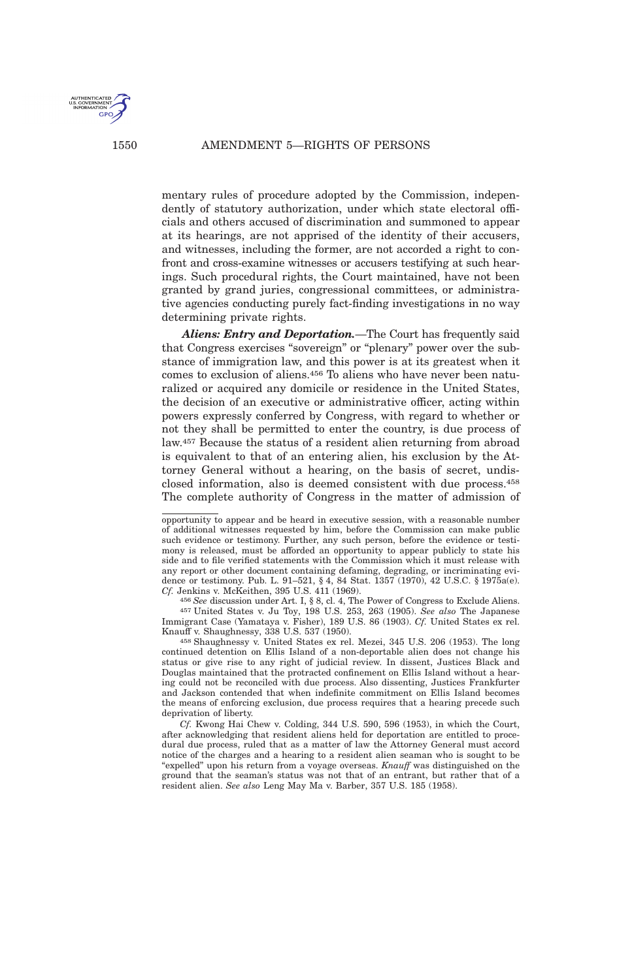U.S. GOVERNME

mentary rules of procedure adopted by the Commission, independently of statutory authorization, under which state electoral officials and others accused of discrimination and summoned to appear at its hearings, are not apprised of the identity of their accusers, and witnesses, including the former, are not accorded a right to confront and cross-examine witnesses or accusers testifying at such hearings. Such procedural rights, the Court maintained, have not been granted by grand juries, congressional committees, or administrative agencies conducting purely fact-finding investigations in no way determining private rights.

*Aliens: Entry and Deportation.*—The Court has frequently said that Congress exercises "sovereign" or "plenary" power over the substance of immigration law, and this power is at its greatest when it comes to exclusion of aliens.<sup>456</sup> To aliens who have never been naturalized or acquired any domicile or residence in the United States, the decision of an executive or administrative officer, acting within powers expressly conferred by Congress, with regard to whether or not they shall be permitted to enter the country, is due process of law.<sup>457</sup> Because the status of a resident alien returning from abroad is equivalent to that of an entering alien, his exclusion by the Attorney General without a hearing, on the basis of secret, undisclosed information, also is deemed consistent with due process.<sup>458</sup> The complete authority of Congress in the matter of admission of

456 *See* discussion under Art. I, § 8, cl. 4, The Power of Congress to Exclude Aliens. 457 United States v. Ju Toy, 198 U.S. 253, 263 (1905). *See also* The Japanese Immigrant Case (Yamataya v. Fisher), 189 U.S. 86 (1903). *Cf.* United States ex rel. Knauff v. Shaughnessy, 338 U.S. 537 (1950).

458 Shaughnessy v. United States ex rel. Mezei, 345 U.S. 206 (1953). The long continued detention on Ellis Island of a non-deportable alien does not change his status or give rise to any right of judicial review. In dissent, Justices Black and Douglas maintained that the protracted confinement on Ellis Island without a hearing could not be reconciled with due process. Also dissenting, Justices Frankfurter and Jackson contended that when indefinite commitment on Ellis Island becomes the means of enforcing exclusion, due process requires that a hearing precede such deprivation of liberty.

*Cf.* Kwong Hai Chew v. Colding, 344 U.S. 590, 596 (1953), in which the Court, after acknowledging that resident aliens held for deportation are entitled to procedural due process, ruled that as a matter of law the Attorney General must accord notice of the charges and a hearing to a resident alien seaman who is sought to be "expelled" upon his return from a voyage overseas. *Knauff* was distinguished on the ground that the seaman's status was not that of an entrant, but rather that of a resident alien. *See also* Leng May Ma v. Barber, 357 U.S. 185 (1958).

opportunity to appear and be heard in executive session, with a reasonable number of additional witnesses requested by him, before the Commission can make public such evidence or testimony. Further, any such person, before the evidence or testimony is released, must be afforded an opportunity to appear publicly to state his side and to file verified statements with the Commission which it must release with any report or other document containing defaming, degrading, or incriminating evidence or testimony. Pub. L. 91–521, § 4, 84 Stat. 1357 (1970), 42 U.S.C. § 1975a(e). *Cf.* Jenkins v. McKeithen, 395 U.S. 411 (1969).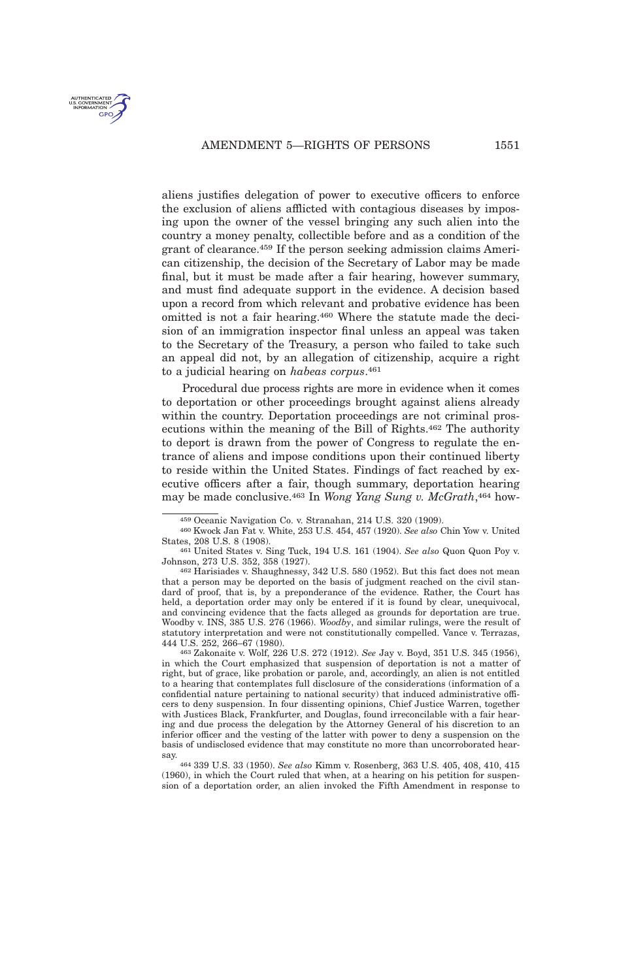

aliens justifies delegation of power to executive officers to enforce the exclusion of aliens afflicted with contagious diseases by imposing upon the owner of the vessel bringing any such alien into the country a money penalty, collectible before and as a condition of the grant of clearance.<sup>459</sup> If the person seeking admission claims American citizenship, the decision of the Secretary of Labor may be made final, but it must be made after a fair hearing, however summary, and must find adequate support in the evidence. A decision based upon a record from which relevant and probative evidence has been omitted is not a fair hearing.<sup>460</sup> Where the statute made the decision of an immigration inspector final unless an appeal was taken to the Secretary of the Treasury, a person who failed to take such an appeal did not, by an allegation of citizenship, acquire a right to a judicial hearing on *habeas corpus*. 461

Procedural due process rights are more in evidence when it comes to deportation or other proceedings brought against aliens already within the country. Deportation proceedings are not criminal prosecutions within the meaning of the Bill of Rights.<sup>462</sup> The authority to deport is drawn from the power of Congress to regulate the entrance of aliens and impose conditions upon their continued liberty to reside within the United States. Findings of fact reached by executive officers after a fair, though summary, deportation hearing may be made conclusive.<sup>463</sup> In *Wong Yang Sung v. McGrath*, <sup>464</sup> how-

<sup>459</sup> Oceanic Navigation Co. v. Stranahan, 214 U.S. 320 (1909).

<sup>460</sup> Kwock Jan Fat v. White, 253 U.S. 454, 457 (1920). *See also* Chin Yow v. United States, 208 U.S. 8 (1908).

<sup>461</sup> United States v. Sing Tuck, 194 U.S. 161 (1904). *See also* Quon Quon Poy v. Johnson, 273 U.S. 352, 358 (1927).

<sup>462</sup> Harisiades v. Shaughnessy, 342 U.S. 580 (1952). But this fact does not mean that a person may be deported on the basis of judgment reached on the civil standard of proof, that is, by a preponderance of the evidence. Rather, the Court has held, a deportation order may only be entered if it is found by clear, unequivocal, and convincing evidence that the facts alleged as grounds for deportation are true. Woodby v. INS, 385 U.S. 276 (1966). *Woodby*, and similar rulings, were the result of statutory interpretation and were not constitutionally compelled. Vance v. Terrazas, 444 U.S. 252, 266–67 (1980).

<sup>463</sup> Zakonaite v. Wolf, 226 U.S. 272 (1912). *See* Jay v. Boyd, 351 U.S. 345 (1956), in which the Court emphasized that suspension of deportation is not a matter of right, but of grace, like probation or parole, and, accordingly, an alien is not entitled to a hearing that contemplates full disclosure of the considerations (information of a confidential nature pertaining to national security) that induced administrative officers to deny suspension. In four dissenting opinions, Chief Justice Warren, together with Justices Black, Frankfurter, and Douglas, found irreconcilable with a fair hearing and due process the delegation by the Attorney General of his discretion to an inferior officer and the vesting of the latter with power to deny a suspension on the basis of undisclosed evidence that may constitute no more than uncorroborated hearsay.

<sup>464</sup> 339 U.S. 33 (1950). *See also* Kimm v. Rosenberg, 363 U.S. 405, 408, 410, 415 (1960), in which the Court ruled that when, at a hearing on his petition for suspension of a deportation order, an alien invoked the Fifth Amendment in response to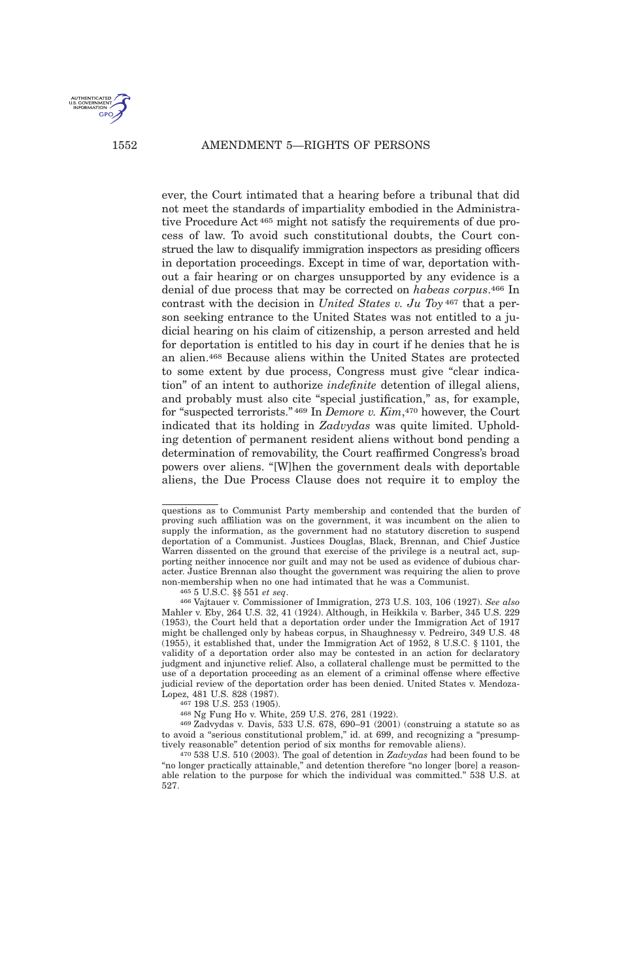

ever, the Court intimated that a hearing before a tribunal that did not meet the standards of impartiality embodied in the Administrative Procedure Act <sup>465</sup> might not satisfy the requirements of due process of law. To avoid such constitutional doubts, the Court construed the law to disqualify immigration inspectors as presiding officers in deportation proceedings. Except in time of war, deportation without a fair hearing or on charges unsupported by any evidence is a denial of due process that may be corrected on *habeas corpus*. <sup>466</sup> In contrast with the decision in *United States v. Ju Toy* <sup>467</sup> that a person seeking entrance to the United States was not entitled to a judicial hearing on his claim of citizenship, a person arrested and held for deportation is entitled to his day in court if he denies that he is an alien.<sup>468</sup> Because aliens within the United States are protected to some extent by due process, Congress must give "clear indication" of an intent to authorize *indefinite* detention of illegal aliens, and probably must also cite "special justification," as, for example, for "suspected terrorists." <sup>469</sup> In *Demore v. Kim*, <sup>470</sup> however, the Court indicated that its holding in *Zadvydas* was quite limited. Upholding detention of permanent resident aliens without bond pending a determination of removability, the Court reaffirmed Congress's broad powers over aliens. "[W]hen the government deals with deportable aliens, the Due Process Clause does not require it to employ the

465 5 U.S.C. §§ 551 *et seq*.

467 198 U.S. 253 (1905).

468 Ng Fung Ho v. White, 259 U.S. 276, 281 (1922).

469 Zadvydas v. Davis, 533 U.S. 678, 690–91 (2001) (construing a statute so as to avoid a "serious constitutional problem," id. at 699, and recognizing a "presumptively reasonable" detention period of six months for removable aliens).

questions as to Communist Party membership and contended that the burden of proving such affiliation was on the government, it was incumbent on the alien to supply the information, as the government had no statutory discretion to suspend deportation of a Communist. Justices Douglas, Black, Brennan, and Chief Justice Warren dissented on the ground that exercise of the privilege is a neutral act, supporting neither innocence nor guilt and may not be used as evidence of dubious character. Justice Brennan also thought the government was requiring the alien to prove non-membership when no one had intimated that he was a Communist.

<sup>466</sup> Vajtauer v. Commissioner of Immigration, 273 U.S. 103, 106 (1927). *See also* Mahler v. Eby, 264 U.S. 32, 41 (1924). Although, in Heikkila v. Barber, 345 U.S. 229 (1953), the Court held that a deportation order under the Immigration Act of 1917 might be challenged only by habeas corpus, in Shaughnessy v. Pedreiro, 349 U.S. 48 (1955), it established that, under the Immigration Act of 1952, 8 U.S.C. § 1101, the validity of a deportation order also may be contested in an action for declaratory judgment and injunctive relief. Also, a collateral challenge must be permitted to the use of a deportation proceeding as an element of a criminal offense where effective judicial review of the deportation order has been denied. United States v. Mendoza-Lopez, 481 U.S. 828 (1987).

<sup>470</sup> 538 U.S. 510 (2003). The goal of detention in *Zadvydas* had been found to be "no longer practically attainable," and detention therefore "no longer [bore] a reasonable relation to the purpose for which the individual was committed." 538 U.S. at 527.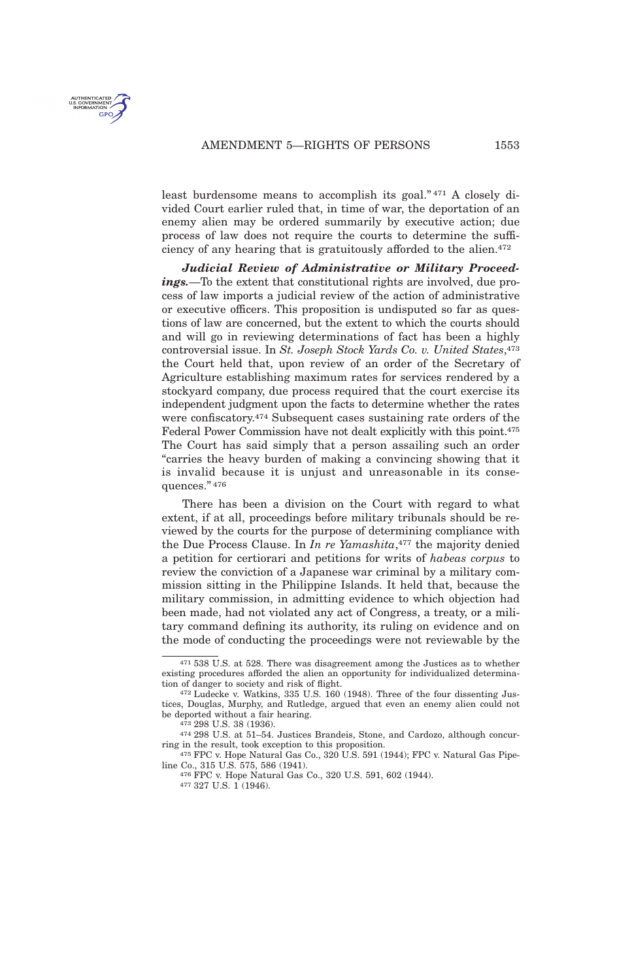

least burdensome means to accomplish its goal." <sup>471</sup> A closely divided Court earlier ruled that, in time of war, the deportation of an enemy alien may be ordered summarily by executive action; due process of law does not require the courts to determine the sufficiency of any hearing that is gratuitously afforded to the alien.<sup>472</sup>

*Judicial Review of Administrative or Military Proceedings.*—To the extent that constitutional rights are involved, due process of law imports a judicial review of the action of administrative or executive officers. This proposition is undisputed so far as questions of law are concerned, but the extent to which the courts should and will go in reviewing determinations of fact has been a highly controversial issue. In *St. Joseph Stock Yards Co. v. United States*, 473 the Court held that, upon review of an order of the Secretary of Agriculture establishing maximum rates for services rendered by a stockyard company, due process required that the court exercise its independent judgment upon the facts to determine whether the rates were confiscatory.<sup>474</sup> Subsequent cases sustaining rate orders of the Federal Power Commission have not dealt explicitly with this point.<sup>475</sup> The Court has said simply that a person assailing such an order "carries the heavy burden of making a convincing showing that it is invalid because it is unjust and unreasonable in its consequences." <sup>476</sup>

There has been a division on the Court with regard to what extent, if at all, proceedings before military tribunals should be reviewed by the courts for the purpose of determining compliance with the Due Process Clause. In *In re Yamashita*, <sup>477</sup> the majority denied a petition for certiorari and petitions for writs of *habeas corpus* to review the conviction of a Japanese war criminal by a military commission sitting in the Philippine Islands. It held that, because the military commission, in admitting evidence to which objection had been made, had not violated any act of Congress, a treaty, or a military command defining its authority, its ruling on evidence and on the mode of conducting the proceedings were not reviewable by the

<sup>471</sup> 538 U.S. at 528. There was disagreement among the Justices as to whether existing procedures afforded the alien an opportunity for individualized determination of danger to society and risk of flight.

<sup>472</sup> Ludecke v. Watkins, 335 U.S. 160 (1948). Three of the four dissenting Justices, Douglas, Murphy, and Rutledge, argued that even an enemy alien could not be deported without a fair hearing.

<sup>473</sup> 298 U.S. 38 (1936).

<sup>474</sup> 298 U.S. at 51–54. Justices Brandeis, Stone, and Cardozo, although concurring in the result, took exception to this proposition.

<sup>475</sup> FPC v. Hope Natural Gas Co., 320 U.S. 591 (1944); FPC v. Natural Gas Pipeline Co., 315 U.S. 575, 586 (1941).

<sup>476</sup> FPC v. Hope Natural Gas Co., 320 U.S. 591, 602 (1944).

<sup>477</sup> 327 U.S. 1 (1946).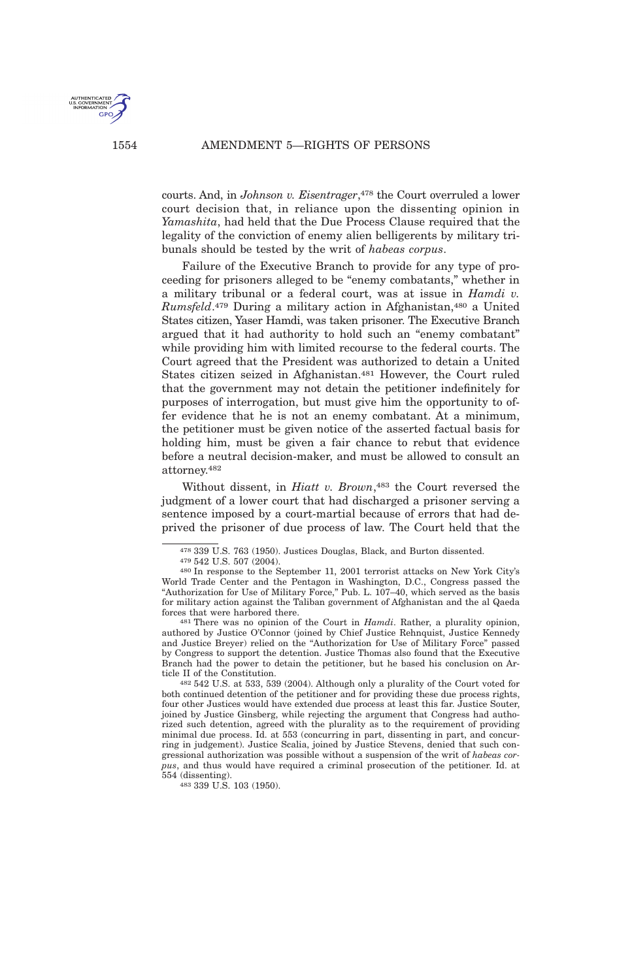courts. And, in *Johnson v. Eisentrager*, <sup>478</sup> the Court overruled a lower court decision that, in reliance upon the dissenting opinion in *Yamashita*, had held that the Due Process Clause required that the legality of the conviction of enemy alien belligerents by military tribunals should be tested by the writ of *habeas corpus*.

Failure of the Executive Branch to provide for any type of proceeding for prisoners alleged to be "enemy combatants," whether in a military tribunal or a federal court, was at issue in *Hamdi v. Rumsfeld*. <sup>479</sup> During a military action in Afghanistan,<sup>480</sup> a United States citizen, Yaser Hamdi, was taken prisoner. The Executive Branch argued that it had authority to hold such an "enemy combatant" while providing him with limited recourse to the federal courts. The Court agreed that the President was authorized to detain a United States citizen seized in Afghanistan.<sup>481</sup> However, the Court ruled that the government may not detain the petitioner indefinitely for purposes of interrogation, but must give him the opportunity to offer evidence that he is not an enemy combatant. At a minimum, the petitioner must be given notice of the asserted factual basis for holding him, must be given a fair chance to rebut that evidence before a neutral decision-maker, and must be allowed to consult an attorney.<sup>482</sup>

Without dissent, in *Hiatt v. Brown*, <sup>483</sup> the Court reversed the judgment of a lower court that had discharged a prisoner serving a sentence imposed by a court-martial because of errors that had deprived the prisoner of due process of law. The Court held that the

481 There was no opinion of the Court in *Hamdi*. Rather, a plurality opinion, authored by Justice O'Connor (joined by Chief Justice Rehnquist, Justice Kennedy and Justice Breyer) relied on the "Authorization for Use of Military Force" passed by Congress to support the detention. Justice Thomas also found that the Executive Branch had the power to detain the petitioner, but he based his conclusion on Article II of the Constitution.

482 542 U.S. at 533, 539 (2004). Although only a plurality of the Court voted for both continued detention of the petitioner and for providing these due process rights, four other Justices would have extended due process at least this far. Justice Souter, joined by Justice Ginsberg, while rejecting the argument that Congress had authorized such detention, agreed with the plurality as to the requirement of providing minimal due process. Id. at 553 (concurring in part, dissenting in part, and concurring in judgement). Justice Scalia, joined by Justice Stevens, denied that such congressional authorization was possible without a suspension of the writ of *habeas corpus*, and thus would have required a criminal prosecution of the petitioner. Id. at 554 (dissenting).

483 339 U.S. 103 (1950).



<sup>478</sup> 339 U.S. 763 (1950). Justices Douglas, Black, and Burton dissented.

<sup>479</sup> 542 U.S. 507 (2004).

<sup>480</sup> In response to the September 11, 2001 terrorist attacks on New York City's World Trade Center and the Pentagon in Washington, D.C., Congress passed the "Authorization for Use of Military Force," Pub. L. 107–40, which served as the basis for military action against the Taliban government of Afghanistan and the al Qaeda forces that were harbored there.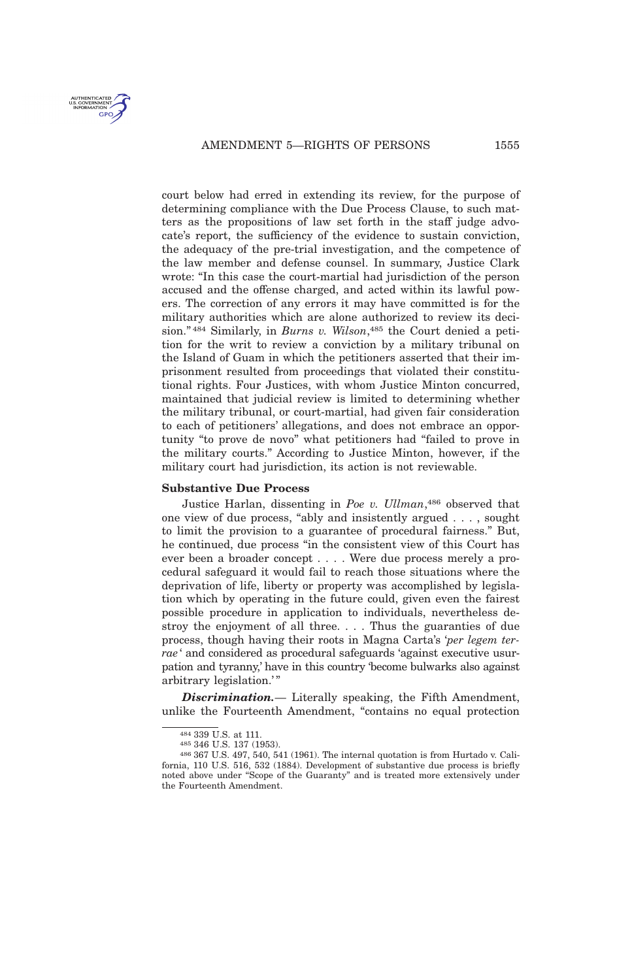court below had erred in extending its review, for the purpose of determining compliance with the Due Process Clause, to such matters as the propositions of law set forth in the staff judge advocate's report, the sufficiency of the evidence to sustain conviction, the adequacy of the pre-trial investigation, and the competence of the law member and defense counsel. In summary, Justice Clark wrote: "In this case the court-martial had jurisdiction of the person accused and the offense charged, and acted within its lawful powers. The correction of any errors it may have committed is for the military authorities which are alone authorized to review its decision." <sup>484</sup> Similarly, in *Burns v. Wilson*, <sup>485</sup> the Court denied a petition for the writ to review a conviction by a military tribunal on the Island of Guam in which the petitioners asserted that their imprisonment resulted from proceedings that violated their constitutional rights. Four Justices, with whom Justice Minton concurred, maintained that judicial review is limited to determining whether the military tribunal, or court-martial, had given fair consideration to each of petitioners' allegations, and does not embrace an opportunity "to prove de novo" what petitioners had "failed to prove in the military courts." According to Justice Minton, however, if the military court had jurisdiction, its action is not reviewable.

#### **Substantive Due Process**

Justice Harlan, dissenting in *Poe v. Ullman*, <sup>486</sup> observed that one view of due process, "ably and insistently argued . . . , sought to limit the provision to a guarantee of procedural fairness." But, he continued, due process "in the consistent view of this Court has ever been a broader concept . . . . Were due process merely a procedural safeguard it would fail to reach those situations where the deprivation of life, liberty or property was accomplished by legislation which by operating in the future could, given even the fairest possible procedure in application to individuals, nevertheless destroy the enjoyment of all three. . . . Thus the guaranties of due process, though having their roots in Magna Carta's '*per legem terrae* ' and considered as procedural safeguards 'against executive usurpation and tyranny,' have in this country 'become bulwarks also against arbitrary legislation.' "

*Discrimination.*— Literally speaking, the Fifth Amendment, unlike the Fourteenth Amendment, "contains no equal protection

<sup>484</sup> 339 U.S. at 111.

<sup>485</sup> 346 U.S. 137 (1953).

<sup>486</sup> 367 U.S. 497, 540, 541 (1961). The internal quotation is from Hurtado v. California, 110 U.S. 516, 532 (1884). Development of substantive due process is briefly noted above under "Scope of the Guaranty" and is treated more extensively under the Fourteenth Amendment.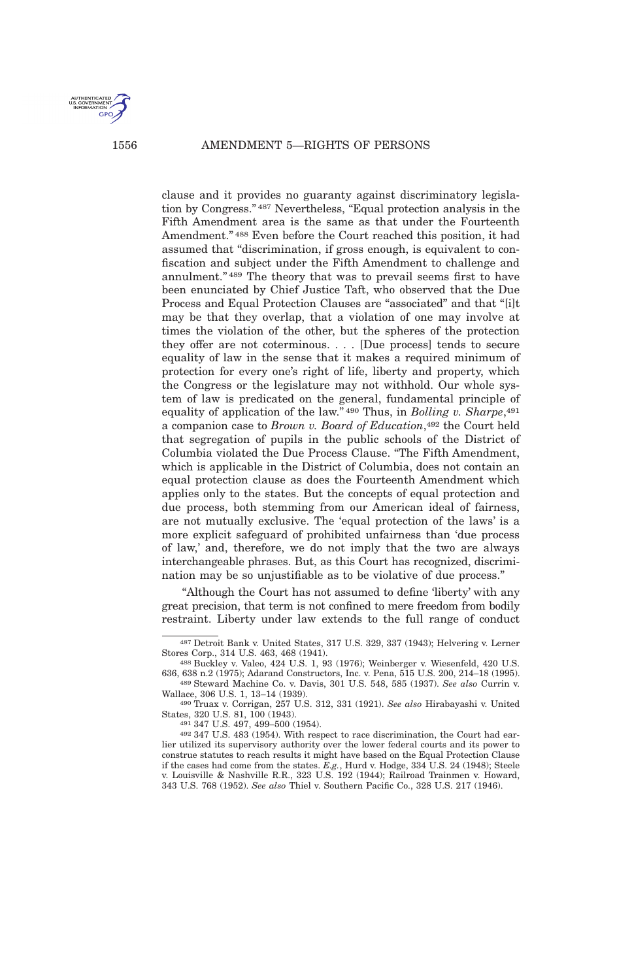

clause and it provides no guaranty against discriminatory legislation by Congress." <sup>487</sup> Nevertheless, "Equal protection analysis in the Fifth Amendment area is the same as that under the Fourteenth Amendment." <sup>488</sup> Even before the Court reached this position, it had assumed that "discrimination, if gross enough, is equivalent to confiscation and subject under the Fifth Amendment to challenge and annulment." <sup>489</sup> The theory that was to prevail seems first to have been enunciated by Chief Justice Taft, who observed that the Due Process and Equal Protection Clauses are "associated" and that "[i]t may be that they overlap, that a violation of one may involve at times the violation of the other, but the spheres of the protection they offer are not coterminous. . . . [Due process] tends to secure equality of law in the sense that it makes a required minimum of protection for every one's right of life, liberty and property, which the Congress or the legislature may not withhold. Our whole system of law is predicated on the general, fundamental principle of equality of application of the law." <sup>490</sup> Thus, in *Bolling v. Sharpe*, 491 a companion case to *Brown v. Board of Education*, <sup>492</sup> the Court held that segregation of pupils in the public schools of the District of Columbia violated the Due Process Clause. "The Fifth Amendment, which is applicable in the District of Columbia, does not contain an equal protection clause as does the Fourteenth Amendment which applies only to the states. But the concepts of equal protection and due process, both stemming from our American ideal of fairness, are not mutually exclusive. The 'equal protection of the laws' is a more explicit safeguard of prohibited unfairness than 'due process of law,' and, therefore, we do not imply that the two are always interchangeable phrases. But, as this Court has recognized, discrimination may be so unjustifiable as to be violative of due process."

"Although the Court has not assumed to define 'liberty' with any great precision, that term is not confined to mere freedom from bodily restraint. Liberty under law extends to the full range of conduct

<sup>487</sup> Detroit Bank v. United States, 317 U.S. 329, 337 (1943); Helvering v. Lerner Stores Corp., 314 U.S. 463, 468 (1941).

<sup>488</sup> Buckley v. Valeo, 424 U.S. 1, 93 (1976); Weinberger v. Wiesenfeld, 420 U.S. 636, 638 n.2 (1975); Adarand Constructors, Inc. v. Pena, 515 U.S. 200, 214–18 (1995).

<sup>489</sup> Steward Machine Co. v. Davis, 301 U.S. 548, 585 (1937). *See also* Currin v. Wallace, 306 U.S. 1, 13–14 (1939).

<sup>490</sup> Truax v. Corrigan, 257 U.S. 312, 331 (1921). *See also* Hirabayashi v. United States, 320 U.S. 81, 100 (1943).

<sup>491</sup> 347 U.S. 497, 499–500 (1954).

<sup>492</sup> 347 U.S. 483 (1954). With respect to race discrimination, the Court had earlier utilized its supervisory authority over the lower federal courts and its power to construe statutes to reach results it might have based on the Equal Protection Clause if the cases had come from the states.  $E.g.,$  Hurd v. Hodge,  $334 \text{ U.S.}$  24 (1948); Steele v. Louisville & Nashville R.R., 323 U.S. 192 (1944); Railroad Trainmen v. Howard, 343 U.S. 768 (1952). *See also* Thiel v. Southern Pacific Co., 328 U.S. 217 (1946).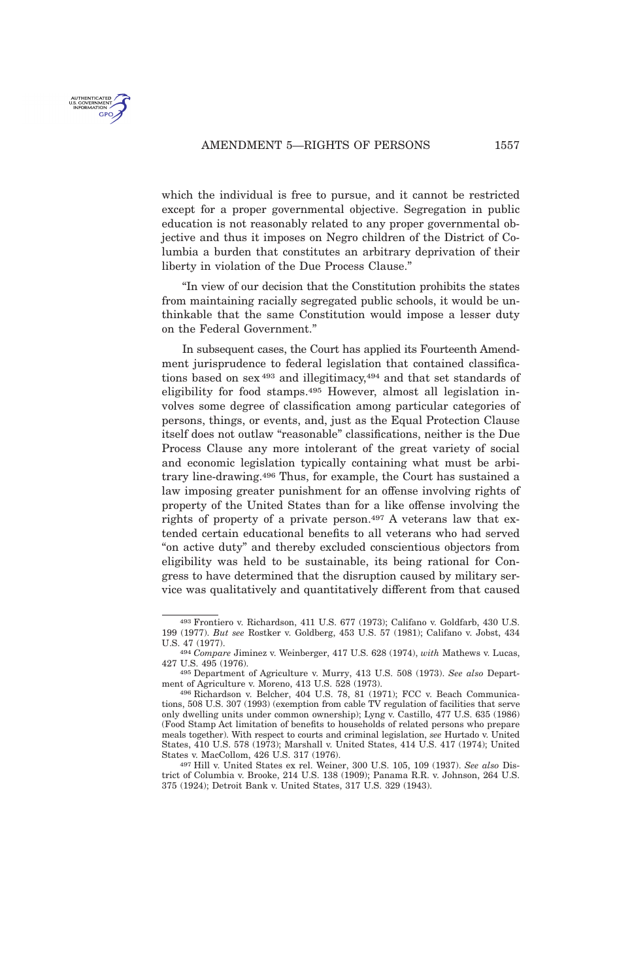

which the individual is free to pursue, and it cannot be restricted except for a proper governmental objective. Segregation in public education is not reasonably related to any proper governmental objective and thus it imposes on Negro children of the District of Columbia a burden that constitutes an arbitrary deprivation of their liberty in violation of the Due Process Clause."

"In view of our decision that the Constitution prohibits the states from maintaining racially segregated public schools, it would be unthinkable that the same Constitution would impose a lesser duty on the Federal Government."

In subsequent cases, the Court has applied its Fourteenth Amendment jurisprudence to federal legislation that contained classifications based on sex<sup>493</sup> and illegitimacy,<sup>494</sup> and that set standards of eligibility for food stamps.<sup>495</sup> However, almost all legislation involves some degree of classification among particular categories of persons, things, or events, and, just as the Equal Protection Clause itself does not outlaw "reasonable" classifications, neither is the Due Process Clause any more intolerant of the great variety of social and economic legislation typically containing what must be arbitrary line-drawing.<sup>496</sup> Thus, for example, the Court has sustained a law imposing greater punishment for an offense involving rights of property of the United States than for a like offense involving the rights of property of a private person.<sup>497</sup> A veterans law that extended certain educational benefits to all veterans who had served "on active duty" and thereby excluded conscientious objectors from eligibility was held to be sustainable, its being rational for Congress to have determined that the disruption caused by military service was qualitatively and quantitatively different from that caused

<sup>493</sup> Frontiero v. Richardson, 411 U.S. 677 (1973); Califano v. Goldfarb, 430 U.S. 199 (1977). *But see* Rostker v. Goldberg, 453 U.S. 57 (1981); Califano v. Jobst, 434 U.S. 47 (1977).

<sup>494</sup> *Compare* Jiminez v. Weinberger, 417 U.S. 628 (1974), *with* Mathews v. Lucas, 427 U.S. 495 (1976).

<sup>495</sup> Department of Agriculture v. Murry, 413 U.S. 508 (1973). *See also* Department of Agriculture v. Moreno, 413 U.S. 528 (1973).

<sup>496</sup> Richardson v. Belcher, 404 U.S. 78, 81 (1971); FCC v. Beach Communications, 508 U.S. 307 (1993) (exemption from cable TV regulation of facilities that serve only dwelling units under common ownership); Lyng v. Castillo, 477 U.S. 635 (1986) (Food Stamp Act limitation of benefits to households of related persons who prepare meals together). With respect to courts and criminal legislation, *see* Hurtado v. United States, 410 U.S. 578 (1973); Marshall v. United States, 414 U.S. 417 (1974); United States v. MacCollom, 426 U.S. 317 (1976).

<sup>497</sup> Hill v. United States ex rel. Weiner, 300 U.S. 105, 109 (1937). *See also* District of Columbia v. Brooke, 214 U.S. 138 (1909); Panama R.R. v. Johnson, 264 U.S. 375 (1924); Detroit Bank v. United States, 317 U.S. 329 (1943).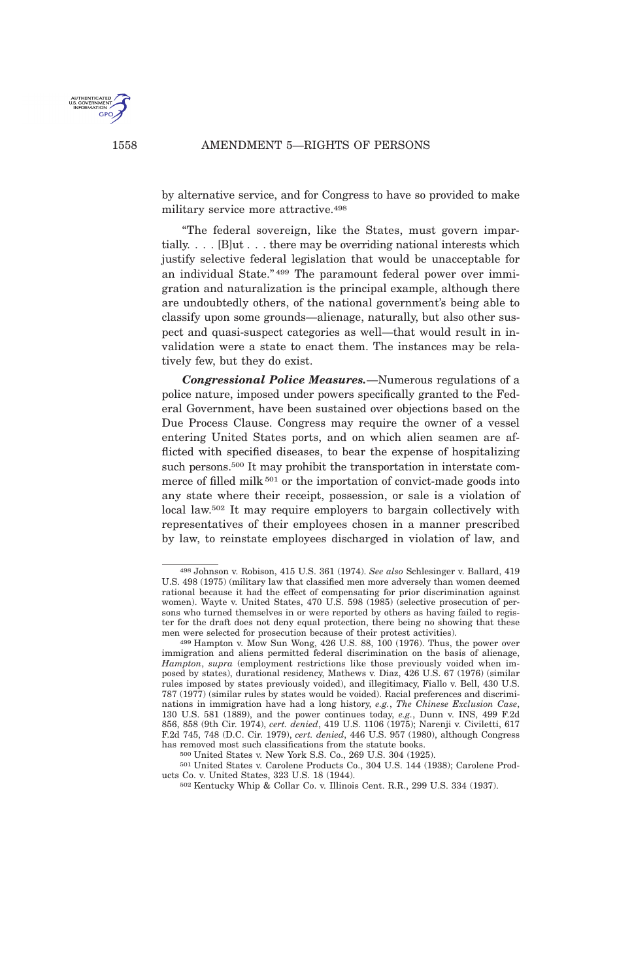

by alternative service, and for Congress to have so provided to make military service more attractive.<sup>498</sup>

"The federal sovereign, like the States, must govern impartially. . . . [B]ut . . . there may be overriding national interests which justify selective federal legislation that would be unacceptable for an individual State." <sup>499</sup> The paramount federal power over immigration and naturalization is the principal example, although there are undoubtedly others, of the national government's being able to classify upon some grounds—alienage, naturally, but also other suspect and quasi-suspect categories as well—that would result in invalidation were a state to enact them. The instances may be relatively few, but they do exist.

*Congressional Police Measures.*—Numerous regulations of a police nature, imposed under powers specifically granted to the Federal Government, have been sustained over objections based on the Due Process Clause. Congress may require the owner of a vessel entering United States ports, and on which alien seamen are afflicted with specified diseases, to bear the expense of hospitalizing such persons.<sup>500</sup> It may prohibit the transportation in interstate commerce of filled milk <sup>501</sup> or the importation of convict-made goods into any state where their receipt, possession, or sale is a violation of local law.<sup>502</sup> It may require employers to bargain collectively with representatives of their employees chosen in a manner prescribed by law, to reinstate employees discharged in violation of law, and

500 United States v. New York S.S. Co., 269 U.S. 304 (1925).

<sup>498</sup> Johnson v. Robison, 415 U.S. 361 (1974). *See also* Schlesinger v. Ballard, 419 U.S. 498 (1975) (military law that classified men more adversely than women deemed rational because it had the effect of compensating for prior discrimination against women). Wayte v. United States, 470 U.S. 598 (1985) (selective prosecution of persons who turned themselves in or were reported by others as having failed to register for the draft does not deny equal protection, there being no showing that these men were selected for prosecution because of their protest activities).

<sup>499</sup> Hampton v. Mow Sun Wong, 426 U.S. 88, 100 (1976). Thus, the power over immigration and aliens permitted federal discrimination on the basis of alienage, *Hampton*, *supra* (employment restrictions like those previously voided when imposed by states), durational residency, Mathews v. Diaz, 426 U.S. 67 (1976) (similar rules imposed by states previously voided), and illegitimacy, Fiallo v. Bell, 430 U.S. 787 (1977) (similar rules by states would be voided). Racial preferences and discriminations in immigration have had a long history, *e.g.*, *The Chinese Exclusion Case*, 130 U.S. 581 (1889), and the power continues today, *e.g.*, Dunn v. INS, 499 F.2d 856, 858 (9th Cir. 1974), *cert. denied*, 419 U.S. 1106 (1975); Narenji v. Civiletti, 617 F.2d 745, 748 (D.C. Cir. 1979), *cert. denied*, 446 U.S. 957 (1980), although Congress has removed most such classifications from the statute books.

<sup>501</sup> United States v. Carolene Products Co., 304 U.S. 144 (1938); Carolene Products Co. v. United States, 323 U.S. 18 (1944).

<sup>502</sup> Kentucky Whip & Collar Co. v. Illinois Cent. R.R., 299 U.S. 334 (1937).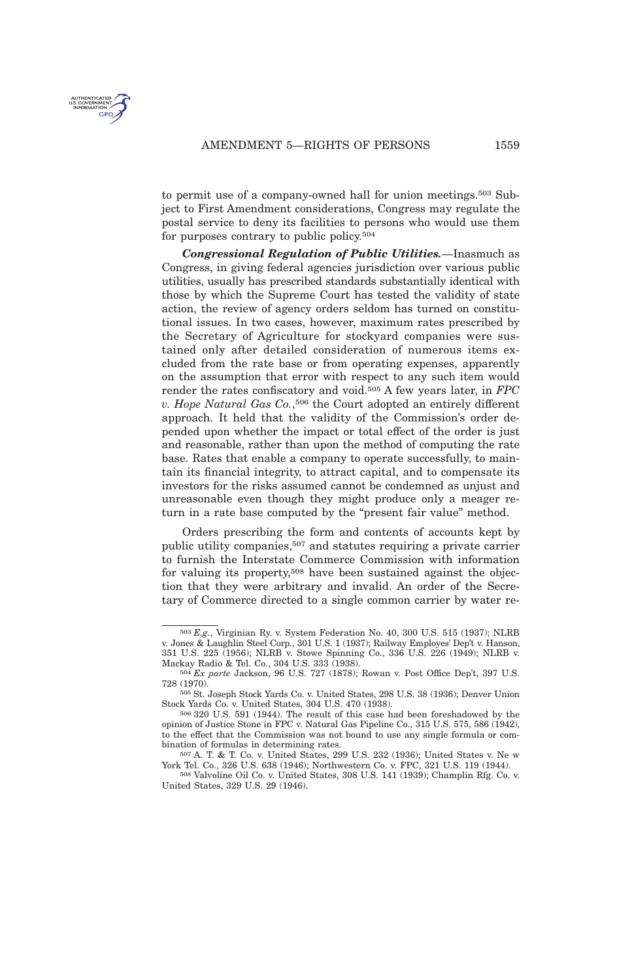

to permit use of a company-owned hall for union meetings.<sup>503</sup> Subject to First Amendment considerations, Congress may regulate the postal service to deny its facilities to persons who would use them for purposes contrary to public policy.<sup>504</sup>

*Congressional Regulation of Public Utilities.*—Inasmuch as Congress, in giving federal agencies jurisdiction over various public utilities, usually has prescribed standards substantially identical with those by which the Supreme Court has tested the validity of state action, the review of agency orders seldom has turned on constitutional issues. In two cases, however, maximum rates prescribed by the Secretary of Agriculture for stockyard companies were sustained only after detailed consideration of numerous items excluded from the rate base or from operating expenses, apparently on the assumption that error with respect to any such item would render the rates confiscatory and void.<sup>505</sup> A few years later, in *FPC v. Hope Natural Gas Co.*, <sup>506</sup> the Court adopted an entirely different approach. It held that the validity of the Commission's order depended upon whether the impact or total effect of the order is just and reasonable, rather than upon the method of computing the rate base. Rates that enable a company to operate successfully, to maintain its financial integrity, to attract capital, and to compensate its investors for the risks assumed cannot be condemned as unjust and unreasonable even though they might produce only a meager return in a rate base computed by the "present fair value" method.

Orders prescribing the form and contents of accounts kept by public utility companies,<sup>507</sup> and statutes requiring a private carrier to furnish the Interstate Commerce Commission with information for valuing its property,<sup>508</sup> have been sustained against the objection that they were arbitrary and invalid. An order of the Secretary of Commerce directed to a single common carrier by water re-

<sup>503</sup> *E.g.*, Virginian Ry. v. System Federation No. 40, 300 U.S. 515 (1937); NLRB v. Jones & Laughlin Steel Corp., 301 U.S. 1 (1937); Railway Employes' Dep't v. Hanson, 351 U.S. 225 (1956); NLRB v. Stowe Spinning Co., 336 U.S. 226 (1949); NLRB v. Mackay Radio & Tel. Co., 304 U.S. 333 (1938).

<sup>504</sup> *Ex parte* Jackson, 96 U.S. 727 (1878); Rowan v. Post Office Dep't, 397 U.S. 728 (1970).

<sup>505</sup> St. Joseph Stock Yards Co. v. United States, 298 U.S. 38 (1936); Denver Union Stock Yards Co. v. United States, 304 U.S. 470 (1938).

<sup>506</sup> 320 U.S. 591 (1944). The result of this case had been foreshadowed by the opinion of Justice Stone in FPC v. Natural Gas Pipeline Co., 315 U.S. 575, 586 (1942), to the effect that the Commission was not bound to use any single formula or combination of formulas in determining rates.

<sup>507</sup> A. T. & T. Co. v. United States, 299 U.S. 232 (1936); United States v. Ne w York Tel. Co., 326 U.S. 638 (1946); Northwestern Co. v. FPC, 321 U.S. 119 (1944).

<sup>508</sup> Valvoline Oil Co. v. United States, 308 U.S. 141 (1939); Champlin Rfg. Co. v. United States, 329 U.S. 29 (1946).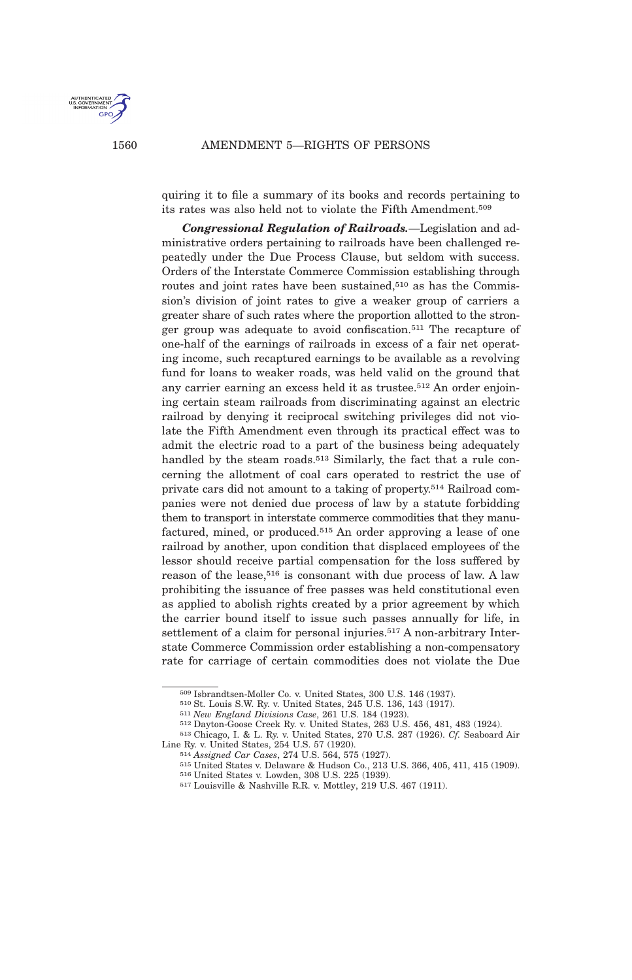

quiring it to file a summary of its books and records pertaining to its rates was also held not to violate the Fifth Amendment.<sup>509</sup>

*Congressional Regulation of Railroads.*—Legislation and administrative orders pertaining to railroads have been challenged repeatedly under the Due Process Clause, but seldom with success. Orders of the Interstate Commerce Commission establishing through routes and joint rates have been sustained,<sup>510</sup> as has the Commission's division of joint rates to give a weaker group of carriers a greater share of such rates where the proportion allotted to the stronger group was adequate to avoid confiscation.<sup>511</sup> The recapture of one-half of the earnings of railroads in excess of a fair net operating income, such recaptured earnings to be available as a revolving fund for loans to weaker roads, was held valid on the ground that any carrier earning an excess held it as trustee.<sup>512</sup> An order enjoining certain steam railroads from discriminating against an electric railroad by denying it reciprocal switching privileges did not violate the Fifth Amendment even through its practical effect was to admit the electric road to a part of the business being adequately handled by the steam roads.<sup>513</sup> Similarly, the fact that a rule concerning the allotment of coal cars operated to restrict the use of private cars did not amount to a taking of property.<sup>514</sup> Railroad companies were not denied due process of law by a statute forbidding them to transport in interstate commerce commodities that they manufactured, mined, or produced.<sup>515</sup> An order approving a lease of one railroad by another, upon condition that displaced employees of the lessor should receive partial compensation for the loss suffered by reason of the lease,<sup>516</sup> is consonant with due process of law. A law prohibiting the issuance of free passes was held constitutional even as applied to abolish rights created by a prior agreement by which the carrier bound itself to issue such passes annually for life, in settlement of a claim for personal injuries.<sup>517</sup> A non-arbitrary Interstate Commerce Commission order establishing a non-compensatory rate for carriage of certain commodities does not violate the Due

509 Isbrandtsen-Moller Co. v. United States, 300 U.S. 146 (1937).

510 St. Louis S.W. Ry. v. United States, 245 U.S. 136, 143 (1917).

511 *New England Divisions Case*, 261 U.S. 184 (1923).

512 Dayton-Goose Creek Ry. v. United States, 263 U.S. 456, 481, 483 (1924).

513 Chicago, I. & L. Ry. v. United States, 270 U.S. 287 (1926). *Cf.* Seaboard Air Line Ry. v. United States, 254 U.S. 57 (1920).

514 *Assigned Car Cases*, 274 U.S. 564, 575 (1927).

517 Louisville & Nashville R.R. v. Mottley, 219 U.S. 467 (1911).

<sup>515</sup> United States v. Delaware & Hudson Co., 213 U.S. 366, 405, 411, 415 (1909).

<sup>516</sup> United States v. Lowden, 308 U.S. 225 (1939).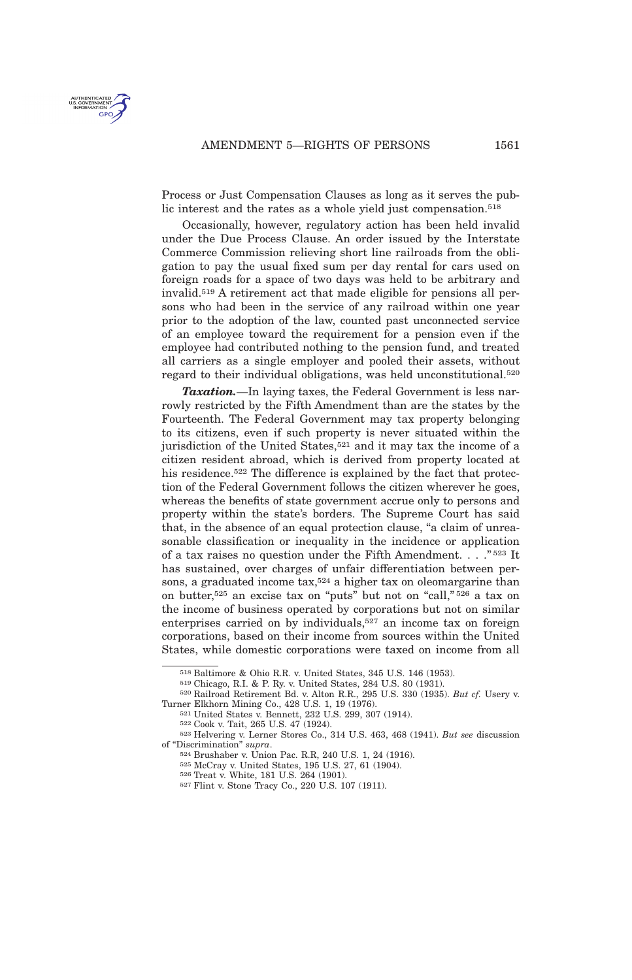

Process or Just Compensation Clauses as long as it serves the public interest and the rates as a whole yield just compensation.<sup>518</sup>

Occasionally, however, regulatory action has been held invalid under the Due Process Clause. An order issued by the Interstate Commerce Commission relieving short line railroads from the obligation to pay the usual fixed sum per day rental for cars used on foreign roads for a space of two days was held to be arbitrary and invalid.<sup>519</sup> A retirement act that made eligible for pensions all persons who had been in the service of any railroad within one year prior to the adoption of the law, counted past unconnected service of an employee toward the requirement for a pension even if the employee had contributed nothing to the pension fund, and treated all carriers as a single employer and pooled their assets, without regard to their individual obligations, was held unconstitutional.<sup>520</sup>

*Taxation.*—In laying taxes, the Federal Government is less narrowly restricted by the Fifth Amendment than are the states by the Fourteenth. The Federal Government may tax property belonging to its citizens, even if such property is never situated within the jurisdiction of the United States,<sup>521</sup> and it may tax the income of a citizen resident abroad, which is derived from property located at his residence.<sup>522</sup> The difference is explained by the fact that protection of the Federal Government follows the citizen wherever he goes, whereas the benefits of state government accrue only to persons and property within the state's borders. The Supreme Court has said that, in the absence of an equal protection clause, "a claim of unreasonable classification or inequality in the incidence or application of a tax raises no question under the Fifth Amendment. . . ." <sup>523</sup> It has sustained, over charges of unfair differentiation between persons, a graduated income  $\text{tax},^{524}$  a higher tax on oleomargarine than on butter,<sup>525</sup> an excise tax on "puts" but not on "call," <sup>526</sup> a tax on the income of business operated by corporations but not on similar enterprises carried on by individuals,<sup>527</sup> an income tax on foreign corporations, based on their income from sources within the United States, while domestic corporations were taxed on income from all

<sup>518</sup> Baltimore & Ohio R.R. v. United States, 345 U.S. 146 (1953).

<sup>519</sup> Chicago, R.I. & P. Ry. v. United States, 284 U.S. 80 (1931).

<sup>520</sup> Railroad Retirement Bd. v. Alton R.R., 295 U.S. 330 (1935). *But cf.* Usery v. Turner Elkhorn Mining Co., 428 U.S. 1, 19 (1976).

<sup>521</sup> United States v. Bennett, 232 U.S. 299, 307 (1914).

<sup>522</sup> Cook v. Tait, 265 U.S. 47 (1924).

<sup>523</sup> Helvering v. Lerner Stores Co., 314 U.S. 463, 468 (1941). *But see* discussion of "Discrimination" *supra*.

<sup>524</sup> Brushaber v. Union Pac. R.R, 240 U.S. 1, 24 (1916).

<sup>525</sup> McCray v. United States, 195 U.S. 27, 61 (1904).

<sup>526</sup> Treat v. White, 181 U.S. 264 (1901).

<sup>527</sup> Flint v. Stone Tracy Co., 220 U.S. 107 (1911).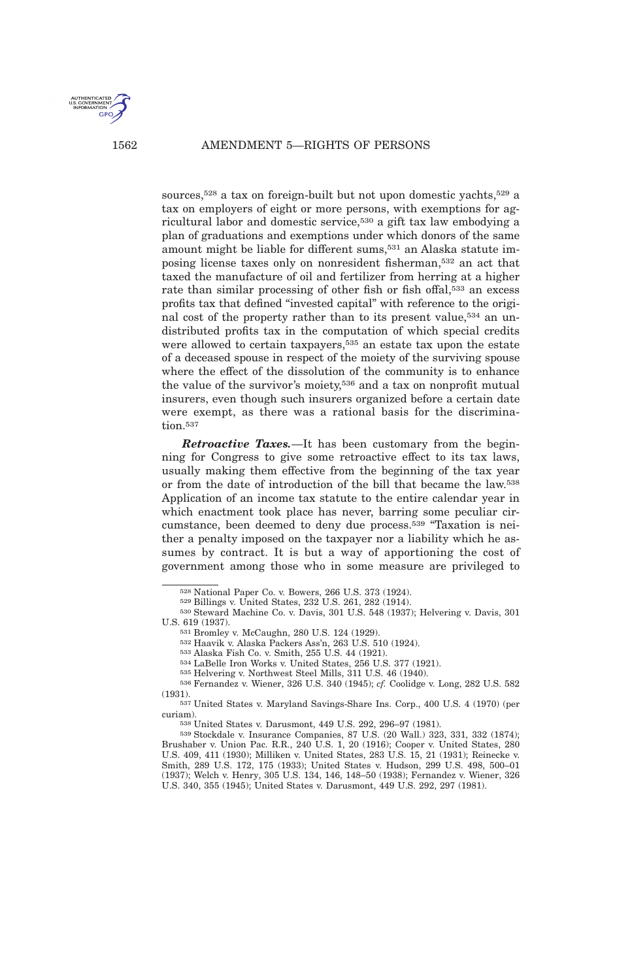

sources,<sup>528</sup> a tax on foreign-built but not upon domestic yachts,<sup>529</sup> a tax on employers of eight or more persons, with exemptions for agricultural labor and domestic service,<sup>530</sup> a gift tax law embodying a plan of graduations and exemptions under which donors of the same amount might be liable for different sums,<sup>531</sup> an Alaska statute imposing license taxes only on nonresident fisherman,<sup>532</sup> an act that taxed the manufacture of oil and fertilizer from herring at a higher rate than similar processing of other fish or fish offal,<sup>533</sup> an excess profits tax that defined "invested capital" with reference to the original cost of the property rather than to its present value,<sup>534</sup> an undistributed profits tax in the computation of which special credits were allowed to certain taxpayers,<sup>535</sup> an estate tax upon the estate of a deceased spouse in respect of the moiety of the surviving spouse where the effect of the dissolution of the community is to enhance the value of the survivor's moiety,<sup>536</sup> and a tax on nonprofit mutual insurers, even though such insurers organized before a certain date were exempt, as there was a rational basis for the discrimination.<sup>537</sup>

*Retroactive Taxes.*—It has been customary from the beginning for Congress to give some retroactive effect to its tax laws, usually making them effective from the beginning of the tax year or from the date of introduction of the bill that became the law.<sup>538</sup> Application of an income tax statute to the entire calendar year in which enactment took place has never, barring some peculiar circumstance, been deemed to deny due process.<sup>539</sup> "Taxation is neither a penalty imposed on the taxpayer nor a liability which he assumes by contract. It is but a way of apportioning the cost of government among those who in some measure are privileged to

- 532 Haavik v. Alaska Packers Ass'n, 263 U.S. 510 (1924).
- 533 Alaska Fish Co. v. Smith, 255 U.S. 44 (1921).
- 534 LaBelle Iron Works v. United States, 256 U.S. 377 (1921).
- 535 Helvering v. Northwest Steel Mills, 311 U.S. 46 (1940).

<sup>528</sup> National Paper Co. v. Bowers, 266 U.S. 373 (1924).

<sup>529</sup> Billings v. United States, 232 U.S. 261, 282 (1914).

<sup>530</sup> Steward Machine Co. v. Davis, 301 U.S. 548 (1937); Helvering v. Davis, 301 U.S. 619 (1937).

<sup>531</sup> Bromley v. McCaughn, 280 U.S. 124 (1929).

<sup>536</sup> Fernandez v. Wiener, 326 U.S. 340 (1945); *cf.* Coolidge v. Long, 282 U.S. 582 (1931).

<sup>537</sup> United States v. Maryland Savings-Share Ins. Corp., 400 U.S. 4 (1970) (per curiam).

<sup>538</sup> United States v. Darusmont, 449 U.S. 292, 296–97 (1981).

<sup>539</sup> Stockdale v. Insurance Companies, 87 U.S. (20 Wall.) 323, 331, 332 (1874); Brushaber v. Union Pac. R.R., 240 U.S. 1, 20 (1916); Cooper v. United States, 280 U.S. 409, 411 (1930); Milliken v. United States, 283 U.S. 15, 21 (1931); Reinecke v. Smith, 289 U.S. 172, 175 (1933); United States v. Hudson, 299 U.S. 498, 500–01 (1937); Welch v. Henry, 305 U.S. 134, 146, 148–50 (1938); Fernandez v. Wiener, 326 U.S. 340, 355 (1945); United States v. Darusmont, 449 U.S. 292, 297 (1981).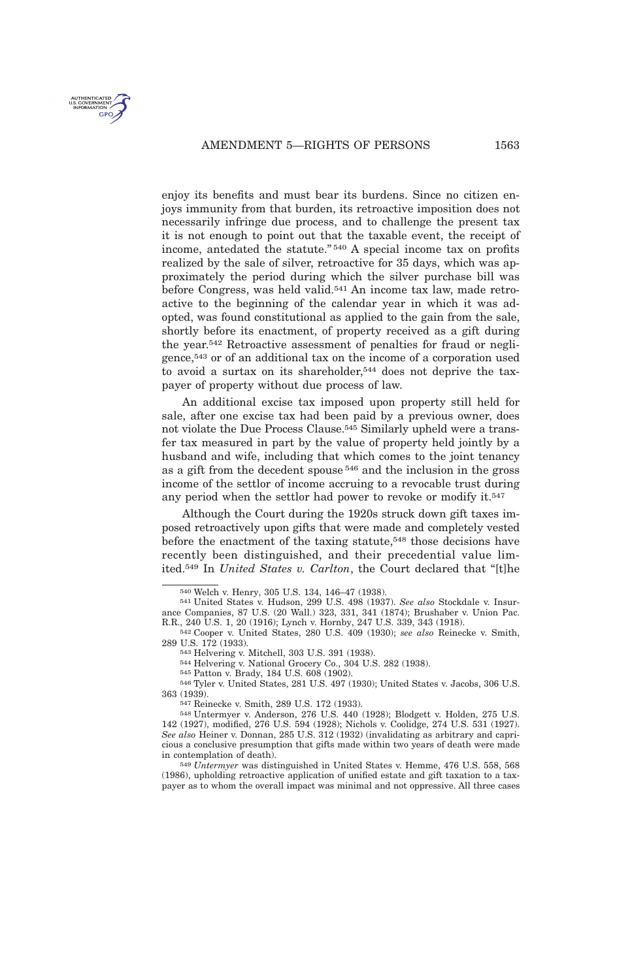

enjoy its benefits and must bear its burdens. Since no citizen enjoys immunity from that burden, its retroactive imposition does not necessarily infringe due process, and to challenge the present tax it is not enough to point out that the taxable event, the receipt of income, antedated the statute." <sup>540</sup> A special income tax on profits realized by the sale of silver, retroactive for 35 days, which was approximately the period during which the silver purchase bill was before Congress, was held valid.<sup>541</sup> An income tax law, made retroactive to the beginning of the calendar year in which it was adopted, was found constitutional as applied to the gain from the sale, shortly before its enactment, of property received as a gift during the year.<sup>542</sup> Retroactive assessment of penalties for fraud or negligence,<sup>543</sup> or of an additional tax on the income of a corporation used to avoid a surtax on its shareholder,<sup>544</sup> does not deprive the taxpayer of property without due process of law.

An additional excise tax imposed upon property still held for sale, after one excise tax had been paid by a previous owner, does not violate the Due Process Clause.<sup>545</sup> Similarly upheld were a transfer tax measured in part by the value of property held jointly by a husband and wife, including that which comes to the joint tenancy as a gift from the decedent spouse <sup>546</sup> and the inclusion in the gross income of the settlor of income accruing to a revocable trust during any period when the settlor had power to revoke or modify it.<sup>547</sup>

Although the Court during the 1920s struck down gift taxes imposed retroactively upon gifts that were made and completely vested before the enactment of the taxing statute,<sup>548</sup> those decisions have recently been distinguished, and their precedential value limited.<sup>549</sup> In *United States v. Carlton*, the Court declared that "[t]he

<sup>540</sup> Welch v. Henry, 305 U.S. 134, 146–47 (1938).

<sup>541</sup> United States v. Hudson, 299 U.S. 498 (1937). *See also* Stockdale v. Insurance Companies, 87 U.S. (20 Wall.) 323, 331, 341 (1874); Brushaber v. Union Pac. R.R., 240 U.S. 1, 20 (1916); Lynch v. Hornby, 247 U.S. 339, 343 (1918).

<sup>542</sup> Cooper v. United States, 280 U.S. 409 (1930); *see also* Reinecke v. Smith, 289 U.S. 172 (1933).

<sup>543</sup> Helvering v. Mitchell, 303 U.S. 391 (1938).

<sup>544</sup> Helvering v. National Grocery Co., 304 U.S. 282 (1938).

<sup>545</sup> Patton v. Brady, 184 U.S. 608 (1902).

<sup>546</sup> Tyler v. United States, 281 U.S. 497 (1930); United States v. Jacobs, 306 U.S. 363 (1939).

<sup>547</sup> Reinecke v. Smith, 289 U.S. 172 (1933).

<sup>548</sup> Untermyer v. Anderson, 276 U.S. 440 (1928); Blodgett v. Holden, 275 U.S. 142 (1927), modified, 276 U.S. 594 (1928); Nichols v. Coolidge, 274 U.S. 531 (1927). *See also* Heiner v. Donnan, 285 U.S. 312 (1932) (invalidating as arbitrary and capricious a conclusive presumption that gifts made within two years of death were made in contemplation of death).

<sup>549</sup> *Untermyer* was distinguished in United States v. Hemme, 476 U.S. 558, 568 (1986), upholding retroactive application of unified estate and gift taxation to a taxpayer as to whom the overall impact was minimal and not oppressive. All three cases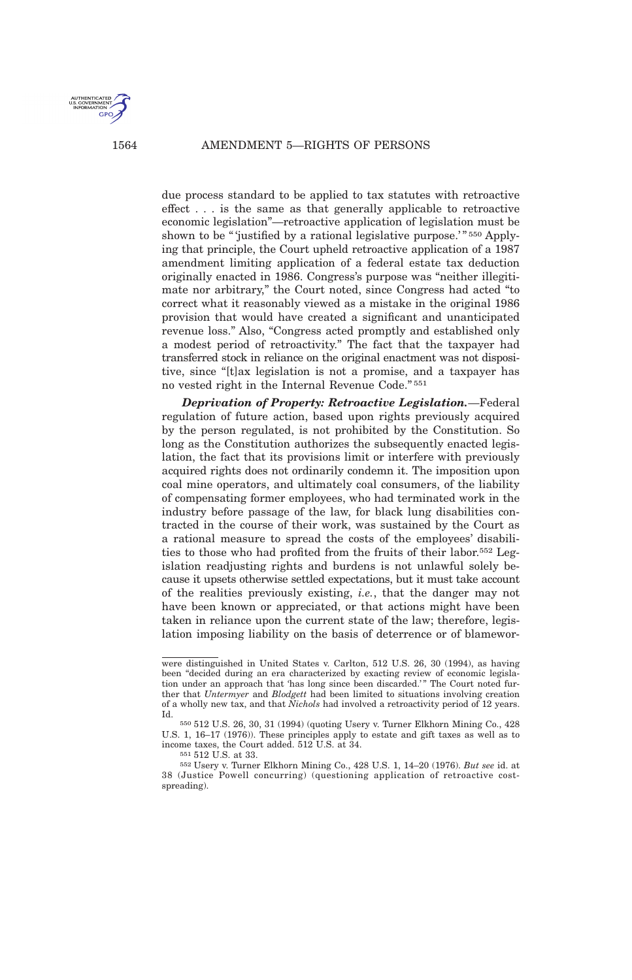

due process standard to be applied to tax statutes with retroactive effect . . . is the same as that generally applicable to retroactive economic legislation"—retroactive application of legislation must be shown to be "justified by a rational legislative purpose.'"<sup>550</sup> Applying that principle, the Court upheld retroactive application of a 1987 amendment limiting application of a federal estate tax deduction originally enacted in 1986. Congress's purpose was "neither illegitimate nor arbitrary," the Court noted, since Congress had acted "to correct what it reasonably viewed as a mistake in the original 1986 provision that would have created a significant and unanticipated revenue loss." Also, "Congress acted promptly and established only a modest period of retroactivity." The fact that the taxpayer had transferred stock in reliance on the original enactment was not dispositive, since "[t]ax legislation is not a promise, and a taxpayer has no vested right in the Internal Revenue Code." <sup>551</sup>

*Deprivation of Property: Retroactive Legislation.*—Federal regulation of future action, based upon rights previously acquired by the person regulated, is not prohibited by the Constitution. So long as the Constitution authorizes the subsequently enacted legislation, the fact that its provisions limit or interfere with previously acquired rights does not ordinarily condemn it. The imposition upon coal mine operators, and ultimately coal consumers, of the liability of compensating former employees, who had terminated work in the industry before passage of the law, for black lung disabilities contracted in the course of their work, was sustained by the Court as a rational measure to spread the costs of the employees' disabilities to those who had profited from the fruits of their labor.<sup>552</sup> Legislation readjusting rights and burdens is not unlawful solely because it upsets otherwise settled expectations, but it must take account of the realities previously existing, *i.e.*, that the danger may not have been known or appreciated, or that actions might have been taken in reliance upon the current state of the law; therefore, legislation imposing liability on the basis of deterrence or of blamewor-

were distinguished in United States v. Carlton, 512 U.S. 26, 30 (1994), as having been "decided during an era characterized by exacting review of economic legislation under an approach that 'has long since been discarded.' " The Court noted further that *Untermyer* and *Blodgett* had been limited to situations involving creation of a wholly new tax, and that *Nichols* had involved a retroactivity period of 12 years. Id.

<sup>550</sup> 512 U.S. 26, 30, 31 (1994) (quoting Usery v. Turner Elkhorn Mining Co., 428 U.S. 1, 16–17 (1976)). These principles apply to estate and gift taxes as well as to income taxes, the Court added. 512 U.S. at 34.

<sup>551</sup> 512 U.S. at 33.

<sup>552</sup> Usery v. Turner Elkhorn Mining Co., 428 U.S. 1, 14–20 (1976). *But see* id. at 38 (Justice Powell concurring) (questioning application of retroactive costspreading).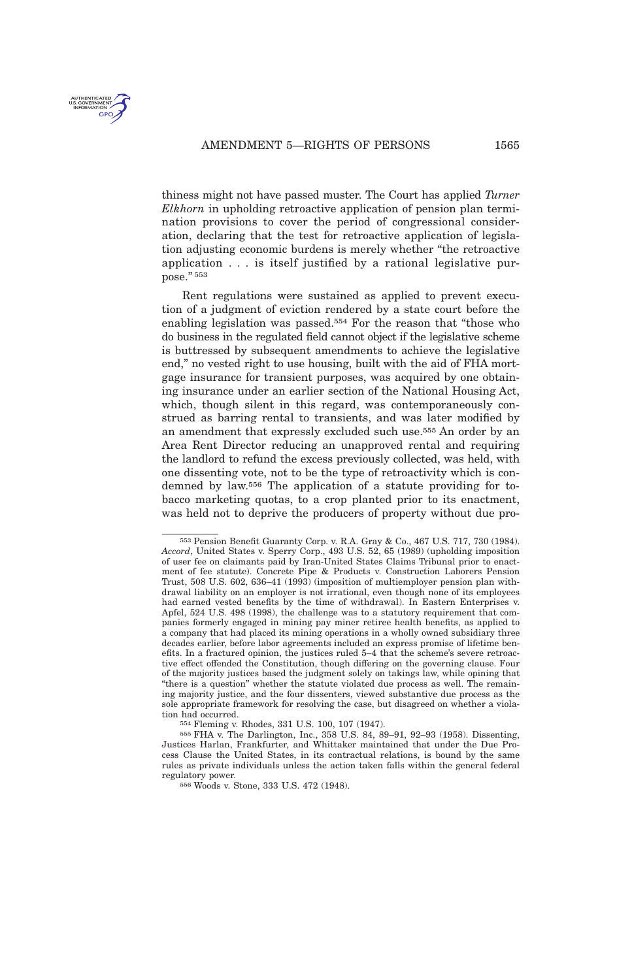

thiness might not have passed muster. The Court has applied *Turner Elkhorn* in upholding retroactive application of pension plan termination provisions to cover the period of congressional consideration, declaring that the test for retroactive application of legislation adjusting economic burdens is merely whether "the retroactive application . . . is itself justified by a rational legislative purpose." <sup>553</sup>

Rent regulations were sustained as applied to prevent execution of a judgment of eviction rendered by a state court before the enabling legislation was passed.<sup>554</sup> For the reason that "those who do business in the regulated field cannot object if the legislative scheme is buttressed by subsequent amendments to achieve the legislative end," no vested right to use housing, built with the aid of FHA mortgage insurance for transient purposes, was acquired by one obtaining insurance under an earlier section of the National Housing Act, which, though silent in this regard, was contemporaneously construed as barring rental to transients, and was later modified by an amendment that expressly excluded such use.<sup>555</sup> An order by an Area Rent Director reducing an unapproved rental and requiring the landlord to refund the excess previously collected, was held, with one dissenting vote, not to be the type of retroactivity which is condemned by law.<sup>556</sup> The application of a statute providing for tobacco marketing quotas, to a crop planted prior to its enactment, was held not to deprive the producers of property without due pro-

<sup>553</sup> Pension Benefit Guaranty Corp. v. R.A. Gray & Co., 467 U.S. 717, 730 (1984). *Accord*, United States v. Sperry Corp., 493 U.S. 52, 65 (1989) (upholding imposition of user fee on claimants paid by Iran-United States Claims Tribunal prior to enactment of fee statute). Concrete Pipe & Products v. Construction Laborers Pension Trust, 508 U.S. 602, 636–41 (1993) (imposition of multiemployer pension plan withdrawal liability on an employer is not irrational, even though none of its employees had earned vested benefits by the time of withdrawal). In Eastern Enterprises v. Apfel, 524 U.S. 498 (1998), the challenge was to a statutory requirement that companies formerly engaged in mining pay miner retiree health benefits, as applied to a company that had placed its mining operations in a wholly owned subsidiary three decades earlier, before labor agreements included an express promise of lifetime benefits. In a fractured opinion, the justices ruled 5–4 that the scheme's severe retroactive effect offended the Constitution, though differing on the governing clause. Four of the majority justices based the judgment solely on takings law, while opining that "there is a question" whether the statute violated due process as well. The remaining majority justice, and the four dissenters, viewed substantive due process as the sole appropriate framework for resolving the case, but disagreed on whether a violation had occurred.

<sup>554</sup> Fleming v. Rhodes, 331 U.S. 100, 107 (1947).

<sup>555</sup> FHA v. The Darlington, Inc., 358 U.S. 84, 89–91, 92–93 (1958). Dissenting, Justices Harlan, Frankfurter, and Whittaker maintained that under the Due Process Clause the United States, in its contractual relations, is bound by the same rules as private individuals unless the action taken falls within the general federal regulatory power.

<sup>556</sup> Woods v. Stone, 333 U.S. 472 (1948).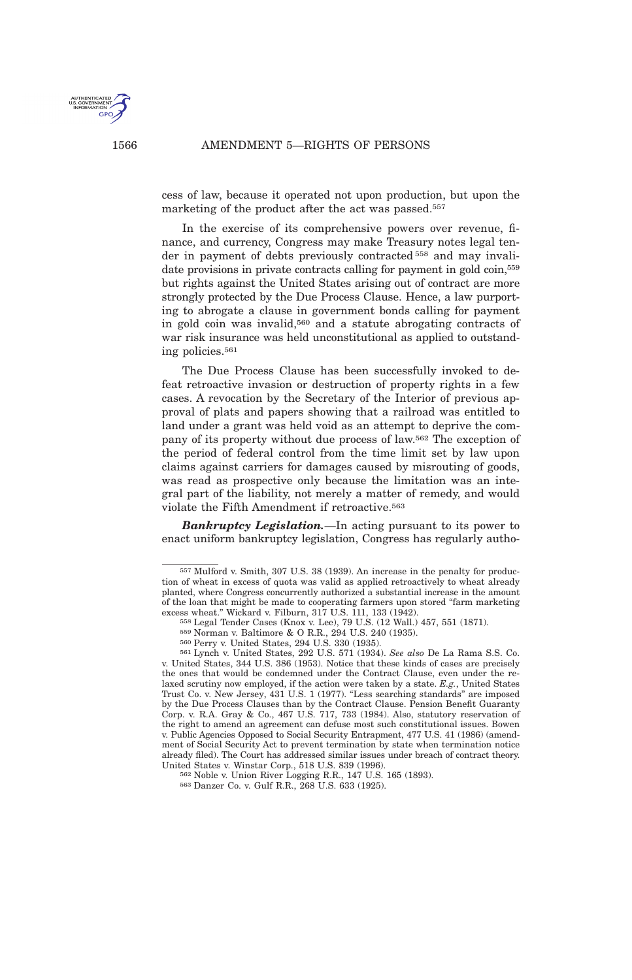

cess of law, because it operated not upon production, but upon the marketing of the product after the act was passed.<sup>557</sup>

In the exercise of its comprehensive powers over revenue, finance, and currency, Congress may make Treasury notes legal tender in payment of debts previously contracted <sup>558</sup> and may invalidate provisions in private contracts calling for payment in gold coin,<sup>559</sup> but rights against the United States arising out of contract are more strongly protected by the Due Process Clause. Hence, a law purporting to abrogate a clause in government bonds calling for payment in gold coin was invalid,<sup>560</sup> and a statute abrogating contracts of war risk insurance was held unconstitutional as applied to outstanding policies.<sup>561</sup>

The Due Process Clause has been successfully invoked to defeat retroactive invasion or destruction of property rights in a few cases. A revocation by the Secretary of the Interior of previous approval of plats and papers showing that a railroad was entitled to land under a grant was held void as an attempt to deprive the company of its property without due process of law.<sup>562</sup> The exception of the period of federal control from the time limit set by law upon claims against carriers for damages caused by misrouting of goods, was read as prospective only because the limitation was an integral part of the liability, not merely a matter of remedy, and would violate the Fifth Amendment if retroactive.<sup>563</sup>

*Bankruptcy Legislation.*—In acting pursuant to its power to enact uniform bankruptcy legislation, Congress has regularly autho-

<sup>557</sup> Mulford v. Smith, 307 U.S. 38 (1939). An increase in the penalty for production of wheat in excess of quota was valid as applied retroactively to wheat already planted, where Congress concurrently authorized a substantial increase in the amount of the loan that might be made to cooperating farmers upon stored "farm marketing excess wheat." Wickard v. Filburn, 317 U.S. 111, 133 (1942).

<sup>558</sup> Legal Tender Cases (Knox v. Lee), 79 U.S. (12 Wall.) 457, 551 (1871).

<sup>559</sup> Norman v. Baltimore & O R.R., 294 U.S. 240 (1935).

<sup>560</sup> Perry v. United States, 294 U.S. 330 (1935).

<sup>561</sup> Lynch v. United States, 292 U.S. 571 (1934). *See also* De La Rama S.S. Co. v. United States, 344 U.S. 386 (1953). Notice that these kinds of cases are precisely the ones that would be condemned under the Contract Clause, even under the relaxed scrutiny now employed, if the action were taken by a state. *E.g.*, United States Trust Co. v. New Jersey, 431 U.S. 1 (1977). "Less searching standards" are imposed by the Due Process Clauses than by the Contract Clause. Pension Benefit Guaranty Corp. v. R.A. Gray & Co., 467 U.S. 717, 733 (1984). Also, statutory reservation of the right to amend an agreement can defuse most such constitutional issues. Bowen v. Public Agencies Opposed to Social Security Entrapment, 477 U.S. 41 (1986) (amendment of Social Security Act to prevent termination by state when termination notice already filed). The Court has addressed similar issues under breach of contract theory. United States v. Winstar Corp., 518 U.S. 839 (1996).

<sup>562</sup> Noble v. Union River Logging R.R., 147 U.S. 165 (1893).

<sup>563</sup> Danzer Co. v. Gulf R.R., 268 U.S. 633 (1925).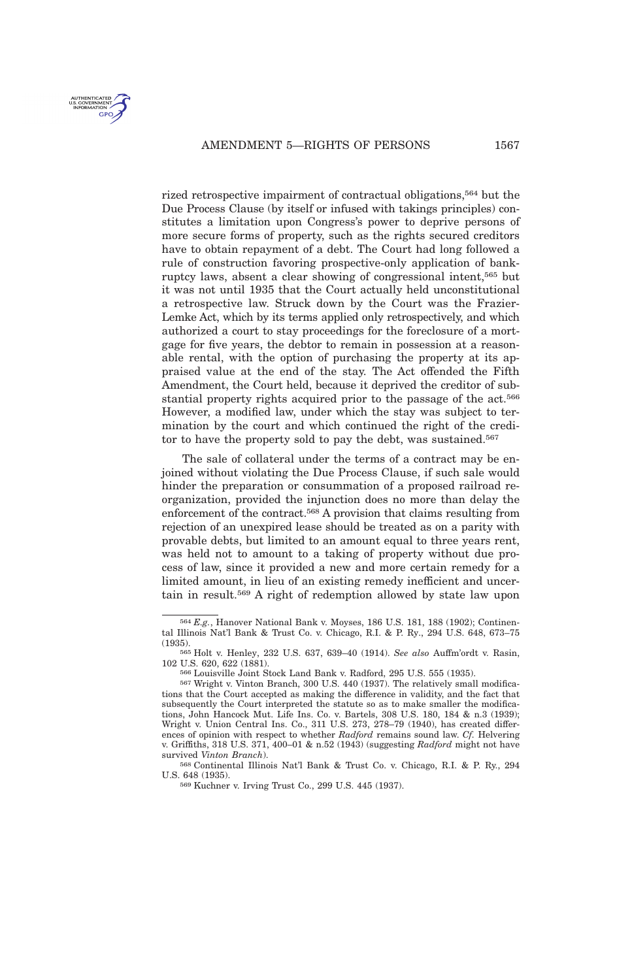

rized retrospective impairment of contractual obligations,<sup>564</sup> but the Due Process Clause (by itself or infused with takings principles) constitutes a limitation upon Congress's power to deprive persons of more secure forms of property, such as the rights secured creditors have to obtain repayment of a debt. The Court had long followed a rule of construction favoring prospective-only application of bankruptcy laws, absent a clear showing of congressional intent,<sup>565</sup> but it was not until 1935 that the Court actually held unconstitutional a retrospective law. Struck down by the Court was the Frazier-Lemke Act, which by its terms applied only retrospectively, and which authorized a court to stay proceedings for the foreclosure of a mortgage for five years, the debtor to remain in possession at a reasonable rental, with the option of purchasing the property at its appraised value at the end of the stay. The Act offended the Fifth Amendment, the Court held, because it deprived the creditor of substantial property rights acquired prior to the passage of the act.<sup>566</sup> However, a modified law, under which the stay was subject to termination by the court and which continued the right of the creditor to have the property sold to pay the debt, was sustained.<sup>567</sup>

The sale of collateral under the terms of a contract may be enjoined without violating the Due Process Clause, if such sale would hinder the preparation or consummation of a proposed railroad reorganization, provided the injunction does no more than delay the enforcement of the contract.<sup>568</sup> A provision that claims resulting from rejection of an unexpired lease should be treated as on a parity with provable debts, but limited to an amount equal to three years rent, was held not to amount to a taking of property without due process of law, since it provided a new and more certain remedy for a limited amount, in lieu of an existing remedy inefficient and uncertain in result.<sup>569</sup> A right of redemption allowed by state law upon

<sup>564</sup> *E.g.*, Hanover National Bank v. Moyses, 186 U.S. 181, 188 (1902); Continental Illinois Nat'l Bank & Trust Co. v. Chicago, R.I. & P. Ry., 294 U.S. 648, 673–75 (1935).

<sup>565</sup> Holt v. Henley, 232 U.S. 637, 639–40 (1914). *See also* Auffm'ordt v. Rasin, 102 U.S. 620, 622 (1881).

<sup>566</sup> Louisville Joint Stock Land Bank v. Radford, 295 U.S. 555 (1935).

<sup>567</sup> Wright v. Vinton Branch, 300 U.S. 440 (1937). The relatively small modifications that the Court accepted as making the difference in validity, and the fact that subsequently the Court interpreted the statute so as to make smaller the modifications, John Hancock Mut. Life Ins. Co. v. Bartels, 308 U.S. 180, 184 & n.3 (1939); Wright v. Union Central Ins. Co., 311 U.S. 273, 278–79 (1940), has created differences of opinion with respect to whether *Radford* remains sound law. *Cf.* Helvering v. Griffiths, 318 U.S. 371, 400–01 & n.52 (1943) (suggesting *Radford* might not have survived *Vinton Branch*).

<sup>568</sup> Continental Illinois Nat'l Bank & Trust Co. v. Chicago, R.I. & P. Ry., 294 U.S. 648 (1935).

<sup>569</sup> Kuchner v. Irving Trust Co., 299 U.S. 445 (1937).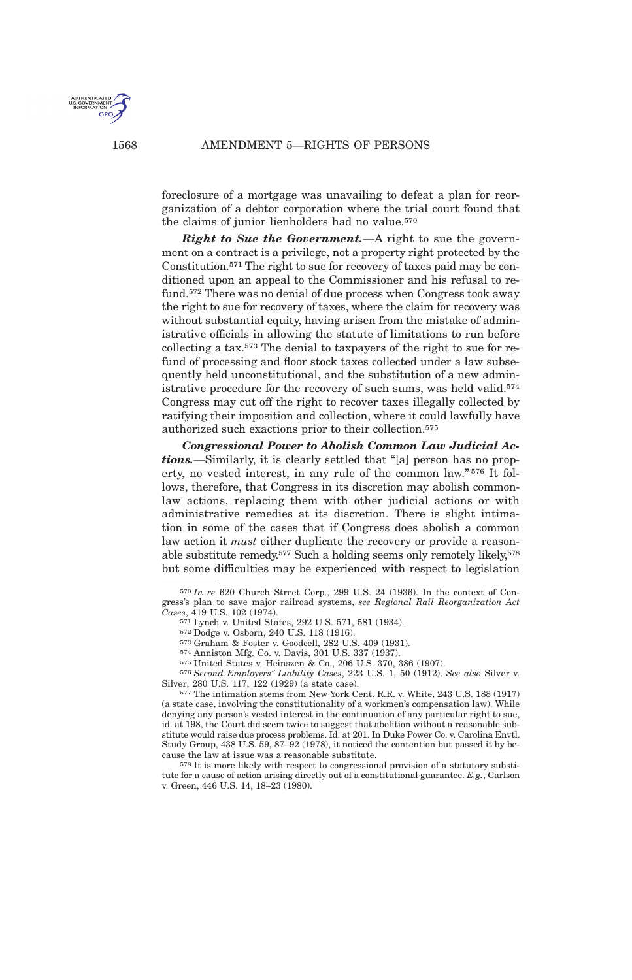

foreclosure of a mortgage was unavailing to defeat a plan for reorganization of a debtor corporation where the trial court found that the claims of junior lienholders had no value.<sup>570</sup>

*Right to Sue the Government.*—A right to sue the government on a contract is a privilege, not a property right protected by the Constitution.<sup>571</sup> The right to sue for recovery of taxes paid may be conditioned upon an appeal to the Commissioner and his refusal to refund.<sup>572</sup> There was no denial of due process when Congress took away the right to sue for recovery of taxes, where the claim for recovery was without substantial equity, having arisen from the mistake of administrative officials in allowing the statute of limitations to run before collecting a tax.<sup>573</sup> The denial to taxpayers of the right to sue for refund of processing and floor stock taxes collected under a law subsequently held unconstitutional, and the substitution of a new administrative procedure for the recovery of such sums, was held valid.<sup>574</sup> Congress may cut off the right to recover taxes illegally collected by ratifying their imposition and collection, where it could lawfully have authorized such exactions prior to their collection.<sup>575</sup>

*Congressional Power to Abolish Common Law Judicial Actions.*—Similarly, it is clearly settled that "[a] person has no property, no vested interest, in any rule of the common law." <sup>576</sup> It follows, therefore, that Congress in its discretion may abolish commonlaw actions, replacing them with other judicial actions or with administrative remedies at its discretion. There is slight intimation in some of the cases that if Congress does abolish a common law action it *must* either duplicate the recovery or provide a reasonable substitute remedy.<sup>577</sup> Such a holding seems only remotely likely,<sup>578</sup> but some difficulties may be experienced with respect to legislation

<sup>570</sup> *In re* 620 Church Street Corp., 299 U.S. 24 (1936). In the context of Congress's plan to save major railroad systems, *see Regional Rail Reorganization Act Cases*, 419 U.S. 102 (1974).

<sup>571</sup> Lynch v. United States, 292 U.S. 571, 581 (1934).

<sup>572</sup> Dodge v. Osborn, 240 U.S. 118 (1916).

<sup>573</sup> Graham & Foster v. Goodcell, 282 U.S. 409 (1931).

<sup>574</sup> Anniston Mfg. Co. v. Davis, 301 U.S. 337 (1937).

<sup>575</sup> United States v. Heinszen & Co., 206 U.S. 370, 386 (1907).

<sup>576</sup> *Second Employers'' Liability Cases*, 223 U.S. 1, 50 (1912). *See also* Silver v. Silver, 280 U.S. 117, 122 (1929) (a state case).

<sup>577</sup> The intimation stems from New York Cent. R.R. v. White, 243 U.S. 188 (1917) (a state case, involving the constitutionality of a workmen's compensation law). While denying any person's vested interest in the continuation of any particular right to sue, id. at 198, the Court did seem twice to suggest that abolition without a reasonable substitute would raise due process problems. Id. at 201. In Duke Power Co. v. Carolina Envtl. Study Group, 438 U.S. 59, 87–92 (1978), it noticed the contention but passed it by because the law at issue was a reasonable substitute.

<sup>578</sup> It is more likely with respect to congressional provision of a statutory substitute for a cause of action arising directly out of a constitutional guarantee. *E.g.*, Carlson v. Green, 446 U.S. 14, 18–23 (1980).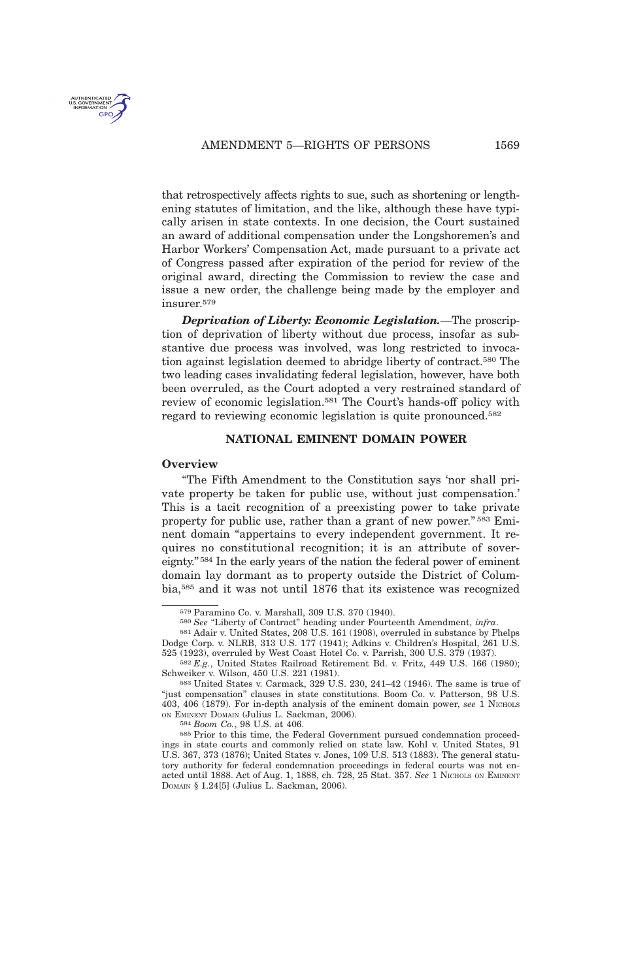AMENDMENT 5-RIGHTS OF PERSONS 1569



that retrospectively affects rights to sue, such as shortening or lengthening statutes of limitation, and the like, although these have typically arisen in state contexts. In one decision, the Court sustained an award of additional compensation under the Longshoremen's and Harbor Workers' Compensation Act, made pursuant to a private act of Congress passed after expiration of the period for review of the original award, directing the Commission to review the case and issue a new order, the challenge being made by the employer and insurer.<sup>579</sup>

*Deprivation of Liberty: Economic Legislation.*—The proscription of deprivation of liberty without due process, insofar as substantive due process was involved, was long restricted to invocation against legislation deemed to abridge liberty of contract.<sup>580</sup> The two leading cases invalidating federal legislation, however, have both been overruled, as the Court adopted a very restrained standard of review of economic legislation.<sup>581</sup> The Court's hands-off policy with regard to reviewing economic legislation is quite pronounced.<sup>582</sup>

#### **NATIONAL EMINENT DOMAIN POWER**

## **Overview**

"The Fifth Amendment to the Constitution says 'nor shall private property be taken for public use, without just compensation.' This is a tacit recognition of a preexisting power to take private property for public use, rather than a grant of new power." <sup>583</sup> Eminent domain "appertains to every independent government. It requires no constitutional recognition; it is an attribute of sovereignty." <sup>584</sup> In the early years of the nation the federal power of eminent domain lay dormant as to property outside the District of Columbia,<sup>585</sup> and it was not until 1876 that its existence was recognized

<sup>579</sup> Paramino Co. v. Marshall, 309 U.S. 370 (1940).

<sup>580</sup> *See* "Liberty of Contract" heading under Fourteenth Amendment, *infra*.

<sup>581</sup> Adair v. United States, 208 U.S. 161 (1908), overruled in substance by Phelps Dodge Corp. v. NLRB, 313 U.S. 177 (1941); Adkins v. Children's Hospital, 261 U.S.

<sup>525 (1923),</sup> overruled by West Coast Hotel Co. v. Parrish, 300 U.S. 379 (1937). 582 *E.g.*, United States Railroad Retirement Bd. v. Fritz, 449 U.S. 166 (1980); Schweiker v. Wilson, 450 U.S. 221 (1981).

<sup>583</sup> United States v. Carmack, 329 U.S. 230, 241–42 (1946). The same is true of "just compensation" clauses in state constitutions. Boom Co. v. Patterson, 98 U.S. 403, 406 (1879). For in-depth analysis of the eminent domain power, *see* 1 NICHOLS ON EMINENT DOMAIN (Julius L. Sackman, 2006).

<sup>584</sup> *Boom Co.*, 98 U.S. at 406.

<sup>585</sup> Prior to this time, the Federal Government pursued condemnation proceedings in state courts and commonly relied on state law. Kohl v. United States, 91 U.S. 367, 373 (1876); United States v. Jones, 109 U.S. 513 (1883). The general statutory authority for federal condemnation proceedings in federal courts was not enacted until 1888. Act of Aug. 1, 1888, ch. 728, 25 Stat. 357. See 1 NICHOLS ON EMINENT DOMAIN § 1.24[5] (Julius L. Sackman, 2006).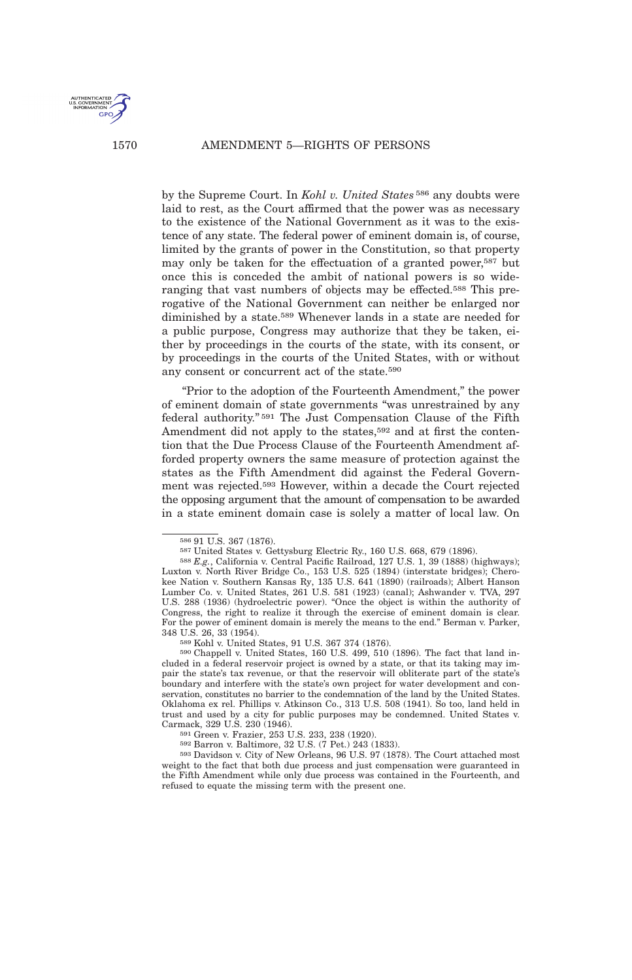1570 AMENDMENT 5—RIGHTS OF PERSONS



by the Supreme Court. In *Kohl v. United States* <sup>586</sup> any doubts were laid to rest, as the Court affirmed that the power was as necessary to the existence of the National Government as it was to the existence of any state. The federal power of eminent domain is, of course, limited by the grants of power in the Constitution, so that property may only be taken for the effectuation of a granted power,<sup>587</sup> but once this is conceded the ambit of national powers is so wideranging that vast numbers of objects may be effected.<sup>588</sup> This prerogative of the National Government can neither be enlarged nor diminished by a state.<sup>589</sup> Whenever lands in a state are needed for a public purpose, Congress may authorize that they be taken, either by proceedings in the courts of the state, with its consent, or by proceedings in the courts of the United States, with or without any consent or concurrent act of the state.<sup>590</sup>

"Prior to the adoption of the Fourteenth Amendment," the power of eminent domain of state governments "was unrestrained by any federal authority." <sup>591</sup> The Just Compensation Clause of the Fifth Amendment did not apply to the states,<sup>592</sup> and at first the contention that the Due Process Clause of the Fourteenth Amendment afforded property owners the same measure of protection against the states as the Fifth Amendment did against the Federal Government was rejected.<sup>593</sup> However, within a decade the Court rejected the opposing argument that the amount of compensation to be awarded in a state eminent domain case is solely a matter of local law. On

589 Kohl v. United States, 91 U.S. 367 374 (1876).

590 Chappell v. United States, 160 U.S. 499, 510 (1896). The fact that land included in a federal reservoir project is owned by a state, or that its taking may impair the state's tax revenue, or that the reservoir will obliterate part of the state's boundary and interfere with the state's own project for water development and conservation, constitutes no barrier to the condemnation of the land by the United States. Oklahoma ex rel. Phillips v. Atkinson Co., 313 U.S. 508 (1941). So too, land held in trust and used by a city for public purposes may be condemned. United States v. Carmack, 329 U.S. 230 (1946).

592 Barron v. Baltimore, 32 U.S. (7 Pet.) 243 (1833).

593 Davidson v. City of New Orleans, 96 U.S. 97 (1878). The Court attached most weight to the fact that both due process and just compensation were guaranteed in the Fifth Amendment while only due process was contained in the Fourteenth, and refused to equate the missing term with the present one.

<sup>586</sup> 91 U.S. 367 (1876).

<sup>587</sup> United States v. Gettysburg Electric Ry., 160 U.S. 668, 679 (1896).

<sup>588</sup> *E.g.*, California v. Central Pacific Railroad, 127 U.S. 1, 39 (1888) (highways); Luxton v. North River Bridge Co., 153 U.S. 525 (1894) (interstate bridges); Cherokee Nation v. Southern Kansas Ry, 135 U.S. 641 (1890) (railroads); Albert Hanson Lumber Co. v. United States, 261 U.S. 581 (1923) (canal); Ashwander v. TVA, 297 U.S. 288 (1936) (hydroelectric power). "Once the object is within the authority of Congress, the right to realize it through the exercise of eminent domain is clear. For the power of eminent domain is merely the means to the end." Berman v. Parker, 348 U.S. 26, 33 (1954).

<sup>591</sup> Green v. Frazier, 253 U.S. 233, 238 (1920).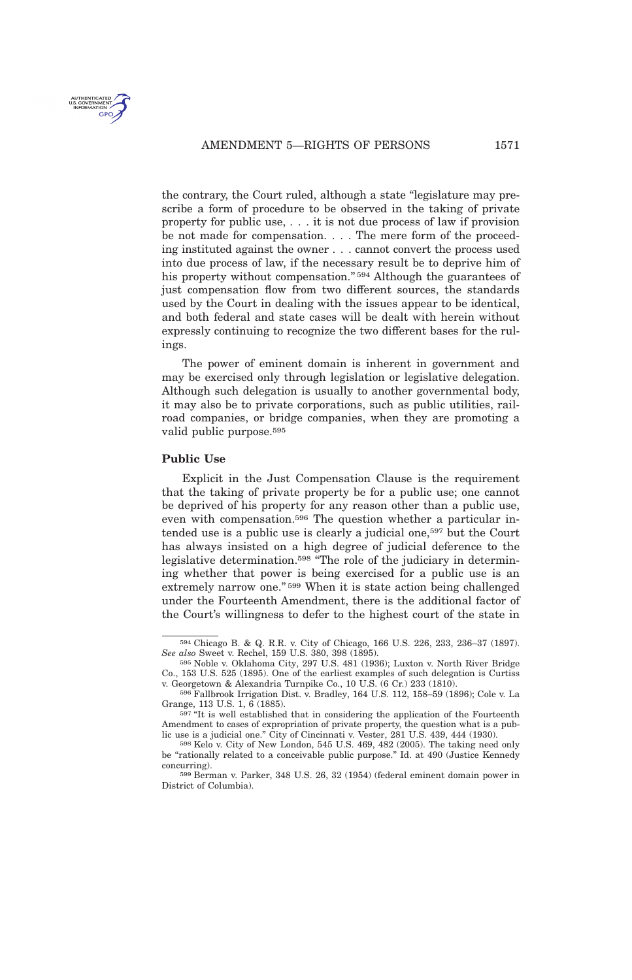

the contrary, the Court ruled, although a state "legislature may prescribe a form of procedure to be observed in the taking of private property for public use, . . . it is not due process of law if provision be not made for compensation. . . . The mere form of the proceeding instituted against the owner . . . cannot convert the process used into due process of law, if the necessary result be to deprive him of his property without compensation."<sup>594</sup> Although the guarantees of just compensation flow from two different sources, the standards used by the Court in dealing with the issues appear to be identical, and both federal and state cases will be dealt with herein without expressly continuing to recognize the two different bases for the rulings.

The power of eminent domain is inherent in government and may be exercised only through legislation or legislative delegation. Although such delegation is usually to another governmental body, it may also be to private corporations, such as public utilities, railroad companies, or bridge companies, when they are promoting a valid public purpose.<sup>595</sup>

## **Public Use**

Explicit in the Just Compensation Clause is the requirement that the taking of private property be for a public use; one cannot be deprived of his property for any reason other than a public use, even with compensation.<sup>596</sup> The question whether a particular intended use is a public use is clearly a judicial one,<sup>597</sup> but the Court has always insisted on a high degree of judicial deference to the legislative determination.<sup>598</sup> "The role of the judiciary in determining whether that power is being exercised for a public use is an extremely narrow one." <sup>599</sup> When it is state action being challenged under the Fourteenth Amendment, there is the additional factor of the Court's willingness to defer to the highest court of the state in

<sup>594</sup> Chicago B. & Q. R.R. v. City of Chicago, 166 U.S. 226, 233, 236–37 (1897). *See also* Sweet v. Rechel, 159 U.S. 380, 398 (1895).

<sup>595</sup> Noble v. Oklahoma City, 297 U.S. 481 (1936); Luxton v. North River Bridge Co., 153 U.S. 525 (1895). One of the earliest examples of such delegation is Curtiss v. Georgetown & Alexandria Turnpike Co., 10 U.S. (6 Cr.) 233 (1810).

<sup>596</sup> Fallbrook Irrigation Dist. v. Bradley, 164 U.S. 112, 158–59 (1896); Cole v. La Grange, 113 U.S. 1, 6 (1885).

 $597$  "It is well established that in considering the application of the Fourteenth Amendment to cases of expropriation of private property, the question what is a public use is a judicial one." City of Cincinnati v. Vester, 281 U.S. 439, 444 (1930).

<sup>598</sup> Kelo v. City of New London, 545 U.S. 469, 482 (2005). The taking need only be "rationally related to a conceivable public purpose." Id. at 490 (Justice Kennedy concurring).

<sup>599</sup> Berman v. Parker, 348 U.S. 26, 32 (1954) (federal eminent domain power in District of Columbia).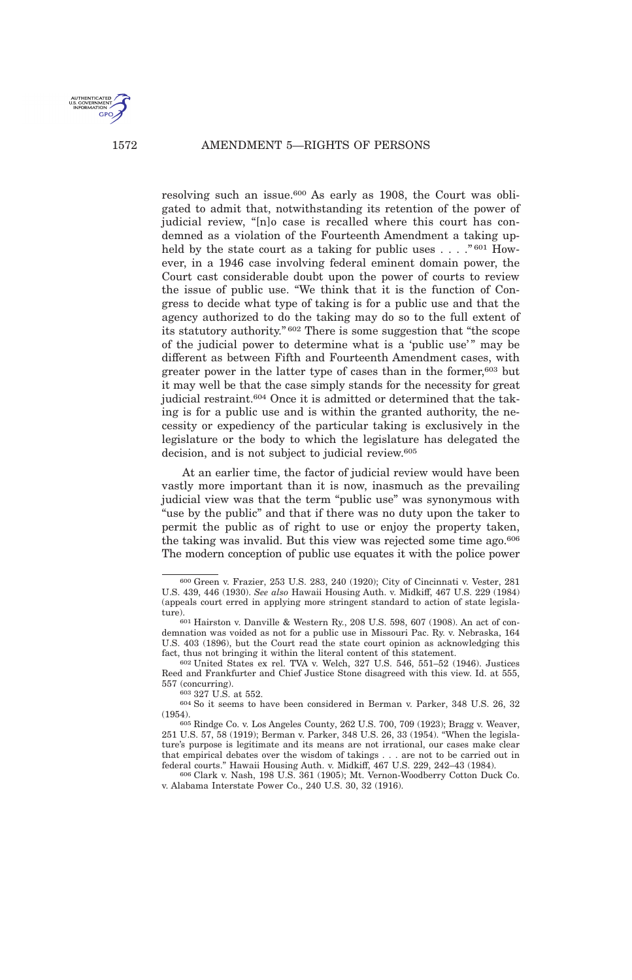

1572 AMENDMENT 5—RIGHTS OF PERSONS

resolving such an issue.<sup>600</sup> As early as 1908, the Court was obligated to admit that, notwithstanding its retention of the power of judicial review, "[n]o case is recalled where this court has condemned as a violation of the Fourteenth Amendment a taking upheld by the state court as a taking for public uses  $\dots$  ."<sup>601</sup> However, in a 1946 case involving federal eminent domain power, the Court cast considerable doubt upon the power of courts to review the issue of public use. "We think that it is the function of Congress to decide what type of taking is for a public use and that the agency authorized to do the taking may do so to the full extent of its statutory authority." <sup>602</sup> There is some suggestion that "the scope of the judicial power to determine what is a 'public use'" may be different as between Fifth and Fourteenth Amendment cases, with greater power in the latter type of cases than in the former,<sup>603</sup> but it may well be that the case simply stands for the necessity for great judicial restraint.<sup>604</sup> Once it is admitted or determined that the taking is for a public use and is within the granted authority, the necessity or expediency of the particular taking is exclusively in the legislature or the body to which the legislature has delegated the decision, and is not subject to judicial review.<sup>605</sup>

At an earlier time, the factor of judicial review would have been vastly more important than it is now, inasmuch as the prevailing judicial view was that the term "public use" was synonymous with "use by the public" and that if there was no duty upon the taker to permit the public as of right to use or enjoy the property taken, the taking was invalid. But this view was rejected some time ago.<sup>606</sup> The modern conception of public use equates it with the police power

<sup>600</sup> Green v. Frazier, 253 U.S. 283, 240 (1920); City of Cincinnati v. Vester, 281 U.S. 439, 446 (1930). *See also* Hawaii Housing Auth. v. Midkiff, 467 U.S. 229 (1984) (appeals court erred in applying more stringent standard to action of state legislature).

<sup>601</sup> Hairston v. Danville & Western Ry., 208 U.S. 598, 607 (1908). An act of condemnation was voided as not for a public use in Missouri Pac. Ry. v. Nebraska, 164 U.S. 403 (1896), but the Court read the state court opinion as acknowledging this fact, thus not bringing it within the literal content of this statement.

<sup>602</sup> United States ex rel. TVA v. Welch, 327 U.S. 546, 551–52 (1946). Justices Reed and Frankfurter and Chief Justice Stone disagreed with this view. Id. at 555, 557 (concurring).

<sup>603</sup> 327 U.S. at 552.

<sup>604</sup> So it seems to have been considered in Berman v. Parker, 348 U.S. 26, 32 (1954).

<sup>605</sup> Rindge Co. v. Los Angeles County, 262 U.S. 700, 709 (1923); Bragg v. Weaver, 251 U.S. 57, 58 (1919); Berman v. Parker, 348 U.S. 26, 33 (1954). "When the legislature's purpose is legitimate and its means are not irrational, our cases make clear that empirical debates over the wisdom of takings . . . are not to be carried out in federal courts." Hawaii Housing Auth. v. Midkiff, 467 U.S. 229, 242–43 (1984).

<sup>606</sup> Clark v. Nash, 198 U.S. 361 (1905); Mt. Vernon-Woodberry Cotton Duck Co. v. Alabama Interstate Power Co., 240 U.S. 30, 32 (1916).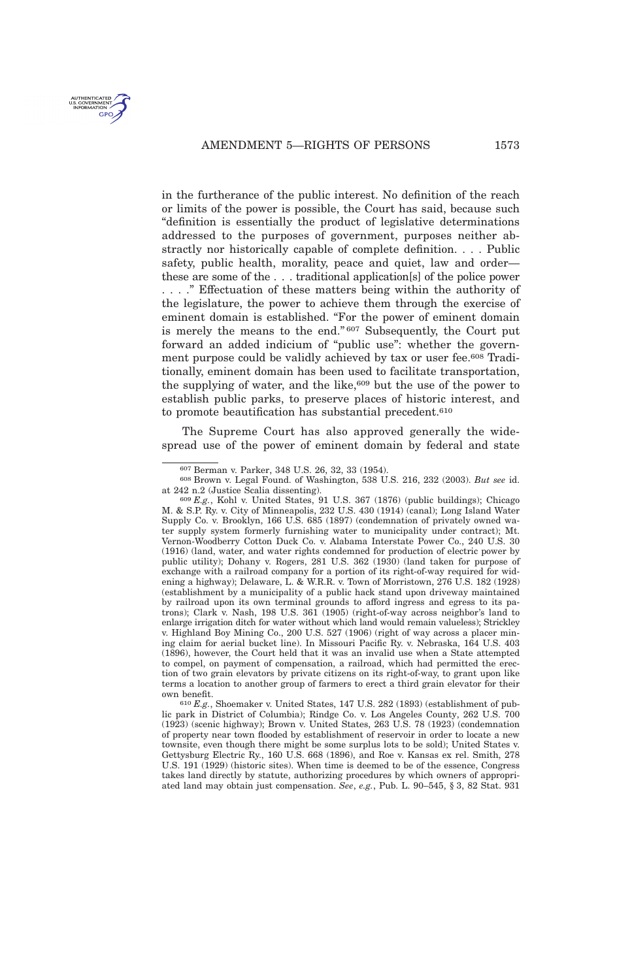

in the furtherance of the public interest. No definition of the reach or limits of the power is possible, the Court has said, because such "definition is essentially the product of legislative determinations addressed to the purposes of government, purposes neither abstractly nor historically capable of complete definition. . . . Public safety, public health, morality, peace and quiet, law and order these are some of the . . . traditional application[s] of the police power . . . ." Effectuation of these matters being within the authority of the legislature, the power to achieve them through the exercise of eminent domain is established. "For the power of eminent domain is merely the means to the end." <sup>607</sup> Subsequently, the Court put forward an added indicium of "public use": whether the government purpose could be validly achieved by tax or user fee.<sup>608</sup> Traditionally, eminent domain has been used to facilitate transportation, the supplying of water, and the like,<sup>609</sup> but the use of the power to

The Supreme Court has also approved generally the widespread use of the power of eminent domain by federal and state

establish public parks, to preserve places of historic interest, and

to promote beautification has substantial precedent.<sup>610</sup>

<sup>607</sup> Berman v. Parker, 348 U.S. 26, 32, 33 (1954).

<sup>608</sup> Brown v. Legal Found. of Washington, 538 U.S. 216, 232 (2003). *But see* id. at 242 n.2 (Justice Scalia dissenting).

<sup>609</sup> *E.g.*, Kohl v. United States, 91 U.S. 367 (1876) (public buildings); Chicago M. & S.P. Ry. v. City of Minneapolis, 232 U.S. 430 (1914) (canal); Long Island Water Supply Co. v. Brooklyn, 166 U.S. 685 (1897) (condemnation of privately owned water supply system formerly furnishing water to municipality under contract); Mt. Vernon-Woodberry Cotton Duck Co. v. Alabama Interstate Power Co., 240 U.S. 30 (1916) (land, water, and water rights condemned for production of electric power by public utility); Dohany v. Rogers, 281 U.S. 362 (1930) (land taken for purpose of exchange with a railroad company for a portion of its right-of-way required for widening a highway); Delaware, L. & W.R.R. v. Town of Morristown, 276 U.S. 182 (1928) (establishment by a municipality of a public hack stand upon driveway maintained by railroad upon its own terminal grounds to afford ingress and egress to its patrons); Clark v. Nash, 198 U.S. 361 (1905) (right-of-way across neighbor's land to enlarge irrigation ditch for water without which land would remain valueless); Strickley v. Highland Boy Mining Co., 200 U.S. 527 (1906) (right of way across a placer mining claim for aerial bucket line). In Missouri Pacific Ry. v. Nebraska, 164 U.S. 403 (1896), however, the Court held that it was an invalid use when a State attempted to compel, on payment of compensation, a railroad, which had permitted the erection of two grain elevators by private citizens on its right-of-way, to grant upon like terms a location to another group of farmers to erect a third grain elevator for their own benefit.

<sup>610</sup> *E.g.*, Shoemaker v. United States, 147 U.S. 282 (1893) (establishment of public park in District of Columbia); Rindge Co. v. Los Angeles County, 262 U.S. 700 (1923) (scenic highway); Brown v. United States, 263 U.S. 78 (1923) (condemnation of property near town flooded by establishment of reservoir in order to locate a new townsite, even though there might be some surplus lots to be sold); United States v. Gettysburg Electric Ry., 160 U.S. 668 (1896), and Roe v. Kansas ex rel. Smith, 278 U.S. 191 (1929) (historic sites). When time is deemed to be of the essence, Congress takes land directly by statute, authorizing procedures by which owners of appropriated land may obtain just compensation. *See*, *e.g.*, Pub. L. 90–545, § 3, 82 Stat. 931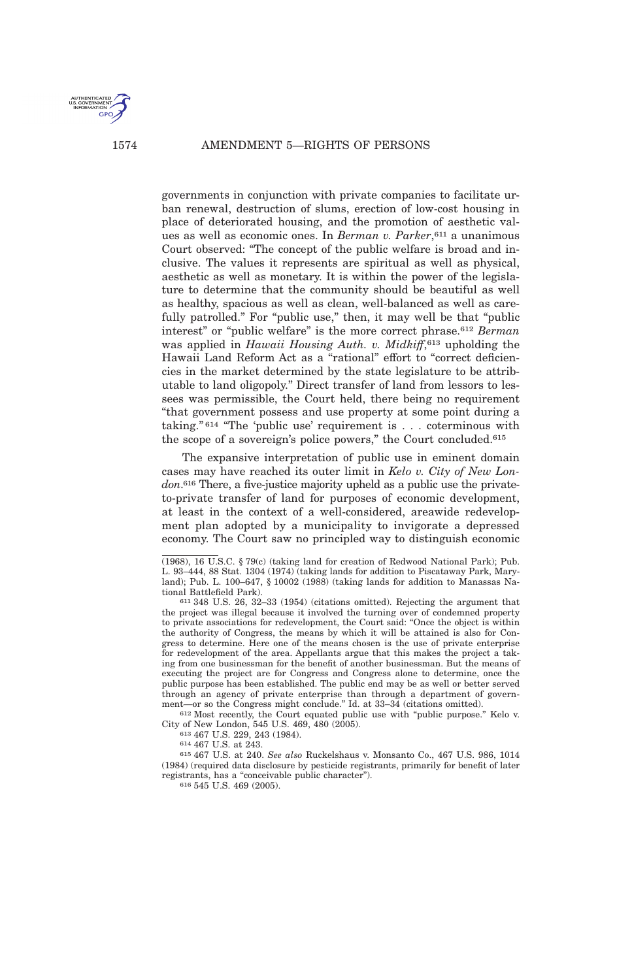

1574 AMENDMENT 5—RIGHTS OF PERSONS

governments in conjunction with private companies to facilitate urban renewal, destruction of slums, erection of low-cost housing in place of deteriorated housing, and the promotion of aesthetic values as well as economic ones. In *Berman v. Parker*, <sup>611</sup> a unanimous Court observed: "The concept of the public welfare is broad and inclusive. The values it represents are spiritual as well as physical, aesthetic as well as monetary. It is within the power of the legislature to determine that the community should be beautiful as well as healthy, spacious as well as clean, well-balanced as well as carefully patrolled." For "public use," then, it may well be that "public interest" or "public welfare" is the more correct phrase.<sup>612</sup> *Berman* was applied in *Hawaii Housing Auth. v. Midkiff*, <sup>613</sup> upholding the Hawaii Land Reform Act as a "rational" effort to "correct deficiencies in the market determined by the state legislature to be attributable to land oligopoly." Direct transfer of land from lessors to lessees was permissible, the Court held, there being no requirement "that government possess and use property at some point during a taking." <sup>614</sup> "The 'public use' requirement is . . . coterminous with the scope of a sovereign's police powers," the Court concluded.<sup>615</sup>

The expansive interpretation of public use in eminent domain cases may have reached its outer limit in *Kelo v. City of New London*. <sup>616</sup> There, a five-justice majority upheld as a public use the privateto-private transfer of land for purposes of economic development, at least in the context of a well-considered, areawide redevelopment plan adopted by a municipality to invigorate a depressed economy. The Court saw no principled way to distinguish economic

612 Most recently, the Court equated public use with "public purpose." Kelo v. City of New London, 545 U.S. 469, 480 (2005).

613 467 U.S. 229, 243 (1984).

615 467 U.S. at 240. *See also* Ruckelshaus v. Monsanto Co., 467 U.S. 986, 1014 (1984) (required data disclosure by pesticide registrants, primarily for benefit of later registrants, has a "conceivable public character").

<sup>(1968), 16</sup> U.S.C. § 79(c) (taking land for creation of Redwood National Park); Pub. L. 93–444, 88 Stat. 1304 (1974) (taking lands for addition to Piscataway Park, Maryland); Pub. L. 100–647, § 10002 (1988) (taking lands for addition to Manassas National Battlefield Park).

<sup>611</sup> 348 U.S. 26, 32–33 (1954) (citations omitted). Rejecting the argument that the project was illegal because it involved the turning over of condemned property to private associations for redevelopment, the Court said: "Once the object is within the authority of Congress, the means by which it will be attained is also for Congress to determine. Here one of the means chosen is the use of private enterprise for redevelopment of the area. Appellants argue that this makes the project a taking from one businessman for the benefit of another businessman. But the means of executing the project are for Congress and Congress alone to determine, once the public purpose has been established. The public end may be as well or better served through an agency of private enterprise than through a department of government—or so the Congress might conclude." Id. at 33–34 (citations omitted).

<sup>614</sup> 467 U.S. at 243.

<sup>616</sup> 545 U.S. 469 (2005).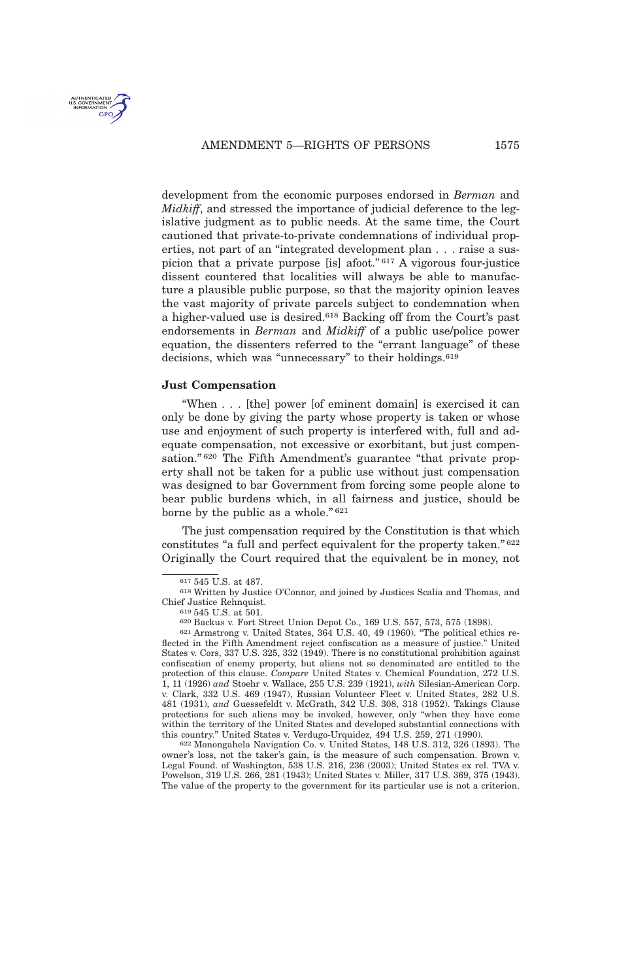

development from the economic purposes endorsed in *Berman* and *Midkiff*, and stressed the importance of judicial deference to the legislative judgment as to public needs. At the same time, the Court cautioned that private-to-private condemnations of individual properties, not part of an "integrated development plan . . . raise a suspicion that a private purpose [is] afoot." <sup>617</sup> A vigorous four-justice dissent countered that localities will always be able to manufacture a plausible public purpose, so that the majority opinion leaves the vast majority of private parcels subject to condemnation when a higher-valued use is desired.<sup>618</sup> Backing off from the Court's past endorsements in *Berman* and *Midkiff* of a public use/police power equation, the dissenters referred to the "errant language" of these decisions, which was "unnecessary" to their holdings.<sup>619</sup>

### **Just Compensation**

"When . . . [the] power [of eminent domain] is exercised it can only be done by giving the party whose property is taken or whose use and enjoyment of such property is interfered with, full and adequate compensation, not excessive or exorbitant, but just compensation."<sup>620</sup> The Fifth Amendment's guarantee "that private property shall not be taken for a public use without just compensation was designed to bar Government from forcing some people alone to bear public burdens which, in all fairness and justice, should be borne by the public as a whole." <sup>621</sup>

The just compensation required by the Constitution is that which constitutes "a full and perfect equivalent for the property taken." <sup>622</sup> Originally the Court required that the equivalent be in money, not

622 Monongahela Navigation Co. v. United States, 148 U.S. 312, 326 (1893). The owner's loss, not the taker's gain, is the measure of such compensation. Brown v. Legal Found. of Washington,  $538$  U.S. 216, 236 (2003); United States ex rel. TVA v. Powelson, 319 U.S. 266, 281 (1943); United States v. Miller, 317 U.S. 369, 375 (1943). The value of the property to the government for its particular use is not a criterion.

<sup>617</sup> 545 U.S. at 487.

<sup>618</sup> Written by Justice O'Connor, and joined by Justices Scalia and Thomas, and Chief Justice Rehnquist.

<sup>619</sup> 545 U.S. at 501.

<sup>620</sup> Backus v. Fort Street Union Depot Co., 169 U.S. 557, 573, 575 (1898).

<sup>621</sup> Armstrong v. United States, 364 U.S. 40, 49 (1960). "The political ethics reflected in the Fifth Amendment reject confiscation as a measure of justice." United States v. Cors, 337 U.S. 325, 332 (1949). There is no constitutional prohibition against confiscation of enemy property, but aliens not so denominated are entitled to the protection of this clause. *Compare* United States v. Chemical Foundation, 272 U.S. 1, 11 (1926) *and* Stoehr v. Wallace, 255 U.S. 239 (1921), *with* Silesian-American Corp. v. Clark, 332 U.S. 469 (1947), Russian Volunteer Fleet v. United States, 282 U.S. 481 (1931), *and* Guessefeldt v. McGrath, 342 U.S. 308, 318 (1952). Takings Clause protections for such aliens may be invoked, however, only "when they have come within the territory of the United States and developed substantial connections with this country." United States v. Verdugo-Urquidez, 494 U.S. 259, 271 (1990).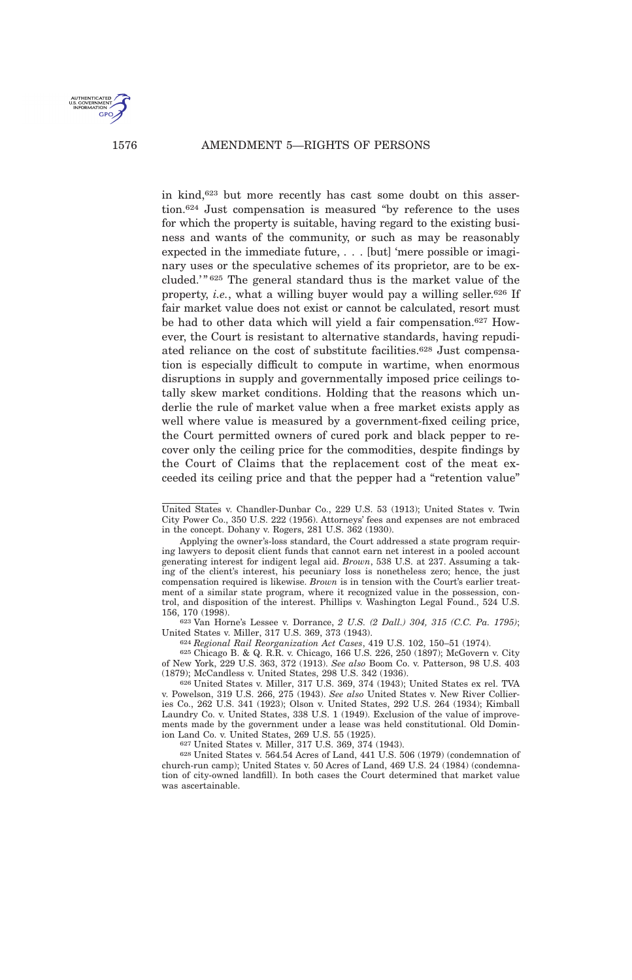

1576 AMENDMENT 5—RIGHTS OF PERSONS

in kind,<sup>623</sup> but more recently has cast some doubt on this assertion.<sup>624</sup> Just compensation is measured "by reference to the uses for which the property is suitable, having regard to the existing business and wants of the community, or such as may be reasonably expected in the immediate future, . . . [but] 'mere possible or imaginary uses or the speculative schemes of its proprietor, are to be excluded.' " <sup>625</sup> The general standard thus is the market value of the property, *i.e.*, what a willing buyer would pay a willing seller.<sup>626</sup> If fair market value does not exist or cannot be calculated, resort must be had to other data which will yield a fair compensation.<sup>627</sup> However, the Court is resistant to alternative standards, having repudiated reliance on the cost of substitute facilities.<sup>628</sup> Just compensation is especially difficult to compute in wartime, when enormous disruptions in supply and governmentally imposed price ceilings totally skew market conditions. Holding that the reasons which underlie the rule of market value when a free market exists apply as well where value is measured by a government-fixed ceiling price, the Court permitted owners of cured pork and black pepper to recover only the ceiling price for the commodities, despite findings by the Court of Claims that the replacement cost of the meat exceeded its ceiling price and that the pepper had a "retention value"

623 Van Horne's Lessee v. Dorrance, *2 U.S. (2 Dall.) 304, 315 (C.C. Pa. 1795)*; United States v. Miller, 317 U.S. 369, 373 (1943).

624 *Regional Rail Reorganization Act Cases*, 419 U.S. 102, 150–51 (1974).

625 Chicago B. & Q. R.R. v. Chicago, 166 U.S. 226, 250 (1897); McGovern v. City of New York, 229 U.S. 363, 372 (1913). *See also* Boom Co. v. Patterson, 98 U.S. 403 (1879); McCandless v. United States, 298 U.S. 342 (1936).

627 United States v. Miller, 317 U.S. 369, 374 (1943).

628 United States v. 564.54 Acres of Land, 441 U.S. 506 (1979) (condemnation of church-run camp); United States v. 50 Acres of Land, 469 U.S. 24 (1984) (condemnation of city-owned landfill). In both cases the Court determined that market value was ascertainable.

United States v. Chandler-Dunbar Co., 229 U.S. 53 (1913); United States v. Twin City Power Co., 350 U.S. 222 (1956). Attorneys' fees and expenses are not embraced in the concept. Dohany v. Rogers, 281 U.S. 362 (1930).

Applying the owner's-loss standard, the Court addressed a state program requiring lawyers to deposit client funds that cannot earn net interest in a pooled account generating interest for indigent legal aid. *Brown*, 538 U.S. at 237. Assuming a taking of the client's interest, his pecuniary loss is nonetheless zero; hence, the just compensation required is likewise. *Brown* is in tension with the Court's earlier treatment of a similar state program, where it recognized value in the possession, control, and disposition of the interest. Phillips v. Washington Legal Found., 524 U.S. 156, 170 (1998).

<sup>626</sup> United States v. Miller, 317 U.S. 369, 374 (1943); United States ex rel. TVA v. Powelson, 319 U.S. 266, 275 (1943). *See also* United States v. New River Collieries Co., 262 U.S. 341 (1923); Olson v. United States, 292 U.S. 264 (1934); Kimball Laundry Co. v. United States, 338 U.S. 1 (1949). Exclusion of the value of improvements made by the government under a lease was held constitutional. Old Dominion Land Co. v. United States, 269 U.S. 55 (1925).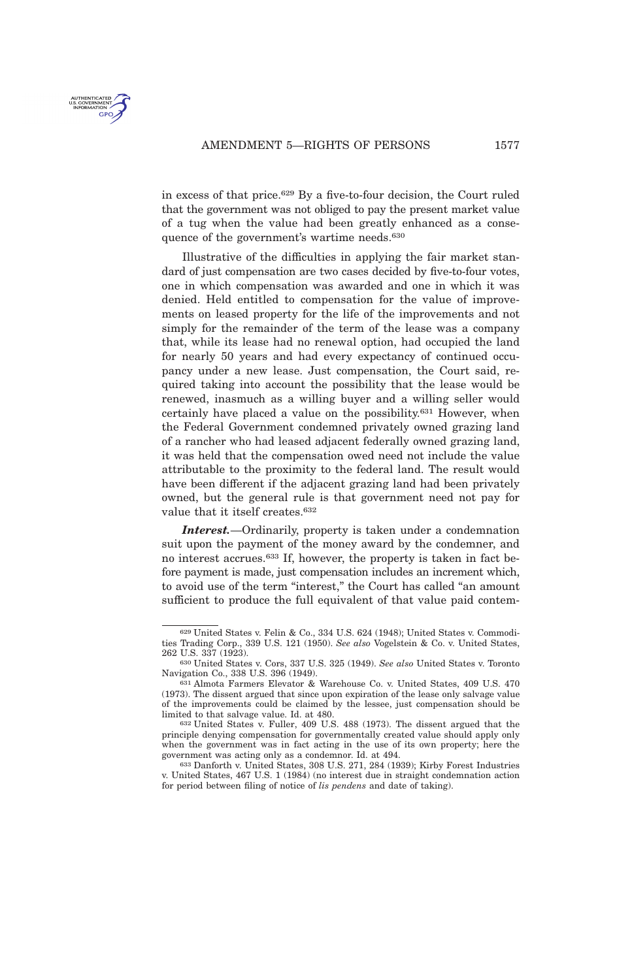in excess of that price.<sup>629</sup> By a five-to-four decision, the Court ruled that the government was not obliged to pay the present market value of a tug when the value had been greatly enhanced as a consequence of the government's wartime needs.<sup>630</sup>

Illustrative of the difficulties in applying the fair market standard of just compensation are two cases decided by five-to-four votes, one in which compensation was awarded and one in which it was denied. Held entitled to compensation for the value of improvements on leased property for the life of the improvements and not simply for the remainder of the term of the lease was a company that, while its lease had no renewal option, had occupied the land for nearly 50 years and had every expectancy of continued occupancy under a new lease. Just compensation, the Court said, required taking into account the possibility that the lease would be renewed, inasmuch as a willing buyer and a willing seller would certainly have placed a value on the possibility.<sup>631</sup> However, when the Federal Government condemned privately owned grazing land of a rancher who had leased adjacent federally owned grazing land, it was held that the compensation owed need not include the value attributable to the proximity to the federal land. The result would have been different if the adjacent grazing land had been privately owned, but the general rule is that government need not pay for value that it itself creates.<sup>632</sup>

*Interest.*—Ordinarily, property is taken under a condemnation suit upon the payment of the money award by the condemner, and no interest accrues.<sup>633</sup> If, however, the property is taken in fact before payment is made, just compensation includes an increment which, to avoid use of the term "interest," the Court has called "an amount sufficient to produce the full equivalent of that value paid contem-

<sup>629</sup> United States v. Felin & Co., 334 U.S. 624 (1948); United States v. Commodities Trading Corp., 339 U.S. 121 (1950). *See also* Vogelstein & Co. v. United States, 262 U.S. 337 (1923).

<sup>630</sup> United States v. Cors, 337 U.S. 325 (1949). *See also* United States v. Toronto Navigation Co., 338 U.S. 396 (1949).

<sup>631</sup> Almota Farmers Elevator & Warehouse Co. v. United States, 409 U.S. 470 (1973). The dissent argued that since upon expiration of the lease only salvage value of the improvements could be claimed by the lessee, just compensation should be limited to that salvage value. Id. at 480.

<sup>632</sup> United States v. Fuller, 409 U.S. 488 (1973). The dissent argued that the principle denying compensation for governmentally created value should apply only when the government was in fact acting in the use of its own property; here the government was acting only as a condemnor. Id. at 494.

<sup>633</sup> Danforth v. United States, 308 U.S. 271, 284 (1939); Kirby Forest Industries v. United States, 467 U.S. 1 (1984) (no interest due in straight condemnation action for period between filing of notice of *lis pendens* and date of taking).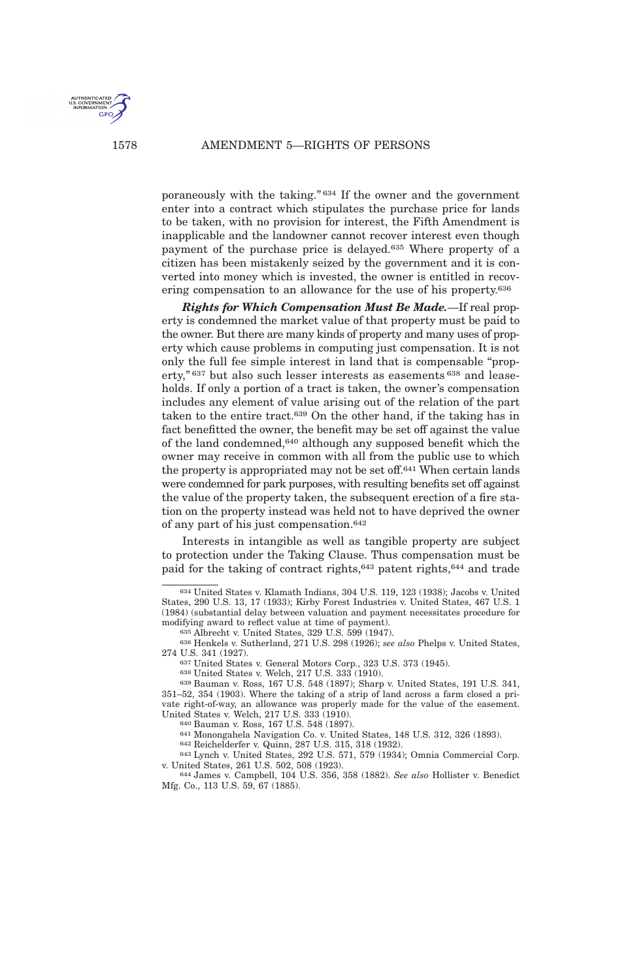U.S. GOVERNME

poraneously with the taking." <sup>634</sup> If the owner and the government enter into a contract which stipulates the purchase price for lands to be taken, with no provision for interest, the Fifth Amendment is inapplicable and the landowner cannot recover interest even though payment of the purchase price is delayed.<sup>635</sup> Where property of a citizen has been mistakenly seized by the government and it is converted into money which is invested, the owner is entitled in recovering compensation to an allowance for the use of his property.<sup>636</sup>

*Rights for Which Compensation Must Be Made.*—If real property is condemned the market value of that property must be paid to the owner. But there are many kinds of property and many uses of property which cause problems in computing just compensation. It is not only the full fee simple interest in land that is compensable "property,"<sup>637</sup> but also such lesser interests as easements<sup>638</sup> and leaseholds. If only a portion of a tract is taken, the owner's compensation includes any element of value arising out of the relation of the part taken to the entire tract.<sup>639</sup> On the other hand, if the taking has in fact benefitted the owner, the benefit may be set off against the value of the land condemned,<sup>640</sup> although any supposed benefit which the owner may receive in common with all from the public use to which the property is appropriated may not be set off.<sup>641</sup> When certain lands were condemned for park purposes, with resulting benefits set off against the value of the property taken, the subsequent erection of a fire station on the property instead was held not to have deprived the owner of any part of his just compensation.<sup>642</sup>

Interests in intangible as well as tangible property are subject to protection under the Taking Clause. Thus compensation must be paid for the taking of contract rights,<sup>643</sup> patent rights,<sup>644</sup> and trade

<sup>634</sup> United States v. Klamath Indians, 304 U.S. 119, 123 (1938); Jacobs v. United States, 290 U.S. 13, 17 (1933); Kirby Forest Industries v. United States, 467 U.S. 1 (1984) (substantial delay between valuation and payment necessitates procedure for modifying award to reflect value at time of payment).

<sup>635</sup> Albrecht v. United States, 329 U.S. 599 (1947).

<sup>636</sup> Henkels v. Sutherland, 271 U.S. 298 (1926); *see also* Phelps v. United States, 274 U.S. 341 (1927).

<sup>637</sup> United States v. General Motors Corp., 323 U.S. 373 (1945).

<sup>638</sup> United States v. Welch, 217 U.S. 333 (1910).

<sup>639</sup> Bauman v. Ross, 167 U.S. 548 (1897); Sharp v. United States, 191 U.S. 341, 351–52, 354 (1903). Where the taking of a strip of land across a farm closed a private right-of-way, an allowance was properly made for the value of the easement. United States v. Welch, 217 U.S. 333 (1910).

<sup>640</sup> Bauman v. Ross, 167 U.S. 548 (1897).

<sup>641</sup> Monongahela Navigation Co. v. United States, 148 U.S. 312, 326 (1893).

<sup>642</sup> Reichelderfer v. Quinn, 287 U.S. 315, 318 (1932).

<sup>643</sup> Lynch v. United States, 292 U.S. 571, 579 (1934); Omnia Commercial Corp. v. United States, 261 U.S. 502, 508 (1923).

<sup>644</sup> James v. Campbell, 104 U.S. 356, 358 (1882). *See also* Hollister v. Benedict Mfg. Co., 113 U.S. 59, 67 (1885).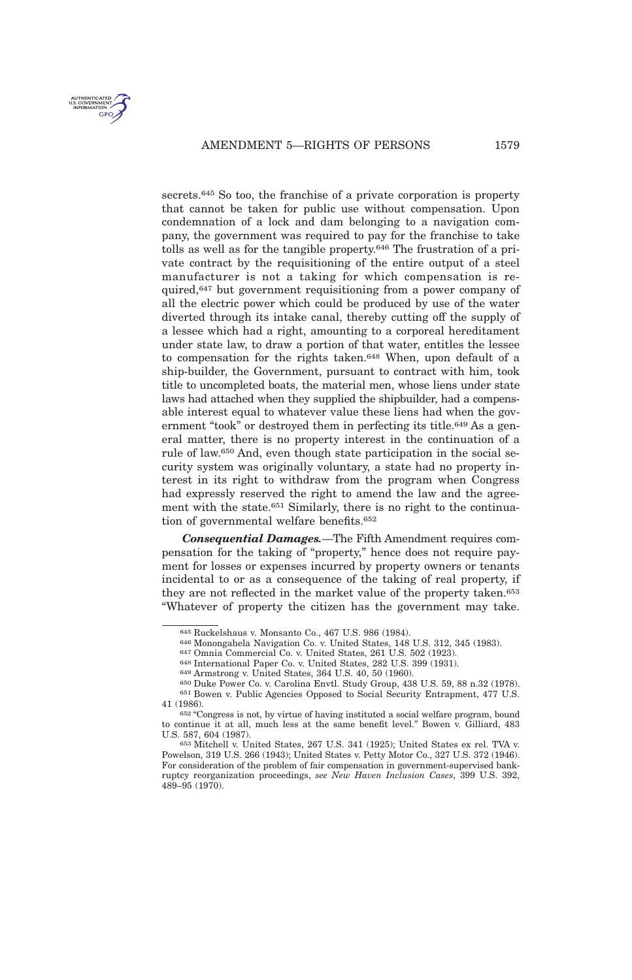

secrets.<sup>645</sup> So too, the franchise of a private corporation is property that cannot be taken for public use without compensation. Upon condemnation of a lock and dam belonging to a navigation company, the government was required to pay for the franchise to take tolls as well as for the tangible property.<sup>646</sup> The frustration of a private contract by the requisitioning of the entire output of a steel manufacturer is not a taking for which compensation is required,<sup>647</sup> but government requisitioning from a power company of all the electric power which could be produced by use of the water diverted through its intake canal, thereby cutting off the supply of a lessee which had a right, amounting to a corporeal hereditament under state law, to draw a portion of that water, entitles the lessee to compensation for the rights taken.<sup>648</sup> When, upon default of a ship-builder, the Government, pursuant to contract with him, took title to uncompleted boats, the material men, whose liens under state laws had attached when they supplied the shipbuilder, had a compensable interest equal to whatever value these liens had when the government "took" or destroyed them in perfecting its title.<sup>649</sup> As a general matter, there is no property interest in the continuation of a rule of law.<sup>650</sup> And, even though state participation in the social security system was originally voluntary, a state had no property interest in its right to withdraw from the program when Congress had expressly reserved the right to amend the law and the agreement with the state.<sup>651</sup> Similarly, there is no right to the continuation of governmental welfare benefits.<sup>652</sup>

*Consequential Damages.*—The Fifth Amendment requires compensation for the taking of "property," hence does not require payment for losses or expenses incurred by property owners or tenants incidental to or as a consequence of the taking of real property, if they are not reflected in the market value of the property taken.<sup>653</sup> "Whatever of property the citizen has the government may take.

- 647 Omnia Commercial Co. v. United States, 261 U.S. 502 (1923).
- 648 International Paper Co. v. United States, 282 U.S. 399 (1931).

<sup>645</sup> Ruckelshaus v. Monsanto Co., 467 U.S. 986 (1984).

<sup>646</sup> Monongahela Navigation Co. v. United States, 148 U.S. 312, 345 (1983).

<sup>649</sup> Armstrong v. United States, 364 U.S. 40, 50 (1960).

<sup>650</sup> Duke Power Co. v. Carolina Envtl. Study Group, 438 U.S. 59, 88 n.32 (1978). 651 Bowen v. Public Agencies Opposed to Social Security Entrapment, 477 U.S. 41 (1986).

<sup>652</sup> "Congress is not, by virtue of having instituted a social welfare program, bound to continue it at all, much less at the same benefit level." Bowen v. Gilliard, 483 U.S. 587, 604 (1987).

<sup>653</sup> Mitchell v. United States, 267 U.S. 341 (1925); United States ex rel. TVA v. Powelson, 319 U.S. 266 (1943); United States v. Petty Motor Co., 327 U.S. 372 (1946). For consideration of the problem of fair compensation in government-supervised bankruptcy reorganization proceedings, *see New Haven Inclusion Cases*, 399 U.S. 392, 489–95 (1970).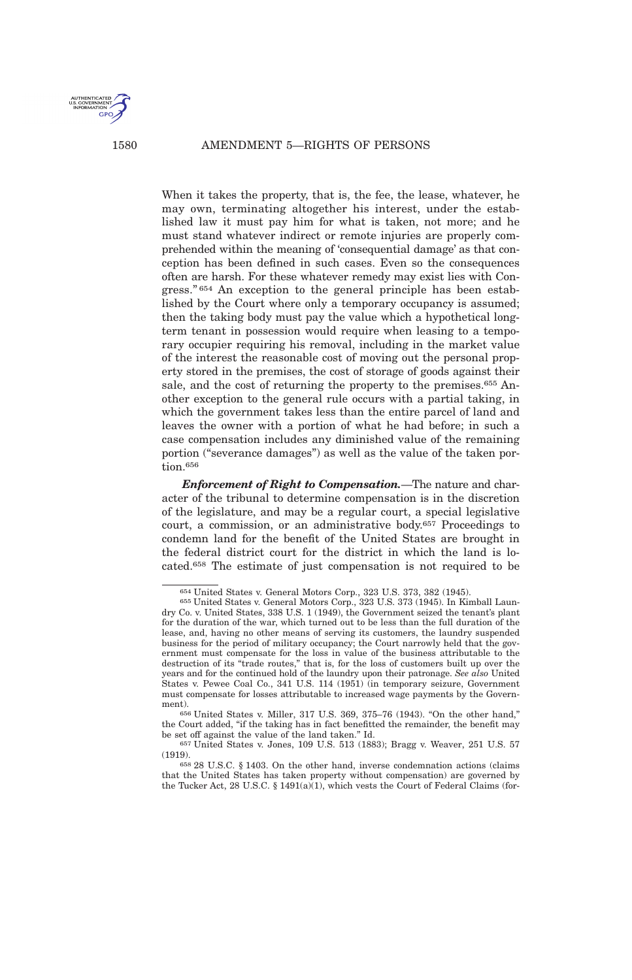

When it takes the property, that is, the fee, the lease, whatever, he may own, terminating altogether his interest, under the established law it must pay him for what is taken, not more; and he must stand whatever indirect or remote injuries are properly comprehended within the meaning of 'consequential damage' as that conception has been defined in such cases. Even so the consequences often are harsh. For these whatever remedy may exist lies with Congress." <sup>654</sup> An exception to the general principle has been established by the Court where only a temporary occupancy is assumed; then the taking body must pay the value which a hypothetical longterm tenant in possession would require when leasing to a temporary occupier requiring his removal, including in the market value of the interest the reasonable cost of moving out the personal property stored in the premises, the cost of storage of goods against their sale, and the cost of returning the property to the premises.<sup>655</sup> Another exception to the general rule occurs with a partial taking, in which the government takes less than the entire parcel of land and leaves the owner with a portion of what he had before; in such a case compensation includes any diminished value of the remaining portion ("severance damages") as well as the value of the taken portion.<sup>656</sup>

*Enforcement of Right to Compensation.*—The nature and character of the tribunal to determine compensation is in the discretion of the legislature, and may be a regular court, a special legislative court, a commission, or an administrative body.<sup>657</sup> Proceedings to condemn land for the benefit of the United States are brought in the federal district court for the district in which the land is located.<sup>658</sup> The estimate of just compensation is not required to be

656 United States v. Miller, 317 U.S. 369, 375–76 (1943). "On the other hand," the Court added, "if the taking has in fact benefitted the remainder, the benefit may be set off against the value of the land taken." Id.

<sup>654</sup> United States v. General Motors Corp., 323 U.S. 373, 382 (1945).

<sup>655</sup> United States v. General Motors Corp., 323 U.S. 373 (1945). In Kimball Laundry Co. v. United States, 338 U.S. 1 (1949), the Government seized the tenant's plant for the duration of the war, which turned out to be less than the full duration of the lease, and, having no other means of serving its customers, the laundry suspended business for the period of military occupancy; the Court narrowly held that the government must compensate for the loss in value of the business attributable to the destruction of its "trade routes," that is, for the loss of customers built up over the years and for the continued hold of the laundry upon their patronage. *See also* United States v. Pewee Coal Co., 341 U.S. 114 (1951) (in temporary seizure, Government must compensate for losses attributable to increased wage payments by the Government).

<sup>657</sup> United States v. Jones, 109 U.S. 513 (1883); Bragg v. Weaver, 251 U.S. 57 (1919).

<sup>658</sup> 28 U.S.C. § 1403. On the other hand, inverse condemnation actions (claims that the United States has taken property without compensation) are governed by the Tucker Act, 28 U.S.C. § 1491(a) $(1)$ , which vests the Court of Federal Claims (for-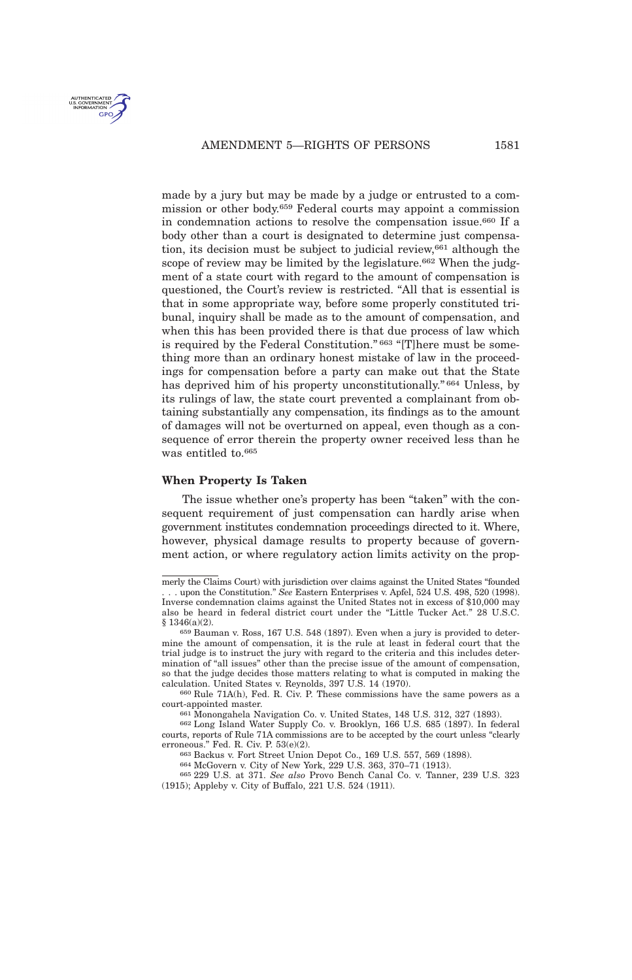

# AMENDMENT 5-RIGHTS OF PERSONS 1581

made by a jury but may be made by a judge or entrusted to a commission or other body.<sup>659</sup> Federal courts may appoint a commission in condemnation actions to resolve the compensation issue.<sup>660</sup> If a body other than a court is designated to determine just compensation, its decision must be subject to judicial review,<sup>661</sup> although the scope of review may be limited by the legislature.<sup>662</sup> When the judgment of a state court with regard to the amount of compensation is questioned, the Court's review is restricted. "All that is essential is that in some appropriate way, before some properly constituted tribunal, inquiry shall be made as to the amount of compensation, and when this has been provided there is that due process of law which is required by the Federal Constitution." <sup>663</sup> "[T]here must be something more than an ordinary honest mistake of law in the proceedings for compensation before a party can make out that the State has deprived him of his property unconstitutionally."<sup>664</sup> Unless, by its rulings of law, the state court prevented a complainant from obtaining substantially any compensation, its findings as to the amount of damages will not be overturned on appeal, even though as a consequence of error therein the property owner received less than he was entitled to.<sup>665</sup>

### **When Property Is Taken**

The issue whether one's property has been "taken" with the consequent requirement of just compensation can hardly arise when government institutes condemnation proceedings directed to it. Where, however, physical damage results to property because of government action, or where regulatory action limits activity on the prop-

merly the Claims Court) with jurisdiction over claims against the United States "founded . . . upon the Constitution." *See* Eastern Enterprises v. Apfel, 524 U.S. 498, 520 (1998). Inverse condemnation claims against the United States not in excess of \$10,000 may also be heard in federal district court under the "Little Tucker Act." 28 U.S.C. § 1346(a)(2).

<sup>659</sup> Bauman v. Ross, 167 U.S. 548 (1897). Even when a jury is provided to determine the amount of compensation, it is the rule at least in federal court that the trial judge is to instruct the jury with regard to the criteria and this includes determination of "all issues" other than the precise issue of the amount of compensation, so that the judge decides those matters relating to what is computed in making the calculation. United States v. Reynolds, 397 U.S. 14 (1970).

<sup>660</sup> Rule 71A(h), Fed. R. Civ. P. These commissions have the same powers as a court-appointed master.

<sup>661</sup> Monongahela Navigation Co. v. United States, 148 U.S. 312, 327 (1893).

<sup>662</sup> Long Island Water Supply Co. v. Brooklyn, 166 U.S. 685 (1897). In federal courts, reports of Rule 71A commissions are to be accepted by the court unless "clearly erroneous." Fed. R. Civ. P. 53(e)(2).

<sup>663</sup> Backus v. Fort Street Union Depot Co., 169 U.S. 557, 569 (1898).

<sup>664</sup> McGovern v. City of New York, 229 U.S. 363, 370–71 (1913).

<sup>665</sup> 229 U.S. at 371. *See also* Provo Bench Canal Co. v. Tanner, 239 U.S. 323 (1915); Appleby v. City of Buffalo, 221 U.S. 524 (1911).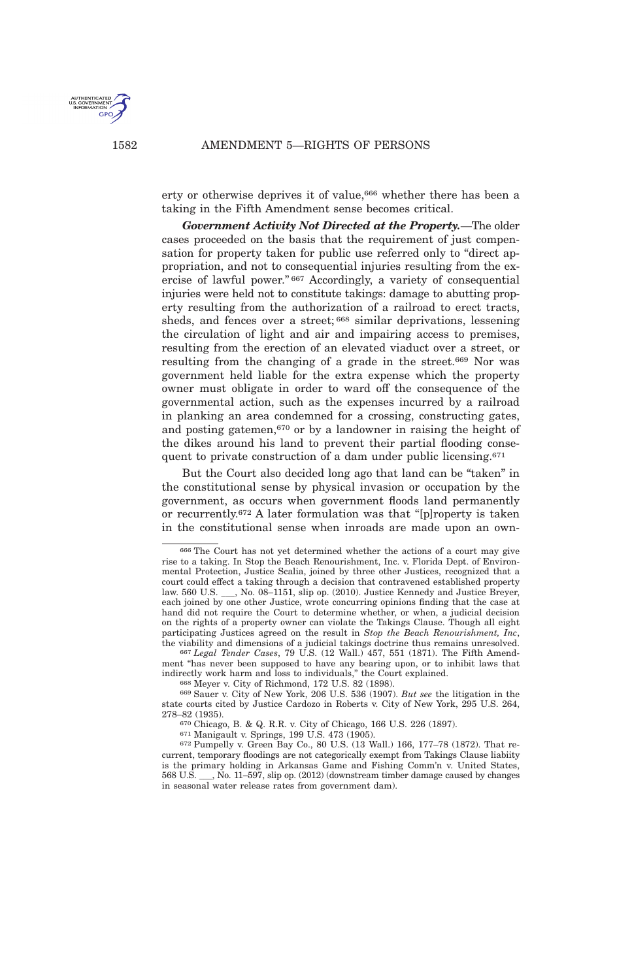

erty or otherwise deprives it of value,<sup>666</sup> whether there has been a taking in the Fifth Amendment sense becomes critical.

*Government Activity Not Directed at the Property.*—The older cases proceeded on the basis that the requirement of just compensation for property taken for public use referred only to "direct appropriation, and not to consequential injuries resulting from the exercise of lawful power." <sup>667</sup> Accordingly, a variety of consequential injuries were held not to constitute takings: damage to abutting property resulting from the authorization of a railroad to erect tracts, sheds, and fences over a street; <sup>668</sup> similar deprivations, lessening the circulation of light and air and impairing access to premises, resulting from the erection of an elevated viaduct over a street, or resulting from the changing of a grade in the street.<sup>669</sup> Nor was government held liable for the extra expense which the property owner must obligate in order to ward off the consequence of the governmental action, such as the expenses incurred by a railroad in planking an area condemned for a crossing, constructing gates, and posting gatemen,<sup>670</sup> or by a landowner in raising the height of the dikes around his land to prevent their partial flooding consequent to private construction of a dam under public licensing.<sup>671</sup>

But the Court also decided long ago that land can be "taken" in the constitutional sense by physical invasion or occupation by the government, as occurs when government floods land permanently or recurrently.<sup>672</sup> A later formulation was that "[p]roperty is taken in the constitutional sense when inroads are made upon an own-

667 *Legal Tender Cases*, 79 U.S. (12 Wall.) 457, 551 (1871). The Fifth Amendment "has never been supposed to have any bearing upon, or to inhibit laws that indirectly work harm and loss to individuals," the Court explained.

<sup>666</sup> The Court has not yet determined whether the actions of a court may give rise to a taking. In Stop the Beach Renourishment, Inc. v. Florida Dept. of Environmental Protection, Justice Scalia, joined by three other Justices, recognized that a court could effect a taking through a decision that contravened established property law. 560 U.S. \_\_\_, No. 08–1151, slip op. (2010). Justice Kennedy and Justice Breyer, each joined by one other Justice, wrote concurring opinions finding that the case at hand did not require the Court to determine whether, or when, a judicial decision on the rights of a property owner can violate the Takings Clause. Though all eight participating Justices agreed on the result in *Stop the Beach Renourishment, Inc*, the viability and dimensions of a judicial takings doctrine thus remains unresolved.

<sup>668</sup> Meyer v. City of Richmond, 172 U.S. 82 (1898).

<sup>669</sup> Sauer v. City of New York, 206 U.S. 536 (1907). *But see* the litigation in the state courts cited by Justice Cardozo in Roberts v. City of New York, 295 U.S. 264, 278–82 (1935).

<sup>670</sup> Chicago, B. & Q. R.R. v. City of Chicago, 166 U.S. 226 (1897).

<sup>671</sup> Manigault v. Springs, 199 U.S. 473 (1905).

<sup>672</sup> Pumpelly v. Green Bay Co., 80 U.S. (13 Wall.) 166, 177–78 (1872). That recurrent, temporary floodings are not categorically exempt from Takings Clause liabiity is the primary holding in Arkansas Game and Fishing Comm'n v. United States, 568 U.S. \_\_\_, No. 11–597, slip op. (2012) (downstream timber damage caused by changes in seasonal water release rates from government dam).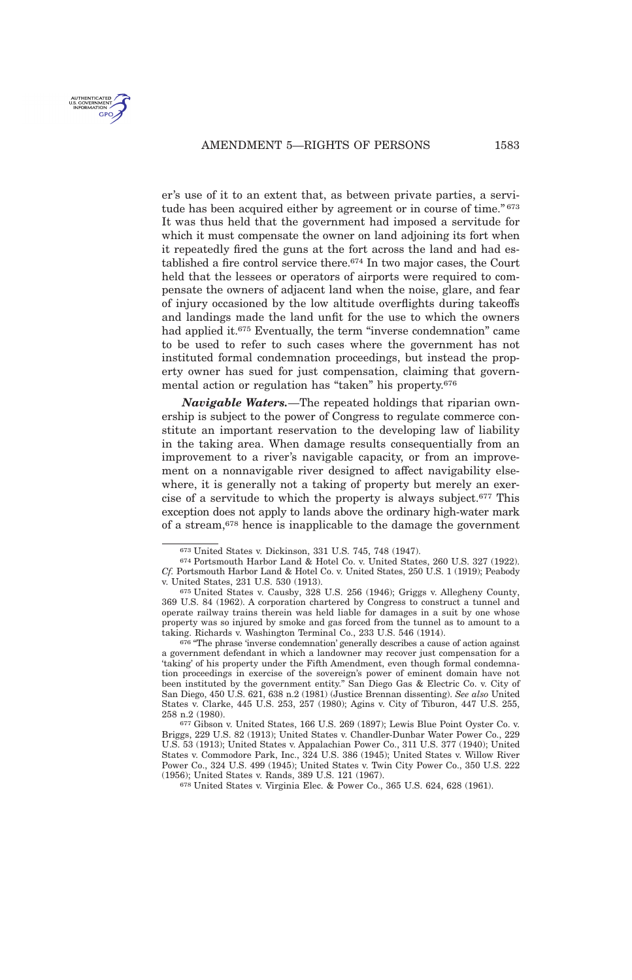

er's use of it to an extent that, as between private parties, a servitude has been acquired either by agreement or in course of time."<sup>673</sup> It was thus held that the government had imposed a servitude for which it must compensate the owner on land adjoining its fort when it repeatedly fired the guns at the fort across the land and had established a fire control service there.<sup>674</sup> In two major cases, the Court held that the lessees or operators of airports were required to compensate the owners of adjacent land when the noise, glare, and fear of injury occasioned by the low altitude overflights during takeoffs and landings made the land unfit for the use to which the owners had applied it.<sup>675</sup> Eventually, the term "inverse condemnation" came to be used to refer to such cases where the government has not instituted formal condemnation proceedings, but instead the property owner has sued for just compensation, claiming that governmental action or regulation has "taken" his property.<sup>676</sup>

*Navigable Waters.*—The repeated holdings that riparian ownership is subject to the power of Congress to regulate commerce constitute an important reservation to the developing law of liability in the taking area. When damage results consequentially from an improvement to a river's navigable capacity, or from an improvement on a nonnavigable river designed to affect navigability elsewhere, it is generally not a taking of property but merely an exercise of a servitude to which the property is always subject.<sup>677</sup> This exception does not apply to lands above the ordinary high-water mark of a stream,<sup>678</sup> hence is inapplicable to the damage the government

<sup>673</sup> United States v. Dickinson, 331 U.S. 745, 748 (1947).

<sup>674</sup> Portsmouth Harbor Land & Hotel Co. v. United States, 260 U.S. 327 (1922). *Cf.* Portsmouth Harbor Land & Hotel Co. v. United States, 250 U.S. 1 (1919); Peabody v. United States, 231 U.S. 530 (1913).

<sup>675</sup> United States v. Causby, 328 U.S. 256 (1946); Griggs v. Allegheny County, 369 U.S. 84 (1962). A corporation chartered by Congress to construct a tunnel and operate railway trains therein was held liable for damages in a suit by one whose property was so injured by smoke and gas forced from the tunnel as to amount to a taking. Richards v. Washington Terminal Co., 233 U.S. 546 (1914).

<sup>676</sup> "The phrase 'inverse condemnation' generally describes a cause of action against a government defendant in which a landowner may recover just compensation for a 'taking' of his property under the Fifth Amendment, even though formal condemnation proceedings in exercise of the sovereign's power of eminent domain have not been instituted by the government entity." San Diego Gas & Electric Co. v. City of San Diego, 450 U.S. 621, 638 n.2 (1981) (Justice Brennan dissenting). *See also* United States v. Clarke, 445 U.S. 253, 257 (1980); Agins v. City of Tiburon, 447 U.S. 255, 258 n.2 (1980).

<sup>677</sup> Gibson v. United States, 166 U.S. 269 (1897); Lewis Blue Point Oyster Co. v. Briggs, 229 U.S. 82 (1913); United States v. Chandler-Dunbar Water Power Co., 229 U.S. 53 (1913); United States v. Appalachian Power Co., 311 U.S. 377 (1940); United States v. Commodore Park, Inc., 324 U.S. 386 (1945); United States v. Willow River Power Co., 324 U.S. 499 (1945); United States v. Twin City Power Co., 350 U.S. 222 (1956); United States v. Rands, 389 U.S. 121 (1967).

<sup>678</sup> United States v. Virginia Elec. & Power Co., 365 U.S. 624, 628 (1961).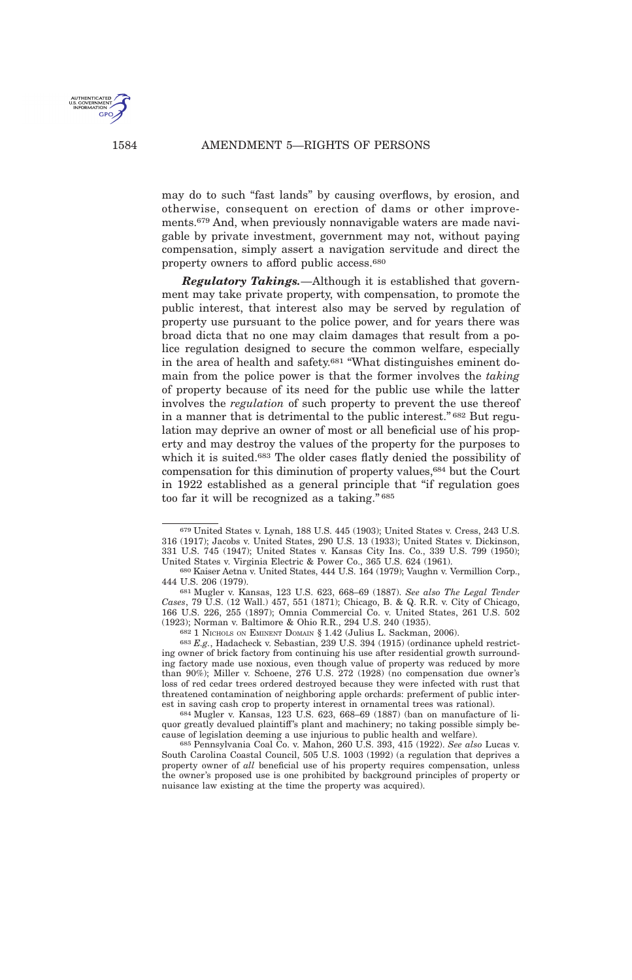may do to such "fast lands" by causing overflows, by erosion, and otherwise, consequent on erection of dams or other improvements.<sup>679</sup> And, when previously nonnavigable waters are made navigable by private investment, government may not, without paying compensation, simply assert a navigation servitude and direct the property owners to afford public access.<sup>680</sup>

*Regulatory Takings.*—Although it is established that government may take private property, with compensation, to promote the public interest, that interest also may be served by regulation of property use pursuant to the police power, and for years there was broad dicta that no one may claim damages that result from a police regulation designed to secure the common welfare, especially in the area of health and safety.<sup>681</sup> "What distinguishes eminent domain from the police power is that the former involves the *taking* of property because of its need for the public use while the latter involves the *regulation* of such property to prevent the use thereof in a manner that is detrimental to the public interest." <sup>682</sup> But regulation may deprive an owner of most or all beneficial use of his property and may destroy the values of the property for the purposes to which it is suited.<sup>683</sup> The older cases flatly denied the possibility of compensation for this diminution of property values,<sup>684</sup> but the Court in 1922 established as a general principle that "if regulation goes too far it will be recognized as a taking." <sup>685</sup>

U.S. GOVERNME

<sup>679</sup> United States v. Lynah, 188 U.S. 445 (1903); United States v. Cress, 243 U.S. 316 (1917); Jacobs v. United States, 290 U.S. 13 (1933); United States v. Dickinson, 331 U.S. 745 (1947); United States v. Kansas City Ins. Co., 339 U.S. 799 (1950); United States v. Virginia Electric & Power Co., 365 U.S. 624 (1961).

<sup>680</sup> Kaiser Aetna v. United States, 444 U.S. 164 (1979); Vaughn v. Vermillion Corp., 444 U.S. 206 (1979).

<sup>681</sup> Mugler v. Kansas, 123 U.S. 623, 668–69 (1887). *See also The Legal Tender Cases*, 79 U.S. (12 Wall.) 457, 551 (1871); Chicago, B. & Q. R.R. v. City of Chicago, 166 U.S. 226, 255 (1897); Omnia Commercial Co. v. United States, 261 U.S. 502 (1923); Norman v. Baltimore & Ohio R.R., 294 U.S. 240 (1935).

<sup>682</sup> 1 NICHOLS ON EMINENT DOMAIN § 1.42 (Julius L. Sackman, 2006).

<sup>683</sup> *E.g.*, Hadacheck v. Sebastian, 239 U.S. 394 (1915) (ordinance upheld restricting owner of brick factory from continuing his use after residential growth surrounding factory made use noxious, even though value of property was reduced by more than 90%); Miller v. Schoene, 276 U.S. 272 (1928) (no compensation due owner's loss of red cedar trees ordered destroyed because they were infected with rust that threatened contamination of neighboring apple orchards: preferment of public interest in saving cash crop to property interest in ornamental trees was rational).

<sup>684</sup> Mugler v. Kansas, 123 U.S. 623, 668–69 (1887) (ban on manufacture of liquor greatly devalued plaintiff's plant and machinery; no taking possible simply because of legislation deeming a use injurious to public health and welfare).

<sup>685</sup> Pennsylvania Coal Co. v. Mahon, 260 U.S. 393, 415 (1922). *See also* Lucas v. South Carolina Coastal Council, 505 U.S. 1003 (1992) (a regulation that deprives a property owner of *all* beneficial use of his property requires compensation, unless the owner's proposed use is one prohibited by background principles of property or nuisance law existing at the time the property was acquired).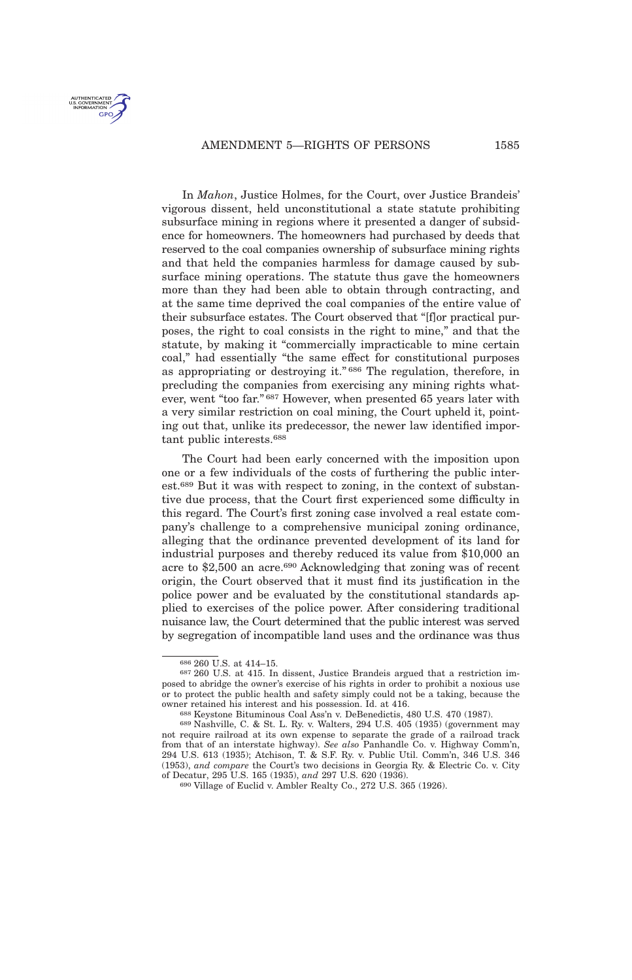# U.S. GOVERNMEN

# AMENDMENT 5-RIGHTS OF PERSONS 1585

In *Mahon*, Justice Holmes, for the Court, over Justice Brandeis' vigorous dissent, held unconstitutional a state statute prohibiting subsurface mining in regions where it presented a danger of subsidence for homeowners. The homeowners had purchased by deeds that reserved to the coal companies ownership of subsurface mining rights and that held the companies harmless for damage caused by subsurface mining operations. The statute thus gave the homeowners more than they had been able to obtain through contracting, and at the same time deprived the coal companies of the entire value of their subsurface estates. The Court observed that "[f]or practical purposes, the right to coal consists in the right to mine," and that the statute, by making it "commercially impracticable to mine certain coal," had essentially "the same effect for constitutional purposes as appropriating or destroying it." <sup>686</sup> The regulation, therefore, in precluding the companies from exercising any mining rights whatever, went "too far." <sup>687</sup> However, when presented 65 years later with a very similar restriction on coal mining, the Court upheld it, pointing out that, unlike its predecessor, the newer law identified important public interests.<sup>688</sup>

The Court had been early concerned with the imposition upon one or a few individuals of the costs of furthering the public interest.<sup>689</sup> But it was with respect to zoning, in the context of substantive due process, that the Court first experienced some difficulty in this regard. The Court's first zoning case involved a real estate company's challenge to a comprehensive municipal zoning ordinance, alleging that the ordinance prevented development of its land for industrial purposes and thereby reduced its value from \$10,000 an acre to \$2,500 an acre.<sup>690</sup> Acknowledging that zoning was of recent origin, the Court observed that it must find its justification in the police power and be evaluated by the constitutional standards applied to exercises of the police power. After considering traditional nuisance law, the Court determined that the public interest was served by segregation of incompatible land uses and the ordinance was thus

<sup>686</sup> 260 U.S. at 414–15.

<sup>687</sup> 260 U.S. at 415. In dissent, Justice Brandeis argued that a restriction imposed to abridge the owner's exercise of his rights in order to prohibit a noxious use or to protect the public health and safety simply could not be a taking, because the owner retained his interest and his possession. Id. at 416.

<sup>688</sup> Keystone Bituminous Coal Ass'n v. DeBenedictis, 480 U.S. 470 (1987).

<sup>689</sup> Nashville, C. & St. L. Ry. v. Walters, 294 U.S. 405 (1935) (government may not require railroad at its own expense to separate the grade of a railroad track from that of an interstate highway). *See also* Panhandle Co. v. Highway Comm'n, 294 U.S. 613 (1935); Atchison, T. & S.F. Ry. v. Public Util. Comm'n, 346 U.S. 346 (1953), *and compare* the Court's two decisions in Georgia Ry. & Electric Co. v. City of Decatur, 295 U.S. 165 (1935), *and* 297 U.S. 620 (1936).

<sup>690</sup> Village of Euclid v. Ambler Realty Co., 272 U.S. 365 (1926).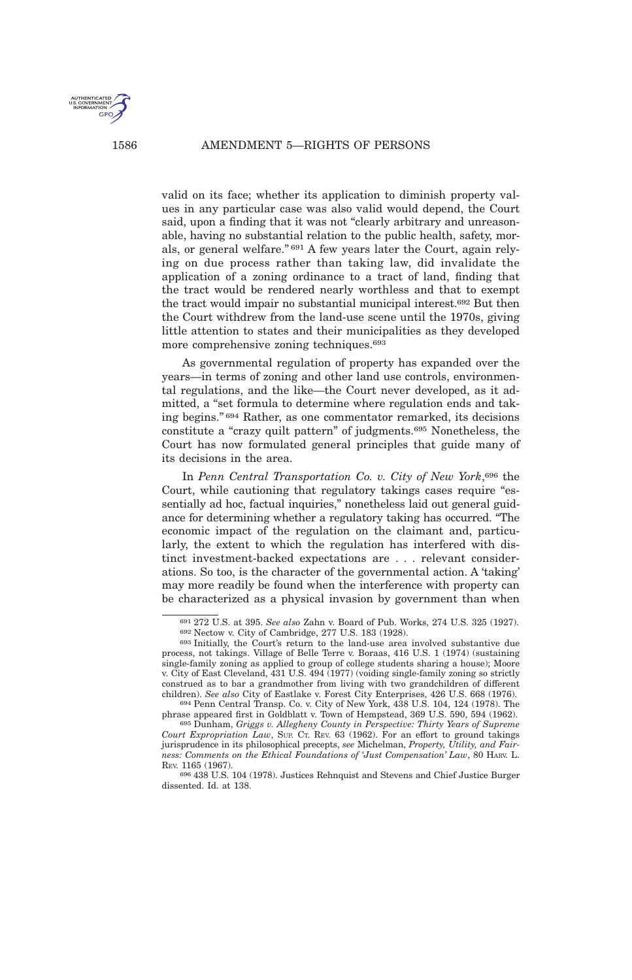1586 AMENDMENT 5—RIGHTS OF PERSONS

U.S. GOVERNMEN

valid on its face; whether its application to diminish property values in any particular case was also valid would depend, the Court said, upon a finding that it was not "clearly arbitrary and unreasonable, having no substantial relation to the public health, safety, morals, or general welfare." <sup>691</sup> A few years later the Court, again relying on due process rather than taking law, did invalidate the application of a zoning ordinance to a tract of land, finding that the tract would be rendered nearly worthless and that to exempt the tract would impair no substantial municipal interest.<sup>692</sup> But then the Court withdrew from the land-use scene until the 1970s, giving little attention to states and their municipalities as they developed more comprehensive zoning techniques.<sup>693</sup>

As governmental regulation of property has expanded over the years—in terms of zoning and other land use controls, environmental regulations, and the like—the Court never developed, as it admitted, a "set formula to determine where regulation ends and taking begins." <sup>694</sup> Rather, as one commentator remarked, its decisions constitute a "crazy quilt pattern" of judgments.<sup>695</sup> Nonetheless, the Court has now formulated general principles that guide many of its decisions in the area.

In *Penn Central Transportation Co. v. City of New York*, <sup>696</sup> the Court, while cautioning that regulatory takings cases require "essentially ad hoc, factual inquiries," nonetheless laid out general guidance for determining whether a regulatory taking has occurred. "The economic impact of the regulation on the claimant and, particularly, the extent to which the regulation has interfered with distinct investment-backed expectations are . . . relevant considerations. So too, is the character of the governmental action. A 'taking' may more readily be found when the interference with property can be characterized as a physical invasion by government than when

<sup>691</sup> 272 U.S. at 395. *See also* Zahn v. Board of Pub. Works, 274 U.S. 325 (1927). 692 Nectow v. City of Cambridge, 277 U.S. 183 (1928).

<sup>693</sup> Initially, the Court's return to the land-use area involved substantive due process, not takings. Village of Belle Terre v. Boraas, 416 U.S. 1 (1974) (sustaining single-family zoning as applied to group of college students sharing a house); Moore v. City of East Cleveland, 431 U.S. 494 (1977) (voiding single-family zoning so strictly construed as to bar a grandmother from living with two grandchildren of different children). *See also* City of Eastlake v. Forest City Enterprises, 426 U.S. 668 (1976).

<sup>694</sup> Penn Central Transp. Co. v. City of New York, 438 U.S. 104, 124 (1978). The phrase appeared first in Goldblatt v. Town of Hempstead, 369 U.S. 590, 594 (1962).

<sup>695</sup> Dunham, *Griggs v. Allegheny County in Perspective: Thirty Years of Supreme Court Expropriation Law*, SUP. CT. REV. 63 (1962). For an effort to ground takings jurisprudence in its philosophical precepts, *see* Michelman, *Property, Utility, and Fairness: Comments on the Ethical Foundations of 'Just Compensation' Law*, 80 HARV. L. REV. 1165 (1967).

<sup>696</sup> 438 U.S. 104 (1978). Justices Rehnquist and Stevens and Chief Justice Burger dissented. Id. at 138.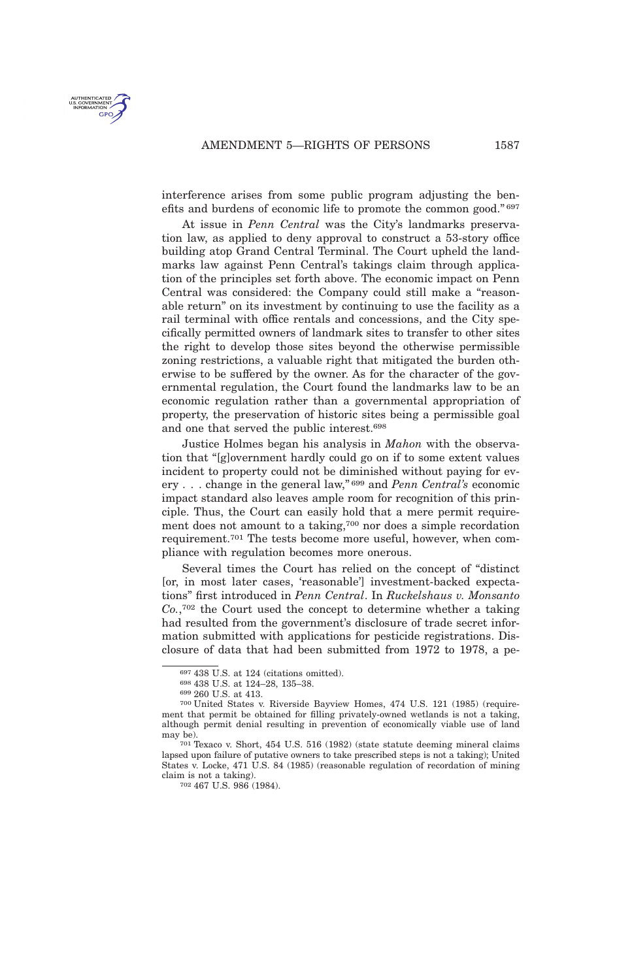

interference arises from some public program adjusting the benefits and burdens of economic life to promote the common good." <sup>697</sup>

At issue in *Penn Central* was the City's landmarks preservation law, as applied to deny approval to construct a 53-story office building atop Grand Central Terminal. The Court upheld the landmarks law against Penn Central's takings claim through application of the principles set forth above. The economic impact on Penn Central was considered: the Company could still make a "reasonable return" on its investment by continuing to use the facility as a rail terminal with office rentals and concessions, and the City specifically permitted owners of landmark sites to transfer to other sites the right to develop those sites beyond the otherwise permissible zoning restrictions, a valuable right that mitigated the burden otherwise to be suffered by the owner. As for the character of the governmental regulation, the Court found the landmarks law to be an economic regulation rather than a governmental appropriation of property, the preservation of historic sites being a permissible goal and one that served the public interest.<sup>698</sup>

Justice Holmes began his analysis in *Mahon* with the observation that "[g]overnment hardly could go on if to some extent values incident to property could not be diminished without paying for every . . . change in the general law," <sup>699</sup> and *Penn Central's* economic impact standard also leaves ample room for recognition of this principle. Thus, the Court can easily hold that a mere permit requirement does not amount to a taking,<sup>700</sup> nor does a simple recordation requirement.<sup>701</sup> The tests become more useful, however, when compliance with regulation becomes more onerous.

Several times the Court has relied on the concept of "distinct [or, in most later cases, 'reasonable'] investment-backed expectations" first introduced in *Penn Central*. In *Ruckelshaus v. Monsanto Co.*, <sup>702</sup> the Court used the concept to determine whether a taking had resulted from the government's disclosure of trade secret information submitted with applications for pesticide registrations. Disclosure of data that had been submitted from 1972 to 1978, a pe-

 $\,$  697 438 U.S. at 124 (citations omitted).

<sup>698</sup> 438 U.S. at 124–28, 135–38.

<sup>699</sup> 260 U.S. at 413.

<sup>700</sup> United States v. Riverside Bayview Homes, 474 U.S. 121 (1985) (requirement that permit be obtained for filling privately-owned wetlands is not a taking, although permit denial resulting in prevention of economically viable use of land may be).

<sup>701</sup> Texaco v. Short, 454 U.S. 516 (1982) (state statute deeming mineral claims lapsed upon failure of putative owners to take prescribed steps is not a taking); United States v. Locke, 471 U.S. 84 (1985) (reasonable regulation of recordation of mining claim is not a taking).

<sup>702</sup> 467 U.S. 986 (1984).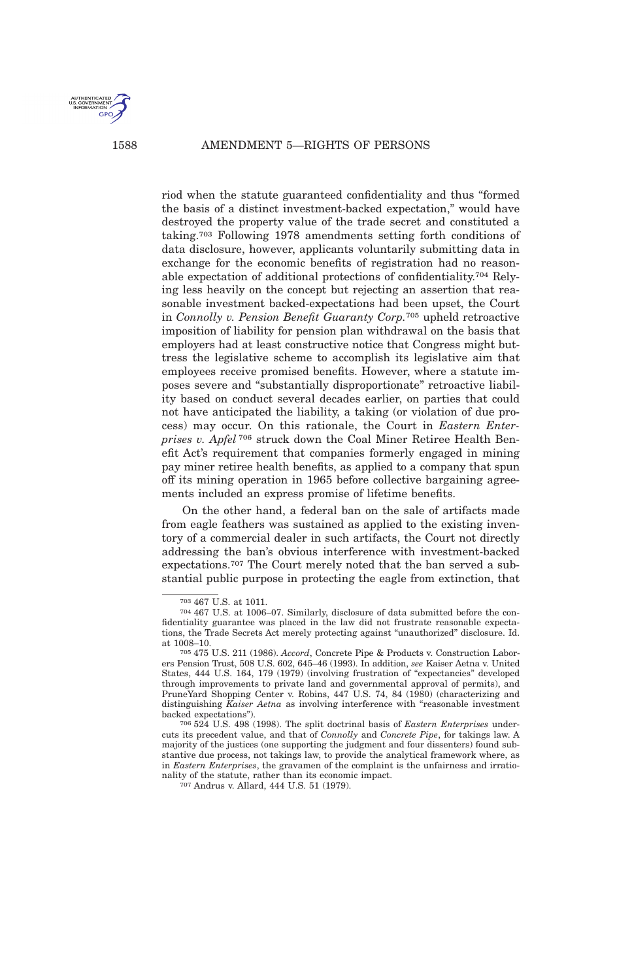

riod when the statute guaranteed confidentiality and thus "formed the basis of a distinct investment-backed expectation," would have destroyed the property value of the trade secret and constituted a taking.<sup>703</sup> Following 1978 amendments setting forth conditions of data disclosure, however, applicants voluntarily submitting data in exchange for the economic benefits of registration had no reasonable expectation of additional protections of confidentiality.<sup>704</sup> Relying less heavily on the concept but rejecting an assertion that reasonable investment backed-expectations had been upset, the Court in *Connolly v. Pension Benefit Guaranty Corp.*<sup>705</sup> upheld retroactive imposition of liability for pension plan withdrawal on the basis that employers had at least constructive notice that Congress might buttress the legislative scheme to accomplish its legislative aim that employees receive promised benefits. However, where a statute imposes severe and "substantially disproportionate" retroactive liability based on conduct several decades earlier, on parties that could not have anticipated the liability, a taking (or violation of due process) may occur. On this rationale, the Court in *Eastern Enterprises v. Apfel* <sup>706</sup> struck down the Coal Miner Retiree Health Benefit Act's requirement that companies formerly engaged in mining pay miner retiree health benefits, as applied to a company that spun off its mining operation in 1965 before collective bargaining agreements included an express promise of lifetime benefits.

On the other hand, a federal ban on the sale of artifacts made from eagle feathers was sustained as applied to the existing inventory of a commercial dealer in such artifacts, the Court not directly addressing the ban's obvious interference with investment-backed expectations.<sup>707</sup> The Court merely noted that the ban served a substantial public purpose in protecting the eagle from extinction, that

<sup>703</sup> 467 U.S. at 1011.

<sup>704</sup> 467 U.S. at 1006–07. Similarly, disclosure of data submitted before the confidentiality guarantee was placed in the law did not frustrate reasonable expectations, the Trade Secrets Act merely protecting against "unauthorized" disclosure. Id. at 1008–10.

<sup>705</sup> 475 U.S. 211 (1986). *Accord*, Concrete Pipe & Products v. Construction Laborers Pension Trust, 508 U.S. 602, 645–46 (1993). In addition, *see* Kaiser Aetna v. United States, 444 U.S. 164, 179 (1979) (involving frustration of "expectancies" developed through improvements to private land and governmental approval of permits), and PruneYard Shopping Center v. Robins, 447 U.S. 74, 84 (1980) (characterizing and distinguishing *Kaiser Aetna* as involving interference with "reasonable investment backed expectations").

<sup>706</sup> 524 U.S. 498 (1998). The split doctrinal basis of *Eastern Enterprises* undercuts its precedent value, and that of *Connolly* and *Concrete Pipe*, for takings law. A majority of the justices (one supporting the judgment and four dissenters) found substantive due process, not takings law, to provide the analytical framework where, as in *Eastern Enterprises*, the gravamen of the complaint is the unfairness and irrationality of the statute, rather than its economic impact.

<sup>707</sup> Andrus v. Allard, 444 U.S. 51 (1979).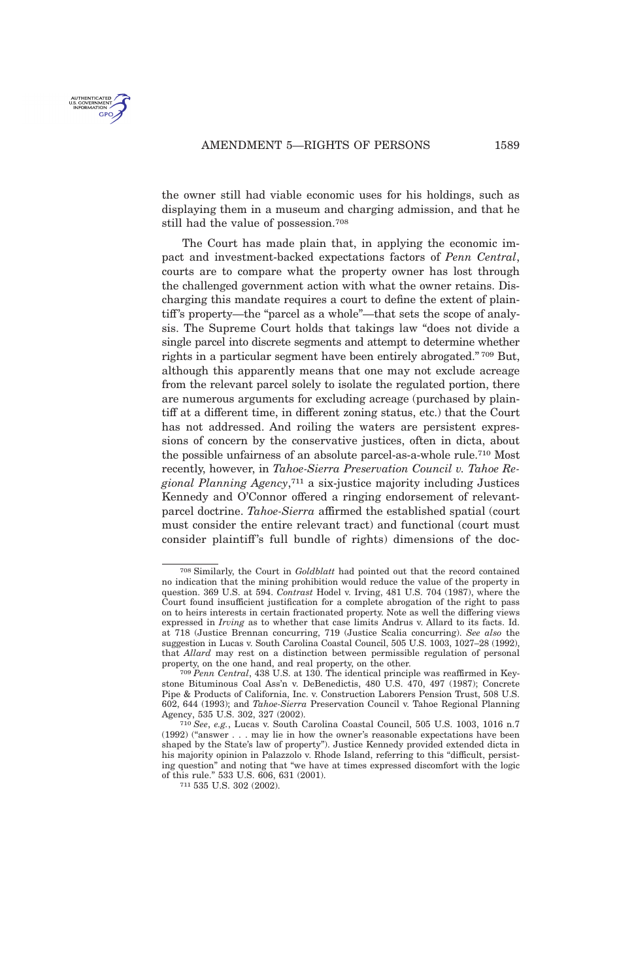

the owner still had viable economic uses for his holdings, such as displaying them in a museum and charging admission, and that he still had the value of possession.<sup>708</sup>

The Court has made plain that, in applying the economic impact and investment-backed expectations factors of *Penn Central*, courts are to compare what the property owner has lost through the challenged government action with what the owner retains. Discharging this mandate requires a court to define the extent of plaintiff's property—the "parcel as a whole"—that sets the scope of analysis. The Supreme Court holds that takings law "does not divide a single parcel into discrete segments and attempt to determine whether rights in a particular segment have been entirely abrogated." <sup>709</sup> But, although this apparently means that one may not exclude acreage from the relevant parcel solely to isolate the regulated portion, there are numerous arguments for excluding acreage (purchased by plaintiff at a different time, in different zoning status, etc.) that the Court has not addressed. And roiling the waters are persistent expressions of concern by the conservative justices, often in dicta, about the possible unfairness of an absolute parcel-as-a-whole rule.<sup>710</sup> Most recently, however, in *Tahoe-Sierra Preservation Council v. Tahoe Regional Planning Agency*, <sup>711</sup> a six-justice majority including Justices Kennedy and O'Connor offered a ringing endorsement of relevantparcel doctrine. *Tahoe-Sierra* affirmed the established spatial (court must consider the entire relevant tract) and functional (court must consider plaintiff's full bundle of rights) dimensions of the doc-

<sup>708</sup> Similarly, the Court in *Goldblatt* had pointed out that the record contained no indication that the mining prohibition would reduce the value of the property in question. 369 U.S. at 594. *Contrast* Hodel v. Irving, 481 U.S. 704 (1987), where the Court found insufficient justification for a complete abrogation of the right to pass on to heirs interests in certain fractionated property. Note as well the differing views expressed in *Irving* as to whether that case limits Andrus v. Allard to its facts. Id. at 718 (Justice Brennan concurring, 719 (Justice Scalia concurring). *See also* the suggestion in Lucas v. South Carolina Coastal Council, 505 U.S. 1003, 1027–28 (1992), that *Allard* may rest on a distinction between permissible regulation of personal property, on the one hand, and real property, on the other.

<sup>709</sup> *Penn Central*, 438 U.S. at 130. The identical principle was reaffirmed in Keystone Bituminous Coal Ass'n v. DeBenedictis, 480 U.S. 470, 497 (1987); Concrete Pipe & Products of California, Inc. v. Construction Laborers Pension Trust, 508 U.S. 602, 644 (1993); and *Tahoe-Sierra* Preservation Council v. Tahoe Regional Planning Agency, 535 U.S. 302, 327 (2002).

<sup>710</sup> *See*, *e.g.*, Lucas v. South Carolina Coastal Council, 505 U.S. 1003, 1016 n.7 (1992) ("answer . . . may lie in how the owner's reasonable expectations have been shaped by the State's law of property"). Justice Kennedy provided extended dicta in his majority opinion in Palazzolo v. Rhode Island, referring to this "difficult, persisting question" and noting that "we have at times expressed discomfort with the logic of this rule." 533 U.S. 606, 631 (2001).

<sup>711</sup> 535 U.S. 302 (2002).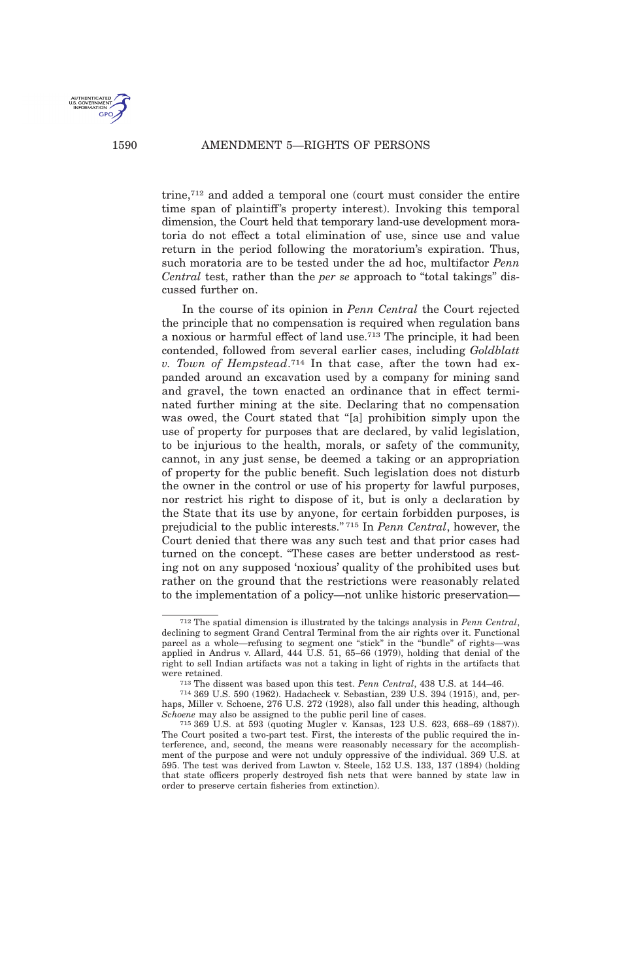trine,<sup>712</sup> and added a temporal one (court must consider the entire time span of plaintiff's property interest). Invoking this temporal dimension, the Court held that temporary land-use development moratoria do not effect a total elimination of use, since use and value return in the period following the moratorium's expiration. Thus, such moratoria are to be tested under the ad hoc, multifactor *Penn Central* test, rather than the *per se* approach to "total takings" discussed further on.

In the course of its opinion in *Penn Central* the Court rejected the principle that no compensation is required when regulation bans a noxious or harmful effect of land use.<sup>713</sup> The principle, it had been contended, followed from several earlier cases, including *Goldblatt v. Town of Hempstead*. <sup>714</sup> In that case, after the town had expanded around an excavation used by a company for mining sand and gravel, the town enacted an ordinance that in effect terminated further mining at the site. Declaring that no compensation was owed, the Court stated that "[a] prohibition simply upon the use of property for purposes that are declared, by valid legislation, to be injurious to the health, morals, or safety of the community, cannot, in any just sense, be deemed a taking or an appropriation of property for the public benefit. Such legislation does not disturb the owner in the control or use of his property for lawful purposes, nor restrict his right to dispose of it, but is only a declaration by the State that its use by anyone, for certain forbidden purposes, is prejudicial to the public interests." <sup>715</sup> In *Penn Central*, however, the Court denied that there was any such test and that prior cases had turned on the concept. "These cases are better understood as resting not on any supposed 'noxious' quality of the prohibited uses but rather on the ground that the restrictions were reasonably related to the implementation of a policy—not unlike historic preservation—

U.S. GOVERNME

<sup>712</sup> The spatial dimension is illustrated by the takings analysis in *Penn Central*, declining to segment Grand Central Terminal from the air rights over it. Functional parcel as a whole—refusing to segment one "stick" in the "bundle" of rights—was applied in Andrus v. Allard, 444 U.S. 51, 65–66 (1979), holding that denial of the right to sell Indian artifacts was not a taking in light of rights in the artifacts that were retained.

<sup>713</sup> The dissent was based upon this test. *Penn Central*, 438 U.S. at 144–46.

<sup>714</sup> 369 U.S. 590 (1962). Hadacheck v. Sebastian, 239 U.S. 394 (1915), and, perhaps, Miller v. Schoene, 276 U.S. 272 (1928), also fall under this heading, although *Schoene* may also be assigned to the public peril line of cases.

<sup>715</sup> 369 U.S. at 593 (quoting Mugler v. Kansas, 123 U.S. 623, 668–69 (1887)). The Court posited a two-part test. First, the interests of the public required the interference, and, second, the means were reasonably necessary for the accomplishment of the purpose and were not unduly oppressive of the individual. 369 U.S. at 595. The test was derived from Lawton v. Steele, 152 U.S. 133, 137 (1894) (holding that state officers properly destroyed fish nets that were banned by state law in order to preserve certain fisheries from extinction).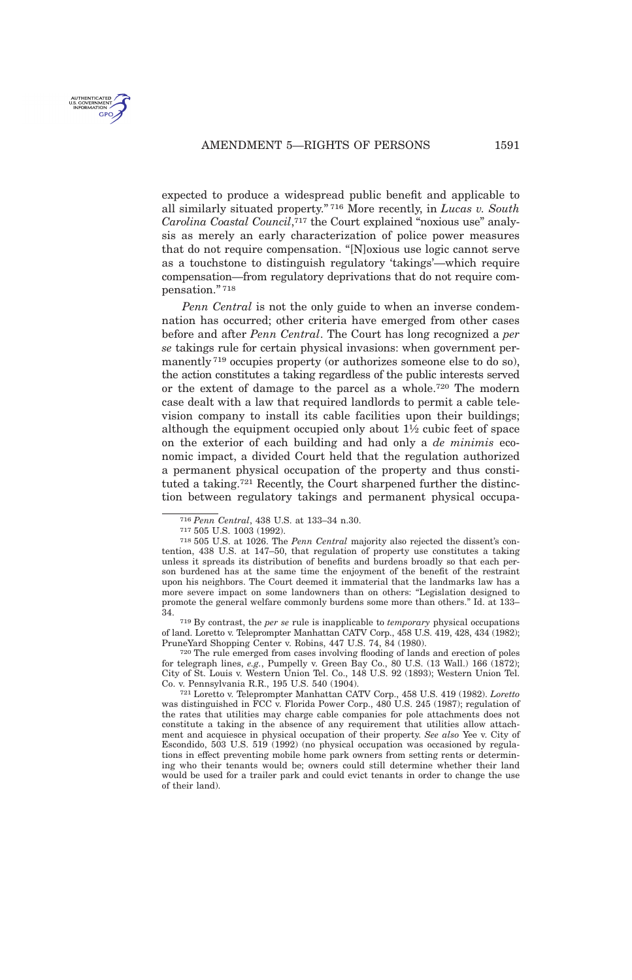AMENDMENT 5-RIGHTS OF PERSONS 1591



expected to produce a widespread public benefit and applicable to all similarly situated property." <sup>716</sup> More recently, in *Lucas v. South Carolina Coastal Council*, <sup>717</sup> the Court explained "noxious use" analysis as merely an early characterization of police power measures that do not require compensation. "[N]oxious use logic cannot serve as a touchstone to distinguish regulatory 'takings'—which require compensation—from regulatory deprivations that do not require compensation." <sup>718</sup>

*Penn Central* is not the only guide to when an inverse condemnation has occurred; other criteria have emerged from other cases before and after *Penn Central*. The Court has long recognized a *per se* takings rule for certain physical invasions: when government permanently <sup>719</sup> occupies property (or authorizes someone else to do so), the action constitutes a taking regardless of the public interests served or the extent of damage to the parcel as a whole.<sup>720</sup> The modern case dealt with a law that required landlords to permit a cable television company to install its cable facilities upon their buildings; although the equipment occupied only about 1½ cubic feet of space on the exterior of each building and had only a *de minimis* economic impact, a divided Court held that the regulation authorized a permanent physical occupation of the property and thus constituted a taking.<sup>721</sup> Recently, the Court sharpened further the distinction between regulatory takings and permanent physical occupa-

717 505 U.S. 1003 (1992).

719 By contrast, the *per se* rule is inapplicable to *temporary* physical occupations of land. Loretto v. Teleprompter Manhattan CATV Corp., 458 U.S. 419, 428, 434 (1982); PruneYard Shopping Center v. Robins, 447 U.S. 74, 84 (1980).

720 The rule emerged from cases involving flooding of lands and erection of poles for telegraph lines, *e.g.*, Pumpelly v. Green Bay Co., 80 U.S. (13 Wall.) 166 (1872); City of St. Louis v. Western Union Tel. Co., 148 U.S. 92 (1893); Western Union Tel. Co. v. Pennsylvania R.R., 195 U.S. 540 (1904).

721 Loretto v. Teleprompter Manhattan CATV Corp., 458 U.S. 419 (1982). *Loretto* was distinguished in FCC v. Florida Power Corp., 480 U.S. 245 (1987); regulation of the rates that utilities may charge cable companies for pole attachments does not constitute a taking in the absence of any requirement that utilities allow attachment and acquiesce in physical occupation of their property. *See also* Yee v. City of Escondido, 503 U.S. 519 (1992) (no physical occupation was occasioned by regulations in effect preventing mobile home park owners from setting rents or determining who their tenants would be; owners could still determine whether their land would be used for a trailer park and could evict tenants in order to change the use of their land).

<sup>716</sup> *Penn Central*, 438 U.S. at 133–34 n.30.

<sup>718</sup> 505 U.S. at 1026. The *Penn Central* majority also rejected the dissent's contention, 438 U.S. at 147–50, that regulation of property use constitutes a taking unless it spreads its distribution of benefits and burdens broadly so that each person burdened has at the same time the enjoyment of the benefit of the restraint upon his neighbors. The Court deemed it immaterial that the landmarks law has a more severe impact on some landowners than on others: "Legislation designed to promote the general welfare commonly burdens some more than others." Id. at 133– 34.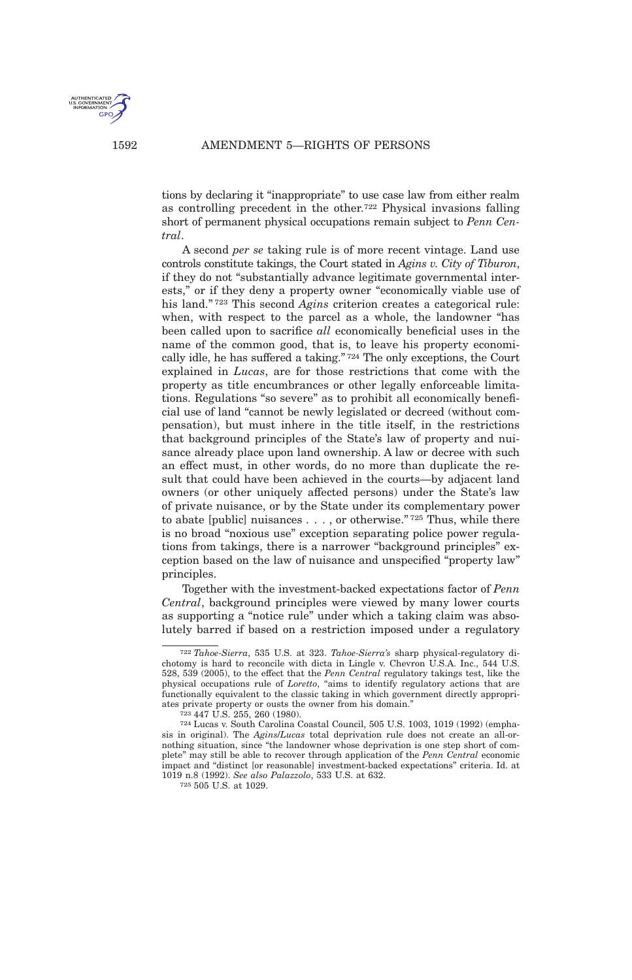

tions by declaring it "inappropriate" to use case law from either realm as controlling precedent in the other.<sup>722</sup> Physical invasions falling short of permanent physical occupations remain subject to *Penn Central*.

A second *per se* taking rule is of more recent vintage. Land use controls constitute takings, the Court stated in *Agins v. City of Tiburon*, if they do not "substantially advance legitimate governmental interests," or if they deny a property owner "economically viable use of his land." <sup>723</sup> This second *Agins* criterion creates a categorical rule: when, with respect to the parcel as a whole, the landowner "has been called upon to sacrifice *all* economically beneficial uses in the name of the common good, that is, to leave his property economically idle, he has suffered a taking." <sup>724</sup> The only exceptions, the Court explained in *Lucas*, are for those restrictions that come with the property as title encumbrances or other legally enforceable limitations. Regulations "so severe" as to prohibit all economically beneficial use of land "cannot be newly legislated or decreed (without compensation), but must inhere in the title itself, in the restrictions that background principles of the State's law of property and nuisance already place upon land ownership. A law or decree with such an effect must, in other words, do no more than duplicate the result that could have been achieved in the courts—by adjacent land owners (or other uniquely affected persons) under the State's law of private nuisance, or by the State under its complementary power to abate [public] nuisances  $\dots$ , or otherwise."<sup>725</sup> Thus, while there is no broad "noxious use" exception separating police power regulations from takings, there is a narrower "background principles" exception based on the law of nuisance and unspecified "property law" principles.

Together with the investment-backed expectations factor of *Penn Central*, background principles were viewed by many lower courts as supporting a "notice rule" under which a taking claim was absolutely barred if based on a restriction imposed under a regulatory

<sup>722</sup> *Tahoe-Sierra*, 535 U.S. at 323. *Tahoe-Sierra's* sharp physical-regulatory dichotomy is hard to reconcile with dicta in Lingle v. Chevron U.S.A. Inc., 544 U.S. 528, 539 (2005), to the effect that the *Penn Central* regulatory takings test, like the physical occupations rule of *Loretto*, "aims to identify regulatory actions that are functionally equivalent to the classic taking in which government directly appropriates private property or ousts the owner from his domain.'

<sup>723</sup> 447 U.S. 255, 260 (1980).

<sup>724</sup> Lucas v. South Carolina Coastal Council, 505 U.S. 1003, 1019 (1992) (emphasis in original). The *Agins*/*Lucas* total deprivation rule does not create an all-ornothing situation, since "the landowner whose deprivation is one step short of complete" may still be able to recover through application of the *Penn Central* economic impact and "distinct [or reasonable] investment-backed expectations" criteria. Id. at 1019 n.8 (1992). *See also Palazzolo*, 533 U.S. at 632.

<sup>725</sup> 505 U.S. at 1029.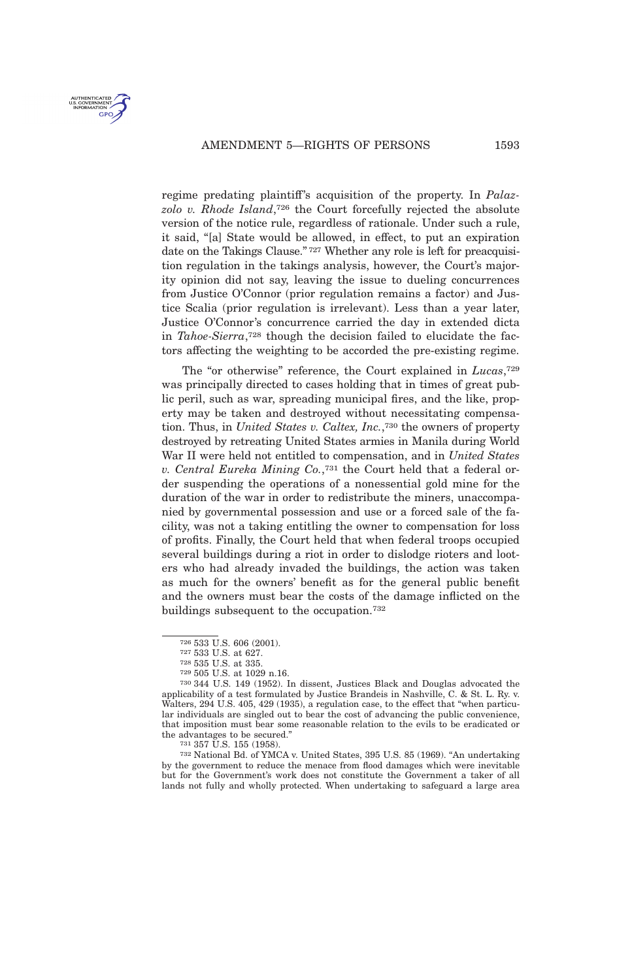

regime predating plaintiff's acquisition of the property. In *Palazzolo v. Rhode Island*, <sup>726</sup> the Court forcefully rejected the absolute version of the notice rule, regardless of rationale. Under such a rule, it said, "[a] State would be allowed, in effect, to put an expiration date on the Takings Clause." <sup>727</sup> Whether any role is left for preacquisition regulation in the takings analysis, however, the Court's majority opinion did not say, leaving the issue to dueling concurrences from Justice O'Connor (prior regulation remains a factor) and Justice Scalia (prior regulation is irrelevant). Less than a year later, Justice O'Connor's concurrence carried the day in extended dicta in *Tahoe-Sierra*, <sup>728</sup> though the decision failed to elucidate the factors affecting the weighting to be accorded the pre-existing regime.

The "or otherwise" reference, the Court explained in *Lucas*, 729 was principally directed to cases holding that in times of great public peril, such as war, spreading municipal fires, and the like, property may be taken and destroyed without necessitating compensation. Thus, in *United States v. Caltex, Inc.*, <sup>730</sup> the owners of property destroyed by retreating United States armies in Manila during World War II were held not entitled to compensation, and in *United States v. Central Eureka Mining Co.*, <sup>731</sup> the Court held that a federal order suspending the operations of a nonessential gold mine for the duration of the war in order to redistribute the miners, unaccompanied by governmental possession and use or a forced sale of the facility, was not a taking entitling the owner to compensation for loss of profits. Finally, the Court held that when federal troops occupied several buildings during a riot in order to dislodge rioters and looters who had already invaded the buildings, the action was taken as much for the owners' benefit as for the general public benefit and the owners must bear the costs of the damage inflicted on the buildings subsequent to the occupation.<sup>732</sup>

<sup>726</sup> 533 U.S. 606 (2001).

<sup>727</sup> 533 U.S. at 627.

<sup>728</sup> 535 U.S. at 335.

<sup>729</sup> 505 U.S. at 1029 n.16.

<sup>730</sup> 344 U.S. 149 (1952). In dissent, Justices Black and Douglas advocated the applicability of a test formulated by Justice Brandeis in Nashville, C. & St. L. Ry. v. Walters, 294 U.S. 405, 429 (1935), a regulation case, to the effect that "when particular individuals are singled out to bear the cost of advancing the public convenience, that imposition must bear some reasonable relation to the evils to be eradicated or the advantages to be secured."

<sup>731</sup> 357 U.S. 155 (1958).

<sup>732</sup> National Bd. of YMCA v. United States, 395 U.S. 85 (1969). "An undertaking by the government to reduce the menace from flood damages which were inevitable but for the Government's work does not constitute the Government a taker of all lands not fully and wholly protected. When undertaking to safeguard a large area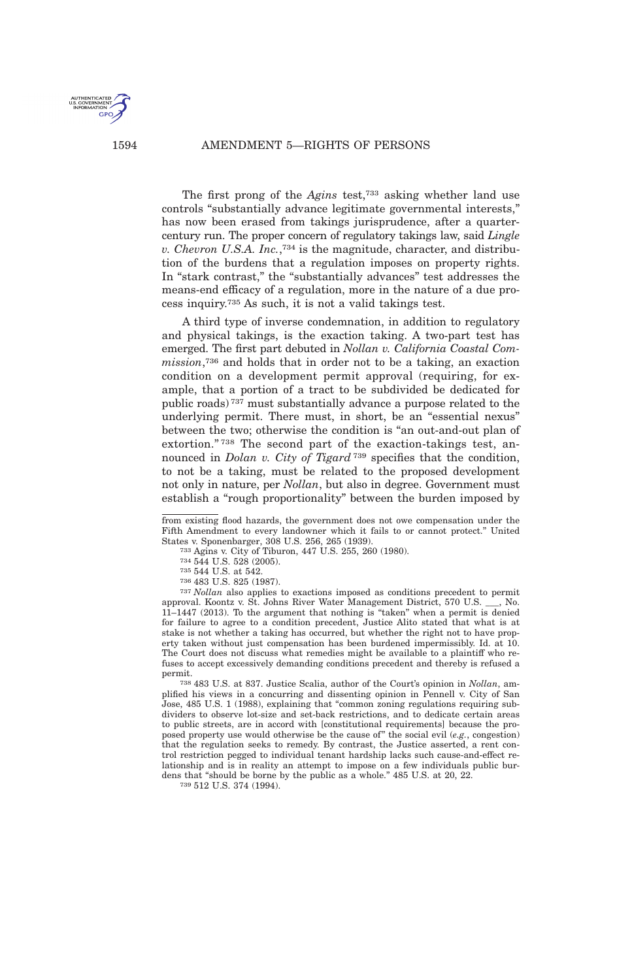The first prong of the *Agins* test,<sup>733</sup> asking whether land use controls "substantially advance legitimate governmental interests," has now been erased from takings jurisprudence, after a quartercentury run. The proper concern of regulatory takings law, said *Lingle v. Chevron U.S.A. Inc.*, <sup>734</sup> is the magnitude, character, and distribution of the burdens that a regulation imposes on property rights. In "stark contrast," the "substantially advances" test addresses the means-end efficacy of a regulation, more in the nature of a due process inquiry.<sup>735</sup> As such, it is not a valid takings test.

A third type of inverse condemnation, in addition to regulatory and physical takings, is the exaction taking. A two-part test has emerged. The first part debuted in *Nollan v. California Coastal Commission*, <sup>736</sup> and holds that in order not to be a taking, an exaction condition on a development permit approval (requiring, for example, that a portion of a tract to be subdivided be dedicated for public roads) <sup>737</sup> must substantially advance a purpose related to the underlying permit. There must, in short, be an "essential nexus" between the two; otherwise the condition is "an out-and-out plan of extortion." <sup>738</sup> The second part of the exaction-takings test, announced in *Dolan v. City of Tigard* <sup>739</sup> specifies that the condition, to not be a taking, must be related to the proposed development not only in nature, per *Nollan*, but also in degree. Government must establish a "rough proportionality" between the burden imposed by

733 Agins v. City of Tiburon, 447 U.S. 255, 260 (1980).

736 483 U.S. 825 (1987).

737 *Nollan* also applies to exactions imposed as conditions precedent to permit approval. Koontz v. St. Johns River Water Management District, 570 U.S. \_\_\_, No. 11–1447 (2013). To the argument that nothing is "taken" when a permit is denied for failure to agree to a condition precedent, Justice Alito stated that what is at stake is not whether a taking has occurred, but whether the right not to have property taken without just compensation has been burdened impermissibly. Id. at 10. The Court does not discuss what remedies might be available to a plaintiff who refuses to accept excessively demanding conditions precedent and thereby is refused a permit.

738 483 U.S. at 837. Justice Scalia, author of the Court's opinion in *Nollan*, amplified his views in a concurring and dissenting opinion in Pennell v. City of San Jose, 485 U.S. 1 (1988), explaining that "common zoning regulations requiring subdividers to observe lot-size and set-back restrictions, and to dedicate certain areas to public streets, are in accord with [constitutional requirements] because the proposed property use would otherwise be the cause of" the social evil (*e.g.*, congestion) that the regulation seeks to remedy. By contrast, the Justice asserted, a rent control restriction pegged to individual tenant hardship lacks such cause-and-effect relationship and is in reality an attempt to impose on a few individuals public burdens that "should be borne by the public as a whole." 485 U.S. at 20, 22.

739 512 U.S. 374 (1994).



from existing flood hazards, the government does not owe compensation under the Fifth Amendment to every landowner which it fails to or cannot protect." United States v. Sponenbarger, 308 U.S. 256, 265 (1939).

<sup>734</sup> 544 U.S. 528 (2005).

<sup>735</sup> 544 U.S. at 542.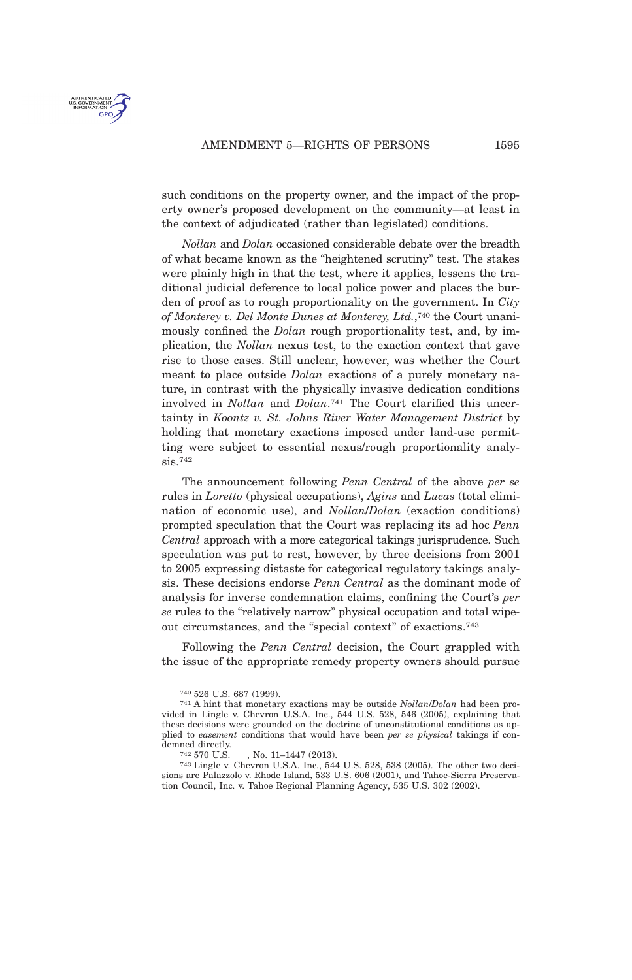

such conditions on the property owner, and the impact of the property owner's proposed development on the community—at least in the context of adjudicated (rather than legislated) conditions.

*Nollan* and *Dolan* occasioned considerable debate over the breadth of what became known as the "heightened scrutiny" test. The stakes were plainly high in that the test, where it applies, lessens the traditional judicial deference to local police power and places the burden of proof as to rough proportionality on the government. In *City of Monterey v. Del Monte Dunes at Monterey, Ltd.*, <sup>740</sup> the Court unanimously confined the *Dolan* rough proportionality test, and, by implication, the *Nollan* nexus test, to the exaction context that gave rise to those cases. Still unclear, however, was whether the Court meant to place outside *Dolan* exactions of a purely monetary nature, in contrast with the physically invasive dedication conditions involved in *Nollan* and *Dolan*. <sup>741</sup> The Court clarified this uncertainty in *Koontz v. St. Johns River Water Management District* by holding that monetary exactions imposed under land-use permitting were subject to essential nexus/rough proportionality analysis.<sup>742</sup>

The announcement following *Penn Central* of the above *per se* rules in *Loretto* (physical occupations), *Agins* and *Lucas* (total elimination of economic use), and *Nollan*/*Dolan* (exaction conditions) prompted speculation that the Court was replacing its ad hoc *Penn Central* approach with a more categorical takings jurisprudence. Such speculation was put to rest, however, by three decisions from 2001 to 2005 expressing distaste for categorical regulatory takings analysis. These decisions endorse *Penn Central* as the dominant mode of analysis for inverse condemnation claims, confining the Court's *per se* rules to the "relatively narrow" physical occupation and total wipeout circumstances, and the "special context" of exactions.<sup>743</sup>

Following the *Penn Central* decision, the Court grappled with the issue of the appropriate remedy property owners should pursue

<sup>740</sup> 526 U.S. 687 (1999).

<sup>741</sup> A hint that monetary exactions may be outside *Nollan*/*Dolan* had been provided in Lingle v. Chevron U.S.A. Inc., 544 U.S. 528, 546 (2005), explaining that these decisions were grounded on the doctrine of unconstitutional conditions as applied to *easement* conditions that would have been *per se physical* takings if condemned directly.

<sup>742</sup> 570 U.S. \_\_\_, No. 11–1447 (2013).

<sup>743</sup> Lingle v. Chevron U.S.A. Inc., 544 U.S. 528, 538 (2005). The other two decisions are Palazzolo v. Rhode Island, 533 U.S. 606 (2001), and Tahoe-Sierra Preservation Council, Inc. v. Tahoe Regional Planning Agency, 535 U.S. 302 (2002).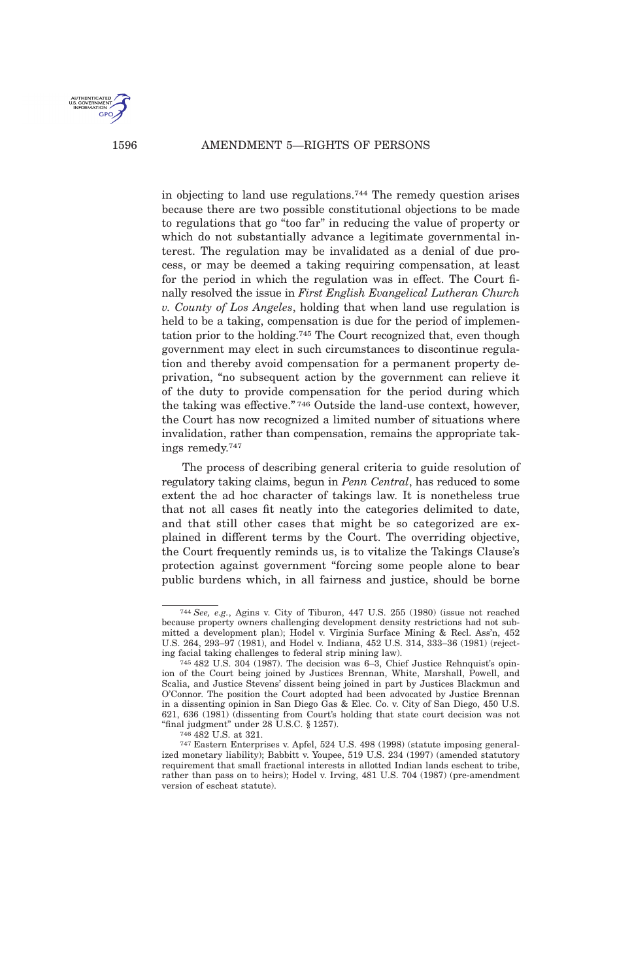

in objecting to land use regulations.<sup>744</sup> The remedy question arises because there are two possible constitutional objections to be made to regulations that go "too far" in reducing the value of property or which do not substantially advance a legitimate governmental interest. The regulation may be invalidated as a denial of due process, or may be deemed a taking requiring compensation, at least for the period in which the regulation was in effect. The Court finally resolved the issue in *First English Evangelical Lutheran Church v. County of Los Angeles*, holding that when land use regulation is held to be a taking, compensation is due for the period of implementation prior to the holding.<sup>745</sup> The Court recognized that, even though government may elect in such circumstances to discontinue regulation and thereby avoid compensation for a permanent property deprivation, "no subsequent action by the government can relieve it of the duty to provide compensation for the period during which the taking was effective." <sup>746</sup> Outside the land-use context, however, the Court has now recognized a limited number of situations where invalidation, rather than compensation, remains the appropriate takings remedy.<sup>747</sup>

The process of describing general criteria to guide resolution of regulatory taking claims, begun in *Penn Central*, has reduced to some extent the ad hoc character of takings law. It is nonetheless true that not all cases fit neatly into the categories delimited to date, and that still other cases that might be so categorized are explained in different terms by the Court. The overriding objective, the Court frequently reminds us, is to vitalize the Takings Clause's protection against government "forcing some people alone to bear public burdens which, in all fairness and justice, should be borne

<sup>744</sup> *See, e.g.*, Agins v. City of Tiburon, 447 U.S. 255 (1980) (issue not reached because property owners challenging development density restrictions had not submitted a development plan); Hodel v. Virginia Surface Mining & Recl. Ass'n, 452 U.S. 264, 293–97 (1981), and Hodel v. Indiana, 452 U.S. 314, 333–36 (1981) (rejecting facial taking challenges to federal strip mining law).

<sup>745</sup> 482 U.S. 304 (1987). The decision was 6–3, Chief Justice Rehnquist's opinion of the Court being joined by Justices Brennan, White, Marshall, Powell, and Scalia, and Justice Stevens' dissent being joined in part by Justices Blackmun and O'Connor. The position the Court adopted had been advocated by Justice Brennan in a dissenting opinion in San Diego Gas & Elec. Co. v. City of San Diego, 450 U.S. 621, 636 (1981) (dissenting from Court's holding that state court decision was not "final judgment" under 28 U.S.C. § 1257).

<sup>746</sup> 482 U.S. at 321.

<sup>747</sup> Eastern Enterprises v. Apfel, 524 U.S. 498 (1998) (statute imposing generalized monetary liability); Babbitt v. Youpee, 519 U.S. 234 (1997) (amended statutory requirement that small fractional interests in allotted Indian lands escheat to tribe, rather than pass on to heirs); Hodel v. Irving, 481 U.S. 704 (1987) (pre-amendment version of escheat statute).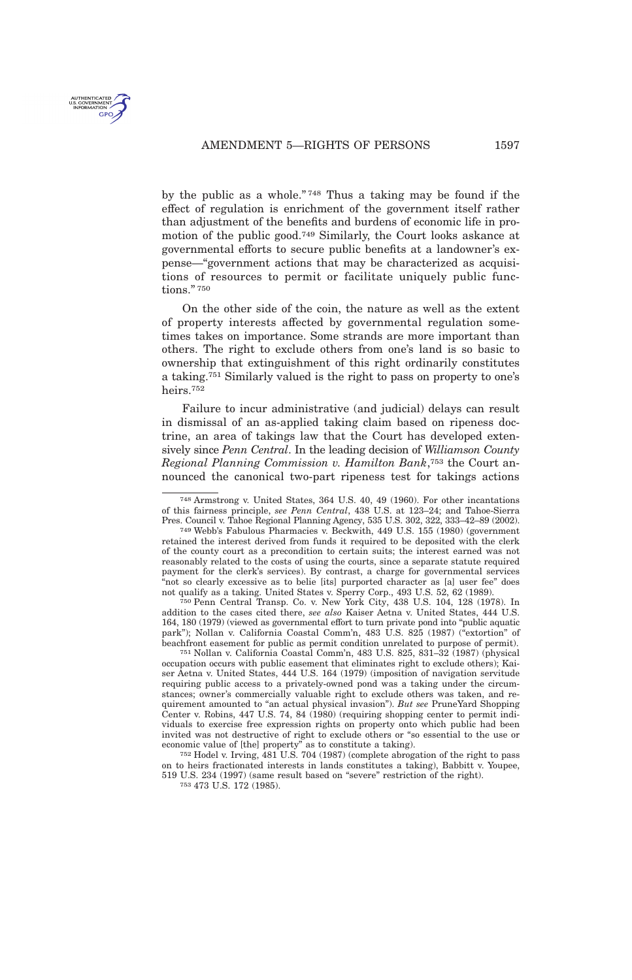AMENDMENT 5-RIGHTS OF PERSONS 1597



by the public as a whole." <sup>748</sup> Thus a taking may be found if the effect of regulation is enrichment of the government itself rather than adjustment of the benefits and burdens of economic life in promotion of the public good.<sup>749</sup> Similarly, the Court looks askance at governmental efforts to secure public benefits at a landowner's expense—"government actions that may be characterized as acquisitions of resources to permit or facilitate uniquely public func $tions$ .  $750$ 

On the other side of the coin, the nature as well as the extent of property interests affected by governmental regulation sometimes takes on importance. Some strands are more important than others. The right to exclude others from one's land is so basic to ownership that extinguishment of this right ordinarily constitutes a taking.<sup>751</sup> Similarly valued is the right to pass on property to one's heirs.<sup>752</sup>

Failure to incur administrative (and judicial) delays can result in dismissal of an as-applied taking claim based on ripeness doctrine, an area of takings law that the Court has developed extensively since *Penn Central*. In the leading decision of *Williamson County Regional Planning Commission v. Hamilton Bank*, <sup>753</sup> the Court announced the canonical two-part ripeness test for takings actions

750 Penn Central Transp. Co. v. New York City, 438 U.S. 104, 128 (1978). In addition to the cases cited there, *see also* Kaiser Aetna v. United States, 444 U.S. 164, 180 (1979) (viewed as governmental effort to turn private pond into "public aquatic park"); Nollan v. California Coastal Comm'n, 483 U.S. 825 (1987) ("extortion" of beachfront easement for public as permit condition unrelated to purpose of permit).

751 Nollan v. California Coastal Comm'n, 483 U.S. 825, 831–32 (1987) (physical occupation occurs with public easement that eliminates right to exclude others); Kaiser Aetna v. United States, 444 U.S. 164 (1979) (imposition of navigation servitude requiring public access to a privately-owned pond was a taking under the circumstances; owner's commercially valuable right to exclude others was taken, and requirement amounted to "an actual physical invasion"). *But see* PruneYard Shopping Center v. Robins, 447 U.S. 74, 84 (1980) (requiring shopping center to permit individuals to exercise free expression rights on property onto which public had been invited was not destructive of right to exclude others or "so essential to the use or economic value of [the] property" as to constitute a taking).

752 Hodel v. Irving, 481 U.S. 704 (1987) (complete abrogation of the right to pass on to heirs fractionated interests in lands constitutes a taking), Babbitt v. Youpee, 519 U.S. 234 (1997) (same result based on "severe" restriction of the right).

753 473 U.S. 172 (1985).

<sup>748</sup> Armstrong v. United States, 364 U.S. 40, 49 (1960). For other incantations of this fairness principle, *see Penn Central*, 438 U.S. at 123–24; and Tahoe-Sierra Pres. Council v. Tahoe Regional Planning Agency, 535 U.S. 302, 322, 333–42–89 (2002).

<sup>749</sup> Webb's Fabulous Pharmacies v. Beckwith, 449 U.S. 155 (1980) (government retained the interest derived from funds it required to be deposited with the clerk of the county court as a precondition to certain suits; the interest earned was not reasonably related to the costs of using the courts, since a separate statute required payment for the clerk's services). By contrast, a charge for governmental services "not so clearly excessive as to belie [its] purported character as [a] user fee" does not qualify as a taking. United States v. Sperry Corp., 493 U.S. 52, 62 (1989).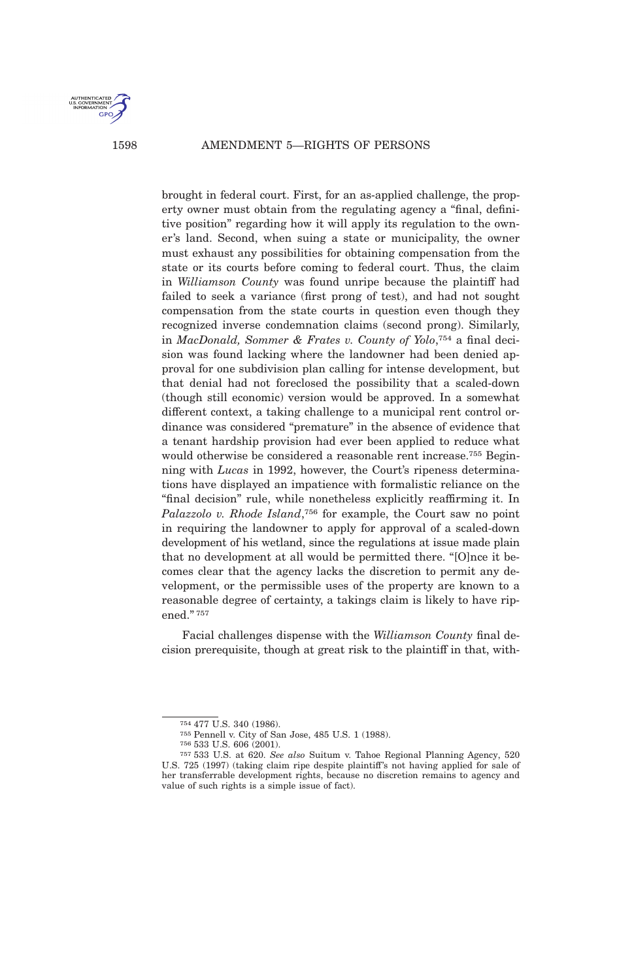

1598 AMENDMENT 5—RIGHTS OF PERSONS

brought in federal court. First, for an as-applied challenge, the property owner must obtain from the regulating agency a "final, definitive position" regarding how it will apply its regulation to the owner's land. Second, when suing a state or municipality, the owner must exhaust any possibilities for obtaining compensation from the state or its courts before coming to federal court. Thus, the claim in *Williamson County* was found unripe because the plaintiff had failed to seek a variance (first prong of test), and had not sought compensation from the state courts in question even though they recognized inverse condemnation claims (second prong). Similarly, in *MacDonald, Sommer & Frates v. County of Yolo*, <sup>754</sup> a final decision was found lacking where the landowner had been denied approval for one subdivision plan calling for intense development, but that denial had not foreclosed the possibility that a scaled-down (though still economic) version would be approved. In a somewhat different context, a taking challenge to a municipal rent control ordinance was considered "premature" in the absence of evidence that a tenant hardship provision had ever been applied to reduce what would otherwise be considered a reasonable rent increase.<sup>755</sup> Beginning with *Lucas* in 1992, however, the Court's ripeness determinations have displayed an impatience with formalistic reliance on the "final decision" rule, while nonetheless explicitly reaffirming it. In *Palazzolo v. Rhode Island*, <sup>756</sup> for example, the Court saw no point in requiring the landowner to apply for approval of a scaled-down development of his wetland, since the regulations at issue made plain that no development at all would be permitted there. "[O]nce it becomes clear that the agency lacks the discretion to permit any development, or the permissible uses of the property are known to a reasonable degree of certainty, a takings claim is likely to have ripened." <sup>757</sup>

Facial challenges dispense with the *Williamson County* final decision prerequisite, though at great risk to the plaintiff in that, with-

<sup>754</sup> 477 U.S. 340 (1986).

<sup>755</sup> Pennell v. City of San Jose, 485 U.S. 1 (1988).

<sup>756</sup> 533 U.S. 606 (2001).

<sup>757</sup> 533 U.S. at 620. *See also* Suitum v. Tahoe Regional Planning Agency, 520 U.S. 725 (1997) (taking claim ripe despite plaintiff's not having applied for sale of her transferrable development rights, because no discretion remains to agency and value of such rights is a simple issue of fact).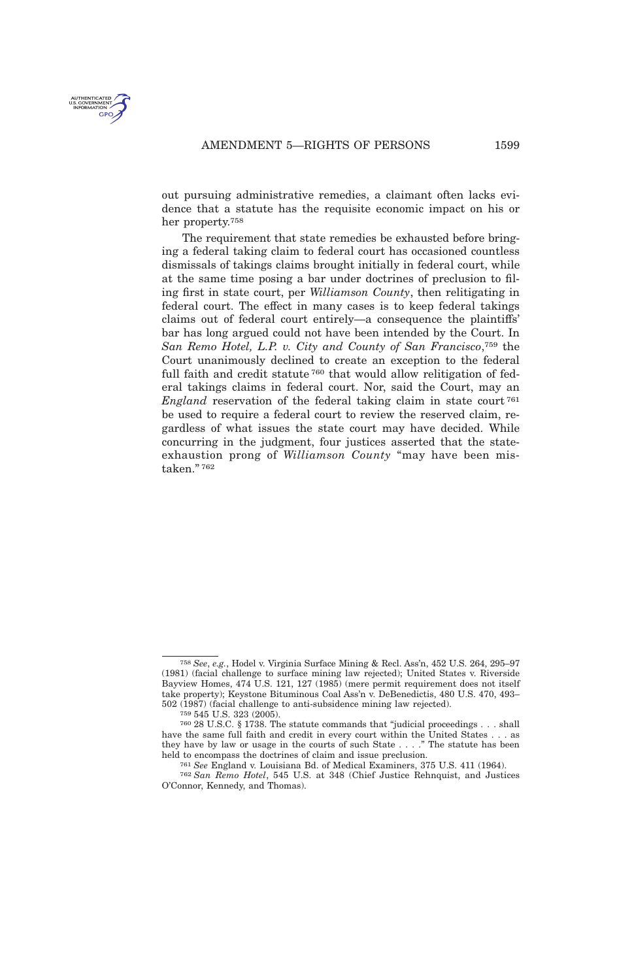

out pursuing administrative remedies, a claimant often lacks evidence that a statute has the requisite economic impact on his or her property.<sup>758</sup>

The requirement that state remedies be exhausted before bringing a federal taking claim to federal court has occasioned countless dismissals of takings claims brought initially in federal court, while at the same time posing a bar under doctrines of preclusion to filing first in state court, per *Williamson County*, then relitigating in federal court. The effect in many cases is to keep federal takings claims out of federal court entirely—a consequence the plaintiffs' bar has long argued could not have been intended by the Court. In *San Remo Hotel, L.P. v. City and County of San Francisco*, <sup>759</sup> the Court unanimously declined to create an exception to the federal full faith and credit statute<sup>760</sup> that would allow relitigation of federal takings claims in federal court. Nor, said the Court, may an *England* reservation of the federal taking claim in state court <sup>761</sup> be used to require a federal court to review the reserved claim, regardless of what issues the state court may have decided. While concurring in the judgment, four justices asserted that the stateexhaustion prong of *Williamson County* "may have been mistaken." <sup>762</sup>

<sup>758</sup> *See*, *e.g.*, Hodel v. Virginia Surface Mining & Recl. Ass'n, 452 U.S. 264, 295–97 (1981) (facial challenge to surface mining law rejected); United States v. Riverside Bayview Homes, 474 U.S. 121, 127 (1985) (mere permit requirement does not itself take property); Keystone Bituminous Coal Ass'n v. DeBenedictis, 480 U.S. 470, 493– 502 (1987) (facial challenge to anti-subsidence mining law rejected).

<sup>759</sup> 545 U.S. 323 (2005).

<sup>760</sup> 28 U.S.C. § 1738. The statute commands that "judicial proceedings . . . shall have the same full faith and credit in every court within the United States . . . as they have by law or usage in the courts of such State . . . ." The statute has been held to encompass the doctrines of claim and issue preclusion.

<sup>761</sup> *See* England v. Louisiana Bd. of Medical Examiners, 375 U.S. 411 (1964).

<sup>762</sup> *San Remo Hotel*, 545 U.S. at 348 (Chief Justice Rehnquist, and Justices O'Connor, Kennedy, and Thomas).